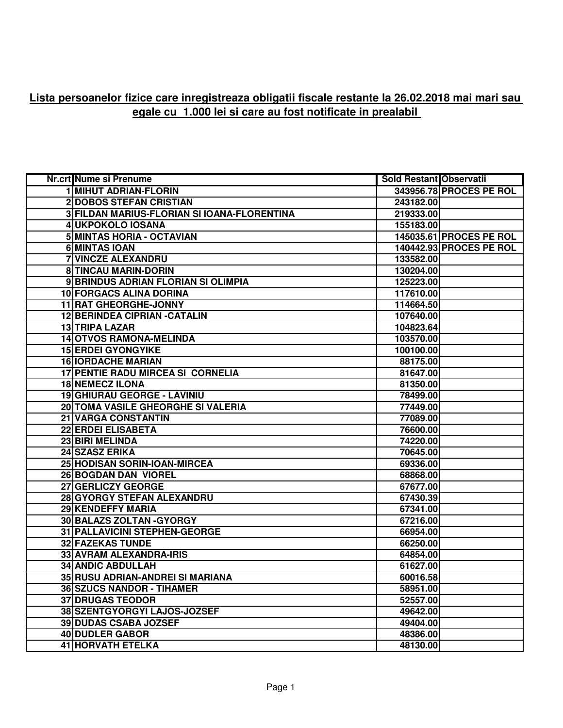## **Lista persoanelor fizice care inregistreaza obligatii fiscale restante la 26.02.2018 mai mari sau egale cu 1.000 lei si care au fost notificate in prealabil**

| Nr.crt Nume si Prenume                      | <b>Sold Restant Observatii</b> |                         |
|---------------------------------------------|--------------------------------|-------------------------|
| <b>1 MIHUT ADRIAN-FLORIN</b>                |                                | 343956.78 PROCES PE ROL |
| <b>2DOBOS STEFAN CRISTIAN</b>               | 243182.00                      |                         |
| 3 FILDAN MARIUS-FLORIAN SI IOANA-FLORENTINA | 219333.00                      |                         |
| 4 UKPOKOLO IOSANA                           | 155183.00                      |                         |
| 5 MINTAS HORIA - OCTAVIAN                   |                                | 145035.61 PROCES PE ROL |
| 6 MINTAS IOAN                               |                                | 140442.93 PROCES PE ROL |
| <b>7 VINCZE ALEXANDRU</b>                   | 133582.00                      |                         |
| <b>8 TINCAU MARIN-DORIN</b>                 | 130204.00                      |                         |
| 9 BRINDUS ADRIAN FLORIAN SI OLIMPIA         | 125223.00                      |                         |
| <b>10 FORGACS ALINA DORINA</b>              | 117610.00                      |                         |
| <b>11 RAT GHEORGHE-JONNY</b>                | 114664.50                      |                         |
| <b>12 BERINDEA CIPRIAN - CATALIN</b>        | 107640.00                      |                         |
| 13 TRIPA LAZAR                              | 104823.64                      |                         |
| <b>14 OTVOS RAMONA-MELINDA</b>              | 103570.00                      |                         |
| <b>15 ERDEI GYONGYIKE</b>                   | 100100.00                      |                         |
| <b>16 IORDACHE MARIAN</b>                   | 88175.00                       |                         |
| <b>17 PENTIE RADU MIRCEA SI CORNELIA</b>    | 81647.00                       |                         |
| <b>18 NEMECZ ILONA</b>                      | 81350.00                       |                         |
| 19 GHIURAU GEORGE - LAVINIU                 | 78499.00                       |                         |
| 20 TOMA VASILE GHEORGHE SI VALERIA          | 77449.00                       |                         |
| <b>21 VARGA CONSTANTIN</b>                  | 77089.00                       |                         |
| <b>22 ERDEI ELISABETA</b>                   | 76600.00                       |                         |
| 23 BIRI MELINDA                             | 74220.00                       |                         |
| 24 SZASZ ERIKA                              | 70645.00                       |                         |
| 25 HODISAN SORIN-IOAN-MIRCEA                | 69336.00                       |                         |
| 26 BOGDAN DAN VIOREL                        | 68868.00                       |                         |
| 27 GERLICZY GEORGE                          | 67677.00                       |                         |
| 28 GYORGY STEFAN ALEXANDRU                  | 67430.39                       |                         |
| 29 KENDEFFY MARIA                           | 67341.00                       |                         |
| 30 BALAZS ZOLTAN - GYORGY                   | 67216.00                       |                         |
| 31 PALLAVICINI STEPHEN-GEORGE               | 66954.00                       |                         |
| <b>32 FAZEKAS TUNDE</b>                     | 66250.00                       |                         |
| <b>33 AVRAM ALEXANDRA-IRIS</b>              | 64854.00                       |                         |
| <b>34 ANDIC ABDULLAH</b>                    | 61627.00                       |                         |
| 35 RUSU ADRIAN-ANDREI SI MARIANA            | 60016.58                       |                         |
| <b>36 SZUCS NANDOR - TIHAMER</b>            | 58951.00                       |                         |
| <b>37 DRUGAS TEODOR</b>                     | 52557.00                       |                         |
| 38 SZENTGYORGYI LAJOS-JOZSEF                | 49642.00                       |                         |
| <b>39 DUDAS CSABA JOZSEF</b>                | 49404.00                       |                         |
| 40 DUDLER GABOR                             | 48386.00                       |                         |
| 41 HORVATH ETELKA                           | 48130.00                       |                         |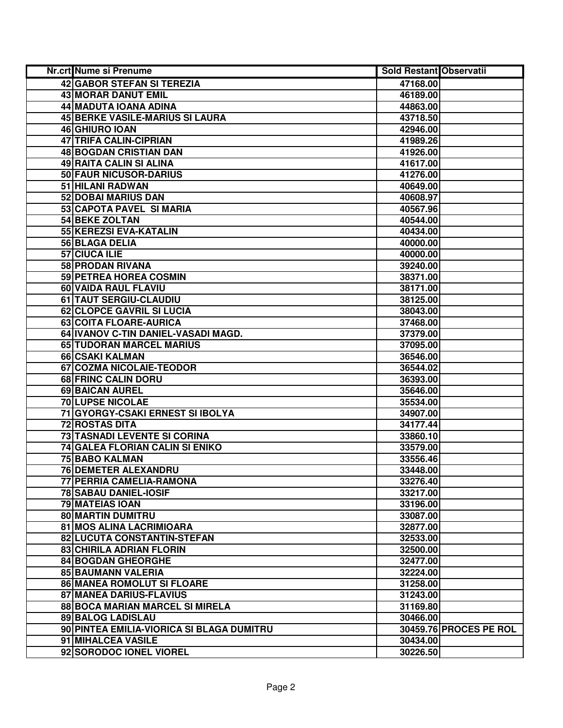| Nr.crt Nume si Prenume                    | <b>Sold Restant Observatii</b> |                        |
|-------------------------------------------|--------------------------------|------------------------|
| 42 GABOR STEFAN SI TEREZIA                | 47168.00                       |                        |
| <b>43 MORAR DANUT EMIL</b>                | 46189.00                       |                        |
| 44 MADUTA IOANA ADINA                     | 44863.00                       |                        |
| <b>45 BERKE VASILE-MARIUS SI LAURA</b>    | 43718.50                       |                        |
| 46 GHIURO IOAN                            | 42946.00                       |                        |
| <b>47 TRIFA CALIN-CIPRIAN</b>             | 41989.26                       |                        |
| 48 BOGDAN CRISTIAN DAN                    | 41926.00                       |                        |
| <b>49 RAITA CALIN SI ALINA</b>            | 41617.00                       |                        |
| 50 FAUR NICUSOR-DARIUS                    | 41276.00                       |                        |
| 51 HILANI RADWAN                          | 40649.00                       |                        |
| 52 DOBAI MARIUS DAN                       | 40608.97                       |                        |
| 53 CAPOTA PAVEL SI MARIA                  | 40567.96                       |                        |
| 54 BEKE ZOLTAN                            | 40544.00                       |                        |
| 55 KEREZSI EVA-KATALIN                    | 40434.00                       |                        |
| 56 BLAGA DELIA                            | 40000.00                       |                        |
| 57 CIUCA ILIE                             | 40000.00                       |                        |
| 58 PRODAN RIVANA                          | 39240.00                       |                        |
| 59 PETREA HOREA COSMIN                    | 38371.00                       |                        |
| 60 VAIDA RAUL FLAVIU                      | 38171.00                       |                        |
| 61 TAUT SERGIU-CLAUDIU                    | 38125.00                       |                        |
| 62 CLOPCE GAVRIL SI LUCIA                 | 38043.00                       |                        |
| 63 COITA FLOARE-AURICA                    | 37468.00                       |                        |
| 64 IVANOV C-TIN DANIEL-VASADI MAGD.       | 37379.00                       |                        |
| 65 TUDORAN MARCEL MARIUS                  | 37095.00                       |                        |
| 66 CSAKI KALMAN                           | 36546.00                       |                        |
| 67 COZMA NICOLAIE-TEODOR                  | 36544.02                       |                        |
| 68 FRINC CALIN DORU                       | 36393.00                       |                        |
| 69 BAICAN AUREL                           | 35646.00                       |                        |
| <b>70 LUPSE NICOLAE</b>                   | 35534.00                       |                        |
| 71 GYORGY-CSAKI ERNEST SI IBOLYA          | 34907.00                       |                        |
| <b>72 ROSTAS DITA</b>                     | 34177.44                       |                        |
| 73 TASNADI LEVENTE SI CORINA              | 33860.10                       |                        |
| 74 GALEA FLORIAN CALIN SI ENIKO           | 33579.00                       |                        |
| <b>75 BABO KALMAN</b>                     | 33556.46                       |                        |
| <b>76 DEMETER ALEXANDRU</b>               | 33448.00                       |                        |
| 77 PERRIA CAMELIA-RAMONA                  | 33276.40                       |                        |
| <b>78 SABAU DANIEL-IOSIF</b>              | 33217.00                       |                        |
| <b>79 MATEIAS IOAN</b>                    | 33196.00                       |                        |
| 80 MARTIN DUMITRU                         | 33087.00                       |                        |
| 81 MOS ALINA LACRIMIOARA                  | 32877.00                       |                        |
| 82 LUCUTA CONSTANTIN-STEFAN               | 32533.00                       |                        |
| 83 CHIRILA ADRIAN FLORIN                  | 32500.00                       |                        |
| <b>84 BOGDAN GHEORGHE</b>                 | 32477.00                       |                        |
| 85 BAUMANN VALERIA                        | 32224.00                       |                        |
| 86 MANEA ROMOLUT SI FLOARE                | 31258.00                       |                        |
| 87 MANEA DARIUS-FLAVIUS                   | 31243.00                       |                        |
| 88 BOCA MARIAN MARCEL SI MIRELA           | 31169.80                       |                        |
| 89 BALOG LADISLAU                         | 30466.00                       |                        |
| 90 PINTEA EMILIA-VIORICA SI BLAGA DUMITRU |                                | 30459.76 PROCES PE ROL |
| 91 MIHALCEA VASILE                        | 30434.00                       |                        |
| 92 SORODOC IONEL VIOREL                   | 30226.50                       |                        |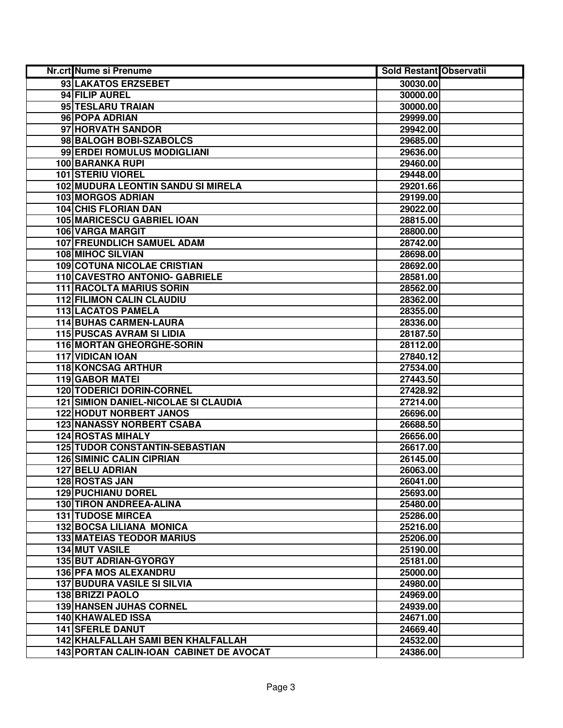| Nr.crt Nume si Prenume                      | <b>Sold Restant Observatii</b> |  |
|---------------------------------------------|--------------------------------|--|
| 93 LAKATOS ERZSEBET                         | 30030.00                       |  |
| 94 FILIP AUREL                              | 30000.00                       |  |
| 95 TESLARU TRAIAN                           | 30000.00                       |  |
| 96 POPA ADRIAN                              | 29999.00                       |  |
| 97 HORVATH SANDOR                           | 29942.00                       |  |
| 98 BALOGH BOBI-SZABOLCS                     | 29685.00                       |  |
| 99 ERDEI ROMULUS MODIGLIANI                 | 29636.00                       |  |
| <b>100 BARANKA RUPI</b>                     | 29460.00                       |  |
| <b>101 STERIU VIOREL</b>                    | 29448.00                       |  |
| <b>102 MUDURA LEONTIN SANDU SI MIRELA</b>   | 29201.66                       |  |
| 103 MORGOS ADRIAN                           | 29199.00                       |  |
| <b>104 CHIS FLORIAN DAN</b>                 | 29022.00                       |  |
| <b>105 MARICESCU GABRIEL IOAN</b>           | 28815.00                       |  |
| 106 VARGA MARGIT                            | 28800.00                       |  |
| <b>107 FREUNDLICH SAMUEL ADAM</b>           | 28742.00                       |  |
| <b>108 MIHOC SILVIAN</b>                    | 28698.00                       |  |
| <b>109 COTUNA NICOLAE CRISTIAN</b>          | 28692.00                       |  |
| 110 CAVESTRO ANTONIO- GABRIELE              | 28581.00                       |  |
| <b>111 RACOLTA MARIUS SORIN</b>             | 28562.00                       |  |
| <b>112 FILIMON CALIN CLAUDIU</b>            | 28362.00                       |  |
| 113 LACATOS PAMELA                          | 28355.00                       |  |
| <b>114 BUHAS CARMEN-LAURA</b>               | 28336.00                       |  |
| 115 PUSCAS AVRAM SI LIDIA                   | 28187.50                       |  |
| 116 MORTAN GHEORGHE-SORIN                   | 28112.00                       |  |
| <b>117 VIDICAN IOAN</b>                     | 27840.12                       |  |
| <b>118 KONCSAG ARTHUR</b>                   | 27534.00                       |  |
| <b>119 GABOR MATEI</b>                      | 27443.50                       |  |
| <b>120 TODERICI DORIN-CORNEL</b>            | 27428.92                       |  |
| <b>121 SIMION DANIEL-NICOLAE SI CLAUDIA</b> | 27214.00                       |  |
| <b>122 HODUT NORBERT JANOS</b>              | 26696.00                       |  |
| <b>123 NANASSY NORBERT CSABA</b>            | 26688.50                       |  |
| <b>124 ROSTAS MIHALY</b>                    | 26656.00                       |  |
| <b>125 TUDOR CONSTANTIN-SEBASTIAN</b>       | 26617.00                       |  |
| <b>126 SIMINIC CALIN CIPRIAN</b>            | 26145.00                       |  |
| <b>127 BELU ADRIAN</b>                      | 26063.00                       |  |
| <b>128 ROSTAS JAN</b>                       | 26041.00                       |  |
| <b>129 PUCHIANU DOREL</b>                   | 25693.00                       |  |
| <b>130 TIRON ANDREEA-ALINA</b>              | 25480.00                       |  |
| <b>131 TUDOSE MIRCEA</b>                    | 25286.00                       |  |
| 132 BOCSA LILIANA MONICA                    | 25216.00                       |  |
| <b>133 MATEIAS TEODOR MARIUS</b>            | 25206.00                       |  |
| 134 MUT VASILE                              | 25190.00                       |  |
| 135 BUT ADRIAN-GYORGY                       | 25181.00                       |  |
| 136 PFA MOS ALEXANDRU                       | 25000.00                       |  |
| <b>137 BUDURA VASILE SI SILVIA</b>          | 24980.00                       |  |
| 138 BRIZZI PAOLO                            | 24969.00                       |  |
| <b>139 HANSEN JUHAS CORNEL</b>              | 24939.00                       |  |
| 140 KHAWALED ISSA                           | 24671.00                       |  |
| <b>141 SFERLE DANUT</b>                     | 24669.40                       |  |
| 142 KHALFALLAH SAMI BEN KHALFALLAH          | 24532.00                       |  |
| 143 PORTAN CALIN-IOAN CABINET DE AVOCAT     | 24386.00                       |  |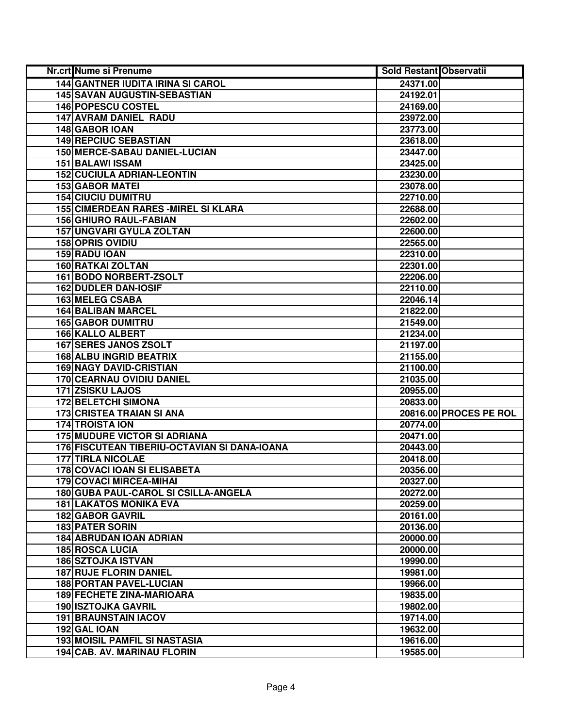| <b>Nr.crt Nume si Prenume</b>                | <b>Sold Restant Observatii</b> |                        |
|----------------------------------------------|--------------------------------|------------------------|
| <b>144 GANTNER IUDITA IRINA SI CAROL</b>     | 24371.00                       |                        |
| 145 SAVAN AUGUSTIN-SEBASTIAN                 | 24192.01                       |                        |
| 146 POPESCU COSTEL                           | 24169.00                       |                        |
| 147 AVRAM DANIEL RADU                        | 23972.00                       |                        |
| 148 GABOR IOAN                               | 23773.00                       |                        |
| <b>149 REPCIUC SEBASTIAN</b>                 | 23618.00                       |                        |
| 150 MERCE-SABAU DANIEL-LUCIAN                | 23447.00                       |                        |
| <b>151 BALAWI ISSAM</b>                      | 23425.00                       |                        |
| <b>152 CUCIULA ADRIAN-LEONTIN</b>            | 23230.00                       |                        |
| <b>153 GABOR MATEI</b>                       | 23078.00                       |                        |
| <b>154 CIUCIU DUMITRU</b>                    | 22710.00                       |                        |
| <b>155 CIMERDEAN RARES - MIREL SI KLARA</b>  | 22688.00                       |                        |
| <b>156 GHIURO RAUL-FABIAN</b>                | 22602.00                       |                        |
| 157 UNGVARI GYULA ZOLTAN                     | 22600.00                       |                        |
| <b>158 OPRIS OVIDIU</b>                      | 22565.00                       |                        |
| 159 RADU IOAN                                | 22310.00                       |                        |
| 160 RATKAI ZOLTAN                            | 22301.00                       |                        |
| 161 BODO NORBERT-ZSOLT                       | 22206.00                       |                        |
| <b>162 DUDLER DAN-IOSIF</b>                  | 22110.00                       |                        |
| 163 MELEG CSABA                              | 22046.14                       |                        |
| <b>164 BALIBAN MARCEL</b>                    | 21822.00                       |                        |
| <b>165 GABOR DUMITRU</b>                     | 21549.00                       |                        |
| 166 KALLO ALBERT                             | 21234.00                       |                        |
| <b>167 SERES JANOS ZSOLT</b>                 | 21197.00                       |                        |
| <b>168 ALBU INGRID BEATRIX</b>               | 21155.00                       |                        |
| <b>169 NAGY DAVID-CRISTIAN</b>               | 21100.00                       |                        |
| 170 CEARNAU OVIDIU DANIEL                    | 21035.00                       |                        |
| 171 ZSISKU LAJOS                             | 20955.00                       |                        |
| 172 BELETCHI SIMONA                          | 20833.00                       |                        |
| <b>173 CRISTEA TRAIAN SI ANA</b>             |                                | 20816.00 PROCES PE ROL |
| <b>174 TROISTA ION</b>                       | 20774.00                       |                        |
| <b>175 MUDURE VICTOR SI ADRIANA</b>          | 20471.00                       |                        |
| 176 FISCUTEAN TIBERIU-OCTAVIAN SI DANA-IOANA | 20443.00                       |                        |
| <b>177 TIRLA NICOLAE</b>                     | 20418.00                       |                        |
| <b>178 COVACI IOAN SI ELISABETA</b>          | 20356.00                       |                        |
| <b>179 COVACI MIRCEA-MIHAI</b>               | 20327.00                       |                        |
| 180 GUBA PAUL-CAROL SI CSILLA-ANGELA         | 20272.00                       |                        |
| <b>181 LAKATOS MONIKA EVA</b>                | 20259.00                       |                        |
| <b>182 GABOR GAVRIL</b>                      | 20161.00                       |                        |
| <b>183 PATER SORIN</b>                       | 20136.00                       |                        |
| <b>184 ABRUDAN IOAN ADRIAN</b>               | 20000.00                       |                        |
| <b>185 ROSCA LUCIA</b>                       | 20000.00                       |                        |
| <b>186 SZTOJKA ISTVAN</b>                    | 19990.00                       |                        |
| <b>187 RUJE FLORIN DANIEL</b>                | 19981.00                       |                        |
| <b>188 PORTAN PAVEL-LUCIAN</b>               | 19966.00                       |                        |
| <b>189 FECHETE ZINA-MARIOARA</b>             | 19835.00                       |                        |
| <b>190 ISZTOJKA GAVRIL</b>                   | 19802.00                       |                        |
| <b>191 BRAUNSTAIN IACOV</b>                  | 19714.00                       |                        |
| 192 GAL IOAN                                 | 19632.00                       |                        |
| <b>193 MOISIL PAMFIL SI NASTASIA</b>         | 19616.00                       |                        |
| 194 CAB. AV. MARINAU FLORIN                  | 19585.00                       |                        |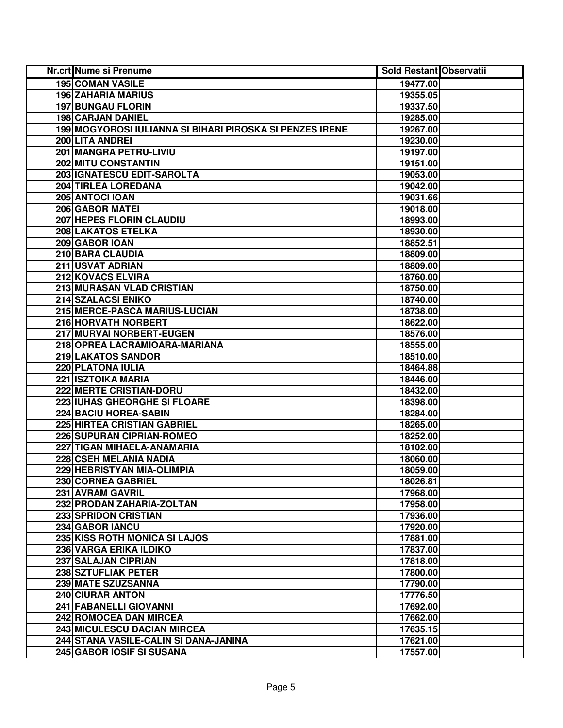| Nr.crt Nume si Prenume                                   | Sold Restant Observatii |  |
|----------------------------------------------------------|-------------------------|--|
| <b>195 COMAN VASILE</b>                                  | 19477.00                |  |
| <b>196 ZAHARIA MARIUS</b>                                | 19355.05                |  |
| <b>197 BUNGAU FLORIN</b>                                 | 19337.50                |  |
| 198 CARJAN DANIEL                                        | 19285.00                |  |
| 199 MOGYOROSI IULIANNA SI BIHARI PIROSKA SI PENZES IRENE | 19267.00                |  |
| 200 LITA ANDREI                                          | 19230.00                |  |
| 201 MANGRA PETRU-LIVIU                                   | 19197.00                |  |
| 202 MITU CONSTANTIN                                      | 19151.00                |  |
| 203 IGNATESCU EDIT-SAROLTA                               | 19053.00                |  |
| <b>204 TIRLEA LOREDANA</b>                               | 19042.00                |  |
| 205 ANTOCI IOAN                                          | 19031.66                |  |
| <b>206 GABOR MATEI</b>                                   | 19018.00                |  |
| <b>207 HEPES FLORIN CLAUDIU</b>                          | 18993.00                |  |
| 208 LAKATOS ETELKA                                       | 18930.00                |  |
| 209 GABOR IOAN                                           | 18852.51                |  |
| 210 BARA CLAUDIA                                         | 18809.00                |  |
| 211 USVAT ADRIAN                                         | 18809.00                |  |
| 212 KOVACS ELVIRA                                        | 18760.00                |  |
| 213 MURASAN VLAD CRISTIAN                                | 18750.00                |  |
| 214 SZALACSI ENIKO                                       | 18740.00                |  |
| 215 MERCE-PASCA MARIUS-LUCIAN                            | 18738.00                |  |
| 216 HORVATH NORBERT                                      | 18622.00                |  |
| 217 MURVAI NORBERT-EUGEN                                 | 18576.00                |  |
| 218 OPREA LACRAMIOARA-MARIANA                            | 18555.00                |  |
| 219 LAKATOS SANDOR                                       | 18510.00                |  |
| 220 PLATONA IULIA                                        | 18464.88                |  |
| 221 ISZTOIKA MARIA                                       | 18446.00                |  |
| 222 MERTE CRISTIAN-DORU                                  | 18432.00                |  |
| 223 IUHAS GHEORGHE SI FLOARE                             | 18398.00                |  |
| 224 BACIU HOREA-SABIN                                    | 18284.00                |  |
| <b>225 HIRTEA CRISTIAN GABRIEL</b>                       | 18265.00                |  |
| <b>226 SUPURAN CIPRIAN-ROMEO</b>                         | 18252.00                |  |
| 227 TIGAN MIHAELA-ANAMARIA                               | 18102.00                |  |
| 228 CSEH MELANIA NADIA                                   | 18060.00                |  |
| 229 HEBRISTYAN MIA-OLIMPIA                               | 18059.00                |  |
| 230 CORNEA GABRIEL                                       | 18026.81                |  |
| 231 AVRAM GAVRIL                                         | 17968.00                |  |
| 232 PRODAN ZAHARIA-ZOLTAN                                | 17958.00                |  |
| <b>233 SPRIDON CRISTIAN</b>                              | 17936.00                |  |
| 234 GABOR IANCU                                          | 17920.00                |  |
| 235 KISS ROTH MONICA SI LAJOS                            | 17881.00                |  |
| 236 VARGA ERIKA ILDIKO                                   | 17837.00                |  |
| 237 SALAJAN CIPRIAN                                      | 17818.00                |  |
| 238 SZTUFLIAK PETER                                      | 17800.00                |  |
| 239 MATE SZUZSANNA                                       | 17790.00                |  |
| 240 CIURAR ANTON                                         | 17776.50                |  |
| 241 FABANELLI GIOVANNI                                   | 17692.00                |  |
| 242 ROMOCEA DAN MIRCEA                                   | 17662.00                |  |
| 243 MICULESCU DACIAN MIRCEA                              | 17635.15                |  |
| 244 STANA VASILE-CALIN SI DANA-JANINA                    | 17621.00                |  |
| 245 GABOR IOSIF SI SUSANA                                | 17557.00                |  |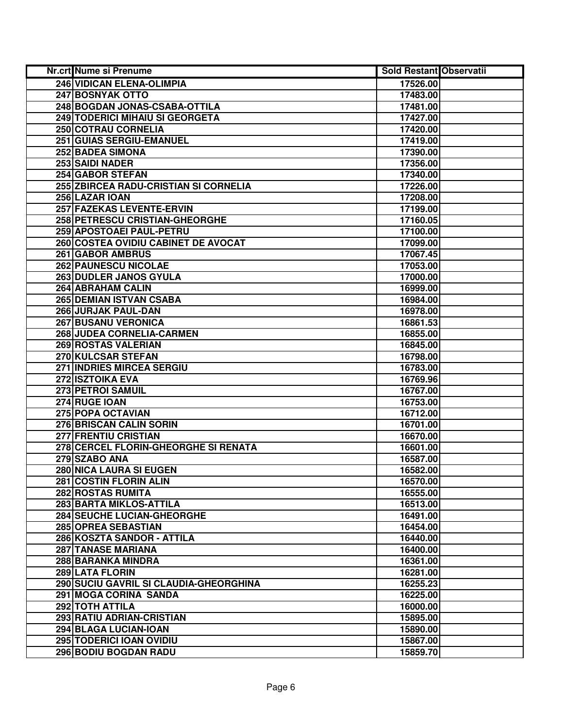| Nr.crt Nume si Prenume                             | Sold Restant Observatii |  |
|----------------------------------------------------|-------------------------|--|
| <b>246 VIDICAN ELENA-OLIMPIA</b>                   | 17526.00                |  |
| 247 BOSNYAK OTTO                                   | 17483.00                |  |
| 248 BOGDAN JONAS-CSABA-OTTILA                      | 17481.00                |  |
| 249 TODERICI MIHAIU SI GEORGETA                    | 17427.00                |  |
| <b>250 COTRAU CORNELIA</b>                         | 17420.00                |  |
| 251 GUIAS SERGIU-EMANUEL                           | 17419.00                |  |
| <b>252 BADEA SIMONA</b>                            | 17390.00                |  |
| 253 SAIDI NADER                                    | 17356.00                |  |
| <b>254 GABOR STEFAN</b>                            | 17340.00                |  |
| <b>255 ZBIRCEA RADU-CRISTIAN SI CORNELIA</b>       | 17226.00                |  |
| 256 LAZAR IOAN                                     | 17208.00                |  |
| 257 FAZEKAS LEVENTE-ERVIN                          | 17199.00                |  |
| 258 PETRESCU CRISTIAN-GHEORGHE                     | 17160.05                |  |
| 259 APOSTOAEI PAUL-PETRU                           | 17100.00                |  |
| 260 COSTEA OVIDIU CABINET DE AVOCAT                | 17099.00                |  |
| 261 GABOR AMBRUS                                   | 17067.45                |  |
| <b>262 PAUNESCU NICOLAE</b>                        | 17053.00                |  |
| 263 DUDLER JANOS GYULA                             | 17000.00                |  |
| <b>264 ABRAHAM CALIN</b>                           | 16999.00                |  |
| 265 DEMIAN ISTVAN CSABA                            | 16984.00                |  |
| 266 JURJAK PAUL-DAN                                | 16978.00                |  |
| <b>267 BUSANU VERONICA</b>                         | 16861.53                |  |
| 268 JUDEA CORNELIA-CARMEN                          | 16855.00                |  |
| 269 ROSTAS VALERIAN                                | 16845.00                |  |
| 270 KULCSAR STEFAN                                 | 16798.00                |  |
| 271 INDRIES MIRCEA SERGIU                          | 16783.00                |  |
| 272 ISZTOIKA EVA                                   | 16769.96                |  |
| 273 PETROI SAMUIL                                  | 16767.00                |  |
| 274 RUGE IOAN                                      | 16753.00                |  |
| 275 POPA OCTAVIAN                                  | 16712.00                |  |
| 276 BRISCAN CALIN SORIN                            | 16701.00                |  |
| 277 FRENTIU CRISTIAN                               | 16670.00                |  |
| 278 CERCEL FLORIN-GHEORGHE SI RENATA               | 16601.00                |  |
| 279 SZABO ANA                                      | 16587.00                |  |
| 280 NICA LAURA SI EUGEN                            | 16582.00                |  |
| 281 COSTIN FLORIN ALIN                             | 16570.00                |  |
| <b>282 ROSTAS RUMITA</b>                           | 16555.00                |  |
| 283 BARTA MIKLOS-ATTILA                            | 16513.00                |  |
| <b>284 SEUCHE LUCIAN-GHEORGHE</b>                  | 16491.00                |  |
| 285 OPREA SEBASTIAN<br>286 KOSZTA SANDOR - ATTILA  | 16454.00                |  |
|                                                    | 16440.00                |  |
| <b>287 TANASE MARIANA</b>                          | 16400.00                |  |
| 288 BARANKA MINDRA                                 | 16361.00                |  |
| 289 LATA FLORIN                                    | 16281.00                |  |
| 290 SUCIU GAVRIL SI CLAUDIA-GHEORGHINA             | 16255.23                |  |
| 291 MOGA CORINA SANDA<br>292 TOTH ATTILA           | 16225.00                |  |
|                                                    | 16000.00                |  |
| 293 RATIU ADRIAN-CRISTIAN<br>294 BLAGA LUCIAN-IOAN | 15895.00<br>15890.00    |  |
| 295 TODERICI IOAN OVIDIU                           | 15867.00                |  |
| 296 BODIU BOGDAN RADU                              | 15859.70                |  |
|                                                    |                         |  |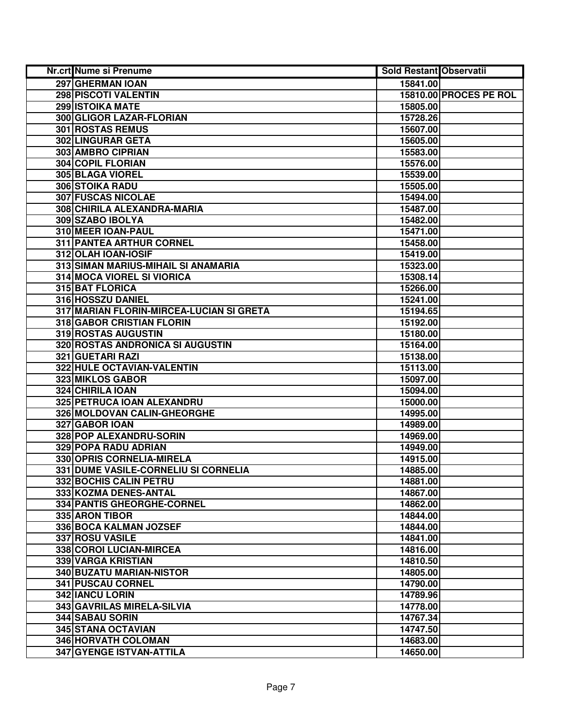| Nr.crt Nume si Prenume                   | Sold Restant Observatii |                        |
|------------------------------------------|-------------------------|------------------------|
| 297 GHERMAN IOAN                         | 15841.00                |                        |
| 298 PISCOTI VALENTIN                     |                         | 15810.00 PROCES PE ROL |
| 299 ISTOIKA MATE                         | 15805.00                |                        |
| 300 GLIGOR LAZAR-FLORIAN                 | 15728.26                |                        |
| 301 ROSTAS REMUS                         | 15607.00                |                        |
| 302 LINGURAR GETA                        | 15605.00                |                        |
| 303 AMBRO CIPRIAN                        | 15583.00                |                        |
| <b>304 COPIL FLORIAN</b>                 | 15576.00                |                        |
| 305 BLAGA VIOREL                         | 15539.00                |                        |
| 306 STOIKA RADU                          | 15505.00                |                        |
| <b>307 FUSCAS NICOLAE</b>                | 15494.00                |                        |
| 308 CHIRILA ALEXANDRA-MARIA              | 15487.00                |                        |
| 309 SZABO IBOLYA                         | 15482.00                |                        |
| 310 MEER IOAN-PAUL                       | 15471.00                |                        |
| 311 PANTEA ARTHUR CORNEL                 | 15458.00                |                        |
| 312 OLAH IOAN-IOSIF                      | 15419.00                |                        |
| 313 SIMAN MARIUS-MIHAIL SI ANAMARIA      | 15323.00                |                        |
| 314 MOCA VIOREL SI VIORICA               | 15308.14                |                        |
| 315 BAT FLORICA                          | 15266.00                |                        |
| 316 HOSSZU DANIEL                        | 15241.00                |                        |
| 317 MARIAN FLORIN-MIRCEA-LUCIAN SI GRETA | 15194.65                |                        |
| 318 GABOR CRISTIAN FLORIN                | 15192.00                |                        |
| 319 ROSTAS AUGUSTIN                      | 15180.00                |                        |
| 320 ROSTAS ANDRONICA SI AUGUSTIN         | 15164.00                |                        |
| 321 GUETARI RAZI                         | 15138.00                |                        |
| 322 HULE OCTAVIAN-VALENTIN               | 15113.00                |                        |
| 323 MIKLOS GABOR                         | 15097.00                |                        |
| 324 CHIRILA IOAN                         | 15094.00                |                        |
| 325 PETRUCA IOAN ALEXANDRU               | 15000.00                |                        |
| 326 MOLDOVAN CALIN-GHEORGHE              | 14995.00                |                        |
| 327 GABOR IOAN                           | 14989.00                |                        |
| 328 POP ALEXANDRU-SORIN                  | 14969.00                |                        |
| <b>329 POPA RADU ADRIAN</b>              | 14949.00                |                        |
| 330 OPRIS CORNELIA-MIRELA                | 14915.00                |                        |
| 331 DUME VASILE-CORNELIU SI CORNELIA     | 14885.00                |                        |
| 332 BOCHIS CALIN PETRU                   | 14881.00                |                        |
| 333 KOZMA DENES-ANTAL                    | 14867.00                |                        |
| 334 PANTIS GHEORGHE-CORNEL               | 14862.00                |                        |
| 335 ARON TIBOR                           | 14844.00                |                        |
| 336 BOCA KALMAN JOZSEF                   | 14844.00                |                        |
| 337 ROSU VASILE                          | 14841.00                |                        |
| 338 COROI LUCIAN-MIRCEA                  | 14816.00                |                        |
| 339 VARGA KRISTIAN                       | 14810.50                |                        |
| 340 BUZATU MARIAN-NISTOR                 | 14805.00                |                        |
| 341 PUSCAU CORNEL                        | 14790.00                |                        |
| 342 IANCU LORIN                          | 14789.96                |                        |
| 343 GAVRILAS MIRELA-SILVIA               | 14778.00                |                        |
| 344 SABAU SORIN                          | 14767.34                |                        |
| 345 STANA OCTAVIAN                       | 14747.50                |                        |
| 346 HORVATH COLOMAN                      | 14683.00                |                        |
| 347 GYENGE ISTVAN-ATTILA                 | 14650.00                |                        |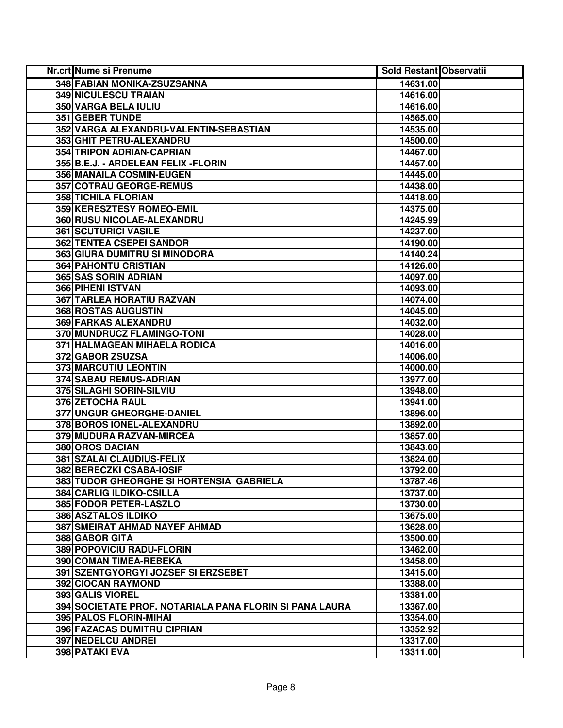| Nr.crt Nume si Prenume                                  | <b>Sold Restant Observatii</b> |  |
|---------------------------------------------------------|--------------------------------|--|
| 348 FABIAN MONIKA-ZSUZSANNA                             | 14631.00                       |  |
| <b>349 NICULESCU TRAIAN</b>                             | 14616.00                       |  |
| 350 VARGA BELA IULIU                                    | 14616.00                       |  |
| 351 GEBER TUNDE                                         | 14565.00                       |  |
| 352 VARGA ALEXANDRU-VALENTIN-SEBASTIAN                  | 14535.00                       |  |
| 353 GHIT PETRU-ALEXANDRU                                | 14500.00                       |  |
| 354 TRIPON ADRIAN-CAPRIAN                               | 14467.00                       |  |
| 355 B.E.J. - ARDELEAN FELIX - FLORIN                    | 14457.00                       |  |
| 356 MANAILA COSMIN-EUGEN                                | 14445.00                       |  |
| 357 COTRAU GEORGE-REMUS                                 | 14438.00                       |  |
| <b>358 TICHILA FLORIAN</b>                              | 14418.00                       |  |
| 359 KERESZTESY ROMEO-EMIL                               | 14375.00                       |  |
| 360 RUSU NICOLAE-ALEXANDRU                              | 14245.99                       |  |
| <b>361 SCUTURICI VASILE</b>                             | 14237.00                       |  |
| <b>362 TENTEA CSEPEI SANDOR</b>                         | 14190.00                       |  |
| 363 GIURA DUMITRU SI MINODORA                           | 14140.24                       |  |
| <b>364 PAHONTU CRISTIAN</b>                             | 14126.00                       |  |
| 365 SAS SORIN ADRIAN                                    | 14097.00                       |  |
| 366 PIHENI ISTVAN                                       | 14093.00                       |  |
| 367 TARLEA HORATIU RAZVAN                               | 14074.00                       |  |
| 368 ROSTAS AUGUSTIN                                     | 14045.00                       |  |
| 369 FARKAS ALEXANDRU                                    | 14032.00                       |  |
| 370 MUNDRUCZ FLAMINGO-TONI                              | 14028.00                       |  |
| 371   HALMAGEAN MIHAELA RODICA                          | 14016.00                       |  |
| 372 GABOR ZSUZSA                                        | 14006.00                       |  |
| 373 MARCUTIU LEONTIN                                    | 14000.00                       |  |
| <b>374 SABAU REMUS-ADRIAN</b>                           | 13977.00                       |  |
| 375 SILAGHI SORIN-SILVIU                                | 13948.00                       |  |
| 376 ZETOCHA RAUL                                        | 13941.00                       |  |
| 377 UNGUR GHEORGHE-DANIEL                               | 13896.00                       |  |
| 378 BOROS IONEL-ALEXANDRU                               | 13892.00                       |  |
| 379 MUDURA RAZVAN-MIRCEA                                | 13857.00                       |  |
| 380 OROS DACIAN                                         | 13843.00                       |  |
| 381 SZALAI CLAUDIUS-FELIX                               | 13824.00                       |  |
| 382 BERECZKI CSABA-IOSIF                                | 13792.00                       |  |
| 383 TUDOR GHEORGHE SI HORTENSIA GABRIELA                | 13787.46                       |  |
| 384 CARLIG ILDIKO-CSILLA                                | 13737.00                       |  |
| 385 FODOR PETER-LASZLO                                  | 13730.00                       |  |
| <b>386 ASZTALOS ILDIKO</b>                              | 13675.00                       |  |
| <b>387 SMEIRAT AHMAD NAYEF AHMAD</b>                    | 13628.00                       |  |
| 388 GABOR GITA                                          | 13500.00                       |  |
| 389 POPOVICIU RADU-FLORIN                               | 13462.00                       |  |
| 390 COMAN TIMEA-REBEKA                                  | 13458.00                       |  |
| 391 SZENTGYORGYI JOZSEF SI ERZSEBET                     | 13415.00                       |  |
| 392 CIOCAN RAYMOND                                      | 13388.00                       |  |
| 393 GALIS VIOREL                                        | 13381.00                       |  |
| 394 SOCIETATE PROF. NOTARIALA PANA FLORIN SI PANA LAURA | 13367.00                       |  |
| <b>395 PALOS FLORIN-MIHAI</b>                           | 13354.00                       |  |
| 396 FAZACAS DUMITRU CIPRIAN                             | 13352.92                       |  |
| <b>397 NEDELCU ANDREI</b>                               | 13317.00                       |  |
| 398 PATAKI EVA                                          | 13311.00                       |  |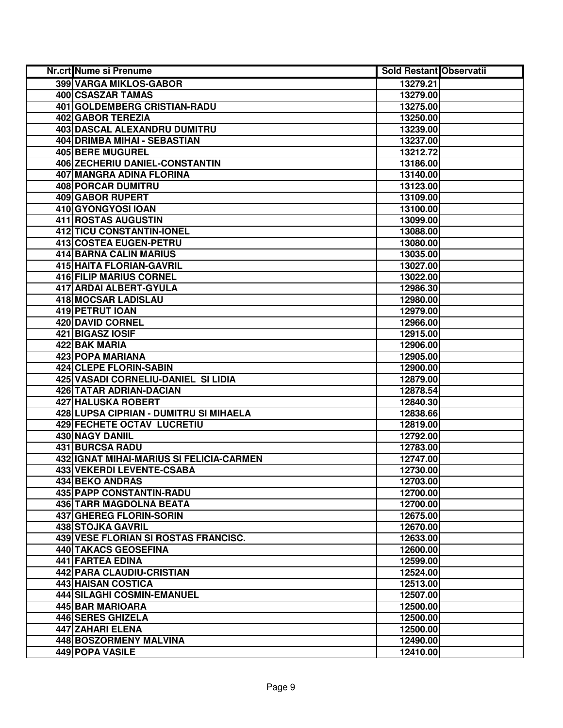| Nr.crt Nume si Prenume                   | <b>Sold Restant Observatii</b> |  |
|------------------------------------------|--------------------------------|--|
| 399 VARGA MIKLOS-GABOR                   | 13279.21                       |  |
| 400 CSASZAR TAMAS                        | 13279.00                       |  |
| 401 GOLDEMBERG CRISTIAN-RADU             | 13275.00                       |  |
| <b>402 GABOR TEREZIA</b>                 | 13250.00                       |  |
| 403 DASCAL ALEXANDRU DUMITRU             | 13239.00                       |  |
| 404 DRIMBA MIHAI - SEBASTIAN             | 13237.00                       |  |
| 405 BERE MUGUREL                         | 13212.72                       |  |
| 406 ZECHERIU DANIEL-CONSTANTIN           | 13186.00                       |  |
| 407 MANGRA ADINA FLORINA                 | 13140.00                       |  |
| <b>408 PORCAR DUMITRU</b>                | 13123.00                       |  |
| <b>409 GABOR RUPERT</b>                  | 13109.00                       |  |
| 410 GYONGYOSI IOAN                       | 13100.00                       |  |
| <b>411 ROSTAS AUGUSTIN</b>               | 13099.00                       |  |
| 412 TICU CONSTANTIN-IONEL                | 13088.00                       |  |
| 413 COSTEA EUGEN-PETRU                   | 13080.00                       |  |
| 414 BARNA CALIN MARIUS                   | 13035.00                       |  |
| <b>415 HAITA FLORIAN-GAVRIL</b>          | 13027.00                       |  |
| 416 FILIP MARIUS CORNEL                  | 13022.00                       |  |
| 417 ARDAI ALBERT-GYULA                   | 12986.30                       |  |
| <b>418 MOCSAR LADISLAU</b>               | 12980.00                       |  |
| 419 PETRUT IOAN                          | 12979.00                       |  |
| 420 DAVID CORNEL                         | 12966.00                       |  |
| 421 BIGASZ IOSIF                         | 12915.00                       |  |
| 422 BAK MARIA                            | 12906.00                       |  |
| 423 POPA MARIANA                         | 12905.00                       |  |
| 424 CLEPE FLORIN-SABIN                   | 12900.00                       |  |
| 425 VASADI CORNELIU-DANIEL SI LIDIA      | 12879.00                       |  |
| 426 TATAR ADRIAN-DACIAN                  | 12878.54                       |  |
| 427 HALUSKA ROBERT                       | 12840.30                       |  |
| 428 LUPSA CIPRIAN - DUMITRU SI MIHAELA   | 12838.66                       |  |
| 429 FECHETE OCTAV LUCRETIU               | 12819.00                       |  |
| 430 NAGY DANIIL                          | 12792.00                       |  |
| <b>431 BURCSA RADU</b>                   | 12783.00                       |  |
| 432 IGNAT MIHAI-MARIUS SI FELICIA-CARMEN | 12747.00                       |  |
| <b>433 VEKERDI LEVENTE-CSABA</b>         | 12730.00                       |  |
| <b>434 BEKO ANDRAS</b>                   | 12703.00                       |  |
| 435 PAPP CONSTANTIN-RADU                 | 12700.00                       |  |
| <b>436 TARR MAGDOLNA BEATA</b>           | 12700.00                       |  |
| <b>437 GHEREG FLORIN-SORIN</b>           | 12675.00                       |  |
| 438 STOJKA GAVRIL                        | 12670.00                       |  |
| 439 VESE FLORIAN SI ROSTAS FRANCISC.     | 12633.00                       |  |
| 440 TAKACS GEOSEFINA                     | 12600.00                       |  |
| 441 FARTEA EDINA                         | 12599.00                       |  |
| 442 PARA CLAUDIU-CRISTIAN                | 12524.00                       |  |
| 443 HAISAN COSTICA                       | 12513.00                       |  |
| 444 SILAGHI COSMIN-EMANUEL               | 12507.00                       |  |
| 445 BAR MARIOARA                         | 12500.00                       |  |
| 446 SERES GHIZELA                        | 12500.00                       |  |
| 447 ZAHARI ELENA                         | 12500.00                       |  |
| 448 BOSZORMENY MALVINA                   | 12490.00                       |  |
| 449 POPA VASILE                          | 12410.00                       |  |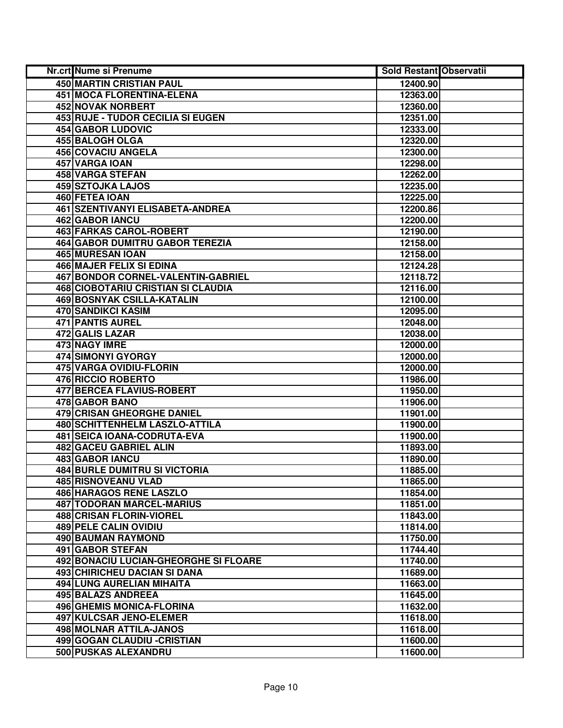| Nr.crt Nume si Prenume                    | <b>Sold Restant Observatii</b> |  |
|-------------------------------------------|--------------------------------|--|
| 450 MARTIN CRISTIAN PAUL                  | 12400.90                       |  |
| <b>451 MOCA FLORENTINA-ELENA</b>          | 12363.00                       |  |
| 452 NOVAK NORBERT                         | 12360.00                       |  |
| 453 RUJE - TUDOR CECILIA SI EUGEN         | 12351.00                       |  |
| 454 GABOR LUDOVIC                         | 12333.00                       |  |
| 455 BALOGH OLGA                           | 12320.00                       |  |
| 456 COVACIU ANGELA                        | 12300.00                       |  |
| 457 VARGA IOAN                            | 12298.00                       |  |
| 458 VARGA STEFAN                          | 12262.00                       |  |
| <b>459 SZTOJKA LAJOS</b>                  | 12235.00                       |  |
| 460 FETEA IOAN                            | 12225.00                       |  |
| <b>461 SZENTIVANYI ELISABETA-ANDREA</b>   | 12200.86                       |  |
| 462 GABOR IANCU                           | 12200.00                       |  |
| 463 FARKAS CAROL-ROBERT                   | 12190.00                       |  |
| <b>464 GABOR DUMITRU GABOR TEREZIA</b>    | 12158.00                       |  |
| 465 MURESAN JOAN                          | 12158.00                       |  |
| <b>466 MAJER FELIX SI EDINA</b>           | 12124.28                       |  |
| <b>467 BONDOR CORNEL-VALENTIN-GABRIEL</b> | 12118.72                       |  |
| 468 CIOBOTARIU CRISTIAN SI CLAUDIA        | 12116.00                       |  |
| <b>469 BOSNYAK CSILLA-KATALIN</b>         | 12100.00                       |  |
| 470 SANDIKCI KASIM                        | 12095.00                       |  |
| 471 PANTIS AUREL                          | 12048.00                       |  |
| 472 GALIS LAZAR                           | 12038.00                       |  |
| 473 NAGY IMRE                             | 12000.00                       |  |
| 474 SIMONYI GYORGY                        | 12000.00                       |  |
| 475 VARGA OVIDIU-FLORIN                   | 12000.00                       |  |
| <b>476 RICCIO ROBERTO</b>                 | 11986.00                       |  |
| 477 BERCEA FLAVIUS-ROBERT                 | 11950.00                       |  |
| 478 GABOR BANO                            | 11906.00                       |  |
| 479 CRISAN GHEORGHE DANIEL                | 11901.00                       |  |
| 480 SCHITTENHELM LASZLO-ATTILA            | 11900.00                       |  |
| 481 SEICA IOANA-CODRUTA-EVA               | 11900.00                       |  |
| 482 GACEU GABRIEL ALIN                    | 11893.00                       |  |
| 483 GABOR IANCU                           | 11890.00                       |  |
| <b>484 BURLE DUMITRU SI VICTORIA</b>      | 11885.00                       |  |
| <b>485 RISNOVEANU VLAD</b>                | 11865.00                       |  |
| 486 HARAGOS RENE LASZLO                   | 11854.00                       |  |
| <b>487 TODORAN MARCEL-MARIUS</b>          | 11851.00                       |  |
| 488 CRISAN FLORIN-VIOREL                  | 11843.00                       |  |
| 489 PELE CALIN OVIDIU                     | 11814.00                       |  |
| 490 BAUMAN RAYMOND                        | 11750.00                       |  |
| 491 GABOR STEFAN                          | 11744.40                       |  |
| 492 BONACIU LUCIAN-GHEORGHE SI FLOARE     | 11740.00                       |  |
| 493 CHIRICHEU DACIAN SI DANA              | 11689.00                       |  |
| 494 LUNG AURELIAN MIHAITA                 | 11663.00                       |  |
| 495 BALAZS ANDREEA                        | 11645.00                       |  |
| 496 GHEMIS MONICA-FLORINA                 | 11632.00                       |  |
| 497 KULCSAR JENO-ELEMER                   | 11618.00                       |  |
| 498 MOLNAR ATTILA-JANOS                   | 11618.00                       |  |
| 499 GOGAN CLAUDIU - CRISTIAN              | 11600.00                       |  |
| 500 PUSKAS ALEXANDRU                      | 11600.00                       |  |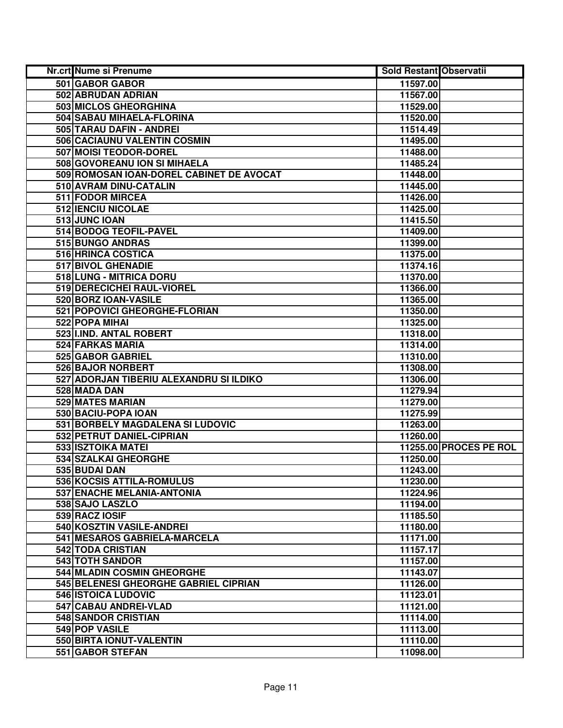| Nr.crt Nume si Prenume                   | Sold Restant Observatii |                        |
|------------------------------------------|-------------------------|------------------------|
| 501 GABOR GABOR                          | 11597.00                |                        |
| 502 ABRUDAN ADRIAN                       | 11567.00                |                        |
| 503 MICLOS GHEORGHINA                    | 11529.00                |                        |
| 504 SABAU MIHAELA-FLORINA                | 11520.00                |                        |
| 505 TARAU DAFIN - ANDREI                 | 11514.49                |                        |
| 506 CACIAUNU VALENTIN COSMIN             | 11495.00                |                        |
| 507 MOISI TEODOR-DOREL                   | 11488.00                |                        |
| 508 GOVOREANU ION SI MIHAELA             | 11485.24                |                        |
| 509 ROMOSAN IOAN-DOREL CABINET DE AVOCAT | 11448.00                |                        |
| 510 AVRAM DINU-CATALIN                   | 11445.00                |                        |
| <b>511 FODOR MIRCEA</b>                  | 11426.00                |                        |
| 512 IENCIU NICOLAE                       | 11425.00                |                        |
| 513 JUNC IOAN                            | 11415.50                |                        |
| 514 BODOG TEOFIL-PAVEL                   | 11409.00                |                        |
| 515 BUNGO ANDRAS                         | 11399.00                |                        |
| 516 HRINCA COSTICA                       | 11375.00                |                        |
| 517 BIVOL GHENADIE                       | 11374.16                |                        |
| 518 LUNG - MITRICA DORU                  | 11370.00                |                        |
| 519 DERECICHEI RAUL-VIOREL               | 11366.00                |                        |
| 520 BORZ IOAN-VASILE                     | 11365.00                |                        |
| 521 POPOVICI GHEORGHE-FLORIAN            | 11350.00                |                        |
| 522 POPA MIHAI                           | 11325.00                |                        |
| 523 I.IND. ANTAL ROBERT                  | 11318.00                |                        |
| 524 FARKAS MARIA                         | 11314.00                |                        |
| 525 GABOR GABRIEL                        | 11310.00                |                        |
| 526 BAJOR NORBERT                        | 11308.00                |                        |
| 527 ADORJAN TIBERIU ALEXANDRU SI ILDIKO  | 11306.00                |                        |
| 528 MADA DAN                             | 11279.94                |                        |
| 529 MATES MARIAN                         | 11279.00                |                        |
| 530 BACIU-POPA IOAN                      | 11275.99                |                        |
| 531 BORBELY MAGDALENA SI LUDOVIC         | 11263.00                |                        |
| 532 PETRUT DANIEL-CIPRIAN                | 11260.00                |                        |
| 533 ISZTOIKA MATEI                       |                         | 11255.00 PROCES PE ROL |
| <b>534 SZALKAI GHEORGHE</b>              | 11250.00                |                        |
| 535 BUDAI DAN                            | 11243.00                |                        |
| 536 KOCSIS ATTILA-ROMULUS                | 11230.00                |                        |
| 537 ENACHE MELANIA-ANTONIA               | 11224.96                |                        |
| 538 SAJO LASZLO                          | 11194.00                |                        |
| 539 RACZ IOSIF                           | 11185.50                |                        |
| 540 KOSZTIN VASILE-ANDREI                | 11180.00                |                        |
| 541 MESAROS GABRIELA-MARCELA             | 11171.00                |                        |
| 542 TODA CRISTIAN                        | 11157.17                |                        |
| 543 TOTH SANDOR                          | 11157.00                |                        |
| 544 MLADIN COSMIN GHEORGHE               | 11143.07                |                        |
| 545 BELENESI GHEORGHE GABRIEL CIPRIAN    | 11126.00                |                        |
| 546 ISTOICA LUDOVIC                      | 11123.01                |                        |
| 547 CABAU ANDREI-VLAD                    | 11121.00                |                        |
| 548 SANDOR CRISTIAN                      | 11114.00                |                        |
| 549 POP VASILE                           | 11113.00                |                        |
| 550 BIRTA IONUT-VALENTIN                 | 11110.00                |                        |
| 551 GABOR STEFAN                         | 11098.00                |                        |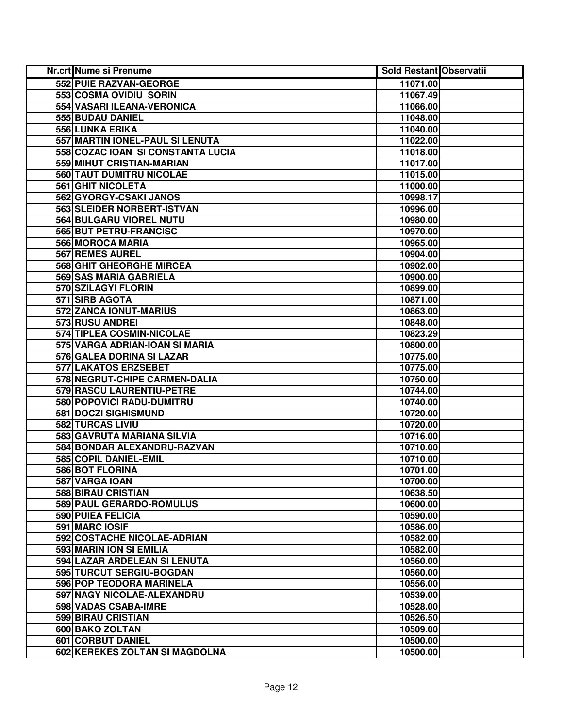| <b>Nr.crt Nume si Prenume</b>     | <b>Sold Restant Observatii</b> |  |
|-----------------------------------|--------------------------------|--|
| 552 PUIE RAZVAN-GEORGE            | 11071.00                       |  |
| 553 COSMA OVIDIU SORIN            | 11067.49                       |  |
| 554 VASARI ILEANA-VERONICA        | 11066.00                       |  |
| 555 BUDAU DANIEL                  | 11048.00                       |  |
| 556 LUNKA ERIKA                   | 11040.00                       |  |
| 557 MARTIN IONEL-PAUL SI LENUTA   | 11022.00                       |  |
| 558 COZAC IOAN SI CONSTANTA LUCIA | 11018.00                       |  |
| 559 MIHUT CRISTIAN-MARIAN         | 11017.00                       |  |
| 560 TAUT DUMITRU NICOLAE          | 11015.00                       |  |
| <b>561 GHIT NICOLETA</b>          | 11000.00                       |  |
| 562 GYORGY-CSAKI JANOS            | 10998.17                       |  |
| 563 SLEIDER NORBERT-ISTVAN        | 10996.00                       |  |
| 564 BULGARU VIOREL NUTU           | 10980.00                       |  |
| 565 BUT PETRU-FRANCISC            | 10970.00                       |  |
| 566 MOROCA MARIA                  | 10965.00                       |  |
| 567 REMES AUREL                   | 10904.00                       |  |
| 568 GHIT GHEORGHE MIRCEA          | 10902.00                       |  |
| 569 SAS MARIA GABRIELA            | 10900.00                       |  |
| 570 SZILAGYI FLORIN               | 10899.00                       |  |
| 571 SIRB AGOTA                    | 10871.00                       |  |
| 572 ZANCA IONUT-MARIUS            | 10863.00                       |  |
| 573 RUSU ANDREI                   | 10848.00                       |  |
| 574 TIPLEA COSMIN-NICOLAE         | 10823.29                       |  |
| 575 VARGA ADRIAN-IOAN SI MARIA    | 10800.00                       |  |
| 576 GALEA DORINA SI LAZAR         | 10775.00                       |  |
| 577 LAKATOS ERZSEBET              | 10775.00                       |  |
| 578 NEGRUT-CHIPE CARMEN-DALIA     | 10750.00                       |  |
| 579 RASCU LAURENTIU-PETRE         | 10744.00                       |  |
| 580 POPOVICI RADU-DUMITRU         | 10740.00                       |  |
| 581 DOCZI SIGHISMUND              | 10720.00                       |  |
| 582 TURCAS LIVIU                  | 10720.00                       |  |
| 583 GAVRUTA MARIANA SILVIA        | 10716.00                       |  |
| 584 BONDAR ALEXANDRU-RAZVAN       | 10710.00                       |  |
| 585 COPIL DANIEL-EMIL             | 10710.00                       |  |
| <b>586 BOT FLORINA</b>            | 10701.00                       |  |
| 587 VARGA IOAN                    | 10700.00                       |  |
| <b>588 BIRAU CRISTIAN</b>         | 10638.50                       |  |
| 589 PAUL GERARDO-ROMULUS          | 10600.00                       |  |
| <b>590 PUIEA FELICIA</b>          | 10590.00                       |  |
| 591 MARC IOSIF                    | 10586.00                       |  |
| 592 COSTACHE NICOLAE-ADRIAN       | 10582.00                       |  |
| <b>593 MARIN ION SI EMILIA</b>    | 10582.00                       |  |
| 594 LAZAR ARDELEAN SI LENUTA      | 10560.00                       |  |
| 595 TURCUT SERGIU-BOGDAN          | 10560.00                       |  |
| 596 POP TEODORA MARINELA          | 10556.00                       |  |
| 597 NAGY NICOLAE-ALEXANDRU        | 10539.00                       |  |
| 598 VADAS CSABA-IMRE              | 10528.00                       |  |
| 599 BIRAU CRISTIAN                | 10526.50                       |  |
| 600 BAKO ZOLTAN                   | 10509.00                       |  |
| 601 CORBUT DANIEL                 | 10500.00                       |  |
| 602 KEREKES ZOLTAN SI MAGDOLNA    | 10500.00                       |  |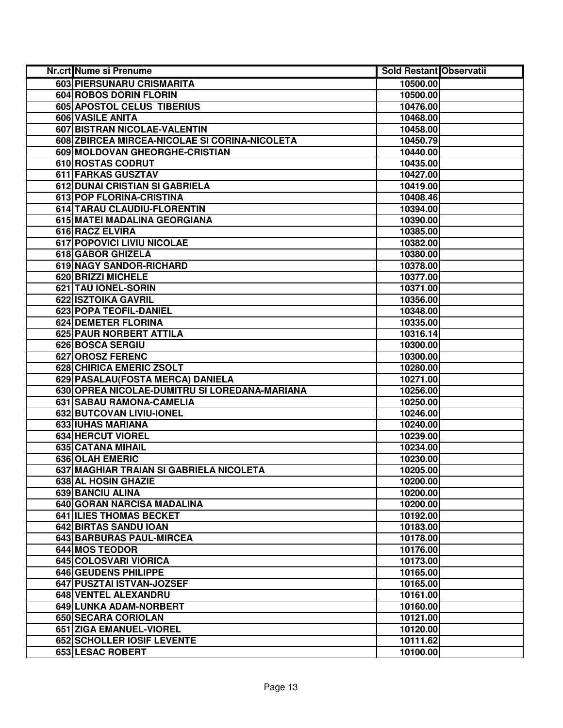| Nr.crt Nume si Prenume                        | <b>Sold Restant Observatii</b> |  |
|-----------------------------------------------|--------------------------------|--|
| 603 PIERSUNARU CRISMARITA                     | 10500.00                       |  |
| 604 ROBOS DORIN FLORIN                        | 10500.00                       |  |
| 605 APOSTOL CELUS TIBERIUS                    | 10476.00                       |  |
| 606 VASILE ANITA                              | 10468.00                       |  |
| 607 BISTRAN NICOLAE-VALENTIN                  | 10458.00                       |  |
| 608 ZBIRCEA MIRCEA-NICOLAE SI CORINA-NICOLETA | 10450.79                       |  |
| 609 MOLDOVAN GHEORGHE-CRISTIAN                | 10440.00                       |  |
| 610 ROSTAS CODRUT                             | 10435.00                       |  |
| 611 FARKAS GUSZTAV                            | 10427.00                       |  |
| <b>612 DUNAI CRISTIAN SI GABRIELA</b>         | 10419.00                       |  |
| 613 POP FLORINA-CRISTINA                      | 10408.46                       |  |
| 614 TARAU CLAUDIU-FLORENTIN                   | 10394.00                       |  |
| 615 MATEI MADALINA GEORGIANA                  | 10390.00                       |  |
| 616 RACZ ELVIRA                               | 10385.00                       |  |
| 617 POPOVICI LIVIU NICOLAE                    | 10382.00                       |  |
| 618 GABOR GHIZELA                             | 10380.00                       |  |
| 619 NAGY SANDOR-RICHARD                       | 10378.00                       |  |
| 620 BRIZZI MICHELE                            | 10377.00                       |  |
| 621 TAU IONEL-SORIN                           | 10371.00                       |  |
| 622 ISZTOIKA GAVRIL                           | 10356.00                       |  |
| 623 POPA TEOFIL-DANIEL                        | 10348.00                       |  |
| 624 DEMETER FLORINA                           | 10335.00                       |  |
| 625 PAUR NORBERT ATTILA                       | 10316.14                       |  |
| 626 BOSCA SERGIU                              | 10300.00                       |  |
| 627 OROSZ FERENC                              | 10300.00                       |  |
| 628 CHIRICA EMERIC ZSOLT                      | 10280.00                       |  |
| 629 PASALAU (FOSTA MERCA) DANIELA             | 10271.00                       |  |
| 630 OPREA NICOLAE-DUMITRU SI LOREDANA-MARIANA | 10256.00                       |  |
| 631 SABAU RAMONA-CAMELIA                      | 10250.00                       |  |
| 632 BUTCOVAN LIVIU-IONEL                      | 10246.00                       |  |
| <b>633 IUHAS MARIANA</b>                      | 10240.00                       |  |
| 634 HERCUT VIOREL                             | 10239.00                       |  |
| 635 CATANA MIHAIL                             | 10234.00                       |  |
| 636 OLAH EMERIC                               | 10230.00                       |  |
| 637 MAGHIAR TRAIAN SI GABRIELA NICOLETA       | 10205.00                       |  |
| 638 AL HOSIN GHAZIE                           | 10200.00                       |  |
| 639 BANCIU ALINA                              | 10200.00                       |  |
| 640 GORAN NARCISA MADALINA                    | 10200.00                       |  |
| <b>641 ILIES THOMAS BECKET</b>                | 10192.00                       |  |
| 642 BIRTAS SANDU IOAN                         | 10183.00                       |  |
| 643 BARBURAS PAUL-MIRCEA                      | 10178.00                       |  |
| 644 MOS TEODOR                                | 10176.00                       |  |
| 645 COLOSVARI VIORICA                         | 10173.00                       |  |
| <b>646 GEUDENS PHILIPPE</b>                   | 10165.00                       |  |
| 647 PUSZTAI ISTVAN-JOZSEF                     | 10165.00                       |  |
| 648 VENTEL ALEXANDRU                          | 10161.00                       |  |
| 649 LUNKA ADAM-NORBERT                        | 10160.00                       |  |
| 650 SECARA CORIOLAN                           | 10121.00                       |  |
| 651 ZIGA EMANUEL-VIOREL                       | 10120.00                       |  |
| 652 SCHOLLER IOSIF LEVENTE                    | 10111.62                       |  |
| 653 LESAC ROBERT                              | 10100.00                       |  |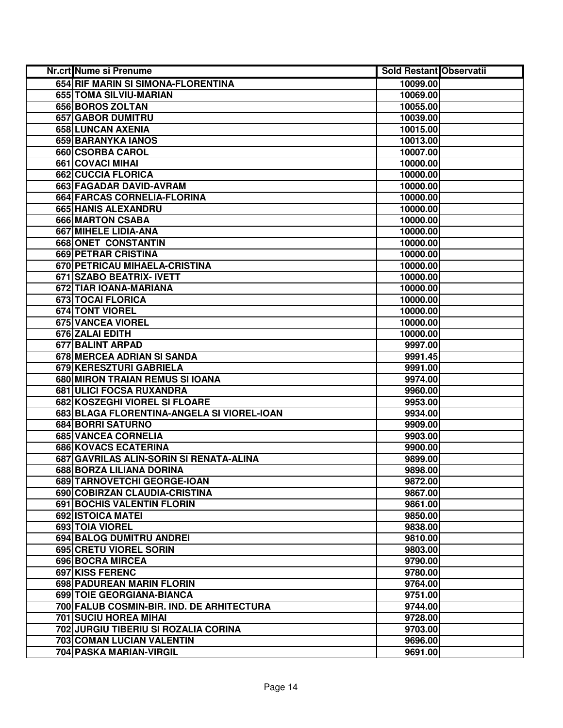| Nr.crt Nume si Prenume                     | <b>Sold Restant Observatii</b> |  |
|--------------------------------------------|--------------------------------|--|
| 654 RIF MARIN SI SIMONA-FLORENTINA         | 10099.00                       |  |
| 655 TOMA SILVIU-MARIAN                     | 10069.00                       |  |
| 656 BOROS ZOLTAN                           | 10055.00                       |  |
| 657 GABOR DUMITRU                          | 10039.00                       |  |
| 658 LUNCAN AXENIA                          | 10015.00                       |  |
| 659 BARANYKA IANOS                         | 10013.00                       |  |
| 660 CSORBA CAROL                           | 10007.00                       |  |
| 661 COVACI MIHAI                           | 10000.00                       |  |
| <b>662 CUCCIA FLORICA</b>                  | 10000.00                       |  |
| 663 FAGADAR DAVID-AVRAM                    | 10000.00                       |  |
| 664 FARCAS CORNELIA-FLORINA                | 10000.00                       |  |
| 665 HANIS ALEXANDRU                        | 10000.00                       |  |
| 666 MARTON CSABA                           | 10000.00                       |  |
| 667 MIHELE LIDIA-ANA                       | 10000.00                       |  |
| 668 ONET CONSTANTIN                        | 10000.00                       |  |
| 669 PETRAR CRISTINA                        | 10000.00                       |  |
| 670 PETRICAU MIHAELA-CRISTINA              | 10000.00                       |  |
| 671 SZABO BEATRIX- IVETT                   | 10000.00                       |  |
| 672 TIAR IOANA-MARIANA                     | 10000.00                       |  |
| 673 TOCAI FLORICA                          | 10000.00                       |  |
| 674 TONT VIOREL                            | 10000.00                       |  |
| 675 VANCEA VIOREL                          | 10000.00                       |  |
| 676 ZALAI EDITH                            | 10000.00                       |  |
| <b>677 BALINT ARPAD</b>                    | 9997.00                        |  |
| 678 MERCEA ADRIAN SI SANDA                 | 9991.45                        |  |
| 679 KERESZTURI GABRIELA                    | 9991.00                        |  |
| 680 MIRON TRAIAN REMUS SI IOANA            | 9974.00                        |  |
| 681 ULICI FOCSA RUXANDRA                   | 9960.00                        |  |
| 682 KOSZEGHI VIOREL SI FLOARE              | 9953.00                        |  |
| 683 BLAGA FLORENTINA-ANGELA SI VIOREL-IOAN | 9934.00                        |  |
| 684 BORRI SATURNO                          | 9909.00                        |  |
| 685 VANCEA CORNELIA                        | 9903.00                        |  |
| 686 KOVACS ECATERINA                       | 9900.00                        |  |
| 687 GAVRILAS ALIN-SORIN SI RENATA-ALINA    | 9899.00                        |  |
| 688 BORZA LILIANA DORINA                   | 9898.00                        |  |
| 689 TARNOVETCHI GEORGE-IOAN                | 9872.00                        |  |
| 690 COBIRZAN CLAUDIA-CRISTINA              | 9867.00                        |  |
| 691 BOCHIS VALENTIN FLORIN                 | 9861.00                        |  |
| 692 ISTOICA MATEI                          | 9850.00                        |  |
| 693 TOIA VIOREL                            | 9838.00                        |  |
| 694 BALOG DUMITRU ANDREI                   | 9810.00                        |  |
| 695 CRETU VIOREL SORIN                     | 9803.00                        |  |
| 696 BOCRA MIRCEA                           | 9790.00                        |  |
| 697 KISS FERENC                            | 9780.00                        |  |
| 698 PADUREAN MARIN FLORIN                  | 9764.00                        |  |
| 699 TOIE GEORGIANA-BIANCA                  | 9751.00                        |  |
| 700 FALUB COSMIN-BIR. IND. DE ARHITECTURA  | 9744.00                        |  |
| <b>701 SUCIU HOREA MIHAI</b>               | 9728.00                        |  |
| 702 JURGIU TIBERIU SI ROZALIA CORINA       | 9703.00                        |  |
| 703 COMAN LUCIAN VALENTIN                  | 9696.00                        |  |
| 704 PASKA MARIAN-VIRGIL                    | 9691.00                        |  |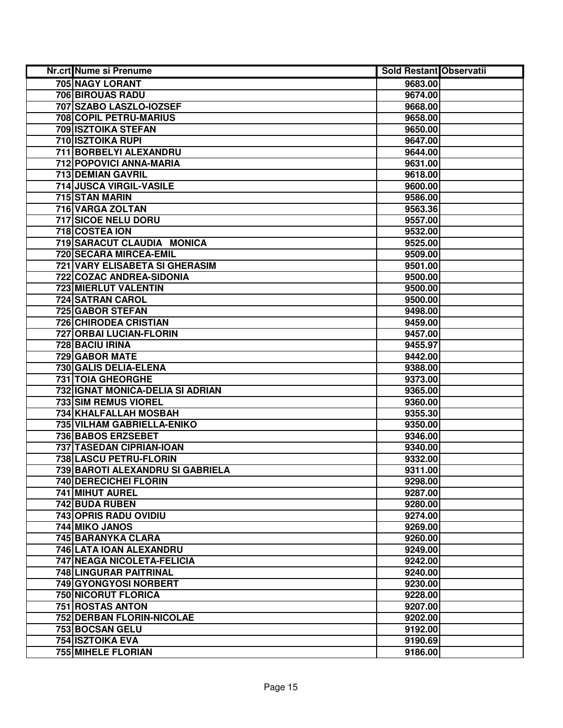| Nr.crt Nume si Prenume                | Sold Restant Observatii |  |
|---------------------------------------|-------------------------|--|
| 705 NAGY LORANT                       | 9683.00                 |  |
| <b>706 BIROUAS RADU</b>               | 9674.00                 |  |
| 707 SZABO LASZLO-IOZSEF               | 9668.00                 |  |
| 708 COPIL PETRU-MARIUS                | 9658.00                 |  |
| 709 ISZTOIKA STEFAN                   | 9650.00                 |  |
| 710 ISZTOIKA RUPI                     | 9647.00                 |  |
| 711 BORBELYI ALEXANDRU                | 9644.00                 |  |
| <b>712 POPOVICI ANNA-MARIA</b>        | 9631.00                 |  |
| <b>713 DEMIAN GAVRIL</b>              | 9618.00                 |  |
| 714 JUSCA VIRGIL-VASILE               | 9600.00                 |  |
| 715 STAN MARIN                        | 9586.00                 |  |
| 716 VARGA ZOLTAN                      | 9563.36                 |  |
| 717 SICOE NELU DORU                   | 9557.00                 |  |
| 718 COSTEA ION                        | 9532.00                 |  |
| 719 SARACUT CLAUDIA MONICA            | 9525.00                 |  |
| 720 SECARA MIRCEA-EMIL                | 9509.00                 |  |
| <b>721 VARY ELISABETA SI GHERASIM</b> | 9501.00                 |  |
| 722 COZAC ANDREA-SIDONIA              | 9500.00                 |  |
| <b>723 MIERLUT VALENTIN</b>           | 9500.00                 |  |
| 724 SATRAN CAROL                      | 9500.00                 |  |
| 725 GABOR STEFAN                      | 9498.00                 |  |
| 726 CHIRODEA CRISTIAN                 | 9459.00                 |  |
| 727 ORBAI LUCIAN-FLORIN               | 9457.00                 |  |
| 728 BACIU IRINA                       | 9455.97                 |  |
| 729 GABOR MATE                        | 9442.00                 |  |
| 730 GALIS DELIA-ELENA                 | 9388.00                 |  |
| 731 TOIA GHEORGHE                     | 9373.00                 |  |
| 732 IGNAT MONICA-DELIA SI ADRIAN      | 9365.00                 |  |
| 733 SIM REMUS VIOREL                  | 9360.00                 |  |
| 734 KHALFALLAH MOSBAH                 | 9355.30                 |  |
| 735 VILHAM GABRIELLA-ENIKO            | 9350.00                 |  |
| <b>736 BABOS ERZSEBET</b>             | 9346.00                 |  |
| 737 TASEDAN CIPRIAN-IOAN              | 9340.00                 |  |
| 738 LASCU PETRU-FLORIN                | 9332.00                 |  |
| 739 BAROTI ALEXANDRU SI GABRIELA      | 9311.00                 |  |
| 740 DERECICHEI FLORIN                 | 9298.00                 |  |
| 741 MIHUT AUREL                       | 9287.00                 |  |
| 742 BUDA RUBEN                        | 9280.00                 |  |
| 743 OPRIS RADU OVIDIU                 | 9274.00                 |  |
| 744 MIKO JANOS                        | 9269.00                 |  |
| 745 BARANYKA CLARA                    | 9260.00                 |  |
| <b>746 LATA IOAN ALEXANDRU</b>        | 9249.00                 |  |
| 747 NEAGA NICOLETA-FELICIA            | 9242.00                 |  |
| 748 LINGURAR PAITRINAL                | 9240.00                 |  |
| 749 GYONGYOSI NORBERT                 | 9230.00                 |  |
| <b>750 NICORUT FLORICA</b>            | 9228.00                 |  |
| 751 ROSTAS ANTON                      | 9207.00                 |  |
| 752 DERBAN FLORIN-NICOLAE             | 9202.00                 |  |
| 753 BOCSAN GELU                       | 9192.00                 |  |
| 754 ISZTOIKA EVA                      | 9190.69                 |  |
| 755 MIHELE FLORIAN                    | 9186.00                 |  |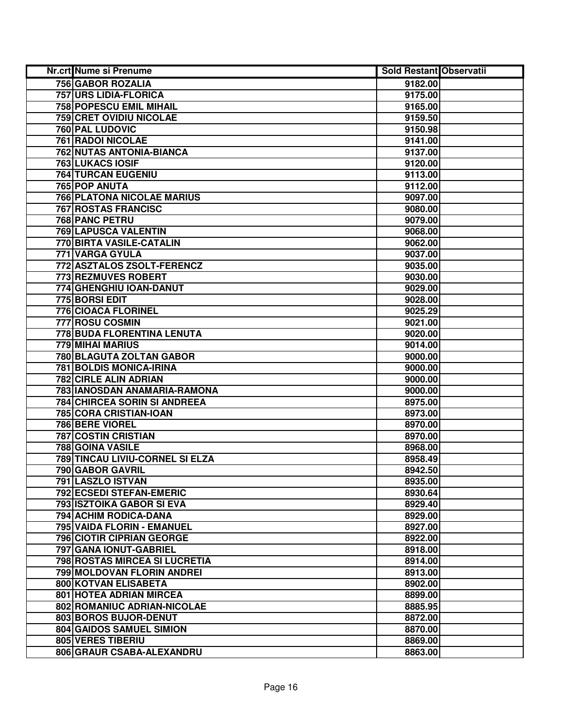| Nr.crt Nume si Prenume              | <b>Sold Restant Observatii</b> |  |
|-------------------------------------|--------------------------------|--|
| 756 GABOR ROZALIA                   | 9182.00                        |  |
| <b>757 URS LIDIA-FLORICA</b>        | 9175.00                        |  |
| 758 POPESCU EMIL MIHAIL             | 9165.00                        |  |
| <b>759 CRET OVIDIU NICOLAE</b>      | 9159.50                        |  |
| <b>760 PAL LUDOVIC</b>              | 9150.98                        |  |
| 761 RADOI NICOLAE                   | 9141.00                        |  |
| 762 NUTAS ANTONIA-BIANCA            | 9137.00                        |  |
| <b>763 LUKACS IOSIF</b>             | 9120.00                        |  |
| <b>764 TURCAN EUGENIU</b>           | 9113.00                        |  |
| 765 POP ANUTA                       | 9112.00                        |  |
| <b>766 PLATONA NICOLAE MARIUS</b>   | 9097.00                        |  |
| <b>767 ROSTAS FRANCISC</b>          | 9080.00                        |  |
| 768 PANC PETRU                      | 9079.00                        |  |
| 769 LAPUSCA VALENTIN                | 9068.00                        |  |
| 770 BIRTA VASILE-CATALIN            | 9062.00                        |  |
| 771 VARGA GYULA                     | 9037.00                        |  |
| 772 ASZTALOS ZSOLT-FERENCZ          | 9035.00                        |  |
| 773 REZMUVES ROBERT                 | 9030.00                        |  |
| 774 GHENGHIU IOAN-DANUT             | 9029.00                        |  |
| 775 BORSI EDIT                      | 9028.00                        |  |
| <b>776 CIOACA FLORINEL</b>          | 9025.29                        |  |
| <b>777 ROSU COSMIN</b>              | 9021.00                        |  |
| 778 BUDA FLORENTINA LENUTA          | 9020.00                        |  |
| 779 MIHAI MARIUS                    | 9014.00                        |  |
| 780 BLAGUTA ZOLTAN GABOR            | 9000.00                        |  |
| 781 BOLDIS MONICA-IRINA             | 9000.00                        |  |
| 782 CIRLE ALIN ADRIAN               | 9000.00                        |  |
| 783 IANOSDAN ANAMARIA-RAMONA        | 9000.00                        |  |
| <b>784 CHIRCEA SORIN SI ANDREEA</b> | 8975.00                        |  |
| 785 CORA CRISTIAN-IOAN              | 8973.00                        |  |
| 786 BERE VIOREL                     | 8970.00                        |  |
| 787 COSTIN CRISTIAN                 | 8970.00                        |  |
| 788 GOINA VASILE                    | 8968.00                        |  |
| 789 TINCAU LIVIU-CORNEL SI ELZA     | 8958.49                        |  |
| <b>790 GABOR GAVRIL</b>             | 8942.50                        |  |
| 791 LASZLO ISTVAN                   | 8935.00                        |  |
| <b>792 ECSEDI STEFAN-EMERIC</b>     | 8930.64                        |  |
| 793 ISZTOIKA GABOR SI EVA           | 8929.40                        |  |
| <b>794 ACHIM RODICA-DANA</b>        | 8929.00                        |  |
| 795 VAIDA FLORIN - EMANUEL          | 8927.00                        |  |
| <b>796 CIOTIR CIPRIAN GEORGE</b>    | 8922.00                        |  |
| 797 GANA IONUT-GABRIEL              | 8918.00                        |  |
| 798 ROSTAS MIRCEA SI LUCRETIA       | 8914.00                        |  |
| 799 MOLDOVAN FLORIN ANDREI          | 8913.00                        |  |
| 800 KOTVAN ELISABETA                | 8902.00                        |  |
| 801 HOTEA ADRIAN MIRCEA             | 8899.00                        |  |
| 802 ROMANIUC ADRIAN-NICOLAE         | 8885.95                        |  |
| 803 BOROS BUJOR-DENUT               | 8872.00                        |  |
| 804 GAIDOS SAMUEL SIMION            | 8870.00                        |  |
| 805 VERES TIBERIU                   | 8869.00                        |  |
| 806 GRAUR CSABA-ALEXANDRU           | 8863.00                        |  |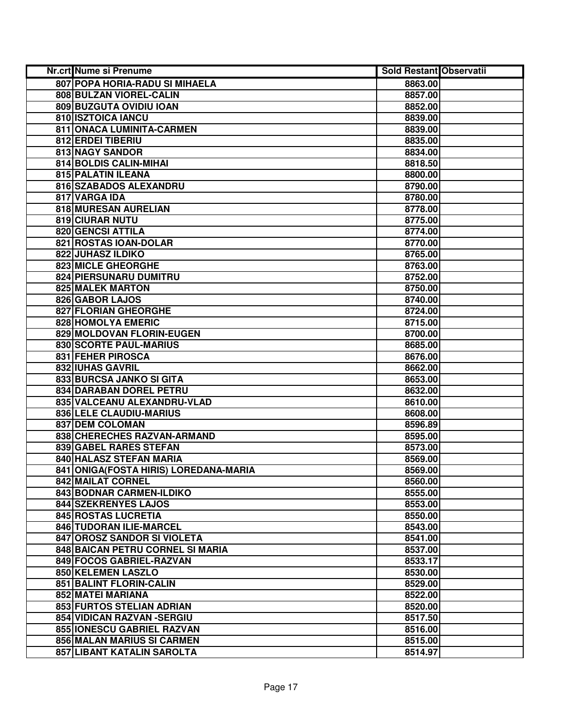| Nr.crt Nume si Prenume                | <b>Sold Restant Observatii</b> |  |
|---------------------------------------|--------------------------------|--|
| 807 POPA HORIA-RADU SI MIHAELA        | 8863.00                        |  |
| 808 BULZAN VIOREL-CALIN               | 8857.00                        |  |
| 809 BUZGUTA OVIDIU IOAN               | 8852.00                        |  |
| 810 ISZTOICA IANCU                    | 8839.00                        |  |
| 811 ONACA LUMINITA-CARMEN             | 8839.00                        |  |
| 812 ERDEI TIBERIU                     | 8835.00                        |  |
| 813 NAGY SANDOR                       | 8834.00                        |  |
| 814 BOLDIS CALIN-MIHAI                | 8818.50                        |  |
| 815 PALATIN ILEANA                    | 8800.00                        |  |
| 816 SZABADOS ALEXANDRU                | 8790.00                        |  |
| 817 VARGA IDA                         | 8780.00                        |  |
| 818 MURESAN AURELIAN                  | 8778.00                        |  |
| 819 CIURAR NUTU                       | 8775.00                        |  |
| <b>820 GENCSI ATTILA</b>              | 8774.00                        |  |
| 821 ROSTAS IOAN-DOLAR                 | 8770.00                        |  |
| 822 JUHASZ ILDIKO                     | 8765.00                        |  |
| 823 MICLE GHEORGHE                    | 8763.00                        |  |
| 824 PIERSUNARU DUMITRU                | 8752.00                        |  |
| <b>825 MALEK MARTON</b>               | 8750.00                        |  |
| 826 GABOR LAJOS                       | 8740.00                        |  |
| 827 FLORIAN GHEORGHE                  | 8724.00                        |  |
| 828 HOMOLYA EMERIC                    | 8715.00                        |  |
| 829 MOLDOVAN FLORIN-EUGEN             | 8700.00                        |  |
| 830 SCORTE PAUL-MARIUS                | 8685.00                        |  |
| 831 FEHER PIROSCA                     | 8676.00                        |  |
| 832 IUHAS GAVRIL                      | 8662.00                        |  |
| 833 BURCSA JANKO SI GITA              | 8653.00                        |  |
| 834 DARABAN DOREL PETRU               | 8632.00                        |  |
| 835 VALCEANU ALEXANDRU-VLAD           | 8610.00                        |  |
| 836 LELE CLAUDIU-MARIUS               | 8608.00                        |  |
| 837 DEM COLOMAN                       | 8596.89                        |  |
| 838 CHERECHES RAZVAN-ARMAND           | 8595.00                        |  |
| 839 GABEL RARES STEFAN                | 8573.00                        |  |
| 840 HALASZ STEFAN MARIA               | 8569.00                        |  |
| 841 ONIGA(FOSTA HIRIS) LOREDANA-MARIA | 8569.00                        |  |
| 842 MAILAT CORNEL                     | 8560.00                        |  |
| 843 BODNAR CARMEN-ILDIKO              | 8555.00                        |  |
| 844 SZEKRENYES LAJOS                  | 8553.00                        |  |
| <b>845 ROSTAS LUCRETIA</b>            | 8550.00                        |  |
| 846 TUDORAN ILIE-MARCEL               | 8543.00                        |  |
| 847 OROSZ SANDOR SI VIOLETA           | 8541.00                        |  |
| 848 BAICAN PETRU CORNEL SI MARIA      | 8537.00                        |  |
| 849 FOCOS GABRIEL-RAZVAN              | 8533.17                        |  |
| 850 KELEMEN LASZLO                    | 8530.00                        |  |
| 851 BALINT FLORIN-CALIN               | 8529.00                        |  |
| 852 MATEI MARIANA                     | 8522.00                        |  |
| 853 FURTOS STELIAN ADRIAN             | 8520.00                        |  |
| 854 VIDICAN RAZVAN - SERGIU           | 8517.50                        |  |
| 855 IONESCU GABRIEL RAZVAN            | 8516.00                        |  |
| 856 MALAN MARIUS SI CARMEN            | 8515.00                        |  |
| 857 LIBANT KATALIN SAROLTA            | 8514.97                        |  |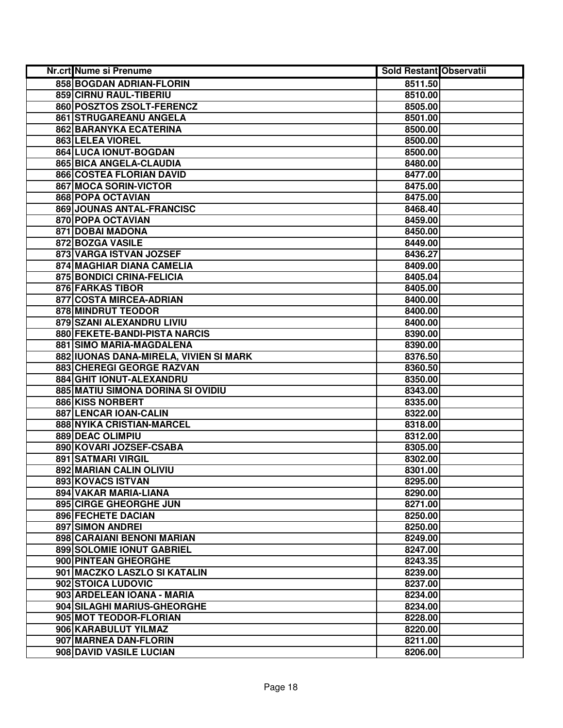| Nr.crt Nume si Prenume                                | Sold Restant Observatii |  |
|-------------------------------------------------------|-------------------------|--|
| 858 BOGDAN ADRIAN-FLORIN                              | 8511.50                 |  |
| 859 CIRNU RAUL-TIBERIU                                | 8510.00                 |  |
| 860 POSZTOS ZSOLT-FERENCZ                             | 8505.00                 |  |
| 861 STRUGAREANU ANGELA                                | 8501.00                 |  |
| 862 BARANYKA ECATERINA                                | 8500.00                 |  |
| 863 LELEA VIOREL                                      | 8500.00                 |  |
| 864 LUCA IONUT-BOGDAN                                 | 8500.00                 |  |
| 865 BICA ANGELA-CLAUDIA                               | 8480.00                 |  |
| 866 COSTEA FLORIAN DAVID                              | 8477.00                 |  |
| 867 MOCA SORIN-VICTOR                                 | 8475.00                 |  |
| <b>868 POPA OCTAVIAN</b>                              | 8475.00                 |  |
| 869 JOUNAS ANTAL-FRANCISC                             | 8468.40                 |  |
| 870 POPA OCTAVIAN                                     | 8459.00                 |  |
| 871 DOBAI MADONA                                      | 8450.00                 |  |
| 872 BOZGA VASILE                                      | 8449.00                 |  |
| 873 VARGA ISTVAN JOZSEF                               | 8436.27                 |  |
| 874 MAGHIAR DIANA CAMELIA                             | 8409.00                 |  |
| 875 BONDICI CRINA-FELICIA                             | 8405.04                 |  |
| 876 FARKAS TIBOR                                      | 8405.00                 |  |
| 877 COSTA MIRCEA-ADRIAN                               | 8400.00                 |  |
| 878 MINDRUT TEODOR                                    | 8400.00                 |  |
| 879 SZANI ALEXANDRU LIVIU                             | 8400.00                 |  |
| 880 FEKETE-BANDI-PISTA NARCIS                         | 8390.00                 |  |
| 881 SIMO MARIA-MAGDALENA                              | 8390.00                 |  |
| 882 IUONAS DANA-MIRELA, VIVIEN SI MARK                | 8376.50                 |  |
| 883 CHEREGI GEORGE RAZVAN                             | 8360.50                 |  |
| 884 GHIT IONUT-ALEXANDRU                              | 8350.00                 |  |
| 885 MATIU SIMONA DORINA SI OVIDIU                     | 8343.00                 |  |
| 886 KISS NORBERT                                      | 8335.00                 |  |
| 887 LENCAR IOAN-CALIN                                 | 8322.00                 |  |
| 888 NYIKA CRISTIAN-MARCEL                             | 8318.00                 |  |
| <b>889 DEAC OLIMPIU</b>                               | 8312.00                 |  |
| 890 KOVARI JOZSEF-CSABA                               | 8305.00                 |  |
| 891 SATMARI VIRGIL                                    | 8302.00                 |  |
| 892 MARIAN CALIN OLIVIU                               | 8301.00                 |  |
| 893 KOVACS ISTVAN                                     | 8295.00                 |  |
| 894 VAKAR MARIA-LIANA                                 | 8290.00                 |  |
| 895 CIRGE GHEORGHE JUN                                | 8271.00                 |  |
| 896 FECHETE DACIAN                                    | 8250.00                 |  |
| <b>897 SIMON ANDREI</b>                               | 8250.00                 |  |
| <b>898 CARAIANI BENONI MARIAN</b>                     | 8249.00                 |  |
| 899 SOLOMIE IONUT GABRIEL                             | 8247.00                 |  |
| 900 PINTEAN GHEORGHE                                  | 8243.35                 |  |
| 901 MACZKO LASZLO SI KATALIN                          | 8239.00                 |  |
| 902 STOICA LUDOVIC                                    | 8237.00                 |  |
| 903 ARDELEAN IOANA - MARIA                            | 8234.00                 |  |
| 904 SILAGHI MARIUS-GHEORGHE<br>905 MOT TEODOR-FLORIAN | 8234.00                 |  |
| 906 KARABULUT YILMAZ                                  | 8228.00<br>8220.00      |  |
| 907 MARNEA DAN-FLORIN                                 | 8211.00                 |  |
| 908 DAVID VASILE LUCIAN                               | 8206.00                 |  |
|                                                       |                         |  |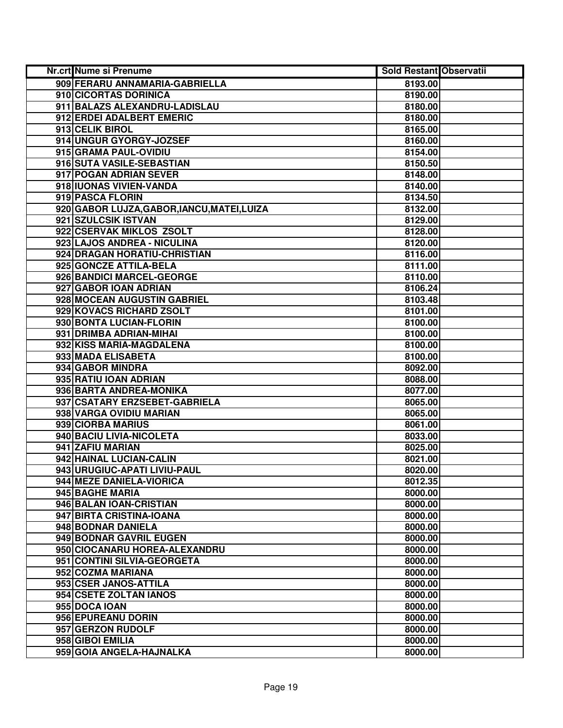| Nr.crt Nume si Prenume                      | <b>Sold Restant Observatii</b> |  |
|---------------------------------------------|--------------------------------|--|
| 909 FERARU ANNAMARIA-GABRIELLA              | 8193.00                        |  |
| 910 CICORTAS DORINICA                       | 8190.00                        |  |
| 911 BALAZS ALEXANDRU-LADISLAU               | 8180.00                        |  |
| 912 ERDEI ADALBERT EMERIC                   | 8180.00                        |  |
| 913 CELIK BIROL                             | 8165.00                        |  |
| 914 UNGUR GYORGY-JOZSEF                     | 8160.00                        |  |
| 915 GRAMA PAUL-OVIDIU                       | 8154.00                        |  |
| 916 SUTA VASILE-SEBASTIAN                   | 8150.50                        |  |
| 917 POGAN ADRIAN SEVER                      | 8148.00                        |  |
| 918 IUONAS VIVIEN-VANDA                     | 8140.00                        |  |
| 919 PASCA FLORIN                            | 8134.50                        |  |
| 920 GABOR LUJZA, GABOR, IANCU, MATEI, LUIZA | 8132.00                        |  |
| 921 SZULCSIK ISTVAN                         | 8129.00                        |  |
| 922 CSERVAK MIKLOS ZSOLT                    | 8128.00                        |  |
| 923 LAJOS ANDREA - NICULINA                 | 8120.00                        |  |
| 924 DRAGAN HORATIU-CHRISTIAN                | 8116.00                        |  |
| 925 GONCZE ATTILA-BELA                      | 8111.00                        |  |
| 926 BANDICI MARCEL-GEORGE                   | 8110.00                        |  |
| 927 GABOR IOAN ADRIAN                       | 8106.24                        |  |
| 928 MOCEAN AUGUSTIN GABRIEL                 | 8103.48                        |  |
| 929 KOVACS RICHARD ZSOLT                    | 8101.00                        |  |
| 930 BONTA LUCIAN-FLORIN                     | 8100.00                        |  |
| 931 DRIMBA ADRIAN-MIHAI                     | 8100.00                        |  |
| 932 KISS MARIA-MAGDALENA                    | 8100.00                        |  |
| 933 MADA ELISABETA                          | 8100.00                        |  |
| 934 GABOR MINDRA                            | 8092.00                        |  |
| 935 RATIU IOAN ADRIAN                       | 8088.00                        |  |
| 936 BARTA ANDREA-MONIKA                     | 8077.00                        |  |
| 937 CSATARY ERZSEBET-GABRIELA               | 8065.00                        |  |
| 938 VARGA OVIDIU MARIAN                     | 8065.00                        |  |
| 939 CIORBA MARIUS                           | 8061.00                        |  |
| 940 BACIU LIVIA-NICOLETA                    | 8033.00                        |  |
| 941 ZAFIU MARIAN                            | 8025.00                        |  |
| 942 HAINAL LUCIAN-CALIN                     | 8021.00                        |  |
| 943 URUGIUC-APATI LIVIU-PAUL                | 8020.00                        |  |
| 944 MEZE DANIELA-VIORICA                    | 8012.35                        |  |
| 945 BAGHE MARIA                             | 8000.00                        |  |
| 946 BALAN IOAN-CRISTIAN                     | 8000.00                        |  |
| 947 BIRTA CRISTINA-IOANA                    | 8000.00                        |  |
| 948 BODNAR DANIELA                          | 8000.00                        |  |
| 949 BODNAR GAVRIL EUGEN                     | 8000.00                        |  |
| 950 CIOCANARU HOREA-ALEXANDRU               | 8000.00                        |  |
| 951 CONTINI SILVIA-GEORGETA                 | 8000.00                        |  |
| 952 COZMA MARIANA                           | 8000.00                        |  |
| 953 CSER JANOS-ATTILA                       | 8000.00                        |  |
| 954 CSETE ZOLTAN IANOS                      | 8000.00                        |  |
| 955 DOCA IOAN                               | 8000.00                        |  |
| 956 EPUREANU DORIN                          | 8000.00                        |  |
| 957 GERZON RUDOLF                           | 8000.00                        |  |
| 958 GIBOI EMILIA                            | 8000.00                        |  |
| 959 GOIA ANGELA-HAJNALKA                    | 8000.00                        |  |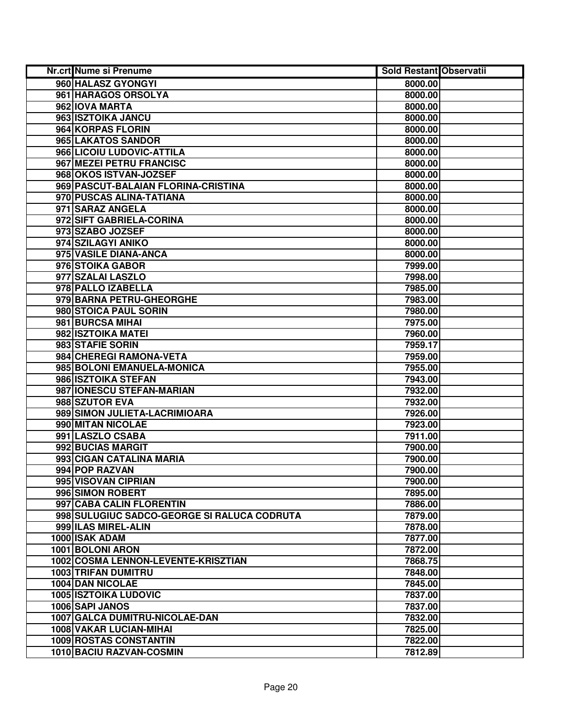| Nr.crt Nume si Prenume                      | <b>Sold Restant Observatii</b> |  |
|---------------------------------------------|--------------------------------|--|
| 960 HALASZ GYONGYI                          | 8000.00                        |  |
| 961 HARAGOS ORSOLYA                         | 8000.00                        |  |
| 962 IOVA MARTA                              | 8000.00                        |  |
| 963 ISZTOIKA JANCU                          | 8000.00                        |  |
| 964 KORPAS FLORIN                           | 8000.00                        |  |
| 965 LAKATOS SANDOR                          | 8000.00                        |  |
| 966 LICOIU LUDOVIC-ATTILA                   | 8000.00                        |  |
| 967 MEZEI PETRU FRANCISC                    | 8000.00                        |  |
| 968 OKOS ISTVAN-JOZSEF                      | 8000.00                        |  |
| 969 PASCUT-BALAIAN FLORINA-CRISTINA         | 8000.00                        |  |
| 970 PUSCAS ALINA-TATIANA                    | 8000.00                        |  |
| 971 SARAZ ANGELA                            | 8000.00                        |  |
| 972 SIFT GABRIELA-CORINA                    | 8000.00                        |  |
| 973 SZABO JOZSEF                            | 8000.00                        |  |
| 974 SZILAGYI ANIKO                          | 8000.00                        |  |
| 975 VASILE DIANA-ANCA                       | 8000.00                        |  |
| 976 STOIKA GABOR                            | 7999.00                        |  |
| 977 SZALAI LASZLO                           | 7998.00                        |  |
| 978 PALLO IZABELLA                          | 7985.00                        |  |
| 979 BARNA PETRU-GHEORGHE                    | 7983.00                        |  |
| 980 STOICA PAUL SORIN                       | 7980.00                        |  |
| 981 BURCSA MIHAI                            | 7975.00                        |  |
| 982 ISZTOIKA MATEI                          | 7960.00                        |  |
| 983 STAFIE SORIN                            | 7959.17                        |  |
| 984 CHEREGI RAMONA-VETA                     | 7959.00                        |  |
| 985 BOLONI EMANUELA-MONICA                  | 7955.00                        |  |
| 986 ISZTOIKA STEFAN                         | 7943.00                        |  |
| 987 IONESCU STEFAN-MARIAN                   | 7932.00                        |  |
| 988 SZUTOR EVA                              | 7932.00                        |  |
| 989 SIMON JULIETA-LACRIMIOARA               | 7926.00                        |  |
| 990 MITAN NICOLAE                           | 7923.00                        |  |
| 991 LASZLO CSABA                            | 7911.00                        |  |
| 992 BUCIAS MARGIT                           | 7900.00                        |  |
| 993 CIGAN CATALINA MARIA                    | 7900.00                        |  |
| 994 POP RAZVAN                              | 7900.00                        |  |
| 995 VISOVAN CIPRIAN                         | 7900.00                        |  |
| 996 SIMON ROBERT                            | 7895.00                        |  |
| 997 CABA CALIN FLORENTIN                    | 7886.00                        |  |
| 998 SULUGIUC SADCO-GEORGE SI RALUCA CODRUTA | 7879.00                        |  |
| 999 ILAS MIREL-ALIN                         | 7878.00                        |  |
| 1000 ISAK ADAM                              | 7877.00                        |  |
| 1001 BOLONI ARON                            | 7872.00                        |  |
| 1002 COSMA LENNON-LEVENTE-KRISZTIAN         | 7868.75                        |  |
| <b>1003 TRIFAN DUMITRU</b>                  | 7848.00                        |  |
| 1004 DAN NICOLAE                            | 7845.00                        |  |
| <b>1005 ISZTOIKA LUDOVIC</b>                | 7837.00                        |  |
| 1006 SAPI JANOS                             | 7837.00                        |  |
| 1007 GALCA DUMITRU-NICOLAE-DAN              | 7832.00                        |  |
| 1008 VAKAR LUCIAN-MIHAI                     | 7825.00                        |  |
| <b>1009 ROSTAS CONSTANTIN</b>               | 7822.00                        |  |
| 1010 BACIU RAZVAN-COSMIN                    | 7812.89                        |  |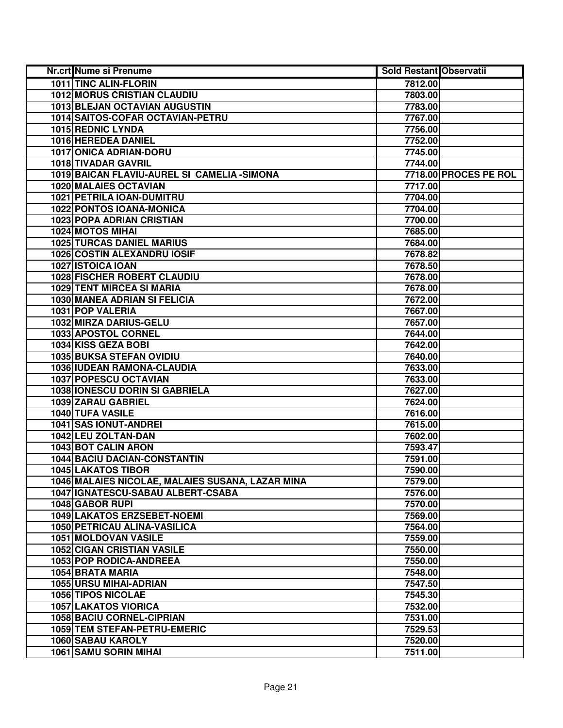| <b>Nr.crt Nume si Prenume</b>                    | <b>Sold Restant Observatii</b> |                       |
|--------------------------------------------------|--------------------------------|-----------------------|
| 1011 TINC ALIN-FLORIN                            | 7812.00                        |                       |
| <b>1012 MORUS CRISTIAN CLAUDIU</b>               | 7803.00                        |                       |
| 1013 BLEJAN OCTAVIAN AUGUSTIN                    | 7783.00                        |                       |
| 1014 SAITOS-COFAR OCTAVIAN-PETRU                 | 7767.00                        |                       |
| 1015 REDNIC LYNDA                                | 7756.00                        |                       |
| 1016 HEREDEA DANIEL                              | 7752.00                        |                       |
| 1017 ONICA ADRIAN-DORU                           | 7745.00                        |                       |
| 1018 TIVADAR GAVRIL                              | 7744.00                        |                       |
| 1019 BAICAN FLAVIU-AUREL SI CAMELIA - SIMONA     |                                | 7718.00 PROCES PE ROL |
| <b>1020 MALAIES OCTAVIAN</b>                     | 7717.00                        |                       |
| 1021 PETRILA IOAN-DUMITRU                        | 7704.00                        |                       |
| 1022 PONTOS IOANA-MONICA                         | 7704.00                        |                       |
| <b>1023 POPA ADRIAN CRISTIAN</b>                 | 7700.00                        |                       |
| 1024 MOTOS MIHAI                                 | 7685.00                        |                       |
| <b>1025 TURCAS DANIEL MARIUS</b>                 | 7684.00                        |                       |
| 1026 COSTIN ALEXANDRU IOSIF                      | 7678.82                        |                       |
| 1027 ISTOICA IOAN                                | 7678.50                        |                       |
| <b>1028 FISCHER ROBERT CLAUDIU</b>               | 7678.00                        |                       |
| <b>1029 TENT MIRCEA SI MARIA</b>                 | 7678.00                        |                       |
| 1030 MANEA ADRIAN SI FELICIA                     | 7672.00                        |                       |
| 1031 POP VALERIA                                 | 7667.00                        |                       |
| 1032 MIRZA DARIUS-GELU                           | 7657.00                        |                       |
| 1033 APOSTOL CORNEL                              | 7644.00                        |                       |
| 1034 KISS GEZA BOBI                              | 7642.00                        |                       |
| 1035 BUKSA STEFAN OVIDIU                         | 7640.00                        |                       |
| 1036 IUDEAN RAMONA-CLAUDIA                       | 7633.00                        |                       |
| 1037 POPESCU OCTAVIAN                            | 7633.00                        |                       |
| 1038 IONESCU DORIN SI GABRIELA                   | 7627.00                        |                       |
| 1039 ZARAU GABRIEL                               | 7624.00                        |                       |
| 1040 TUFA VASILE                                 | 7616.00                        |                       |
| 1041 SAS IONUT-ANDREI                            | 7615.00                        |                       |
| 1042 LEU ZOLTAN-DAN                              | 7602.00                        |                       |
| <b>1043 BOT CALIN ARON</b>                       | 7593.47                        |                       |
| <b>1044 BACIU DACIAN-CONSTANTIN</b>              | 7591.00                        |                       |
| <b>1045 LAKATOS TIBOR</b>                        | 7590.00                        |                       |
| 1046 MALAIES NICOLAE, MALAIES SUSANA, LAZAR MINA | 7579.00                        |                       |
| 1047   IGNATESCU-SABAU ALBERT-CSABA              | 7576.00                        |                       |
| 1048 GABOR RUPI                                  | 7570.00                        |                       |
| 1049 LAKATOS ERZSEBET-NOEMI                      | 7569.00                        |                       |
| 1050 PETRICAU ALINA-VASILICA                     | 7564.00                        |                       |
| <b>1051 MOLDOVAN VASILE</b>                      | 7559.00                        |                       |
| <b>1052 CIGAN CRISTIAN VASILE</b>                | 7550.00                        |                       |
| 1053 POP RODICA-ANDREEA                          | 7550.00                        |                       |
| 1054 BRATA MARIA                                 | 7548.00                        |                       |
| 1055 URSU MIHAI-ADRIAN                           | 7547.50                        |                       |
| <b>1056 TIPOS NICOLAE</b>                        | 7545.30                        |                       |
| <b>1057 LAKATOS VIORICA</b>                      | 7532.00                        |                       |
| 1058 BACIU CORNEL-CIPRIAN                        | 7531.00                        |                       |
| 1059 TEM STEFAN-PETRU-EMERIC                     | 7529.53                        |                       |
| 1060 SABAU KAROLY                                | 7520.00                        |                       |
| <b>1061 SAMU SORIN MIHAI</b>                     | 7511.00                        |                       |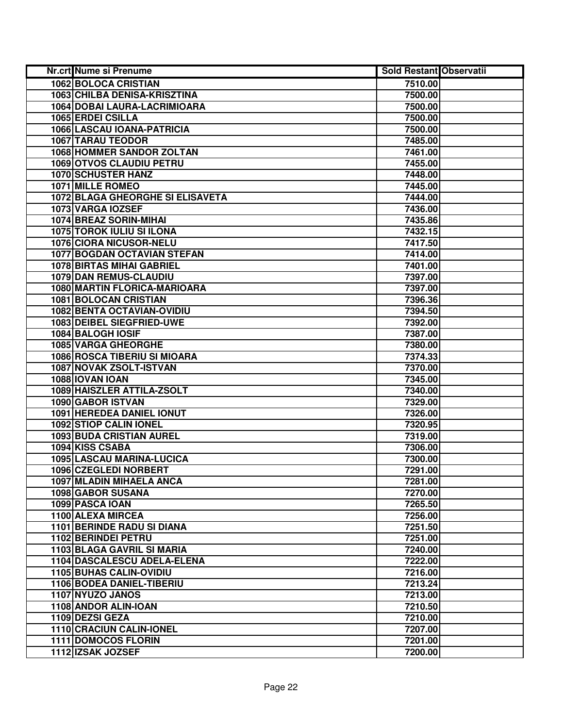| Nr.crt Nume si Prenume            | <b>Sold Restant Observatii</b> |  |
|-----------------------------------|--------------------------------|--|
| <b>1062 BOLOCA CRISTIAN</b>       | 7510.00                        |  |
| 1063 CHILBA DENISA-KRISZTINA      | 7500.00                        |  |
| 1064 DOBAI LAURA-LACRIMIOARA      | 7500.00                        |  |
| 1065 ERDEI CSILLA                 | 7500.00                        |  |
| 1066 LASCAU IOANA-PATRICIA        | 7500.00                        |  |
| 1067 TARAU TEODOR                 | 7485.00                        |  |
| <b>1068 HOMMER SANDOR ZOLTAN</b>  | 7461.00                        |  |
| <b>1069 OTVOS CLAUDIU PETRU</b>   | 7455.00                        |  |
| <b>1070 SCHUSTER HANZ</b>         | 7448.00                        |  |
| <b>1071 MILLE ROMEO</b>           | 7445.00                        |  |
| 1072 BLAGA GHEORGHE SI ELISAVETA  | 7444.00                        |  |
| 1073 VARGA IOZSEF                 | 7436.00                        |  |
| 1074 BREAZ SORIN-MIHAI            | 7435.86                        |  |
| <b>1075 TOROK IULIU SI ILONA</b>  | 7432.15                        |  |
| 1076 CIORA NICUSOR-NELU           | 7417.50                        |  |
| 1077 BOGDAN OCTAVIAN STEFAN       | 7414.00                        |  |
| <b>1078 BIRTAS MIHAI GABRIEL</b>  | 7401.00                        |  |
| 1079 DAN REMUS-CLAUDIU            | 7397.00                        |  |
| 1080 MARTIN FLORICA-MARIOARA      | 7397.00                        |  |
| 1081 BOLOCAN CRISTIAN             | 7396.36                        |  |
| 1082 BENTA OCTAVIAN-OVIDIU        | 7394.50                        |  |
| <b>1083 DEIBEL SIEGFRIED-UWE</b>  | 7392.00                        |  |
| 1084 BALOGH IOSIF                 | 7387.00                        |  |
| <b>1085 VARGA GHEORGHE</b>        | 7380.00                        |  |
| 1086 ROSCA TIBERIU SI MIOARA      | 7374.33                        |  |
| 1087 NOVAK ZSOLT-ISTVAN           | 7370.00                        |  |
| 1088 IOVAN IOAN                   | 7345.00                        |  |
| 1089 HAISZLER ATTILA-ZSOLT        | 7340.00                        |  |
| 1090 GABOR ISTVAN                 | 7329.00                        |  |
| 1091 HEREDEA DANIEL IONUT         | 7326.00                        |  |
| 1092 STIOP CALIN IONEL            | 7320.95                        |  |
| <b>1093 BUDA CRISTIAN AUREL</b>   | 7319.00                        |  |
| 1094 KISS CSABA                   | 7306.00                        |  |
| <b>1095 LASCAU MARINA-LUCICA</b>  | 7300.00                        |  |
| 1096 CZEGLEDI NORBERT             | 7291.00                        |  |
| 1097 MLADIN MIHAELA ANCA          | 7281.00                        |  |
| 1098 GABOR SUSANA                 | 7270.00                        |  |
| 1099 PASCA IOAN                   | 7265.50                        |  |
| 1100 ALEXA MIRCEA                 | 7256.00                        |  |
| <b>1101 BERINDE RADU SI DIANA</b> | 7251.50                        |  |
| 1102 BERINDEI PETRU               | 7251.00                        |  |
| 1103 BLAGA GAVRIL SI MARIA        | 7240.00                        |  |
| 1104 DASCALESCU ADELA-ELENA       | 7222.00                        |  |
| 1105 BUHAS CALIN-OVIDIU           | 7216.00                        |  |
| 1106 BODEA DANIEL-TIBERIU         | 7213.24                        |  |
| 1107 NYUZO JANOS                  | 7213.00                        |  |
| 1108 ANDOR ALIN-IOAN              | 7210.50                        |  |
| 1109 DEZSI GEZA                   | 7210.00                        |  |
| 1110 CRACIUN CALIN-IONEL          | 7207.00                        |  |
| <b>1111 DOMOCOS FLORIN</b>        | 7201.00                        |  |
| 1112 IZSAK JOZSEF                 | 7200.00                        |  |
|                                   |                                |  |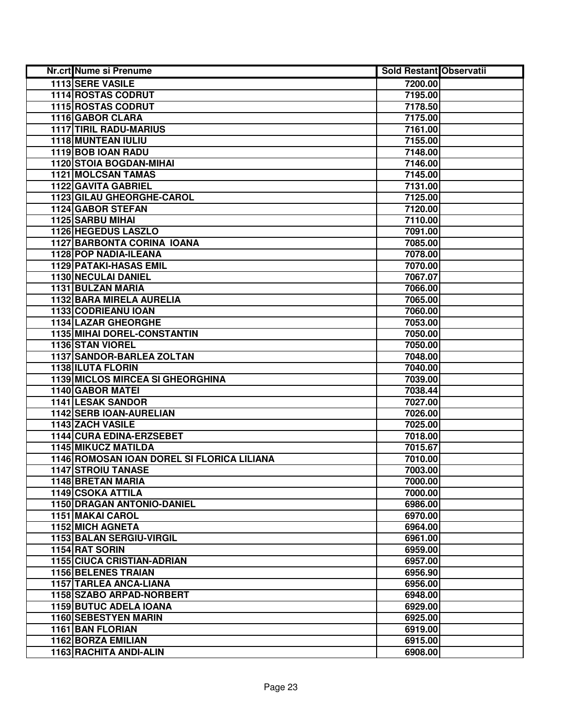| Nr.crt Nume si Prenume                     | <b>Sold Restant Observatii</b> |  |
|--------------------------------------------|--------------------------------|--|
| <b>1113 SERE VASILE</b>                    | 7200.00                        |  |
| <b>1114 ROSTAS CODRUT</b>                  | 7195.00                        |  |
| 1115 ROSTAS CODRUT                         | 7178.50                        |  |
| 1116 GABOR CLARA                           | 7175.00                        |  |
| <b>1117 TIRIL RADU-MARIUS</b>              | 7161.00                        |  |
| 1118 MUNTEAN IULIU                         | 7155.00                        |  |
| 1119 BOB IOAN RADU                         | 7148.00                        |  |
| <b>1120 STOIA BOGDAN-MIHAI</b>             | 7146.00                        |  |
| <b>1121 MOLCSAN TAMAS</b>                  | 7145.00                        |  |
| <b>1122 GAVITA GABRIEL</b>                 | 7131.00                        |  |
| 1123 GILAU GHEORGHE-CAROL                  | 7125.00                        |  |
| 1124 GABOR STEFAN                          | 7120.00                        |  |
| 1125 SARBU MIHAI                           | 7110.00                        |  |
| 1126 HEGEDUS LASZLO                        | 7091.00                        |  |
| 1127 BARBONTA CORINA IOANA                 | 7085.00                        |  |
| 1128 POP NADIA-ILEANA                      | 7078.00                        |  |
| <b>1129 PATAKI-HASAS EMIL</b>              | 7070.00                        |  |
| <b>1130 NECULAI DANIEL</b>                 | 7067.07                        |  |
| 1131 BULZAN MARIA                          | 7066.00                        |  |
| 1132 BARA MIRELA AURELIA                   | 7065.00                        |  |
| 1133 CODRIEANU IOAN                        | 7060.00                        |  |
| 1134 LAZAR GHEORGHE                        | 7053.00                        |  |
| 1135 MIHAI DOREL-CONSTANTIN                | 7050.00                        |  |
| 1136 STAN VIOREL                           | 7050.00                        |  |
| 1137 SANDOR-BARLEA ZOLTAN                  | 7048.00                        |  |
| 1138 ILUTA FLORIN                          | 7040.00                        |  |
| 1139 MICLOS MIRCEA SI GHEORGHINA           | 7039.00                        |  |
| 1140 GABOR MATEI                           | 7038.44                        |  |
| 1141 LESAK SANDOR                          | 7027.00                        |  |
| 1142 SERB IOAN-AURELIAN                    | 7026.00                        |  |
| 1143 ZACH VASILE                           | 7025.00                        |  |
| <b>1144 CURA EDINA-ERZSEBET</b>            | 7018.00                        |  |
| <b>1145 MIKUCZ MATILDA</b>                 | 7015.67                        |  |
| 1146 ROMOSAN IOAN DOREL SI FLORICA LILIANA | 7010.00                        |  |
| <b>1147 STROIU TANASE</b>                  | 7003.00                        |  |
| 1148 BRETAN MARIA                          | 7000.00                        |  |
| <b>1149 CSOKA ATTILA</b>                   | 7000.00                        |  |
| 1150 DRAGAN ANTONIO-DANIEL                 | 6986.00                        |  |
| <b>1151 MAKAI CAROL</b>                    | 6970.00                        |  |
| <b>1152 MICH AGNETA</b>                    | 6964.00                        |  |
| 1153 BALAN SERGIU-VIRGIL                   | 6961.00                        |  |
| 1154 RAT SORIN                             | 6959.00                        |  |
| <b>1155 CIUCA CRISTIAN-ADRIAN</b>          | 6957.00                        |  |
| <b>1156 BELENES TRAIAN</b>                 | 6956.90                        |  |
| 1157 TARLEA ANCA-LIANA                     | 6956.00                        |  |
| 1158 SZABO ARPAD-NORBERT                   | 6948.00                        |  |
| <b>1159 BUTUC ADELA IOANA</b>              | 6929.00                        |  |
| 1160 SEBESTYEN MARIN                       | 6925.00                        |  |
| 1161 BAN FLORIAN                           | 6919.00                        |  |
| 1162 BORZA EMILIAN                         | 6915.00                        |  |
| 1163 RACHITA ANDI-ALIN                     | 6908.00                        |  |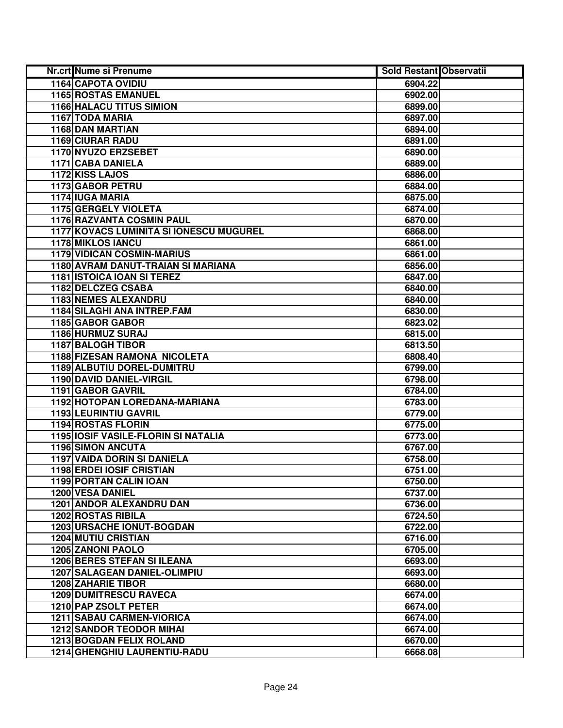| Nr.crt Nume si Prenume                  | <b>Sold Restant Observatii</b> |  |
|-----------------------------------------|--------------------------------|--|
| 1164 CAPOTA OVIDIU                      | 6904.22                        |  |
| <b>1165 ROSTAS EMANUEL</b>              | 6902.00                        |  |
| <b>1166 HALACU TITUS SIMION</b>         | 6899.00                        |  |
| 1167 TODA MARIA                         | 6897.00                        |  |
| 1168 DAN MARTIAN                        | 6894.00                        |  |
| 1169 CIURAR RADU                        | 6891.00                        |  |
| 1170 NYUZO ERZSEBET                     | 6890.00                        |  |
| <b>1171 CABA DANIELA</b>                | 6889.00                        |  |
| 1172 KISS LAJOS                         | 6886.00                        |  |
| 1173 GABOR PETRU                        | 6884.00                        |  |
| 1174 IUGA MARIA                         | 6875.00                        |  |
| <b>1175 GERGELY VIOLETA</b>             | 6874.00                        |  |
| <b>1176 RAZVANTA COSMIN PAUL</b>        | 6870.00                        |  |
| 1177 KOVACS LUMINITA SI IONESCU MUGUREL | 6868.00                        |  |
| 1178 MIKLOS IANCU                       | 6861.00                        |  |
| 1179 VIDICAN COSMIN-MARIUS              | 6861.00                        |  |
| 1180 AVRAM DANUT-TRAIAN SI MARIANA      | 6856.00                        |  |
| 1181 ISTOICA IOAN SI TEREZ              | 6847.00                        |  |
| 1182 DELCZEG CSABA                      | 6840.00                        |  |
| 1183 NEMES ALEXANDRU                    | 6840.00                        |  |
| <b>1184 SILAGHI ANA INTREP.FAM</b>      | 6830.00                        |  |
| 1185 GABOR GABOR                        | 6823.02                        |  |
| 1186 HURMUZ SURAJ                       | 6815.00                        |  |
| 1187 BALOGH TIBOR                       | 6813.50                        |  |
| 1188 FIZESAN RAMONA NICOLETA            | 6808.40                        |  |
| 1189 ALBUTIU DOREL-DUMITRU              | 6799.00                        |  |
| 1190 DAVID DANIEL-VIRGIL                | 6798.00                        |  |
| 1191 GABOR GAVRIL                       | 6784.00                        |  |
| 1192 HOTOPAN LOREDANA-MARIANA           | 6783.00                        |  |
| 1193 LEURINTIU GAVRIL                   | 6779.00                        |  |
| 1194 ROSTAS FLORIN                      | 6775.00                        |  |
| 1195 IOSIF VASILE-FLORIN SI NATALIA     | 6773.00                        |  |
| <b>1196 SIMON ANCUTA</b>                | 6767.00                        |  |
| <b>1197 VAIDA DORIN SI DANIELA</b>      | 6758.00                        |  |
| <b>1198 ERDEI IOSIF CRISTIAN</b>        | 6751.00                        |  |
| 1199 PORTAN CALIN IOAN                  | 6750.00                        |  |
| <b>1200 VESA DANIEL</b>                 | 6737.00                        |  |
| <b>1201 ANDOR ALEXANDRU DAN</b>         | 6736.00                        |  |
| <b>1202 ROSTAS RIBILA</b>               | 6724.50                        |  |
| <b>1203 URSACHE IONUT-BOGDAN</b>        | 6722.00                        |  |
| <b>1204 MUTIU CRISTIAN</b>              | 6716.00                        |  |
| 1205 ZANONI PAOLO                       | 6705.00                        |  |
| <b>1206 BERES STEFAN SI ILEANA</b>      | 6693.00                        |  |
| <b>1207 SALAGEAN DANIEL-OLIMPIU</b>     | 6693.00                        |  |
| <b>1208 ZAHARIE TIBOR</b>               | 6680.00                        |  |
| <b>1209 DUMITRESCU RAVECA</b>           | 6674.00                        |  |
| 1210 PAP ZSOLT PETER                    | 6674.00                        |  |
| <b>1211 SABAU CARMEN-VIORICA</b>        | 6674.00                        |  |
| <b>1212 SANDOR TEODOR MIHAI</b>         | 6674.00                        |  |
| <b>1213 BOGDAN FELIX ROLAND</b>         | 6670.00                        |  |
| 1214 GHENGHIU LAURENTIU-RADU            | 6668.08                        |  |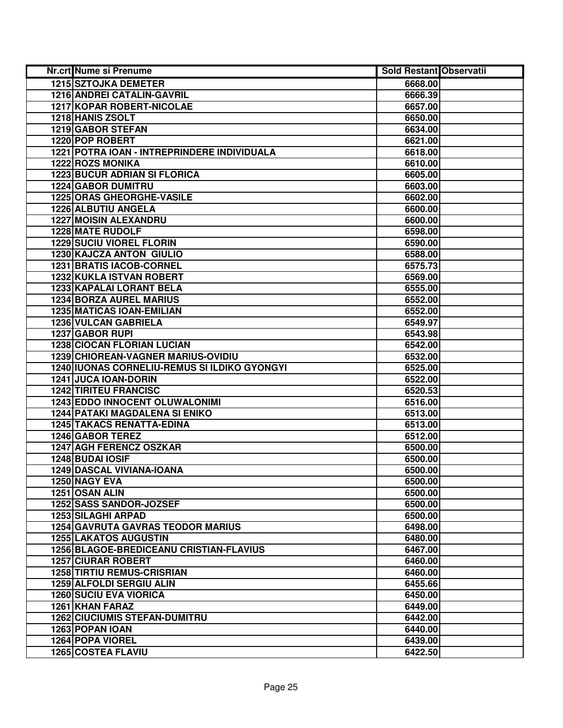| Nr.crt Nume si Prenume                       | <b>Sold Restant Observatii</b> |  |
|----------------------------------------------|--------------------------------|--|
| <b>1215 SZTOJKA DEMETER</b>                  | 6668.00                        |  |
| 1216 ANDREI CATALIN-GAVRIL                   | 6666.39                        |  |
| 1217 KOPAR ROBERT-NICOLAE                    | 6657.00                        |  |
| 1218 HANIS ZSOLT                             | 6650.00                        |  |
| 1219 GABOR STEFAN                            | 6634.00                        |  |
| 1220 POP ROBERT                              | 6621.00                        |  |
| 1221 POTRA IOAN - INTREPRINDERE INDIVIDUALA  | 6618.00                        |  |
| <b>1222 ROZS MONIKA</b>                      | 6610.00                        |  |
| <b>1223 BUCUR ADRIAN SI FLORICA</b>          | 6605.00                        |  |
| <b>1224 GABOR DUMITRU</b>                    | 6603.00                        |  |
| <b>1225 ORAS GHEORGHE-VASILE</b>             | 6602.00                        |  |
| <b>1226 ALBUTIU ANGELA</b>                   | 6600.00                        |  |
| <b>1227 MOISIN ALEXANDRU</b>                 | 6600.00                        |  |
| <b>1228 MATE RUDOLF</b>                      | 6598.00                        |  |
| <b>1229 SUCIU VIOREL FLORIN</b>              | 6590.00                        |  |
| 1230 KAJCZA ANTON GIULIO                     | 6588.00                        |  |
| 1231 BRATIS IACOB-CORNEL                     | 6575.73                        |  |
| 1232 KUKLA ISTVAN ROBERT                     | 6569.00                        |  |
| 1233 KAPALAI LORANT BELA                     | 6555.00                        |  |
| <b>1234 BORZA AUREL MARIUS</b>               | 6552.00                        |  |
| <b>1235 MATICAS IOAN-EMILIAN</b>             | 6552.00                        |  |
| 1236 VULCAN GABRIELA                         | 6549.97                        |  |
| 1237 GABOR RUPI                              | 6543.98                        |  |
| <b>1238 CIOCAN FLORIAN LUCIAN</b>            | 6542.00                        |  |
| 1239 CHIOREAN-VAGNER MARIUS-OVIDIU           | 6532.00                        |  |
| 1240 IUONAS CORNELIU-REMUS SI ILDIKO GYONGYI | 6525.00                        |  |
| <b>1241 JUCA IOAN-DORIN</b>                  | 6522.00                        |  |
| <b>1242 TIRITEU FRANCISC</b>                 | 6520.53                        |  |
| <b>1243 EDDO INNOCENT OLUWALONIMI</b>        | 6516.00                        |  |
| <b>1244 PATAKI MAGDALENA SI ENIKO</b>        | 6513.00                        |  |
| <b>1245 TAKACS RENATTA-EDINA</b>             | 6513.00                        |  |
| <b>1246 GABOR TEREZ</b>                      | 6512.00                        |  |
| 1247 AGH FERENCZ OSZKAR                      | 6500.00                        |  |
| 1248 BUDAI IOSIF                             | 6500.00                        |  |
| <b>1249 DASCAL VIVIANA-IOANA</b>             | 6500.00                        |  |
| 1250 NAGY EVA                                | 6500.00                        |  |
| 1251 OSAN ALIN                               | 6500.00                        |  |
| 1252 SASS SANDOR-JOZSEF                      | 6500.00                        |  |
| <b>1253 SILAGHI ARPAD</b>                    | 6500.00                        |  |
| <b>1254 GAVRUTA GAVRAS TEODOR MARIUS</b>     | 6498.00                        |  |
| <b>1255 LAKATOS AUGUSTIN</b>                 | 6480.00                        |  |
| 1256 BLAGOE-BREDICEANU CRISTIAN-FLAVIUS      | 6467.00                        |  |
| <b>1257 CIURAR ROBERT</b>                    | 6460.00                        |  |
| <b>1258 TIRTIU REMUS-CRISRIAN</b>            | 6460.00                        |  |
| 1259 ALFOLDI SERGIU ALIN                     | 6455.66                        |  |
| <b>1260 SUCIU EVA VIORICA</b>                | 6450.00                        |  |
| 1261 KHAN FARAZ                              | 6449.00                        |  |
| <b>1262 CIUCIUMIS STEFAN-DUMITRU</b>         | 6442.00                        |  |
| 1263 POPAN IOAN                              | 6440.00                        |  |
| 1264 POPA VIOREL                             | 6439.00                        |  |
| <b>1265 COSTEA FLAVIU</b>                    | 6422.50                        |  |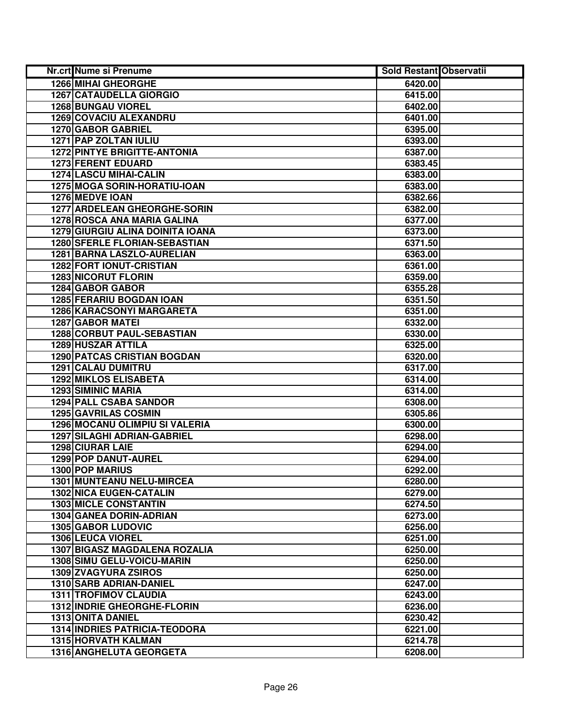| Nr.crt Nume si Prenume                  | <b>Sold Restant Observatii</b> |  |
|-----------------------------------------|--------------------------------|--|
| <b>1266 MIHAI GHEORGHE</b>              | 6420.00                        |  |
| <b>1267 CATAUDELLA GIORGIO</b>          | 6415.00                        |  |
| <b>1268 BUNGAU VIOREL</b>               | 6402.00                        |  |
| 1269 COVACIU ALEXANDRU                  | 6401.00                        |  |
| 1270 GABOR GABRIEL                      | 6395.00                        |  |
| 1271 PAP ZOLTAN IULIU                   | 6393.00                        |  |
| <b>1272 PINTYE BRIGITTE-ANTONIA</b>     | 6387.00                        |  |
| <b>1273 FERENT EDUARD</b>               | 6383.45                        |  |
| <b>1274 LASCU MIHAI-CALIN</b>           | 6383.00                        |  |
| 1275 MOGA SORIN-HORATIU-IOAN            | 6383.00                        |  |
| 1276 MEDVE IOAN                         | 6382.66                        |  |
| <b>1277 ARDELEAN GHEORGHE-SORIN</b>     | 6382.00                        |  |
| 1278 ROSCA ANA MARIA GALINA             | 6377.00                        |  |
| <b>1279 GIURGIU ALINA DOINITA IOANA</b> | 6373.00                        |  |
| <b>1280 SFERLE FLORIAN-SEBASTIAN</b>    | 6371.50                        |  |
| 1281 BARNA LASZLO-AURELIAN              | 6363.00                        |  |
| <b>1282 FORT IONUT-CRISTIAN</b>         | 6361.00                        |  |
| <b>1283 NICORUT FLORIN</b>              | 6359.00                        |  |
| 1284 GABOR GABOR                        | 6355.28                        |  |
| <b>1285 FERARIU BOGDAN IOAN</b>         | 6351.50                        |  |
| <b>1286 KARACSONYI MARGARETA</b>        | 6351.00                        |  |
| <b>1287 GABOR MATEI</b>                 | 6332.00                        |  |
| 1288 CORBUT PAUL-SEBASTIAN              | 6330.00                        |  |
| 1289 HUSZAR ATTILA                      | 6325.00                        |  |
| <b>1290 PATCAS CRISTIAN BOGDAN</b>      | 6320.00                        |  |
| 1291 CALAU DUMITRU                      | 6317.00                        |  |
| <b>1292 MIKLOS ELISABETA</b>            | 6314.00                        |  |
| <b>1293 SIMINIC MARIA</b>               | 6314.00                        |  |
| <b>1294 PALL CSABA SANDOR</b>           | 6308.00                        |  |
| 1295 GAVRILAS COSMIN                    | 6305.86                        |  |
| 1296 MOCANU OLIMPIU SI VALERIA          | 6300.00                        |  |
| <b>1297 SILAGHI ADRIAN-GABRIEL</b>      | 6298.00                        |  |
| 1298 CIURAR LAIE                        | 6294.00                        |  |
| 1299 POP DANUT-AUREL                    | 6294.00                        |  |
| <b>1300 POP MARIUS</b>                  | 6292.00                        |  |
| 1301 MUNTEANU NELU-MIRCEA               | 6280.00                        |  |
| <b>1302 NICA EUGEN-CATALIN</b>          | 6279.00                        |  |
| <b>1303 MICLE CONSTANTIN</b>            | 6274.50                        |  |
| 1304 GANEA DORIN-ADRIAN                 | 6273.00                        |  |
| <b>1305 GABOR LUDOVIC</b>               | 6256.00                        |  |
| 1306 LEUCA VIOREL                       | 6251.00                        |  |
| <b>1307 BIGASZ MAGDALENA ROZALIA</b>    | 6250.00                        |  |
| 1308 SIMU GELU-VOICU-MARIN              | 6250.00                        |  |
| 1309 ZVAGYURA ZSIROS                    | 6250.00                        |  |
| 1310 SARB ADRIAN-DANIEL                 | 6247.00                        |  |
| <b>1311 TROFIMOV CLAUDIA</b>            | 6243.00                        |  |
| 1312 INDRIE GHEORGHE-FLORIN             | 6236.00                        |  |
| 1313 ONITA DANIEL                       | 6230.42                        |  |
| <b>1314 INDRIES PATRICIA-TEODORA</b>    | 6221.00                        |  |
| <b>1315 HORVATH KALMAN</b>              | 6214.78                        |  |
| 1316 ANGHELUTA GEORGETA                 | 6208.00                        |  |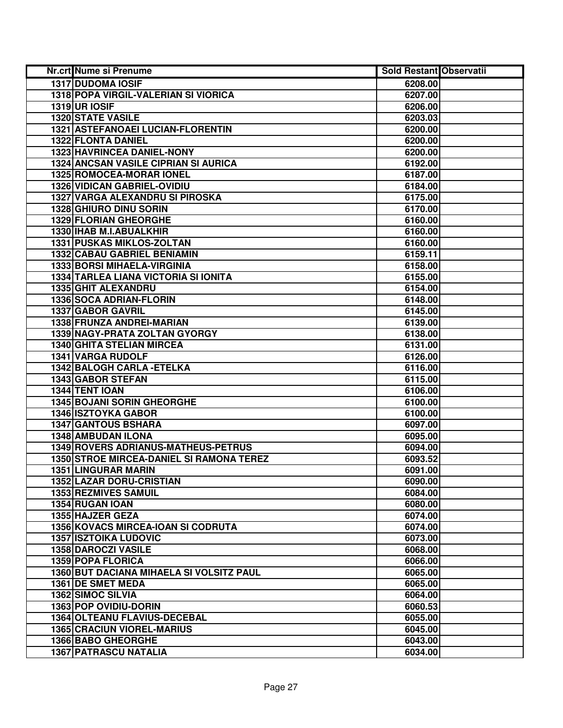| Nr.crt Nume si Prenume                          | <b>Sold Restant Observatii</b> |  |
|-------------------------------------------------|--------------------------------|--|
| <b>1317 DUDOMA IOSIF</b>                        | 6208.00                        |  |
| 1318 POPA VIRGIL-VALERIAN SI VIORICA            | 6207.00                        |  |
| <b>1319 UR IOSIF</b>                            | 6206.00                        |  |
| 1320 STATE VASILE                               | 6203.03                        |  |
| 1321 ASTEFANOAEI LUCIAN-FLORENTIN               | 6200.00                        |  |
| 1322 FLONTA DANIEL                              | 6200.00                        |  |
| 1323 HAVRINCEA DANIEL-NONY                      | 6200.00                        |  |
| <b>1324 ANCSAN VASILE CIPRIAN SI AURICA</b>     | 6192.00                        |  |
| <b>1325 ROMOCEA-MORAR IONEL</b>                 | 6187.00                        |  |
| <b>1326 VIDICAN GABRIEL-OVIDIU</b>              | 6184.00                        |  |
| <b>1327 VARGA ALEXANDRU SI PIROSKA</b>          | 6175.00                        |  |
| 1328 GHIURO DINU SORIN                          | 6170.00                        |  |
| <b>1329 FLORIAN GHEORGHE</b>                    | 6160.00                        |  |
| 1330 IHAB M.I.ABUALKHIR                         | 6160.00                        |  |
| 1331 PUSKAS MIKLOS-ZOLTAN                       | 6160.00                        |  |
| 1332 CABAU GABRIEL BENIAMIN                     | 6159.11                        |  |
| 1333 BORSI MIHAELA-VIRGINIA                     | 6158.00                        |  |
| <b>1334 TARLEA LIANA VICTORIA SI IONITA</b>     | 6155.00                        |  |
| 1335 GHIT ALEXANDRU                             | 6154.00                        |  |
| 1336 SOCA ADRIAN-FLORIN                         | 6148.00                        |  |
| 1337 GABOR GAVRIL                               | 6145.00                        |  |
| 1338 FRUNZA ANDREI-MARIAN                       | 6139.00                        |  |
| 1339 NAGY-PRATA ZOLTAN GYORGY                   | 6138.00                        |  |
| 1340 GHITA STELIAN MIRCEA                       | 6131.00                        |  |
| 1341 VARGA RUDOLF                               | 6126.00                        |  |
| 1342 BALOGH CARLA - ETELKA                      | 6116.00                        |  |
| 1343 GABOR STEFAN                               | 6115.00                        |  |
| 1344 TENT IOAN                                  | 6106.00                        |  |
| 1345 BOJANI SORIN GHEORGHE                      | 6100.00                        |  |
| <b>1346 ISZTOYKA GABOR</b>                      | 6100.00                        |  |
| <b>1347 GANTOUS BSHARA</b>                      | 6097.00                        |  |
| 1348 AMBUDAN ILONA                              | 6095.00                        |  |
| 1349 ROVERS ADRIANUS-MATHEUS-PETRUS             | 6094.00                        |  |
| <b>1350 STROE MIRCEA-DANIEL SI RAMONA TEREZ</b> | 6093.52                        |  |
| <b>1351 LINGURAR MARIN</b>                      | 6091.00                        |  |
| <b>1352 LAZAR DORU-CRISTIAN</b>                 | 6090.00                        |  |
| <b>1353 REZMIVES SAMUIL</b>                     | 6084.00                        |  |
| 1354 RUGAN IOAN                                 | 6080.00                        |  |
| 1355 HAJZER GEZA                                | 6074.00                        |  |
| 1356 KOVACS MIRCEA-IOAN SI CODRUTA              | 6074.00                        |  |
| <b>1357 ISZTOIKA LUDOVIC</b>                    | 6073.00                        |  |
| 1358 DAROCZI VASILE                             | 6068.00                        |  |
| 1359 POPA FLORICA                               | 6066.00                        |  |
| 1360 BUT DACIANA MIHAELA SI VOLSITZ PAUL        | 6065.00                        |  |
| 1361 DE SMET MEDA                               | 6065.00                        |  |
| 1362 SIMOC SILVIA                               | 6064.00                        |  |
| 1363 POP OVIDIU-DORIN                           | 6060.53                        |  |
| 1364 OLTEANU FLAVIUS-DECEBAL                    | 6055.00                        |  |
| <b>1365 CRACIUN VIOREL-MARIUS</b>               | 6045.00                        |  |
| 1366 BABO GHEORGHE                              | 6043.00                        |  |
| <b>1367 PATRASCU NATALIA</b>                    | 6034.00                        |  |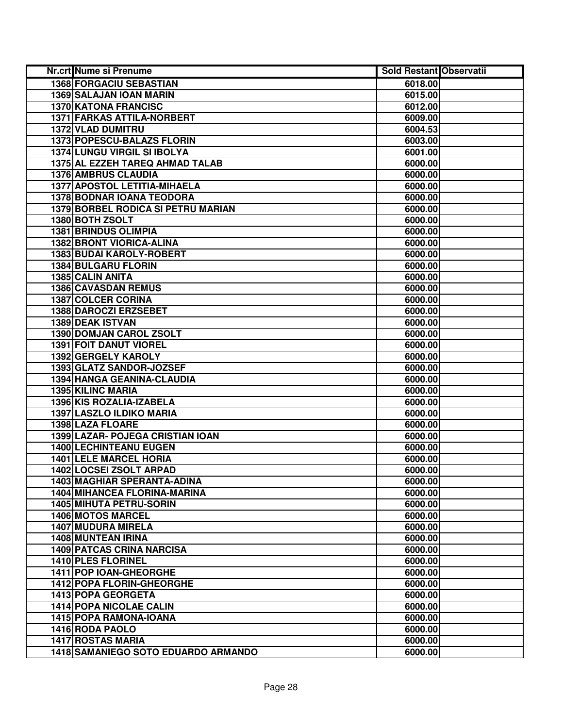| Nr.crt Nume si Prenume                    | <b>Sold Restant Observatii</b> |  |
|-------------------------------------------|--------------------------------|--|
| 1368 FORGACIU SEBASTIAN                   | 6018.00                        |  |
| 1369 SALAJAN IOAN MARIN                   | 6015.00                        |  |
| 1370 KATONA FRANCISC                      | 6012.00                        |  |
| 1371 FARKAS ATTILA-NORBERT                | 6009.00                        |  |
| 1372 VLAD DUMITRU                         | 6004.53                        |  |
| 1373 POPESCU-BALAZS FLORIN                | 6003.00                        |  |
| 1374 LUNGU VIRGIL SI IBOLYA               | 6001.00                        |  |
| 1375 AL EZZEH TAREQ AHMAD TALAB           | 6000.00                        |  |
| <b>1376 AMBRUS CLAUDIA</b>                | 6000.00                        |  |
| 1377 APOSTOL LETITIA-MIHAELA              | 6000.00                        |  |
| <b>1378 BODNAR IOANA TEODORA</b>          | 6000.00                        |  |
| <b>1379 BORBEL RODICA SI PETRU MARIAN</b> | 6000.00                        |  |
| 1380 BOTH ZSOLT                           | 6000.00                        |  |
| <b>1381 BRINDUS OLIMPIA</b>               | 6000.00                        |  |
| 1382 BRONT VIORICA-ALINA                  | 6000.00                        |  |
| 1383 BUDAI KAROLY-ROBERT                  | 6000.00                        |  |
| 1384 BULGARU FLORIN                       | 6000.00                        |  |
| 1385 CALIN ANITA                          | 6000.00                        |  |
| <b>1386 CAVASDAN REMUS</b>                | 6000.00                        |  |
| <b>1387 COLCER CORINA</b>                 | 6000.00                        |  |
| 1388 DAROCZI ERZSEBET                     | 6000.00                        |  |
| 1389 DEAK ISTVAN                          | 6000.00                        |  |
| 1390 DOMJAN CAROL ZSOLT                   | 6000.00                        |  |
| 1391 FOIT DANUT VIOREL                    | 6000.00                        |  |
| 1392 GERGELY KAROLY                       | 6000.00                        |  |
| 1393 GLATZ SANDOR-JOZSEF                  | 6000.00                        |  |
| 1394 HANGA GEANINA-CLAUDIA                | 6000.00                        |  |
| 1395 KILINC MARIA                         | 6000.00                        |  |
| 1396 KIS ROZALIA-IZABELA                  | 6000.00                        |  |
| 1397 LASZLO ILDIKO MARIA                  | 6000.00                        |  |
| 1398 LAZA FLOARE                          | 6000.00                        |  |
| 1399 LAZAR- POJEGA CRISTIAN IOAN          | 6000.00                        |  |
| 1400 LECHINTEANU EUGEN                    | 6000.00                        |  |
| <b>1401 LELE MARCEL HORIA</b>             | 6000.00                        |  |
| <b>1402 LOCSEI ZSOLT ARPAD</b>            | 6000.00                        |  |
| 1403 MAGHIAR SPERANTA-ADINA               | 6000.00                        |  |
| 1404 MIHANCEA FLORINA-MARINA              | 6000.00                        |  |
| <b>1405 MIHUTA PETRU-SORIN</b>            | 6000.00                        |  |
| <b>1406 MOTOS MARCEL</b>                  | 6000.00                        |  |
| 1407 MUDURA MIRELA                        | 6000.00                        |  |
| 1408 MUNTEAN IRINA                        | 6000.00                        |  |
| <b>1409 PATCAS CRINA NARCISA</b>          | 6000.00                        |  |
| 1410 PLES FLORINEL                        | 6000.00                        |  |
| 1411 POP IOAN-GHEORGHE                    | 6000.00                        |  |
| 1412 POPA FLORIN-GHEORGHE                 | 6000.00                        |  |
| 1413 POPA GEORGETA                        | 6000.00                        |  |
| <b>1414 POPA NICOLAE CALIN</b>            | 6000.00                        |  |
| 1415 POPA RAMONA-IOANA                    | 6000.00                        |  |
| 1416 RODA PAOLO                           | 6000.00                        |  |
| <b>1417 ROSTAS MARIA</b>                  | 6000.00                        |  |
| 1418 SAMANIEGO SOTO EDUARDO ARMANDO       | 6000.00                        |  |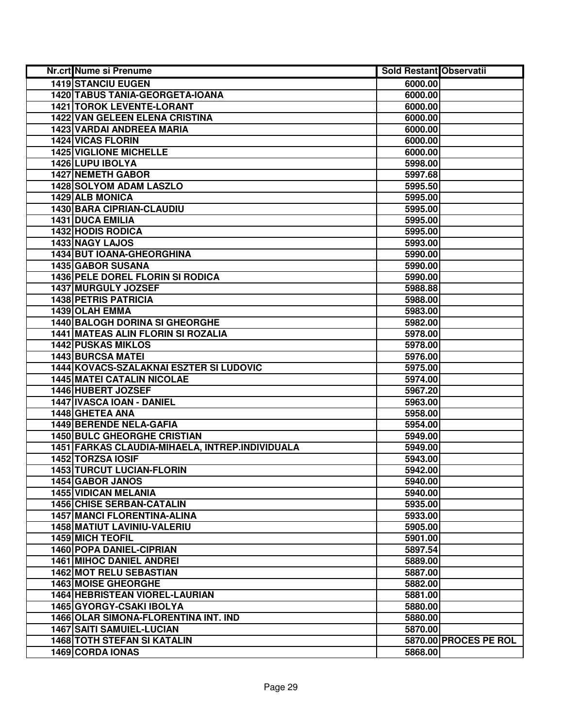| Nr.crt Nume si Prenume                          | <b>Sold Restant Observatii</b> |                       |
|-------------------------------------------------|--------------------------------|-----------------------|
| <b>1419 STANCIU EUGEN</b>                       | 6000.00                        |                       |
| 1420 TABUS TANIA-GEORGETA-IOANA                 | 6000.00                        |                       |
| 1421 TOROK LEVENTE-LORANT                       | 6000.00                        |                       |
| <b>1422 VAN GELEEN ELENA CRISTINA</b>           | 6000.00                        |                       |
| <b>1423 VARDAI ANDREEA MARIA</b>                | 6000.00                        |                       |
| 1424 VICAS FLORIN                               | 6000.00                        |                       |
| <b>1425 VIGLIONE MICHELLE</b>                   | 6000.00                        |                       |
| 1426 LUPU IBOLYA                                | 5998.00                        |                       |
| <b>1427 NEMETH GABOR</b>                        | 5997.68                        |                       |
| <b>1428 SOLYOM ADAM LASZLO</b>                  | 5995.50                        |                       |
| <b>1429 ALB MONICA</b>                          | 5995.00                        |                       |
| 1430 BARA CIPRIAN-CLAUDIU                       | 5995.00                        |                       |
| 1431 DUCA EMILIA                                | 5995.00                        |                       |
| <b>1432 HODIS RODICA</b>                        | 5995.00                        |                       |
| 1433 NAGY LAJOS                                 | 5993.00                        |                       |
| 1434 BUT IOANA-GHEORGHINA                       | 5990.00                        |                       |
| 1435 GABOR SUSANA                               | 5990.00                        |                       |
| 1436 PELE DOREL FLORIN SI RODICA                | 5990.00                        |                       |
| <b>1437 MURGULY JOZSEF</b>                      | 5988.88                        |                       |
| <b>1438 PETRIS PATRICIA</b>                     | 5988.00                        |                       |
| 1439 OLAH EMMA                                  | 5983.00                        |                       |
| 1440 BALOGH DORINA SI GHEORGHE                  | 5982.00                        |                       |
| 1441 MATEAS ALIN FLORIN SI ROZALIA              | 5978.00                        |                       |
| <b>1442 PUSKAS MIKLOS</b>                       | 5978.00                        |                       |
| <b>1443 BURCSA MATEI</b>                        | 5976.00                        |                       |
| 1444 KOVACS-SZALAKNAI ESZTER SI LUDOVIC         | 5975.00                        |                       |
| <b>1445 MATEI CATALIN NICOLAE</b>               | 5974.00                        |                       |
| 1446 HUBERT JOZSEF                              | 5967.20                        |                       |
| 1447 IVASCA IOAN - DANIEL                       | 5963.00                        |                       |
| 1448 GHETEA ANA                                 | 5958.00                        |                       |
| 1449 BERENDE NELA-GAFIA                         | 5954.00                        |                       |
| <b>1450 BULC GHEORGHE CRISTIAN</b>              | 5949.00                        |                       |
| 1451 FARKAS CLAUDIA-MIHAELA, INTREP.INDIVIDUALA | 5949.00                        |                       |
| 1452 TORZSA IOSIF                               | 5943.00                        |                       |
| <b>1453 TURCUT LUCIAN-FLORIN</b>                | 5942.00                        |                       |
| 1454 GABOR JANOS                                | 5940.00                        |                       |
| <b>1455 VIDICAN MELANIA</b>                     | 5940.00                        |                       |
| <b>1456 CHISE SERBAN-CATALIN</b>                | 5935.00                        |                       |
| <b>1457 MANCI FLORENTINA-ALINA</b>              | 5933.00                        |                       |
| 1458 MATIUT LAVINIU-VALERIU                     | 5905.00                        |                       |
| <b>1459 MICH TEOFIL</b>                         | 5901.00                        |                       |
| <b>1460 POPA DANIEL-CIPRIAN</b>                 | 5897.54                        |                       |
| <b>1461 MIHOC DANIEL ANDREI</b>                 | 5889.00                        |                       |
| 1462 MOT RELU SEBASTIAN                         | 5887.00                        |                       |
| <b>1463 MOISE GHEORGHE</b>                      | 5882.00                        |                       |
| 1464 HEBRISTEAN VIOREL-LAURIAN                  | 5881.00                        |                       |
| 1465 GYORGY-CSAKI IBOLYA                        | 5880.00                        |                       |
| 1466 OLAR SIMONA-FLORENTINA INT. IND            | 5880.00                        |                       |
| 1467 SAITI SAMUIEL-LUCIAN                       | 5870.00                        |                       |
| <b>1468 TOTH STEFAN SI KATALIN</b>              |                                | 5870.00 PROCES PE ROL |
| 1469 CORDA IONAS                                | 5868.00                        |                       |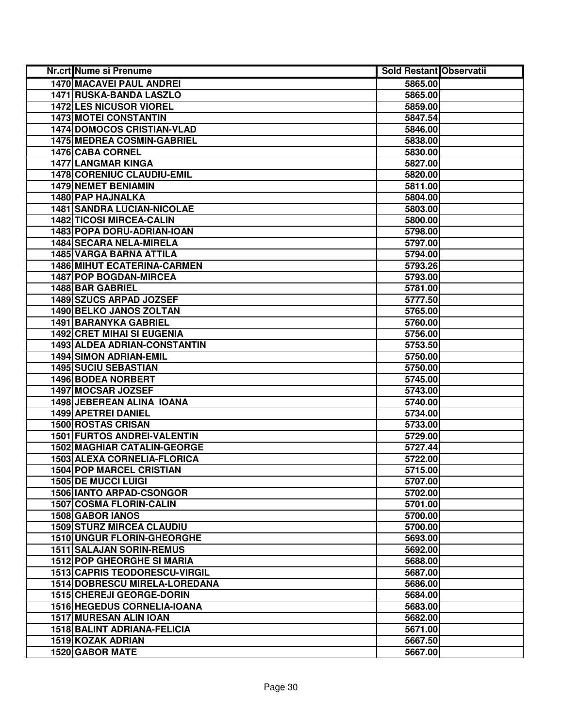| <b>Nr.crt Nume si Prenume</b>        | <b>Sold Restant Observatii</b> |  |
|--------------------------------------|--------------------------------|--|
| 1470 MACAVEI PAUL ANDREI             | 5865.00                        |  |
| 1471 RUSKA-BANDA LASZLO              | 5865.00                        |  |
| 1472 LES NICUSOR VIOREL              | 5859.00                        |  |
| 1473 MOTEI CONSTANTIN                | 5847.54                        |  |
| 1474 DOMOCOS CRISTIAN-VLAD           | 5846.00                        |  |
| <b>1475 MEDREA COSMIN-GABRIEL</b>    | 5838.00                        |  |
| 1476 CABA CORNEL                     | 5830.00                        |  |
| <b>1477 LANGMAR KINGA</b>            | 5827.00                        |  |
| <b>1478 CORENIUC CLAUDIU-EMIL</b>    | 5820.00                        |  |
| <b>1479 NEMET BENIAMIN</b>           | 5811.00                        |  |
| 1480 PAP HAJNALKA                    | 5804.00                        |  |
| <b>1481 SANDRA LUCIAN-NICOLAE</b>    | 5803.00                        |  |
| <b>1482 TICOSI MIRCEA-CALIN</b>      | 5800.00                        |  |
| 1483 POPA DORU-ADRIAN-IOAN           | 5798.00                        |  |
| 1484 SECARA NELA-MIRELA              | 5797.00                        |  |
| 1485 VARGA BARNA ATTILA              | 5794.00                        |  |
| <b>1486 MIHUT ECATERINA-CARMEN</b>   | 5793.26                        |  |
| 1487 POP BOGDAN-MIRCEA               | 5793.00                        |  |
| 1488 BAR GABRIEL                     | 5781.00                        |  |
| 1489 SZUCS ARPAD JOZSEF              | 5777.50                        |  |
| <b>1490 BELKO JANOS ZOLTAN</b>       | 5765.00                        |  |
| 1491 BARANYKA GABRIEL                | 5760.00                        |  |
| <b>1492 CRET MIHAI SI EUGENIA</b>    | 5756.00                        |  |
| 1493 ALDEA ADRIAN-CONSTANTIN         | 5753.50                        |  |
| <b>1494 SIMON ADRIAN-EMIL</b>        | 5750.00                        |  |
| 1495 SUCIU SEBASTIAN                 | 5750.00                        |  |
| 1496 BODEA NORBERT                   | 5745.00                        |  |
| 1497 MOCSAR JOZSEF                   | 5743.00                        |  |
| 1498 JEBEREAN ALINA IOANA            | 5740.00                        |  |
| 1499 APETREI DANIEL                  | 5734.00                        |  |
| <b>1500 ROSTAS CRISAN</b>            | 5733.00                        |  |
| 1501 FURTOS ANDREI-VALENTIN          | 5729.00                        |  |
| <b>1502 MAGHIAR CATALIN-GEORGE</b>   | 5727.44                        |  |
| 1503 ALEXA CORNELIA-FLORICA          | 5722.00                        |  |
| <b>1504 POP MARCEL CRISTIAN</b>      | 5715.00                        |  |
| <b>1505 DE MUCCI LUIGI</b>           | 5707.00                        |  |
| <b>1506 IANTO ARPAD-CSONGOR</b>      | 5702.00                        |  |
| <b>1507 COSMA FLORIN-CALIN</b>       | 5701.00                        |  |
| <b>1508 GABOR IANOS</b>              | 5700.00                        |  |
| <b>1509 STURZ MIRCEA CLAUDIU</b>     | 5700.00                        |  |
| 1510 UNGUR FLORIN-GHEORGHE           | 5693.00                        |  |
| <b>1511 SALAJAN SORIN-REMUS</b>      | 5692.00                        |  |
| <b>1512 POP GHEORGHE SI MARIA</b>    | 5688.00                        |  |
| <b>1513 CAPRIS TEODORESCU-VIRGIL</b> | 5687.00                        |  |
| <b>1514 DOBRESCU MIRELA-LOREDANA</b> | 5686.00                        |  |
| 1515 CHEREJI GEORGE-DORIN            | 5684.00                        |  |
| 1516 HEGEDUS CORNELIA-IOANA          | 5683.00                        |  |
| 1517 MURESAN ALIN IOAN               | 5682.00                        |  |
| <b>1518 BALINT ADRIANA-FELICIA</b>   | 5671.00                        |  |
| 1519 KOZAK ADRIAN                    | 5667.50                        |  |
| 1520 GABOR MATE                      | 5667.00                        |  |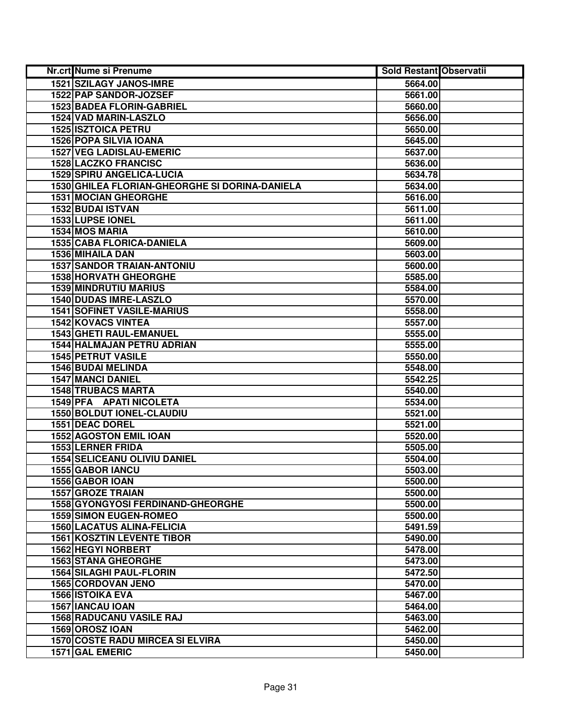| Nr.crt Nume si Prenume                         | <b>Sold Restant Observatii</b> |  |
|------------------------------------------------|--------------------------------|--|
| 1521 SZILAGY JANOS-IMRE                        | 5664.00                        |  |
| 1522 PAP SANDOR-JOZSEF                         | 5661.00                        |  |
| <b>1523 BADEA FLORIN-GABRIEL</b>               | 5660.00                        |  |
| 1524 VAD MARIN-LASZLO                          | 5656.00                        |  |
| <b>1525 ISZTOICA PETRU</b>                     | 5650.00                        |  |
| 1526 POPA SILVIA IOANA                         | 5645.00                        |  |
| <b>1527 VEG LADISLAU-EMERIC</b>                | 5637.00                        |  |
| <b>1528 LACZKO FRANCISC</b>                    | 5636.00                        |  |
| <b>1529 SPIRU ANGELICA-LUCIA</b>               | 5634.78                        |  |
| 1530 GHILEA FLORIAN-GHEORGHE SI DORINA-DANIELA | 5634.00                        |  |
| <b>1531 MOCIAN GHEORGHE</b>                    | 5616.00                        |  |
| <b>1532 BUDAI ISTVAN</b>                       | 5611.00                        |  |
| 1533 LUPSE IONEL                               | 5611.00                        |  |
| 1534 MOS MARIA                                 | 5610.00                        |  |
| 1535 CABA FLORICA-DANIELA                      | 5609.00                        |  |
| 1536 MIHAILA DAN                               | 5603.00                        |  |
| <b>1537 SANDOR TRAIAN-ANTONIU</b>              | 5600.00                        |  |
| 1538 HORVATH GHEORGHE                          | 5585.00                        |  |
| 1539 MINDRUTIU MARIUS                          | 5584.00                        |  |
| 1540 DUDAS IMRE-LASZLO                         | 5570.00                        |  |
| <b>1541 SOFINET VASILE-MARIUS</b>              | 5558.00                        |  |
| <b>1542 KOVACS VINTEA</b>                      | 5557.00                        |  |
| <b>1543 GHETI RAUL-EMANUEL</b>                 | 5555.00                        |  |
| 1544 HALMAJAN PETRU ADRIAN                     | 5555.00                        |  |
| 1545 PETRUT VASILE                             | 5550.00                        |  |
| 1546 BUDAI MELINDA                             | 5548.00                        |  |
| <b>1547 MANCI DANIEL</b>                       | 5542.25                        |  |
| <b>1548 TRUBACS MARTA</b>                      | 5540.00                        |  |
| 1549 PFA APATI NICOLETA                        | 5534.00                        |  |
| 1550 BOLDUT IONEL-CLAUDIU                      | 5521.00                        |  |
| 1551 DEAC DOREL                                | 5521.00                        |  |
| <b>1552 AGOSTON EMIL IOAN</b>                  | 5520.00                        |  |
| 1553 LERNER FRIDA                              | 5505.00                        |  |
| <b>1554 SELICEANU OLIVIU DANIEL</b>            | 5504.00                        |  |
| <b>1555 GABOR IANCU</b>                        | 5503.00                        |  |
| 1556 GABOR IOAN                                | 5500.00                        |  |
| <b>1557 GROZE TRAIAN</b>                       | 5500.00                        |  |
| <b>1558 GYONGYOSI FERDINAND-GHEORGHE</b>       | 5500.00                        |  |
| <b>1559 SIMON EUGEN-ROMEO</b>                  | 5500.00                        |  |
| 1560 LACATUS ALINA-FELICIA                     | 5491.59                        |  |
| <b>1561 KOSZTIN LEVENTE TIBOR</b>              | 5490.00                        |  |
| <b>1562 HEGYI NORBERT</b>                      | 5478.00                        |  |
| <b>1563 STANA GHEORGHE</b>                     | 5473.00                        |  |
| 1564 SILAGHI PAUL-FLORIN                       | 5472.50                        |  |
| <b>1565 CORDOVAN JENO</b>                      | 5470.00                        |  |
| <b>1566 ISTOIKA EVA</b>                        | 5467.00                        |  |
| 1567 IANCAU IOAN                               | 5464.00                        |  |
| <b>1568 RADUCANU VASILE RAJ</b>                | 5463.00                        |  |
| 1569 OROSZ IOAN                                | 5462.00                        |  |
| <b>1570 COSTE RADU MIRCEA SI ELVIRA</b>        | 5450.00                        |  |
| 1571 GAL EMERIC                                | 5450.00                        |  |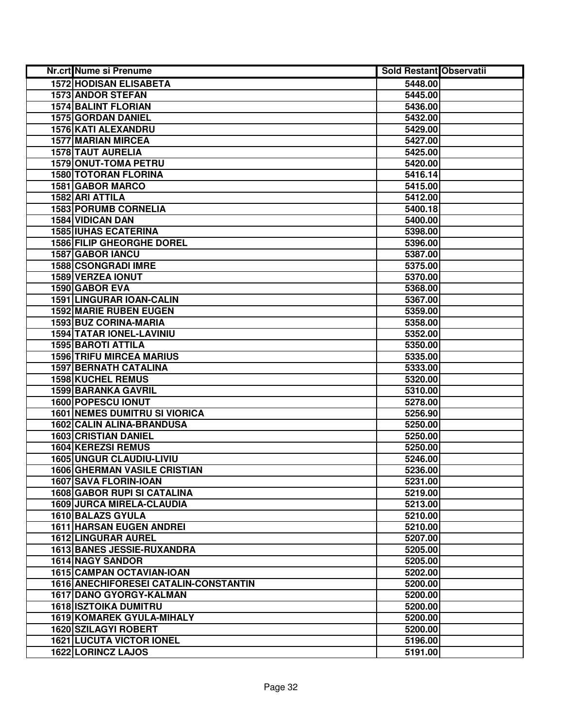| Nr.crt Nume si Prenume                | <b>Sold Restant Observatii</b> |  |
|---------------------------------------|--------------------------------|--|
| <b>1572 HODISAN ELISABETA</b>         | 5448.00                        |  |
| <b>1573 ANDOR STEFAN</b>              | 5445.00                        |  |
| <b>1574 BALINT FLORIAN</b>            | 5436.00                        |  |
| <b>1575 GORDAN DANIEL</b>             | 5432.00                        |  |
| 1576 KATI ALEXANDRU                   | 5429.00                        |  |
| 1577 MARIAN MIRCEA                    | 5427.00                        |  |
| <b>1578 TAUT AURELIA</b>              | 5425.00                        |  |
| <b>1579 ONUT-TOMA PETRU</b>           | 5420.00                        |  |
| <b>1580 TOTORAN FLORINA</b>           | 5416.14                        |  |
| <b>1581 GABOR MARCO</b>               | 5415.00                        |  |
| 1582 ARI ATTILA                       | 5412.00                        |  |
| <b>1583 PORUMB CORNELIA</b>           | 5400.18                        |  |
| 1584 VIDICAN DAN                      | 5400.00                        |  |
| <b>1585 IUHAS ECATERINA</b>           | 5398.00                        |  |
| <b>1586 FILIP GHEORGHE DOREL</b>      | 5396.00                        |  |
| 1587 GABOR IANCU                      | 5387.00                        |  |
| 1588 CSONGRADI IMRE                   | 5375.00                        |  |
| <b>1589 VERZEA IONUT</b>              | 5370.00                        |  |
| <b>1590 GABOR EVA</b>                 | 5368.00                        |  |
| 1591 LINGURAR IOAN-CALIN              | 5367.00                        |  |
| <b>1592 MARIE RUBEN EUGEN</b>         | 5359.00                        |  |
| 1593 BUZ CORINA-MARIA                 | 5358.00                        |  |
| 1594 TATAR IONEL-LAVINIU              | 5352.00                        |  |
| <b>1595 BAROTI ATTILA</b>             | 5350.00                        |  |
| <b>1596 TRIFU MIRCEA MARIUS</b>       | 5335.00                        |  |
| <b>1597 BERNATH CATALINA</b>          | 5333.00                        |  |
| <b>1598 KUCHEL REMUS</b>              | 5320.00                        |  |
| <b>1599 BARANKA GAVRIL</b>            | 5310.00                        |  |
| 1600 POPESCU IONUT                    | 5278.00                        |  |
| <b>1601 NEMES DUMITRU SI VIORICA</b>  | 5256.90                        |  |
| <b>1602 CALIN ALINA-BRANDUSA</b>      | 5250.00                        |  |
| <b>1603 CRISTIAN DANIEL</b>           | 5250.00                        |  |
| 1604 KEREZSI REMUS                    | 5250.00                        |  |
| <b>1605 UNGUR CLAUDIU-LIVIU</b>       | 5246.00                        |  |
| <b>1606 GHERMAN VASILE CRISTIAN</b>   | 5236.00                        |  |
| 1607 SAVA FLORIN-IOAN                 | 5231.00                        |  |
| <b>1608 GABOR RUPI SI CATALINA</b>    | 5219.00                        |  |
| <b>1609 JURCA MIRELA-CLAUDIA</b>      | 5213.00                        |  |
| 1610 BALAZS GYULA                     | 5210.00                        |  |
| <b>1611 HARSAN EUGEN ANDREI</b>       | 5210.00                        |  |
| 1612 LINGURAR AUREL                   | 5207.00                        |  |
| <b>1613 BANES JESSIE-RUXANDRA</b>     | 5205.00                        |  |
| <b>1614 NAGY SANDOR</b>               | 5205.00                        |  |
| <b>1615 CAMPAN OCTAVIAN-IOAN</b>      | 5202.00                        |  |
| 1616 ANECHIFORESEI CATALIN-CONSTANTIN | 5200.00                        |  |
| 1617 DANO GYORGY-KALMAN               | 5200.00                        |  |
| <b>1618 ISZTOIKA DUMITRU</b>          | 5200.00                        |  |
| 1619 KOMAREK GYULA-MIHALY             | 5200.00                        |  |
| <b>1620 SZILAGYI ROBERT</b>           | 5200.00                        |  |
| <b>1621 LUCUTA VICTOR IONEL</b>       | 5196.00                        |  |
| 1622 LORINCZ LAJOS                    | 5191.00                        |  |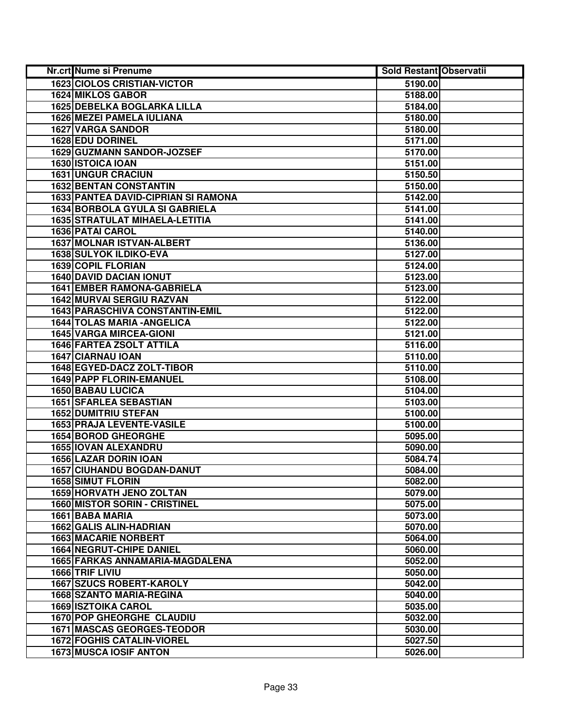| Nr.crt Nume si Prenume                     | <b>Sold Restant Observatii</b> |  |
|--------------------------------------------|--------------------------------|--|
| <b>1623 CIOLOS CRISTIAN-VICTOR</b>         | 5190.00                        |  |
| <b>1624 MIKLOS GABOR</b>                   | 5188.00                        |  |
| 1625 DEBELKA BOGLARKA LILLA                | 5184.00                        |  |
| 1626 MEZEI PAMELA IULIANA                  | 5180.00                        |  |
| <b>1627 VARGA SANDOR</b>                   | 5180.00                        |  |
| 1628 EDU DORINEL                           | 5171.00                        |  |
| 1629 GUZMANN SANDOR-JOZSEF                 | 5170.00                        |  |
| 1630 ISTOICA IOAN                          | 5151.00                        |  |
| <b>1631 UNGUR CRACIUN</b>                  | 5150.50                        |  |
| <b>1632 BENTAN CONSTANTIN</b>              | 5150.00                        |  |
| <b>1633 PANTEA DAVID-CIPRIAN SI RAMONA</b> | 5142.00                        |  |
| <b>1634 BORBOLA GYULA SI GABRIELA</b>      | 5141.00                        |  |
| <b>1635 STRATULAT MIHAELA-LETITIA</b>      | 5141.00                        |  |
| 1636 PATAI CAROL                           | 5140.00                        |  |
| 1637 MOLNAR ISTVAN-ALBERT                  | 5136.00                        |  |
| 1638 SULYOK ILDIKO-EVA                     | 5127.00                        |  |
| 1639 COPIL FLORIAN                         | 5124.00                        |  |
| <b>1640 DAVID DACIAN IONUT</b>             | 5123.00                        |  |
| <b>1641 EMBER RAMONA-GABRIELA</b>          | 5123.00                        |  |
| <b>1642 MURVAI SERGIU RAZVAN</b>           | 5122.00                        |  |
| 1643 PARASCHIVA CONSTANTIN-EMIL            | 5122.00                        |  |
| 1644 TOLAS MARIA - ANGELICA                | 5122.00                        |  |
| <b>1645 VARGA MIRCEA-GIONI</b>             | 5121.00                        |  |
| <b>1646 FARTEA ZSOLT ATTILA</b>            | 5116.00                        |  |
| 1647 CIARNAU IOAN                          | 5110.00                        |  |
| 1648 EGYED-DACZ ZOLT-TIBOR                 | 5110.00                        |  |
| 1649 PAPP FLORIN-EMANUEL                   | 5108.00                        |  |
| <b>1650 BABAU LUCICA</b>                   | 5104.00                        |  |
| 1651 SFARLEA SEBASTIAN                     | 5103.00                        |  |
| <b>1652 DUMITRIU STEFAN</b>                | 5100.00                        |  |
| 1653 PRAJA LEVENTE-VASILE                  | 5100.00                        |  |
| 1654 BOROD GHEORGHE                        | 5095.00                        |  |
| 1655 IOVAN ALEXANDRU                       | 5090.00                        |  |
| <b>1656 LAZAR DORIN IOAN</b>               | 5084.74                        |  |
| <b>1657 CIUHANDU BOGDAN-DANUT</b>          | 5084.00                        |  |
| <b>1658 SIMUT FLORIN</b>                   | 5082.00                        |  |
| <b>1659 HORVATH JENO ZOLTAN</b>            | 5079.00                        |  |
| <b>1660 MISTOR SORIN - CRISTINEL</b>       | 5075.00                        |  |
| 1661 BABA MARIA                            | 5073.00                        |  |
| 1662 GALIS ALIN-HADRIAN                    | 5070.00                        |  |
| <b>1663 MACARIE NORBERT</b>                | 5064.00                        |  |
| 1664 NEGRUT-CHIPE DANIEL                   | 5060.00                        |  |
| 1665 FARKAS ANNAMARIA-MAGDALENA            | 5052.00                        |  |
| 1666 TRIF LIVIU                            | 5050.00                        |  |
| <b>1667 SZUCS ROBERT-KAROLY</b>            | 5042.00                        |  |
| <b>1668 SZANTO MARIA-REGINA</b>            | 5040.00                        |  |
| <b>1669 ISZTOIKA CAROL</b>                 | 5035.00                        |  |
| 1670 POP GHEORGHE CLAUDIU                  | 5032.00                        |  |
| <b>1671 MASCAS GEORGES-TEODOR</b>          | 5030.00                        |  |
| <b>1672 FOGHIS CATALIN-VIOREL</b>          | 5027.50                        |  |
| 1673 MUSCA IOSIF ANTON                     | 5026.00                        |  |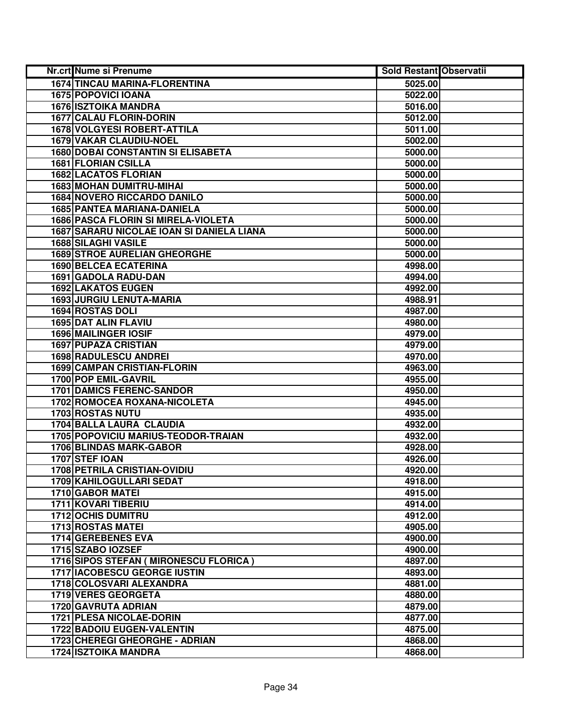| <b>Nr.crt Nume si Prenume</b>              | <b>Sold Restant Observatii</b> |  |
|--------------------------------------------|--------------------------------|--|
| <b>1674 TINCAU MARINA-FLORENTINA</b>       | 5025.00                        |  |
| 1675 POPOVICI IOANA                        | 5022.00                        |  |
| <b>1676 ISZTOIKA MANDRA</b>                | 5016.00                        |  |
| 1677 CALAU FLORIN-DORIN                    | 5012.00                        |  |
| <b>1678 VOLGYESI ROBERT-ATTILA</b>         | 5011.00                        |  |
| <b>1679 VAKAR CLAUDIU-NOEL</b>             | 5002.00                        |  |
| <b>1680 DOBAI CONSTANTIN SI ELISABETA</b>  | 5000.00                        |  |
| 1681 FLORIAN CSILLA                        | 5000.00                        |  |
| <b>1682 LACATOS FLORIAN</b>                | 5000.00                        |  |
| <b>1683 MOHAN DUMITRU-MIHAI</b>            | 5000.00                        |  |
| <b>1684 NOVERO RICCARDO DANILO</b>         | 5000.00                        |  |
| 1685 PANTEA MARIANA-DANIELA                | 5000.00                        |  |
| <b>1686 PASCA FLORIN SI MIRELA-VIOLETA</b> | 5000.00                        |  |
| 1687 SARARU NICOLAE IOAN SI DANIELA LIANA  | 5000.00                        |  |
| <b>1688 SILAGHI VASILE</b>                 | 5000.00                        |  |
| <b>1689 STROE AURELIAN GHEORGHE</b>        | 5000.00                        |  |
| <b>1690 BELCEA ECATERINA</b>               | 4998.00                        |  |
| 1691 GADOLA RADU-DAN                       | 4994.00                        |  |
| 1692 LAKATOS EUGEN                         | 4992.00                        |  |
| 1693 JURGIU LENUTA-MARIA                   | 4988.91                        |  |
| 1694 ROSTAS DOLI                           | 4987.00                        |  |
| 1695 DAT ALIN FLAVIU                       | 4980.00                        |  |
| <b>1696 MAILINGER IOSIF</b>                | 4979.00                        |  |
| <b>1697 PUPAZA CRISTIAN</b>                | 4979.00                        |  |
| 1698 RADULESCU ANDREI                      | 4970.00                        |  |
| 1699 CAMPAN CRISTIAN-FLORIN                | 4963.00                        |  |
| 1700 POP EMIL-GAVRIL                       | 4955.00                        |  |
| <b>1701 DAMICS FERENC-SANDOR</b>           | 4950.00                        |  |
| 1702 ROMOCEA ROXANA-NICOLETA               | 4945.00                        |  |
| 1703 ROSTAS NUTU                           | 4935.00                        |  |
| 1704 BALLA LAURA CLAUDIA                   | 4932.00                        |  |
| 1705 POPOVICIU MARIUS-TEODOR-TRAIAN        | 4932.00                        |  |
| <b>1706 BLINDAS MARK-GABOR</b>             | 4928.00                        |  |
| 1707 STEF IOAN                             | 4926.00                        |  |
| <b>1708 PETRILA CRISTIAN-OVIDIU</b>        | 4920.00                        |  |
| 1709 KAHILOGULLARI SEDAT                   | 4918.00                        |  |
| <b>1710 GABOR MATEI</b>                    | 4915.00                        |  |
| <b>1711 KOVARI TIBERIU</b>                 | 4914.00                        |  |
| <b>1712 OCHIS DUMITRU</b>                  | 4912.00                        |  |
| <b>1713 ROSTAS MATEI</b>                   | 4905.00                        |  |
| 1714 GEREBENES EVA                         | 4900.00                        |  |
| 1715 SZABO IOZSEF                          | 4900.00                        |  |
| 1716 SIPOS STEFAN ( MIRONESCU FLORICA )    | 4897.00                        |  |
| 1717 IACOBESCU GEORGE IUSTIN               | 4893.00                        |  |
| 1718 COLOSVARI ALEXANDRA                   | 4881.00                        |  |
| 1719 VERES GEORGETA                        | 4880.00                        |  |
| 1720 GAVRUTA ADRIAN                        | 4879.00                        |  |
| 1721 PLESA NICOLAE-DORIN                   | 4877.00                        |  |
| 1722 BADOIU EUGEN-VALENTIN                 | 4875.00                        |  |
| 1723 CHEREGI GHEORGHE - ADRIAN             | 4868.00                        |  |
| <b>1724 ISZTOIKA MANDRA</b>                | 4868.00                        |  |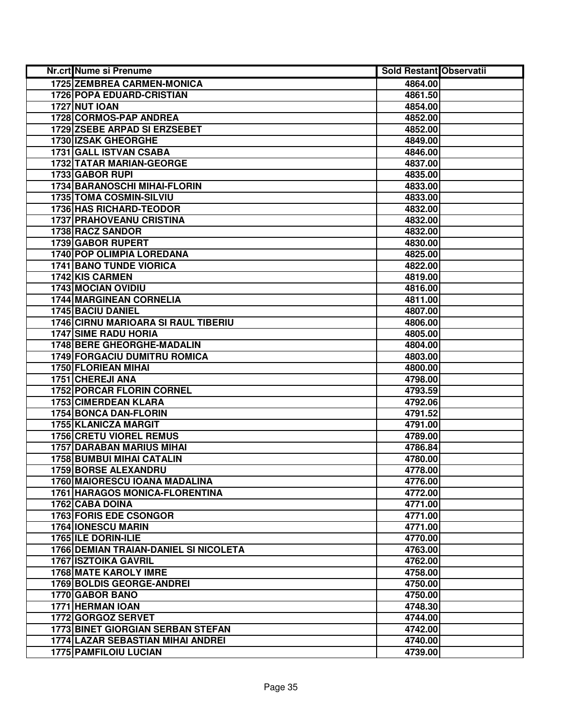| <b>Nr.crt Nume si Prenume</b>              | <b>Sold Restant Observatii</b> |  |
|--------------------------------------------|--------------------------------|--|
| 1725 ZEMBREA CARMEN-MONICA                 | 4864.00                        |  |
| <b>1726 POPA EDUARD-CRISTIAN</b>           | 4861.50                        |  |
| <b>1727 NUT IOAN</b>                       | 4854.00                        |  |
| 1728 CORMOS-PAP ANDREA                     | 4852.00                        |  |
| 1729 ZSEBE ARPAD SI ERZSEBET               | 4852.00                        |  |
| 1730 IZSAK GHEORGHE                        | 4849.00                        |  |
| 1731 GALL ISTVAN CSABA                     | 4846.00                        |  |
| <b>1732 TATAR MARIAN-GEORGE</b>            | 4837.00                        |  |
| 1733 GABOR RUPI                            | 4835.00                        |  |
| 1734 BARANOSCHI MIHAI-FLORIN               | 4833.00                        |  |
| 1735 TOMA COSMIN-SILVIU                    | 4833.00                        |  |
| <b>1736 HAS RICHARD-TEODOR</b>             | 4832.00                        |  |
| <b>1737 PRAHOVEANU CRISTINA</b>            | 4832.00                        |  |
| 1738 RACZ SANDOR                           | 4832.00                        |  |
| 1739 GABOR RUPERT                          | 4830.00                        |  |
| 1740 POP OLIMPIA LOREDANA                  | 4825.00                        |  |
| <b>1741 BANO TUNDE VIORICA</b>             | 4822.00                        |  |
| 1742 KIS CARMEN                            | 4819.00                        |  |
| 1743 MOCIAN OVIDIU                         | 4816.00                        |  |
| <b>1744 MARGINEAN CORNELIA</b>             | 4811.00                        |  |
| 1745 BACIU DANIEL                          | 4807.00                        |  |
| <b>1746 CIRNU MARIOARA SI RAUL TIBERIU</b> | 4806.00                        |  |
| <b>1747 SIME RADU HORIA</b>                | 4805.00                        |  |
| 1748 BERE GHEORGHE-MADALIN                 | 4804.00                        |  |
| <b>1749 FORGACIU DUMITRU ROMICA</b>        | 4803.00                        |  |
| 1750 FLORIEAN MIHAI                        | 4800.00                        |  |
| 1751 CHEREJI ANA                           | 4798.00                        |  |
| <b>1752 PORCAR FLORIN CORNEL</b>           | 4793.59                        |  |
| <b>1753 CIMERDEAN KLARA</b>                | 4792.06                        |  |
| 1754 BONCA DAN-FLORIN                      | 4791.52                        |  |
| 1755 KLANICZA MARGIT                       | 4791.00                        |  |
| <b>1756 CRETU VIOREL REMUS</b>             | 4789.00                        |  |
| <b>1757 DARABAN MARIUS MIHAI</b>           | 4786.84                        |  |
| <b>1758 BUMBUI MIHAI CATALIN</b>           | 4780.00                        |  |
| <b>1759 BORSE ALEXANDRU</b>                | 4778.00                        |  |
| 1760 MAIORESCU IOANA MADALINA              | 4776.00                        |  |
| <b>1761 HARAGOS MONICA-FLORENTINA</b>      | 4772.00                        |  |
| 1762 CABA DOINA                            | 4771.00                        |  |
| <b>1763 FORIS EDE CSONGOR</b>              | 4771.00                        |  |
| 1764 IONESCU MARIN                         | 4771.00                        |  |
| <b>1765 ILE DORIN-ILIE</b>                 | 4770.00                        |  |
| 1766 DEMIAN TRAIAN-DANIEL SI NICOLETA      | 4763.00                        |  |
| <b>1767 ISZTOIKA GAVRIL</b>                | 4762.00                        |  |
| <b>1768 MATE KAROLY IMRE</b>               | 4758.00                        |  |
| <b>1769 BOLDIS GEORGE-ANDREI</b>           | 4750.00                        |  |
| 1770 GABOR BANO                            | 4750.00                        |  |
| 1771 HERMAN IOAN                           | 4748.30                        |  |
| 1772 GORGOZ SERVET                         | 4744.00                        |  |
| <b>1773 BINET GIORGIAN SERBAN STEFAN</b>   | 4742.00                        |  |
| 1774 LAZAR SEBASTIAN MIHAI ANDREI          | 4740.00                        |  |
| 1775 PAMFILOIU LUCIAN                      | 4739.00                        |  |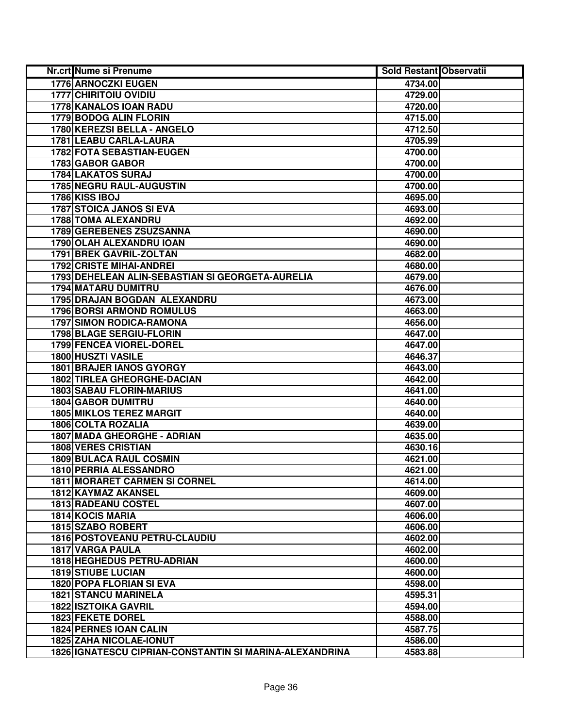| <b>Nr.crt Nume si Prenume</b>                           | <b>Sold Restant Observatii</b> |  |
|---------------------------------------------------------|--------------------------------|--|
| 1776 ARNOCZKI EUGEN                                     | 4734.00                        |  |
| <b>1777 CHIRITOIU OVIDIU</b>                            | 4729.00                        |  |
| 1778 KANALOS IOAN RADU                                  | 4720.00                        |  |
| 1779 BODOG ALIN FLORIN                                  | 4715.00                        |  |
| 1780 KEREZSI BELLA - ANGELO                             | 4712.50                        |  |
| 1781 LEABU CARLA-LAURA                                  | 4705.99                        |  |
| 1782 FOTA SEBASTIAN-EUGEN                               | 4700.00                        |  |
| 1783 GABOR GABOR                                        | 4700.00                        |  |
| <b>1784 LAKATOS SURAJ</b>                               | 4700.00                        |  |
| <b>1785 NEGRU RAUL-AUGUSTIN</b>                         | 4700.00                        |  |
| 1786 KISS IBOJ                                          | 4695.00                        |  |
| <b>1787 STOICA JANOS SI EVA</b>                         | 4693.00                        |  |
| 1788 TOMA ALEXANDRU                                     | 4692.00                        |  |
| 1789 GEREBENES ZSUZSANNA                                | 4690.00                        |  |
| 1790 OLAH ALEXANDRU IOAN                                | 4690.00                        |  |
| 1791 BREK GAVRIL-ZOLTAN                                 | 4682.00                        |  |
| <b>1792 CRISTE MIHAI-ANDREI</b>                         | 4680.00                        |  |
| 1793 DEHELEAN ALIN-SEBASTIAN SI GEORGETA-AURELIA        | 4679.00                        |  |
| <b>1794 MATARU DUMITRU</b>                              | 4676.00                        |  |
| 1795 DRAJAN BOGDAN ALEXANDRU                            | 4673.00                        |  |
| <b>1796 BORSI ARMOND ROMULUS</b>                        | 4663.00                        |  |
| <b>1797 SIMON RODICA-RAMONA</b>                         | 4656.00                        |  |
| 1798 BLAGE SERGIU-FLORIN                                | 4647.00                        |  |
| 1799 FENCEA VIOREL-DOREL                                | 4647.00                        |  |
| 1800 HUSZTI VASILE                                      | 4646.37                        |  |
| <b>1801 BRAJER IANOS GYORGY</b>                         | 4643.00                        |  |
| 1802 TIRLEA GHEORGHE-DACIAN                             | 4642.00                        |  |
| <b>1803 SABAU FLORIN-MARIUS</b>                         | 4641.00                        |  |
| <b>1804 GABOR DUMITRU</b>                               | 4640.00                        |  |
| <b>1805 MIKLOS TEREZ MARGIT</b>                         | 4640.00                        |  |
| <b>1806 COLTA ROZALIA</b>                               | 4639.00                        |  |
| 1807 MADA GHEORGHE - ADRIAN                             | 4635.00                        |  |
| <b>1808 VERES CRISTIAN</b>                              | 4630.16                        |  |
| <b>1809 BULACA RAUL COSMIN</b>                          | 4621.00                        |  |
| 1810 PERRIA ALESSANDRO                                  | 4621.00                        |  |
| 1811 MORARET CARMEN SI CORNEL                           | 4614.00                        |  |
| 1812 KAYMAZ AKANSEL                                     | 4609.00                        |  |
| 1813 RADEANU COSTEL                                     | 4607.00                        |  |
| <b>1814 KOCIS MARIA</b>                                 | 4606.00                        |  |
| 1815 SZABO ROBERT                                       | 4606.00                        |  |
| 1816 POSTOVEANU PETRU-CLAUDIU                           | 4602.00                        |  |
| 1817 VARGA PAULA                                        | 4602.00                        |  |
| 1818 HEGHEDUS PETRU-ADRIAN                              | 4600.00                        |  |
| <b>1819 STIUBE LUCIAN</b>                               | 4600.00                        |  |
| 1820 POPA FLORIAN SI EVA                                | 4598.00                        |  |
| <b>1821 STANCU MARINELA</b>                             | 4595.31                        |  |
| <b>1822 ISZTOIKA GAVRIL</b>                             | 4594.00                        |  |
| 1823 FEKETE DOREL                                       | 4588.00                        |  |
| <b>1824 PERNES IOAN CALIN</b>                           | 4587.75                        |  |
| 1825 ZAHA NICOLAE-IONUT                                 | 4586.00                        |  |
| 1826 IGNATESCU CIPRIAN-CONSTANTIN SI MARINA-ALEXANDRINA | 4583.88                        |  |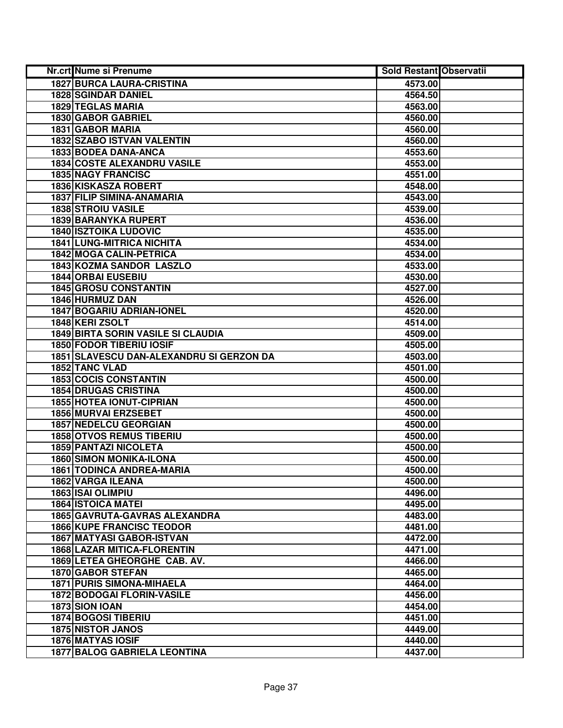| Nr.crt Nume si Prenume                    | <b>Sold Restant Observatii</b> |  |
|-------------------------------------------|--------------------------------|--|
| <b>1827 BURCA LAURA-CRISTINA</b>          | 4573.00                        |  |
| <b>1828 SGINDAR DANIEL</b>                | 4564.50                        |  |
| 1829 TEGLAS MARIA                         | 4563.00                        |  |
| 1830 GABOR GABRIEL                        | 4560.00                        |  |
| 1831 GABOR MARIA                          | 4560.00                        |  |
| 1832 SZABO ISTVAN VALENTIN                | 4560.00                        |  |
| 1833 BODEA DANA-ANCA                      | 4553.60                        |  |
| <b>1834 COSTE ALEXANDRU VASILE</b>        | 4553.00                        |  |
| <b>1835 NAGY FRANCISC</b>                 | 4551.00                        |  |
| 1836 KISKASZA ROBERT                      | 4548.00                        |  |
| 1837 FILIP SIMINA-ANAMARIA                | 4543.00                        |  |
| <b>1838 STROIU VASILE</b>                 | 4539.00                        |  |
| 1839 BARANYKA RUPERT                      | 4536.00                        |  |
| <b>1840 ISZTOIKA LUDOVIC</b>              | 4535.00                        |  |
| <b>1841 LUNG-MITRICA NICHITA</b>          | 4534.00                        |  |
| 1842 MOGA CALIN-PETRICA                   | 4534.00                        |  |
| <b>1843 KOZMA SANDOR LASZLO</b>           | 4533.00                        |  |
| <b>1844 ORBAI EUSEBIU</b>                 | 4530.00                        |  |
| 1845 GROSU CONSTANTIN                     | 4527.00                        |  |
| 1846 HURMUZ DAN                           | 4526.00                        |  |
| <b>1847 BOGARIU ADRIAN-IONEL</b>          | 4520.00                        |  |
| 1848 KERI ZSOLT                           | 4514.00                        |  |
| <b>1849 BIRTA SORIN VASILE SI CLAUDIA</b> | 4509.00                        |  |
| <b>1850 FODOR TIBERIU IOSIF</b>           | 4505.00                        |  |
| 1851 SLAVESCU DAN-ALEXANDRU SI GERZON DA  | 4503.00                        |  |
| 1852 TANC VLAD                            | 4501.00                        |  |
| <b>1853 COCIS CONSTANTIN</b>              | 4500.00                        |  |
| <b>1854 DRUGAS CRISTINA</b>               | 4500.00                        |  |
| <b>1855 HOTEA IONUT-CIPRIAN</b>           | 4500.00                        |  |
| 1856 MURVAI ERZSEBET                      | 4500.00                        |  |
| <b>1857 NEDELCU GEORGIAN</b>              | 4500.00                        |  |
| <b>1858 OTVOS REMUS TIBERIU</b>           | 4500.00                        |  |
| <b>1859 PANTAZI NICOLETA</b>              | 4500.00                        |  |
| <b>1860 SIMON MONIKA-ILONA</b>            | 4500.00                        |  |
| <b>1861 TODINCA ANDREA-MARIA</b>          | 4500.00                        |  |
| 1862 VARGA ILEANA                         | 4500.00                        |  |
| 1863 ISAI OLIMPIU                         | 4496.00                        |  |
| <b>1864 ISTOICA MATEL</b>                 | 4495.00                        |  |
| 1865 GAVRUTA-GAVRAS ALEXANDRA             | 4483.00                        |  |
| <b>1866 KUPE FRANCISC TEODOR</b>          | 4481.00                        |  |
| <b>1867 MATYASI GABOR-ISTVAN</b>          | 4472.00                        |  |
| <b>1868 LAZAR MITICA-FLORENTIN</b>        | 4471.00                        |  |
| 1869 LETEA GHEORGHE CAB. AV.              | 4466.00                        |  |
| 1870 GABOR STEFAN                         | 4465.00                        |  |
| <b>1871 PURIS SIMONA-MIHAELA</b>          | 4464.00                        |  |
| <b>1872 BODOGAI FLORIN-VASILE</b>         | 4456.00                        |  |
| 1873 SION IOAN                            | 4454.00                        |  |
| <b>1874 BOGOSI TIBERIU</b>                | 4451.00                        |  |
| <b>1875 NISTOR JANOS</b>                  | 4449.00                        |  |
| <b>1876 MATYAS IOSIF</b>                  | 4440.00                        |  |
| <b>1877 BALOG GABRIELA LEONTINA</b>       | 4437.00                        |  |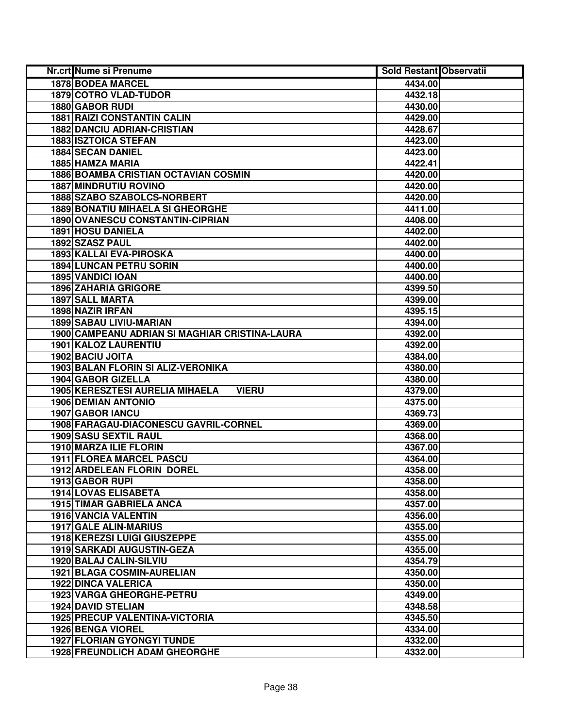| Nr.crt Nume si Prenume                          | <b>Sold Restant Observatii</b> |  |
|-------------------------------------------------|--------------------------------|--|
| 1878 BODEA MARCEL                               | 4434.00                        |  |
| 1879 COTRO VLAD-TUDOR                           | 4432.18                        |  |
| 1880 GABOR RUDI                                 | 4430.00                        |  |
| <b>1881 RAIZI CONSTANTIN CALIN</b>              | 4429.00                        |  |
| <b>1882 DANCIU ADRIAN-CRISTIAN</b>              | 4428.67                        |  |
| 1883 ISZTOICA STEFAN                            | 4423.00                        |  |
| <b>1884 SECAN DANIEL</b>                        | 4423.00                        |  |
| 1885 HAMZA MARIA                                | 4422.41                        |  |
| <b>1886 BOAMBA CRISTIAN OCTAVIAN COSMIN</b>     | 4420.00                        |  |
| <b>1887 MINDRUTIU ROVINO</b>                    | 4420.00                        |  |
| 1888 SZABO SZABOLCS-NORBERT                     | 4420.00                        |  |
| <b>1889 BONATIU MIHAELA SI GHEORGHE</b>         | 4411.00                        |  |
| 1890 OVANESCU CONSTANTIN-CIPRIAN                | 4408.00                        |  |
| <b>1891 HOSU DANIELA</b>                        | 4402.00                        |  |
| 1892 SZASZ PAUL                                 | 4402.00                        |  |
| 1893 KALLAI EVA-PIROSKA                         | 4400.00                        |  |
| 1894 LUNCAN PETRU SORIN                         | 4400.00                        |  |
| 1895 VANDICI IOAN                               | 4400.00                        |  |
| <b>1896 ZAHARIA GRIGORE</b>                     | 4399.50                        |  |
| 1897 SALL MARTA                                 | 4399.00                        |  |
| 1898 NAZIR IRFAN                                | 4395.15                        |  |
| 1899 SABAU LIVIU-MARIAN                         | 4394.00                        |  |
| 1900 CAMPEANU ADRIAN SI MAGHIAR CRISTINA-LAURA  | 4392.00                        |  |
| 1901 KALOZ LAURENTIU                            | 4392.00                        |  |
| 1902 BACIU JOITA                                | 4384.00                        |  |
| 1903 BALAN FLORIN SI ALIZ-VERONIKA              | 4380.00                        |  |
| 1904 GABOR GIZELLA                              | 4380.00                        |  |
| 1905 KERESZTESI AURELIA MIHAELA<br><b>VIERU</b> | 4379.00                        |  |
| <b>1906 DEMIAN ANTONIO</b>                      | 4375.00                        |  |
| 1907 GABOR IANCU                                | 4369.73                        |  |
| 1908 FARAGAU-DIACONESCU GAVRIL-CORNEL           | 4369.00                        |  |
| 1909 SASU SEXTIL RAUL                           | 4368.00                        |  |
| 1910 MARZA ILIE FLORIN                          | 4367.00                        |  |
| 1911 FLOREA MARCEL PASCU                        | 4364.00                        |  |
| 1912 ARDELEAN FLORIN DOREL                      | 4358.00                        |  |
| 1913 GABOR RUPI                                 | 4358.00                        |  |
| <b>1914 LOVAS ELISABETA</b>                     | 4358.00                        |  |
| 1915 TIMAR GABRIELA ANCA                        | 4357.00                        |  |
| <b>1916 VANCIA VALENTIN</b>                     | 4356.00                        |  |
| 1917 GALE ALIN-MARIUS                           | 4355.00                        |  |
| <b>1918 KEREZSI LUIGI GIUSZEPPE</b>             | 4355.00                        |  |
| <b>1919 SARKADI AUGUSTIN-GEZA</b>               | 4355.00                        |  |
| 1920 BALAJ CALIN-SILVIU                         | 4354.79                        |  |
| 1921 BLAGA COSMIN-AURELIAN                      | 4350.00                        |  |
| <b>1922 DINCA VALERICA</b>                      | 4350.00                        |  |
| 1923 VARGA GHEORGHE-PETRU                       | 4349.00                        |  |
| <b>1924 DAVID STELIAN</b>                       | 4348.58                        |  |
| <b>1925 PRECUP VALENTINA-VICTORIA</b>           | 4345.50                        |  |
| <b>1926 BENGA VIOREL</b>                        | 4334.00                        |  |
| <b>1927 FLORIAN GYONGYI TUNDE</b>               | 4332.00                        |  |
| <b>1928 FREUNDLICH ADAM GHEORGHE</b>            | 4332.00                        |  |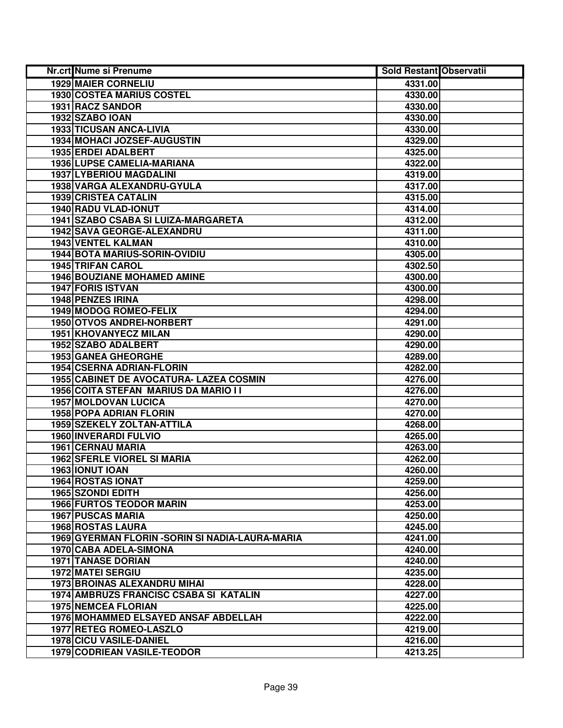| Nr.crt Nume si Prenume                           | <b>Sold Restant Observatii</b> |  |
|--------------------------------------------------|--------------------------------|--|
| <b>1929 MAIER CORNELIU</b>                       | 4331.00                        |  |
| <b>1930 COSTEA MARIUS COSTEL</b>                 | 4330.00                        |  |
| 1931 RACZ SANDOR                                 | 4330.00                        |  |
| 1932 SZABO IOAN                                  | 4330.00                        |  |
| 1933 TICUSAN ANCA-LIVIA                          | 4330.00                        |  |
| 1934 MOHACI JOZSEF-AUGUSTIN                      | 4329.00                        |  |
| 1935 ERDEI ADALBERT                              | 4325.00                        |  |
| 1936 LUPSE CAMELIA-MARIANA                       | 4322.00                        |  |
| <b>1937 LYBERIOU MAGDALINI</b>                   | 4319.00                        |  |
| 1938 VARGA ALEXANDRU-GYULA                       | 4317.00                        |  |
| <b>1939 CRISTEA CATALIN</b>                      | 4315.00                        |  |
| 1940 RADU VLAD-IONUT                             | 4314.00                        |  |
| 1941 SZABO CSABA SI LUIZA-MARGARETA              | 4312.00                        |  |
| 1942 SAVA GEORGE-ALEXANDRU                       | 4311.00                        |  |
| <b>1943 VENTEL KALMAN</b>                        | 4310.00                        |  |
| 1944 BOTA MARIUS-SORIN-OVIDIU                    | 4305.00                        |  |
| 1945 TRIFAN CAROL                                | 4302.50                        |  |
| <b>1946 BOUZIANE MOHAMED AMINE</b>               | 4300.00                        |  |
| <b>1947 FORIS ISTVAN</b>                         | 4300.00                        |  |
| 1948 PENZES IRINA                                | 4298.00                        |  |
| 1949 MODOG ROMEO-FELIX                           | 4294.00                        |  |
| 1950 OTVOS ANDREI-NORBERT                        | 4291.00                        |  |
| 1951 KHOVANYECZ MILAN                            | 4290.00                        |  |
| 1952 SZABO ADALBERT                              | 4290.00                        |  |
| 1953 GANEA GHEORGHE                              | 4289.00                        |  |
| 1954 CSERNA ADRIAN-FLORIN                        | 4282.00                        |  |
| 1955 CABINET DE AVOCATURA- LAZEA COSMIN          | 4276.00                        |  |
| 1956 COITA STEFAN MARIUS DA MARIO I I            | 4276.00                        |  |
| <b>1957 MOLDOVAN LUCICA</b>                      | 4270.00                        |  |
| <b>1958 POPA ADRIAN FLORIN</b>                   | 4270.00                        |  |
| 1959 SZEKELY ZOLTAN-ATTILA                       | 4268.00                        |  |
| <b>1960 INVERARDI FULVIO</b>                     | 4265.00                        |  |
| 1961 CERNAU MARIA                                | 4263.00                        |  |
| <b>1962 SFERLE VIOREL SI MARIA</b>               | 4262.00                        |  |
| 1963 IONUT IOAN                                  | 4260.00                        |  |
| <b>1964 ROSTAS IONAT</b>                         | 4259.00                        |  |
| <b>1965 SZONDI EDITH</b>                         | 4256.00                        |  |
| <b>1966 FURTOS TEODOR MARIN</b>                  | 4253.00                        |  |
| <b>1967 PUSCAS MARIA</b>                         | 4250.00                        |  |
| 1968 ROSTAS LAURA                                | 4245.00                        |  |
| 1969 GYERMAN FLORIN - SORIN SI NADIA-LAURA-MARIA | 4241.00                        |  |
| 1970 CABA ADELA-SIMONA                           | 4240.00                        |  |
| <b>1971 TANASE DORIAN</b>                        | 4240.00                        |  |
| <b>1972 MATEI SERGIU</b>                         | 4235.00                        |  |
| 1973 BROINAS ALEXANDRU MIHAI                     | 4228.00                        |  |
| 1974 AMBRUZS FRANCISC CSABA SI KATALIN           | 4227.00                        |  |
| <b>1975 NEMCEA FLORIAN</b>                       | 4225.00                        |  |
| 1976 MOHAMMED ELSAYED ANSAF ABDELLAH             | 4222.00                        |  |
| 1977 RETEG ROMEO-LASZLO                          | 4219.00                        |  |
| 1978 CICU VASILE-DANIEL                          | 4216.00                        |  |
| 1979 CODRIEAN VASILE-TEODOR                      | 4213.25                        |  |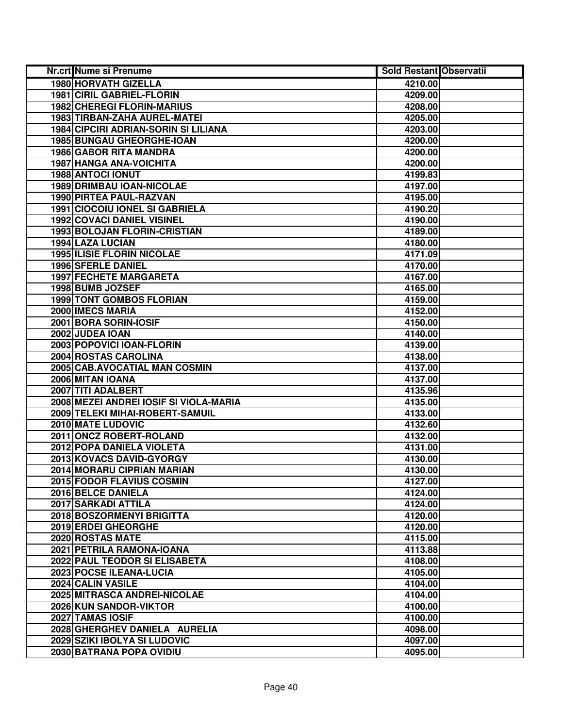| <b>Nr.crt Nume si Prenume</b>               | <b>Sold Restant Observatii</b> |  |
|---------------------------------------------|--------------------------------|--|
| 1980 HORVATH GIZELLA                        | 4210.00                        |  |
| <b>1981 CIRIL GABRIEL-FLORIN</b>            | 4209.00                        |  |
| <b>1982 CHEREGI FLORIN-MARIUS</b>           | 4208.00                        |  |
| 1983 TIRBAN-ZAHA AUREL-MATEL                | 4205.00                        |  |
| <b>1984 CIPCIRI ADRIAN-SORIN SI LILIANA</b> | 4203.00                        |  |
| 1985 BUNGAU GHEORGHE-IOAN                   | 4200.00                        |  |
| 1986 GABOR RITA MANDRA                      | 4200.00                        |  |
| 1987 HANGA ANA-VOICHITA                     | 4200.00                        |  |
| 1988 ANTOCI IONUT                           | 4199.83                        |  |
| <b>1989 DRIMBAU IOAN-NICOLAE</b>            | 4197.00                        |  |
| <b>1990 PIRTEA PAUL-RAZVAN</b>              | 4195.00                        |  |
| 1991 CIOCOIU IONEL SI GABRIELA              | 4190.20                        |  |
| <b>1992 COVACI DANIEL VISINEL</b>           | 4190.00                        |  |
| 1993 BOLOJAN FLORIN-CRISTIAN                | 4189.00                        |  |
| 1994 LAZA LUCIAN                            | 4180.00                        |  |
| <b>1995 ILISIE FLORIN NICOLAE</b>           | 4171.09                        |  |
| 1996 SFERLE DANIEL                          | 4170.00                        |  |
| <b>1997 FECHETE MARGARETA</b>               | 4167.00                        |  |
| 1998 BUMB JOZSEF                            | 4165.00                        |  |
| <b>1999 TONT GOMBOS FLORIAN</b>             | 4159.00                        |  |
| 2000 IMECS MARIA                            | 4152.00                        |  |
| 2001 BORA SORIN-IOSIF                       | 4150.00                        |  |
| 2002 JUDEA IOAN                             | 4140.00                        |  |
| 2003 POPOVICI IOAN-FLORIN                   | 4139.00                        |  |
| 2004 ROSTAS CAROLINA                        | 4138.00                        |  |
| 2005 CAB.AVOCATIAL MAN COSMIN               | 4137.00                        |  |
| 2006 MITAN IOANA                            | 4137.00                        |  |
| 2007 TITI ADALBERT                          | 4135.96                        |  |
| 2008 MEZEI ANDREI IOSIF SI VIOLA-MARIA      | 4135.00                        |  |
| 2009 TELEKI MIHAI-ROBERT-SAMUIL             | 4133.00                        |  |
| 2010 MATE LUDOVIC                           | 4132.60                        |  |
| 2011 ONCZ ROBERT-ROLAND                     | 4132.00                        |  |
| 2012 POPA DANIELA VIOLETA                   | 4131.00                        |  |
| 2013 KOVACS DAVID-GYORGY                    | 4130.00                        |  |
| <b>2014 MORARU CIPRIAN MARIAN</b>           | 4130.00                        |  |
| 2015 FODOR FLAVIUS COSMIN                   | 4127.00                        |  |
| 2016 BELCE DANIELA                          | 4124.00                        |  |
| 2017 SARKADI ATTILA                         | 4124.00                        |  |
| 2018 BOSZORMENYI BRIGITTA                   | 4120.00                        |  |
| 2019 ERDEI GHEORGHE                         | 4120.00                        |  |
| 2020 ROSTAS MATE                            | 4115.00                        |  |
| 2021 PETRILA RAMONA-IOANA                   | 4113.88                        |  |
| 2022 PAUL TEODOR SI ELISABETA               | 4108.00                        |  |
| 2023 POCSE ILEANA-LUCIA                     | 4105.00                        |  |
| 2024 CALIN VASILE                           | 4104.00                        |  |
| 2025 MITRASCA ANDREI-NICOLAE                | 4104.00                        |  |
| 2026 KUN SANDOR-VIKTOR                      | 4100.00                        |  |
| 2027 TAMAS IOSIF                            | 4100.00                        |  |
| 2028 GHERGHEV DANIELA AURELIA               | 4098.00                        |  |
| 2029 SZIKI IBOLYA SI LUDOVIC                | 4097.00                        |  |
| 2030 BATRANA POPA OVIDIU                    | 4095.00                        |  |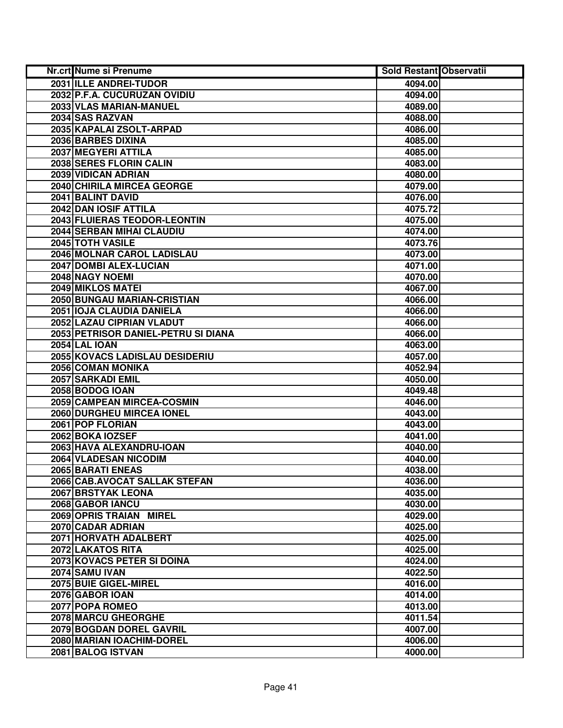| Nr.crt Nume si Prenume              | Sold Restant Observatii |  |
|-------------------------------------|-------------------------|--|
| 2031 ILLE ANDREI-TUDOR              | 4094.00                 |  |
| 2032 P.F.A. CUCURUZAN OVIDIU        | 4094.00                 |  |
| 2033 VLAS MARIAN-MANUEL             | 4089.00                 |  |
| 2034 SAS RAZVAN                     | 4088.00                 |  |
| 2035 KAPALAI ZSOLT-ARPAD            | 4086.00                 |  |
| 2036 BARBES DIXINA                  | 4085.00                 |  |
| 2037 MEGYERI ATTILA                 | 4085.00                 |  |
| 2038 SERES FLORIN CALIN             | 4083.00                 |  |
| 2039 VIDICAN ADRIAN                 | 4080.00                 |  |
| 2040 CHIRILA MIRCEA GEORGE          | 4079.00                 |  |
| 2041 BALINT DAVID                   | 4076.00                 |  |
| 2042 DAN IOSIF ATTILA               | 4075.72                 |  |
| 2043 FLUIERAS TEODOR-LEONTIN        | 4075.00                 |  |
| 2044 SERBAN MIHAI CLAUDIU           | 4074.00                 |  |
| 2045 TOTH VASILE                    | 4073.76                 |  |
| 2046 MOLNAR CAROL LADISLAU          | 4073.00                 |  |
| 2047 DOMBI ALEX-LUCIAN              | 4071.00                 |  |
| 2048 NAGY NOEMI                     | 4070.00                 |  |
| 2049 MIKLOS MATEI                   | 4067.00                 |  |
| 2050 BUNGAU MARIAN-CRISTIAN         | 4066.00                 |  |
| 2051 IOJA CLAUDIA DANIELA           | 4066.00                 |  |
| 2052 LAZAU CIPRIAN VLADUT           | 4066.00                 |  |
| 2053 PETRISOR DANIEL-PETRU SI DIANA | 4066.00                 |  |
| <b>2054 LAL IOAN</b>                | 4063.00                 |  |
| 2055 KOVACS LADISLAU DESIDERIU      | 4057.00                 |  |
| 2056 COMAN MONIKA                   | 4052.94                 |  |
| 2057 SARKADI EMIL                   | 4050.00                 |  |
| 2058 BODOG IOAN                     | 4049.48                 |  |
| 2059 CAMPEAN MIRCEA-COSMIN          | 4046.00                 |  |
| 2060 DURGHEU MIRCEA IONEL           | 4043.00                 |  |
| 2061 POP FLORIAN                    | 4043.00                 |  |
| 2062 BOKA IOZSEF                    | 4041.00                 |  |
| 2063 HAVA ALEXANDRU-IOAN            | 4040.00                 |  |
| <b>2064 VLADESAN NICODIM</b>        | 4040.00                 |  |
| 2065 BARATI ENEAS                   | 4038.00                 |  |
| 2066 CAB.AVOCAT SALLAK STEFAN       | 4036.00                 |  |
| 2067 BRSTYAK LEONA                  | 4035.00                 |  |
| 2068 GABOR IANCU                    | 4030.00                 |  |
| 2069 OPRIS TRAIAN MIREL             | 4029.00                 |  |
| 2070 CADAR ADRIAN                   | 4025.00                 |  |
| 2071 HORVATH ADALBERT               | 4025.00                 |  |
| 2072 LAKATOS RITA                   | 4025.00                 |  |
| 2073 KOVACS PETER SI DOINA          | 4024.00                 |  |
| 2074 SAMU IVAN                      | 4022.50                 |  |
| 2075 BUIE GIGEL-MIREL               | 4016.00                 |  |
| 2076 GABOR IOAN                     | 4014.00                 |  |
| 2077 POPA ROMEO                     | 4013.00                 |  |
| 2078 MARCU GHEORGHE                 | 4011.54                 |  |
| 2079 BOGDAN DOREL GAVRIL            | 4007.00                 |  |
| 2080 MARIAN IOACHIM-DOREL           | 4006.00                 |  |
| 2081 BALOG ISTVAN                   | 4000.00                 |  |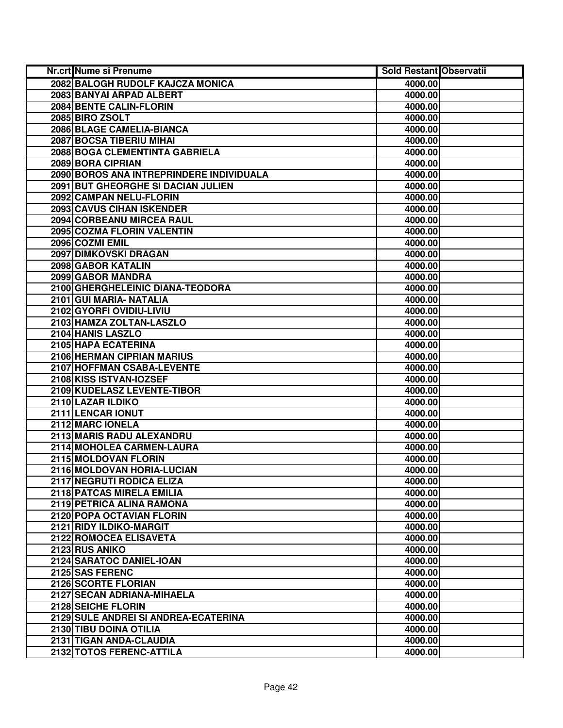| Nr.crt Nume si Prenume                    | <b>Sold Restant Observatii</b> |  |
|-------------------------------------------|--------------------------------|--|
| 2082 BALOGH RUDOLF KAJCZA MONICA          | 4000.00                        |  |
| 2083 BANYAI ARPAD ALBERT                  | 4000.00                        |  |
| 2084 BENTE CALIN-FLORIN                   | 4000.00                        |  |
| 2085 BIRO ZSOLT                           | 4000.00                        |  |
| 2086 BLAGE CAMELIA-BIANCA                 | 4000.00                        |  |
| 2087 BOCSA TIBERIU MIHAI                  | 4000.00                        |  |
| 2088 BOGA CLEMENTINTA GABRIELA            | 4000.00                        |  |
| 2089 BORA CIPRIAN                         | 4000.00                        |  |
| 2090 BOROS ANA INTREPRINDERE INDIVIDUALA  | 4000.00                        |  |
| <b>2091 BUT GHEORGHE SI DACIAN JULIEN</b> | 4000.00                        |  |
| 2092 CAMPAN NELU-FLORIN                   | 4000.00                        |  |
| <b>2093 CAVUS CIHAN ISKENDER</b>          | 4000.00                        |  |
| <b>2094 CORBEANU MIRCEA RAUL</b>          | 4000.00                        |  |
| 2095 COZMA FLORIN VALENTIN                | 4000.00                        |  |
| 2096 COZMI EMIL                           | 4000.00                        |  |
| 2097 DIMKOVSKI DRAGAN                     | 4000.00                        |  |
| 2098 GABOR KATALIN                        | 4000.00                        |  |
| 2099 GABOR MANDRA                         | 4000.00                        |  |
| 2100 GHERGHELEINIC DIANA-TEODORA          | 4000.00                        |  |
| 2101 GUI MARIA- NATALIA                   | 4000.00                        |  |
| 2102 GYORFI OVIDIU-LIVIU                  | 4000.00                        |  |
| 2103 HAMZA ZOLTAN-LASZLO                  | 4000.00                        |  |
| 2104 HANIS LASZLO                         | 4000.00                        |  |
| 2105 HAPA ECATERINA                       | 4000.00                        |  |
| 2106 HERMAN CIPRIAN MARIUS                | 4000.00                        |  |
| 2107 HOFFMAN CSABA-LEVENTE                | 4000.00                        |  |
| 2108 KISS ISTVAN-IOZSEF                   | 4000.00                        |  |
| 2109 KUDELASZ LEVENTE-TIBOR               | 4000.00                        |  |
| 2110 LAZAR ILDIKO                         | 4000.00                        |  |
| 2111 LENCAR IONUT                         | 4000.00                        |  |
| 2112 MARC IONELA                          | 4000.00                        |  |
| 2113 MARIS RADU ALEXANDRU                 | 4000.00                        |  |
| 2114 MOHOLEA CARMEN-LAURA                 | 4000.00                        |  |
| 2115 MOLDOVAN FLORIN                      | 4000.00                        |  |
| 2116 MOLDOVAN HORIA-LUCIAN                | 4000.00                        |  |
| 2117 NEGRUTI RODICA ELIZA                 | 4000.00                        |  |
| 2118 PATCAS MIRELA EMILIA                 | 4000.00                        |  |
| 2119 PETRICA ALINA RAMONA                 | 4000.00                        |  |
| 2120 POPA OCTAVIAN FLORIN                 | 4000.00                        |  |
| 2121 RIDY ILDIKO-MARGIT                   | 4000.00                        |  |
| 2122 ROMOCEA ELISAVETA                    | 4000.00                        |  |
| 2123 RUS ANIKO                            | 4000.00                        |  |
| 2124 SARATOC DANIEL-IOAN                  | 4000.00                        |  |
| 2125 SAS FERENC                           | 4000.00                        |  |
| 2126 SCORTE FLORIAN                       | 4000.00                        |  |
| 2127 SECAN ADRIANA-MIHAELA                | 4000.00                        |  |
| 2128 SEICHE FLORIN                        | 4000.00                        |  |
| 2129 SULE ANDREI SI ANDREA-ECATERINA      | 4000.00                        |  |
| 2130 TIBU DOINA OTILIA                    | 4000.00                        |  |
| 2131 TIGAN ANDA-CLAUDIA                   | 4000.00                        |  |
| 2132 TOTOS FERENC-ATTILA                  | 4000.00                        |  |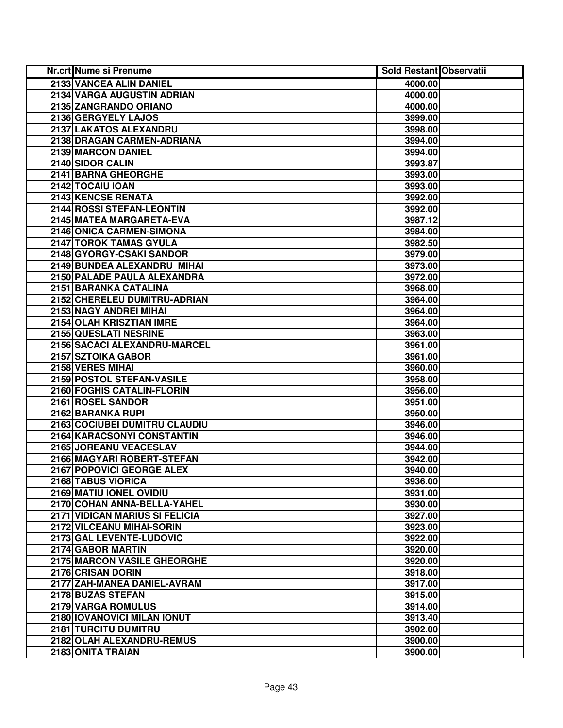| Nr.crt Nume si Prenume         | <b>Sold Restant Observatii</b> |  |
|--------------------------------|--------------------------------|--|
| 2133 VANCEA ALIN DANIEL        | 4000.00                        |  |
| 2134 VARGA AUGUSTIN ADRIAN     | 4000.00                        |  |
| 2135 ZANGRANDO ORIANO          | 4000.00                        |  |
| 2136 GERGYELY LAJOS            | 3999.00                        |  |
| 2137 LAKATOS ALEXANDRU         | 3998.00                        |  |
| 2138 DRAGAN CARMEN-ADRIANA     | 3994.00                        |  |
| 2139 MARCON DANIEL             | 3994.00                        |  |
| 2140 SIDOR CALIN               | 3993.87                        |  |
| 2141 BARNA GHEORGHE            | 3993.00                        |  |
| 2142 TOCAIU IOAN               | 3993.00                        |  |
| 2143 KENCSE RENATA             | 3992.00                        |  |
| 2144 ROSSI STEFAN-LEONTIN      | 3992.00                        |  |
| 2145 MATEA MARGARETA-EVA       | 3987.12                        |  |
| 2146 ONICA CARMEN-SIMONA       | 3984.00                        |  |
| 2147 TOROK TAMAS GYULA         | 3982.50                        |  |
| 2148 GYORGY-CSAKI SANDOR       | 3979.00                        |  |
| 2149 BUNDEA ALEXANDRU MIHAI    | 3973.00                        |  |
| 2150 PALADE PAULA ALEXANDRA    | 3972.00                        |  |
| 2151 BARANKA CATALINA          | 3968.00                        |  |
| 2152 CHERELEU DUMITRU-ADRIAN   | 3964.00                        |  |
| 2153 NAGY ANDREI MIHAI         | 3964.00                        |  |
| 2154 OLAH KRISZTIAN IMRE       | 3964.00                        |  |
| 2155 QUESLATI NESRINE          | 3963.00                        |  |
| 2156 SACACI ALEXANDRU-MARCEL   | 3961.00                        |  |
| 2157 SZTOIKA GABOR             | 3961.00                        |  |
| 2158 VERES MIHAI               | 3960.00                        |  |
| 2159 POSTOL STEFAN-VASILE      | 3958.00                        |  |
| 2160 FOGHIS CATALIN-FLORIN     | 3956.00                        |  |
| 2161 ROSEL SANDOR              | 3951.00                        |  |
| 2162 BARANKA RUPI              | 3950.00                        |  |
| 2163 COCIUBEI DUMITRU CLAUDIU  | 3946.00                        |  |
| 2164 KARACSONYI CONSTANTIN     | 3946.00                        |  |
| 2165 JOREANU VEACESLAV         | 3944.00                        |  |
| 2166 MAGYARI ROBERT-STEFAN     | 3942.00                        |  |
| 2167 POPOVICI GEORGE ALEX      | 3940.00                        |  |
| 2168 TABUS VIORICA             | 3936.00                        |  |
| 2169 MATIU IONEL OVIDIU        | 3931.00                        |  |
| 2170 COHAN ANNA-BELLA-YAHEL    | 3930.00                        |  |
| 2171 VIDICAN MARIUS SI FELICIA | 3927.00                        |  |
| 2172 VILCEANU MIHAI-SORIN      | 3923.00                        |  |
| 2173 GAL LEVENTE-LUDOVIC       | 3922.00                        |  |
| 2174 GABOR MARTIN              | 3920.00                        |  |
| 2175 MARCON VASILE GHEORGHE    | 3920.00                        |  |
| 2176 CRISAN DORIN              | 3918.00                        |  |
| 2177 ZAH-MANEA DANIEL-AVRAM    | 3917.00                        |  |
| 2178 BUZAS STEFAN              | 3915.00                        |  |
| 2179 VARGA ROMULUS             | 3914.00                        |  |
| 2180 IOVANOVICI MILAN IONUT    | 3913.40                        |  |
| 2181 TURCITU DUMITRU           | 3902.00                        |  |
| 2182 OLAH ALEXANDRU-REMUS      | 3900.00                        |  |
| 2183 ONITA TRAIAN              | 3900.00                        |  |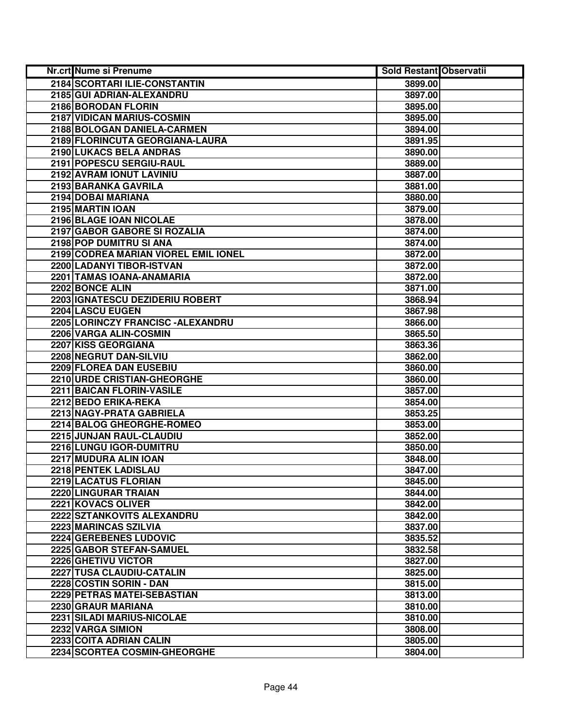| <b>Nr.crt Nume si Prenume</b>        | <b>Sold Restant Observatii</b> |  |
|--------------------------------------|--------------------------------|--|
| 2184 SCORTARI ILIE-CONSTANTIN        | 3899.00                        |  |
| 2185 GUI ADRIAN-ALEXANDRU            | 3897.00                        |  |
| 2186 BORODAN FLORIN                  | 3895.00                        |  |
| 2187 VIDICAN MARIUS-COSMIN           | 3895.00                        |  |
| 2188 BOLOGAN DANIELA-CARMEN          | 3894.00                        |  |
| 2189 FLORINCUTA GEORGIANA-LAURA      | 3891.95                        |  |
| 2190 LUKACS BELA ANDRAS              | 3890.00                        |  |
| 2191 POPESCU SERGIU-RAUL             | 3889.00                        |  |
| 2192 AVRAM IONUT LAVINIU             | 3887.00                        |  |
| 2193 BARANKA GAVRILA                 | 3881.00                        |  |
| 2194 DOBAI MARIANA                   | 3880.00                        |  |
| 2195 MARTIN IOAN                     | 3879.00                        |  |
| 2196 BLAGE IOAN NICOLAE              | 3878.00                        |  |
| 2197 GABOR GABORE SI ROZALIA         | 3874.00                        |  |
| 2198 POP DUMITRU SI ANA              | 3874.00                        |  |
| 2199 CODREA MARIAN VIOREL EMIL IONEL | 3872.00                        |  |
| 2200 LADANYI TIBOR-ISTVAN            | 3872.00                        |  |
| 2201 TAMAS IOANA-ANAMARIA            | 3872.00                        |  |
| 2202 BONCE ALIN                      | 3871.00                        |  |
| 2203 GNATESCU DEZIDERIU ROBERT       | 3868.94                        |  |
| 2204 LASCU EUGEN                     | 3867.98                        |  |
| 2205 LORINCZY FRANCISC - ALEXANDRU   | 3866.00                        |  |
| 2206 VARGA ALIN-COSMIN               | 3865.50                        |  |
| 2207 KISS GEORGIANA                  | 3863.36                        |  |
| 2208 NEGRUT DAN-SILVIU               | 3862.00                        |  |
| 2209 FLOREA DAN EUSEBIU              | 3860.00                        |  |
| 2210 URDE CRISTIAN-GHEORGHE          | 3860.00                        |  |
| 2211 BAICAN FLORIN-VASILE            | 3857.00                        |  |
| 2212 BEDO ERIKA-REKA                 | 3854.00                        |  |
| 2213 NAGY-PRATA GABRIELA             | 3853.25                        |  |
| 2214 BALOG GHEORGHE-ROMEO            | 3853.00                        |  |
| 2215 JUNJAN RAUL-CLAUDIU             | 3852.00                        |  |
| 2216 LUNGU IGOR-DUMITRU              | 3850.00                        |  |
| 2217 MUDURA ALIN IOAN                | 3848.00                        |  |
| 2218 PENTEK LADISLAU                 | 3847.00                        |  |
| 2219 LACATUS FLORIAN                 | 3845.00                        |  |
| 2220 LINGURAR TRAIAN                 | 3844.00                        |  |
| 2221 KOVACS OLIVER                   | 3842.00                        |  |
| 2222 SZTANKOVITS ALEXANDRU           | 3842.00                        |  |
| 2223 MARINCAS SZILVIA                | 3837.00                        |  |
| 2224 GEREBENES LUDOVIC               | 3835.52                        |  |
| 2225 GABOR STEFAN-SAMUEL             | 3832.58                        |  |
| 2226 GHETIVU VICTOR                  | 3827.00                        |  |
| 2227 TUSA CLAUDIU-CATALIN            | 3825.00                        |  |
| 2228 COSTIN SORIN - DAN              | 3815.00                        |  |
| 2229 PETRAS MATEI-SEBASTIAN          | 3813.00                        |  |
| 2230 GRAUR MARIANA                   | 3810.00                        |  |
| 2231 SILADI MARIUS-NICOLAE           | 3810.00                        |  |
| 2232 VARGA SIMION                    | 3808.00                        |  |
| 2233 COITA ADRIAN CALIN              | 3805.00                        |  |
| 2234 SCORTEA COSMIN-GHEORGHE         | 3804.00                        |  |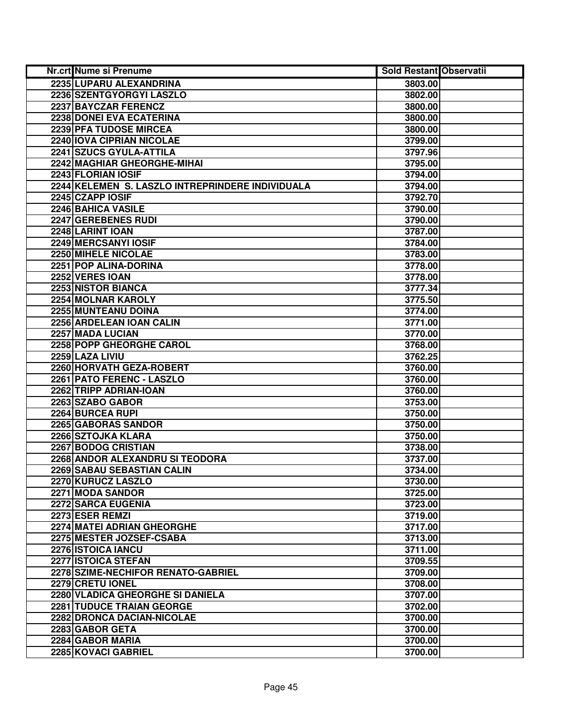| Nr.crt Nume si Prenume                           | <b>Sold Restant Observatii</b> |  |
|--------------------------------------------------|--------------------------------|--|
| 2235 LUPARU ALEXANDRINA                          | 3803.00                        |  |
| 2236 SZENTGYORGYI LASZLO                         | 3802.00                        |  |
| 2237 BAYCZAR FERENCZ                             | 3800.00                        |  |
| 2238 DONEI EVA ECATERINA                         | 3800.00                        |  |
| 2239 PFA TUDOSE MIRCEA                           | 3800.00                        |  |
| 2240 IOVA CIPRIAN NICOLAE                        | 3799.00                        |  |
| 2241 SZUCS GYULA-ATTILA                          | 3797.96                        |  |
| <b>2242 MAGHIAR GHEORGHE-MIHAI</b>               | 3795.00                        |  |
| 2243 FLORIAN IOSIF                               | 3794.00                        |  |
| 2244 KELEMEN S. LASZLO INTREPRINDERE INDIVIDUALA | 3794.00                        |  |
| 2245 CZAPP IOSIF                                 | 3792.70                        |  |
| 2246 BAHICA VASILE                               | 3790.00                        |  |
| 2247 GEREBENES RUDI                              | 3790.00                        |  |
| 2248 LARINT IOAN                                 | 3787.00                        |  |
| 2249 MERCSANYI IOSIF                             | 3784.00                        |  |
| 2250 MIHELE NICOLAE                              | 3783.00                        |  |
| 2251 POP ALINA-DORINA                            | 3778.00                        |  |
| 2252 VERES IOAN                                  | 3778.00                        |  |
| 2253 NISTOR BIANCA                               | 3777.34                        |  |
| 2254 MOLNAR KAROLY                               | 3775.50                        |  |
| 2255 MUNTEANU DOINA                              | 3774.00                        |  |
| 2256 ARDELEAN IOAN CALIN                         | 3771.00                        |  |
| 2257 MADA LUCIAN                                 | 3770.00                        |  |
| 2258 POPP GHEORGHE CAROL                         | 3768.00                        |  |
| 2259 LAZA LIVIU                                  | 3762.25                        |  |
| 2260 HORVATH GEZA-ROBERT                         | 3760.00                        |  |
| 2261 PATO FERENC - LASZLO                        | 3760.00                        |  |
| 2262 TRIPP ADRIAN-IOAN                           | 3760.00                        |  |
| 2263 SZABO GABOR                                 | 3753.00                        |  |
| 2264 BURCEA RUPI                                 | 3750.00                        |  |
| 2265 GABORAS SANDOR                              | 3750.00                        |  |
| 2266 SZTOJKA KLARA                               | 3750.00                        |  |
| 2267 BODOG CRISTIAN                              | 3738.00                        |  |
| 2268 ANDOR ALEXANDRU SI TEODORA                  | 3737.00                        |  |
| 2269 SABAU SEBASTIAN CALIN                       | 3734.00                        |  |
| 2270 KURUCZ LASZLO                               | 3730.00                        |  |
| 2271 MODA SANDOR                                 | 3725.00                        |  |
| <b>2272 SARCA EUGENIA</b>                        | 3723.00                        |  |
| 2273 ESER REMZI                                  | 3719.00                        |  |
| 2274 MATEI ADRIAN GHEORGHE                       | 3717.00                        |  |
| 2275 MESTER JOZSEF-CSABA                         | 3713.00                        |  |
| 2276 ISTOICA IANCU                               | 3711.00                        |  |
| 2277 ISTOICA STEFAN                              | 3709.55                        |  |
| 2278 SZIME-NECHIFOR RENATO-GABRIEL               | 3709.00                        |  |
| 2279 CRETU IONEL                                 | 3708.00                        |  |
| 2280 VLADICA GHEORGHE SI DANIELA                 | 3707.00                        |  |
| <b>2281 TUDUCE TRAIAN GEORGE</b>                 | 3702.00                        |  |
| 2282 DRONCA DACIAN-NICOLAE                       | 3700.00                        |  |
| 2283 GABOR GETA                                  | 3700.00                        |  |
| 2284 GABOR MARIA                                 | 3700.00                        |  |
| 2285 KOVACI GABRIEL                              | 3700.00                        |  |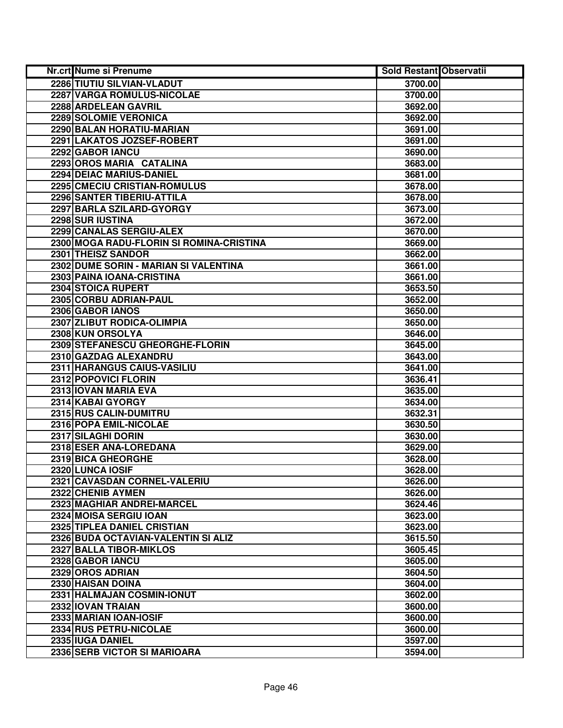| Nr.crt Nume si Prenume                   | <b>Sold Restant Observatii</b> |  |
|------------------------------------------|--------------------------------|--|
| 2286 TIUTIU SILVIAN-VLADUT               | 3700.00                        |  |
| 2287 VARGA ROMULUS-NICOLAE               | 3700.00                        |  |
| 2288 ARDELEAN GAVRIL                     | 3692.00                        |  |
| 2289 SOLOMIE VERONICA                    | 3692.00                        |  |
| 2290 BALAN HORATIU-MARIAN                | 3691.00                        |  |
| 2291 LAKATOS JOZSEF-ROBERT               | 3691.00                        |  |
| 2292 GABOR IANCU                         | 3690.00                        |  |
| 2293 OROS MARIA CATALINA                 | 3683.00                        |  |
| <b>2294 DEIAC MARIUS-DANIEL</b>          | 3681.00                        |  |
| 2295 CMECIU CRISTIAN-ROMULUS             | 3678.00                        |  |
| 2296 SANTER TIBERIU-ATTILA               | 3678.00                        |  |
| 2297 BARLA SZILARD-GYORGY                | 3673.00                        |  |
| 2298 SUR IUSTINA                         | 3672.00                        |  |
| 2299 CANALAS SERGIU-ALEX                 | 3670.00                        |  |
| 2300 MOGA RADU-FLORIN SI ROMINA-CRISTINA | 3669.00                        |  |
| 2301 THEISZ SANDOR                       | 3662.00                        |  |
| 2302 DUME SORIN - MARIAN SI VALENTINA    | 3661.00                        |  |
| 2303 PAINA IOANA-CRISTINA                | 3661.00                        |  |
| 2304 STOICA RUPERT                       | 3653.50                        |  |
| 2305 CORBU ADRIAN-PAUL                   | 3652.00                        |  |
| 2306 GABOR IANOS                         | 3650.00                        |  |
| 2307 ZLIBUT RODICA-OLIMPIA               | 3650.00                        |  |
| 2308 KUN ORSOLYA                         | 3646.00                        |  |
| 2309 STEFANESCU GHEORGHE-FLORIN          | 3645.00                        |  |
| 2310 GAZDAG ALEXANDRU                    | 3643.00                        |  |
| 2311 HARANGUS CAIUS-VASILIU              | 3641.00                        |  |
| 2312 POPOVICI FLORIN                     | 3636.41                        |  |
| 2313 IOVAN MARIA EVA                     | 3635.00                        |  |
| 2314 KABAI GYORGY                        | 3634.00                        |  |
| 2315 RUS CALIN-DUMITRU                   | 3632.31                        |  |
| 2316 POPA EMIL-NICOLAE                   | 3630.50                        |  |
| 2317 SILAGHI DORIN                       | 3630.00                        |  |
| 2318 ESER ANA-LOREDANA                   | 3629.00                        |  |
| 2319 BICA GHEORGHE                       | 3628.00                        |  |
| 2320 LUNCA IOSIF                         | 3628.00                        |  |
| 2321 CAVASDAN CORNEL-VALERIU             | 3626.00                        |  |
| 2322 CHENIB AYMEN                        | 3626.00                        |  |
| 2323 MAGHIAR ANDREI-MARCEL               | 3624.46                        |  |
| 2324 MOISA SERGIU IOAN                   | 3623.00                        |  |
| 2325 TIPLEA DANIEL CRISTIAN              | 3623.00                        |  |
| 2326 BUDA OCTAVIAN-VALENTIN SI ALIZ      | 3615.50                        |  |
| 2327 BALLA TIBOR-MIKLOS                  | 3605.45                        |  |
| 2328 GABOR IANCU                         | 3605.00                        |  |
| 2329 OROS ADRIAN                         | 3604.50                        |  |
| 2330 HAISAN DOINA                        | 3604.00                        |  |
| 2331 HALMAJAN COSMIN-IONUT               | 3602.00                        |  |
| 2332 IOVAN TRAIAN                        | 3600.00                        |  |
| 2333 MARIAN IOAN-IOSIF                   | 3600.00                        |  |
| 2334 RUS PETRU-NICOLAE                   | 3600.00                        |  |
| 2335 IUGA DANIEL                         | 3597.00                        |  |
| 2336 SERB VICTOR SI MARIOARA             | 3594.00                        |  |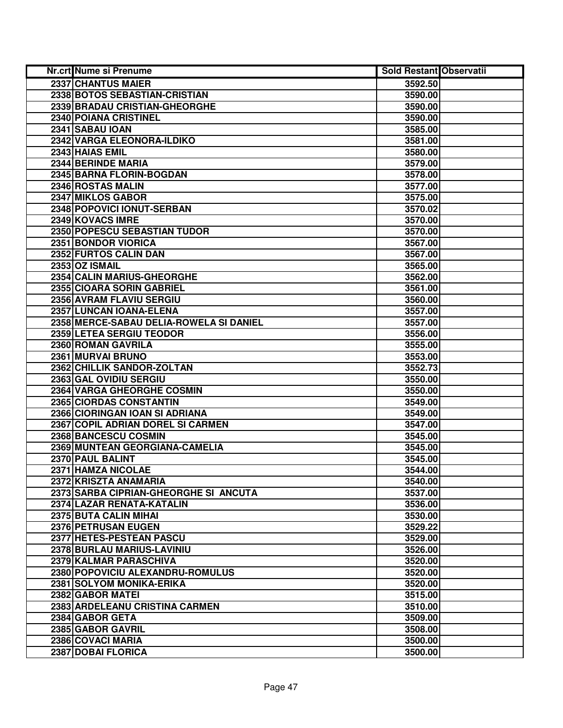| Nr.crt Nume si Prenume                  | <b>Sold Restant Observatii</b> |  |
|-----------------------------------------|--------------------------------|--|
| 2337 CHANTUS MAIER                      | 3592.50                        |  |
| 2338 BOTOS SEBASTIAN-CRISTIAN           | 3590.00                        |  |
| 2339 BRADAU CRISTIAN-GHEORGHE           | 3590.00                        |  |
| 2340 POIANA CRISTINEL                   | 3590.00                        |  |
| 2341 SABAU IOAN                         | 3585.00                        |  |
| 2342 VARGA ELEONORA-ILDIKO              | 3581.00                        |  |
| 2343 HAIAS EMIL                         | 3580.00                        |  |
| 2344 BERINDE MARIA                      | 3579.00                        |  |
| 2345 BARNA FLORIN-BOGDAN                | 3578.00                        |  |
| 2346 ROSTAS MALIN                       | 3577.00                        |  |
| 2347 MIKLOS GABOR                       | 3575.00                        |  |
| 2348 POPOVICI IONUT-SERBAN              | 3570.02                        |  |
| 2349 KOVACS IMRE                        | 3570.00                        |  |
| 2350 POPESCU SEBASTIAN TUDOR            | 3570.00                        |  |
| 2351 BONDOR VIORICA                     | 3567.00                        |  |
| 2352 FURTOS CALIN DAN                   | 3567.00                        |  |
| 2353 OZ ISMAIL                          | 3565.00                        |  |
| 2354 CALIN MARIUS-GHEORGHE              | 3562.00                        |  |
| 2355 CIOARA SORIN GABRIEL               | 3561.00                        |  |
| 2356 AVRAM FLAVIU SERGIU                | 3560.00                        |  |
| 2357 LUNCAN IOANA-ELENA                 | 3557.00                        |  |
| 2358 MERCE-SABAU DELIA-ROWELA SI DANIEL | 3557.00                        |  |
| 2359 LETEA SERGIU TEODOR                | 3556.00                        |  |
| 2360 ROMAN GAVRILA                      | 3555.00                        |  |
| 2361 MURVAI BRUNO                       | 3553.00                        |  |
| 2362 CHILLIK SANDOR-ZOLTAN              | 3552.73                        |  |
| 2363 GAL OVIDIU SERGIU                  | 3550.00                        |  |
| 2364 VARGA GHEORGHE COSMIN              | 3550.00                        |  |
| 2365 CIORDAS CONSTANTIN                 | 3549.00                        |  |
| 2366 CIORINGAN IOAN SI ADRIANA          | 3549.00                        |  |
| 2367 COPIL ADRIAN DOREL SI CARMEN       | 3547.00                        |  |
| 2368 BANCESCU COSMIN                    | 3545.00                        |  |
| 2369 MUNTEAN GEORGIANA-CAMELIA          | 3545.00                        |  |
| 2370 PAUL BALINT                        | 3545.00                        |  |
| 2371 HAMZA NICOLAE                      | 3544.00                        |  |
| 2372 KRISZTA ANAMARIA                   | 3540.00                        |  |
| 2373 SARBA CIPRIAN-GHEORGHE SI ANCUTA   | 3537.00                        |  |
| 2374 LAZAR RENATA-KATALIN               | 3536.00                        |  |
| <b>2375 BUTA CALIN MIHAL</b>            | 3530.00                        |  |
| 2376 PETRUSAN EUGEN                     | 3529.22                        |  |
| 2377 HETES-PESTEAN PASCU                | 3529.00                        |  |
| 2378 BURLAU MARIUS-LAVINIU              | 3526.00                        |  |
| 2379 KALMAR PARASCHIVA                  | 3520.00                        |  |
| 2380 POPOVICIU ALEXANDRU-ROMULUS        | 3520.00                        |  |
| 2381 SOLYOM MONIKA-ERIKA                | 3520.00                        |  |
| 2382 GABOR MATEI                        | 3515.00                        |  |
| 2383 ARDELEANU CRISTINA CARMEN          | 3510.00                        |  |
| 2384 GABOR GETA                         | 3509.00                        |  |
| 2385 GABOR GAVRIL                       | 3508.00                        |  |
| 2386 COVACI MARIA                       | 3500.00                        |  |
| 2387 DOBAI FLORICA                      | 3500.00                        |  |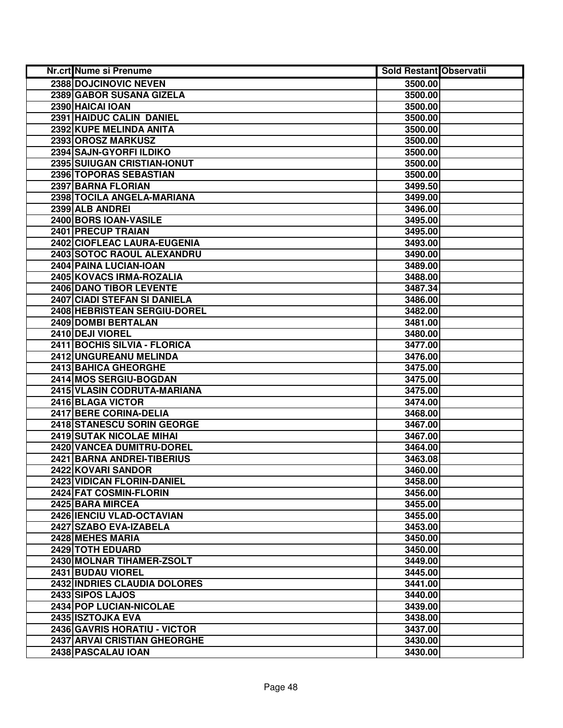| Nr.crt Nume si Prenume         | <b>Sold Restant Observatii</b> |  |
|--------------------------------|--------------------------------|--|
| 2388 DOJCINOVIC NEVEN          | 3500.00                        |  |
| 2389 GABOR SUSANA GIZELA       | 3500.00                        |  |
| 2390 HAICAI IOAN               | 3500.00                        |  |
| 2391 HAIDUC CALIN DANIEL       | 3500.00                        |  |
| 2392 KUPE MELINDA ANITA        | 3500.00                        |  |
| 2393 OROSZ MARKUSZ             | 3500.00                        |  |
| 2394 SAJN-GYORFI ILDIKO        | 3500.00                        |  |
| 2395 SUIUGAN CRISTIAN-IONUT    | 3500.00                        |  |
| 2396 TOPORAS SEBASTIAN         | 3500.00                        |  |
| 2397 BARNA FLORIAN             | 3499.50                        |  |
| 2398 TOCILA ANGELA-MARIANA     | 3499.00                        |  |
| 2399 ALB ANDREI                | 3496.00                        |  |
| 2400 BORS IOAN-VASILE          | 3495.00                        |  |
| 2401 PRECUP TRAIAN             | 3495.00                        |  |
| 2402 CIOFLEAC LAURA-EUGENIA    | 3493.00                        |  |
| 2403 SOTOC RAOUL ALEXANDRU     | 3490.00                        |  |
| 2404 PAINA LUCIAN-IOAN         | 3489.00                        |  |
| 2405 KOVACS IRMA-ROZALIA       | 3488.00                        |  |
| <b>2406 DANO TIBOR LEVENTE</b> | 3487.34                        |  |
| 2407 CIADI STEFAN SI DANIELA   | 3486.00                        |  |
| 2408 HEBRISTEAN SERGIU-DOREL   | 3482.00                        |  |
| 2409 DOMBI BERTALAN            | 3481.00                        |  |
| 2410 DEJI VIOREL               | 3480.00                        |  |
| 2411 BOCHIS SILVIA - FLORICA   | 3477.00                        |  |
| 2412 UNGUREANU MELINDA         | 3476.00                        |  |
| 2413 BAHICA GHEORGHE           | 3475.00                        |  |
| 2414 MOS SERGIU-BOGDAN         | 3475.00                        |  |
| 2415 VLASIN CODRUTA-MARIANA    | 3475.00                        |  |
| 2416 BLAGA VICTOR              | 3474.00                        |  |
| 2417 BERE CORINA-DELIA         | 3468.00                        |  |
| 2418 STANESCU SORIN GEORGE     | 3467.00                        |  |
| 2419 SUTAK NICOLAE MIHAI       | 3467.00                        |  |
| 2420 VANCEA DUMITRU-DOREL      | 3464.00                        |  |
| 2421 BARNA ANDREI-TIBERIUS     | 3463.08                        |  |
| 2422 KOVARI SANDOR             | 3460.00                        |  |
| 2423 VIDICAN FLORIN-DANIEL     | 3458.00                        |  |
| 2424 FAT COSMIN-FLORIN         | 3456.00                        |  |
| 2425 BARA MIRCEA               | 3455.00                        |  |
| 2426 IENCIU VLAD-OCTAVIAN      | 3455.00                        |  |
| 2427 SZABO EVA-IZABELA         | 3453.00                        |  |
| 2428 MEHES MARIA               | 3450.00                        |  |
| 2429 TOTH EDUARD               | 3450.00                        |  |
| 2430 MOLNAR TIHAMER-ZSOLT      | 3449.00                        |  |
| 2431 BUDAU VIOREL              | 3445.00                        |  |
| 2432 INDRIES CLAUDIA DOLORES   | 3441.00                        |  |
| 2433 SIPOS LAJOS               | 3440.00                        |  |
| 2434 POP LUCIAN-NICOLAE        | 3439.00                        |  |
| 2435 ISZTOJKA EVA              | 3438.00                        |  |
| 2436 GAVRIS HORATIU - VICTOR   | 3437.00                        |  |
| 2437 ARVAI CRISTIAN GHEORGHE   | 3430.00                        |  |
| 2438 PASCALAU IOAN             | 3430.00                        |  |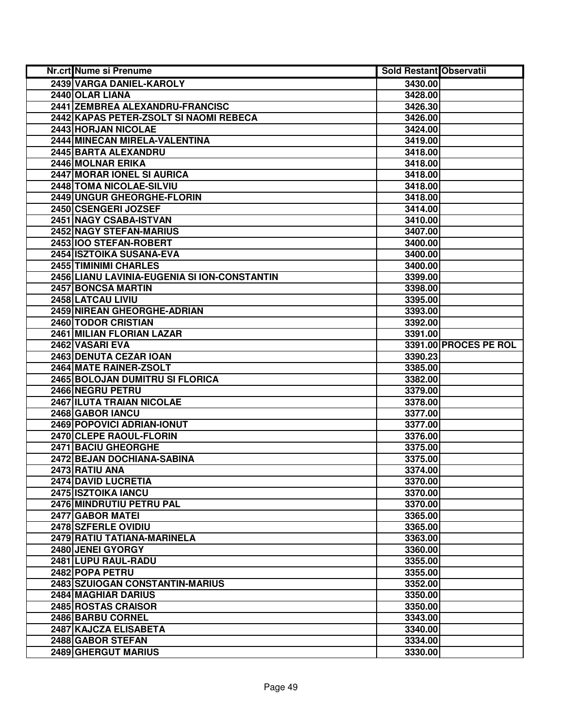| <b>Nr.crt Nume si Prenume</b>                | <b>Sold Restant Observatii</b> |                       |
|----------------------------------------------|--------------------------------|-----------------------|
| 2439 VARGA DANIEL-KAROLY                     | 3430.00                        |                       |
| 2440 OLAR LIANA                              | 3428.00                        |                       |
| 2441 ZEMBREA ALEXANDRU-FRANCISC              | 3426.30                        |                       |
| 2442 KAPAS PETER-ZSOLT SI NAOMI REBECA       | 3426.00                        |                       |
| 2443 HORJAN NICOLAE                          | 3424.00                        |                       |
| 2444 MINECAN MIRELA-VALENTINA                | 3419.00                        |                       |
| 2445 BARTA ALEXANDRU                         | 3418.00                        |                       |
| 2446 MOLNAR ERIKA                            | 3418.00                        |                       |
| 2447 MORAR IONEL SI AURICA                   | 3418.00                        |                       |
| 2448 TOMA NICOLAE-SILVIU                     | 3418.00                        |                       |
| 2449 UNGUR GHEORGHE-FLORIN                   | 3418.00                        |                       |
| 2450 CSENGERI JOZSEF                         | 3414.00                        |                       |
| 2451 NAGY CSABA-ISTVAN                       | 3410.00                        |                       |
| 2452 NAGY STEFAN-MARIUS                      | 3407.00                        |                       |
| 2453 IOO STEFAN-ROBERT                       | 3400.00                        |                       |
| 2454 ISZTOIKA SUSANA-EVA                     | 3400.00                        |                       |
| 2455 TIMINIMI CHARLES                        | 3400.00                        |                       |
| 2456 LIANU LAVINIA-EUGENIA SI ION-CONSTANTIN | 3399.00                        |                       |
| 2457 BONCSA MARTIN                           | 3398.00                        |                       |
| 2458 LATCAU LIVIU                            | 3395.00                        |                       |
| 2459 NIREAN GHEORGHE-ADRIAN                  | 3393.00                        |                       |
| 2460 TODOR CRISTIAN                          | 3392.00                        |                       |
| 2461 MILIAN FLORIAN LAZAR                    | 3391.00                        |                       |
| 2462 VASARI EVA                              |                                | 3391.00 PROCES PE ROL |
| 2463 DENUTA CEZAR IOAN                       | 3390.23                        |                       |
| 2464 MATE RAINER-ZSOLT                       | 3385.00                        |                       |
| 2465 BOLOJAN DUMITRU SI FLORICA              | 3382.00                        |                       |
| 2466 NEGRU PETRU                             | 3379.00                        |                       |
| 2467 ILUTA TRAIAN NICOLAE                    | 3378.00                        |                       |
| 2468 GABOR IANCU                             | 3377.00                        |                       |
| 2469 POPOVICI ADRIAN-IONUT                   | 3377.00                        |                       |
| 2470 CLEPE RAOUL-FLORIN                      | 3376.00                        |                       |
| 2471 BACIU GHEORGHE                          | 3375.00                        |                       |
| <b>2472 BEJAN DOCHIANA-SABINA</b>            | 3375.00                        |                       |
| 2473 RATIU ANA                               | 3374.00                        |                       |
| 2474 DAVID LUCRETIA                          | 3370.00                        |                       |
| 2475 ISZTOIKA IANCU                          | 3370.00                        |                       |
| 2476 MINDRUTIU PETRU PAL                     | 3370.00                        |                       |
| 2477 GABOR MATEL                             | 3365.00                        |                       |
| 2478 SZFERLE OVIDIU                          | 3365.00                        |                       |
| 2479 RATIU TATIANA-MARINELA                  | 3363.00                        |                       |
| 2480 JENEI GYORGY                            | 3360.00                        |                       |
| 2481 LUPU RAUL-RADU                          | 3355.00                        |                       |
| 2482 POPA PETRU                              | 3355.00                        |                       |
| 2483 SZUIOGAN CONSTANTIN-MARIUS              | 3352.00                        |                       |
| 2484 MAGHIAR DARIUS                          | 3350.00                        |                       |
| 2485 ROSTAS CRAISOR                          | 3350.00                        |                       |
| 2486 BARBU CORNEL                            | 3343.00                        |                       |
| 2487 KAJCZA ELISABETA                        | 3340.00                        |                       |
| 2488 GABOR STEFAN                            | 3334.00                        |                       |
| 2489 GHERGUT MARIUS                          | 3330.00                        |                       |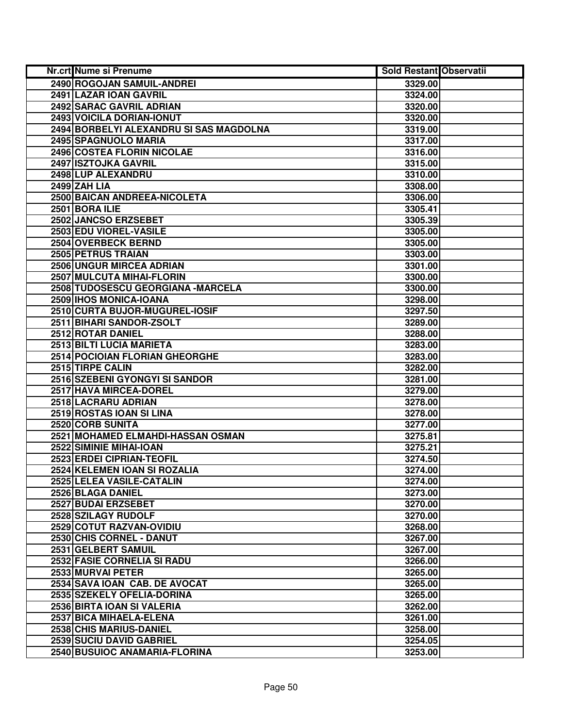| Nr.crt Nume si Prenume                  | <b>Sold Restant Observatii</b> |  |
|-----------------------------------------|--------------------------------|--|
| 2490 ROGOJAN SAMUIL-ANDREI              | 3329.00                        |  |
| 2491 LAZAR IOAN GAVRIL                  | 3324.00                        |  |
| 2492 SARAC GAVRIL ADRIAN                | 3320.00                        |  |
| 2493 VOICILA DORIAN-IONUT               | 3320.00                        |  |
| 2494 BORBELYI ALEXANDRU SI SAS MAGDOLNA | 3319.00                        |  |
| 2495 SPAGNUOLO MARIA                    | 3317.00                        |  |
| 2496 COSTEA FLORIN NICOLAE              | 3316.00                        |  |
| 2497 ISZTOJKA GAVRIL                    | 3315.00                        |  |
| 2498 LUP ALEXANDRU                      | 3310.00                        |  |
| 2499 ZAH LIA                            | 3308.00                        |  |
| 2500 BAICAN ANDREEA-NICOLETA            | 3306.00                        |  |
| 2501 BORA ILIE                          | 3305.41                        |  |
| 2502 JANCSO ERZSEBET                    | 3305.39                        |  |
| 2503 EDU VIOREL-VASILE                  | 3305.00                        |  |
| 2504 OVERBECK BERND                     | 3305.00                        |  |
| 2505 PETRUS TRAIAN                      | 3303.00                        |  |
| 2506 UNGUR MIRCEA ADRIAN                | 3301.00                        |  |
| 2507 MULCUTA MIHAI-FLORIN               | 3300.00                        |  |
| 2508 TUDOSESCU GEORGIANA - MARCELA      | 3300.00                        |  |
| 2509 IHOS MONICA-IOANA                  | 3298.00                        |  |
| 2510 CURTA BUJOR-MUGUREL-IOSIF          | 3297.50                        |  |
| 2511 BIHARI SANDOR-ZSOLT                | 3289.00                        |  |
| 2512 ROTAR DANIEL                       | 3288.00                        |  |
| 2513 BILTI LUCIA MARIETA                | 3283.00                        |  |
| 2514 POCIOIAN FLORIAN GHEORGHE          | 3283.00                        |  |
| 2515 TIRPE CALIN                        | 3282.00                        |  |
| 2516 SZEBENI GYONGYI SI SANDOR          | 3281.00                        |  |
| 2517 HAVA MIRCEA-DOREL                  | 3279.00                        |  |
| 2518 LACRARU ADRIAN                     | 3278.00                        |  |
| 2519 ROSTAS IOAN SI LINA                | 3278.00                        |  |
| 2520 CORB SUNITA                        | 3277.00                        |  |
| 2521 MOHAMED ELMAHDI-HASSAN OSMAN       | 3275.81                        |  |
| 2522 SIMINIE MIHAI-IOAN                 | 3275.21                        |  |
| 2523 ERDEI CIPRIAN-TEOFIL               | 3274.50                        |  |
| 2524 KELEMEN IOAN SI ROZALIA            | 3274.00                        |  |
| 2525 LELEA VASILE-CATALIN               | 3274.00                        |  |
| 2526 BLAGA DANIEL                       | 3273.00                        |  |
| 2527 BUDAI ERZSEBET                     | 3270.00                        |  |
| 2528 SZILAGY RUDOLF                     | 3270.00                        |  |
| 2529 COTUT RAZVAN-OVIDIU                | 3268.00                        |  |
| 2530 CHIS CORNEL - DANUT                | 3267.00                        |  |
| 2531 GELBERT SAMUIL                     | 3267.00                        |  |
| 2532 FASIE CORNELIA SI RADU             | 3266.00                        |  |
| 2533 MURVAI PETER                       | 3265.00                        |  |
| 2534 SAVA IOAN CAB. DE AVOCAT           | 3265.00                        |  |
| 2535 SZEKELY OFELIA-DORINA              | 3265.00                        |  |
| 2536 BIRTA IOAN SI VALERIA              | 3262.00                        |  |
| 2537 BICA MIHAELA-ELENA                 | 3261.00                        |  |
| 2538 CHIS MARIUS-DANIEL                 | 3258.00                        |  |
| 2539 SUCIU DAVID GABRIEL                | 3254.05                        |  |
| 2540 BUSUIOC ANAMARIA-FLORINA           | 3253.00                        |  |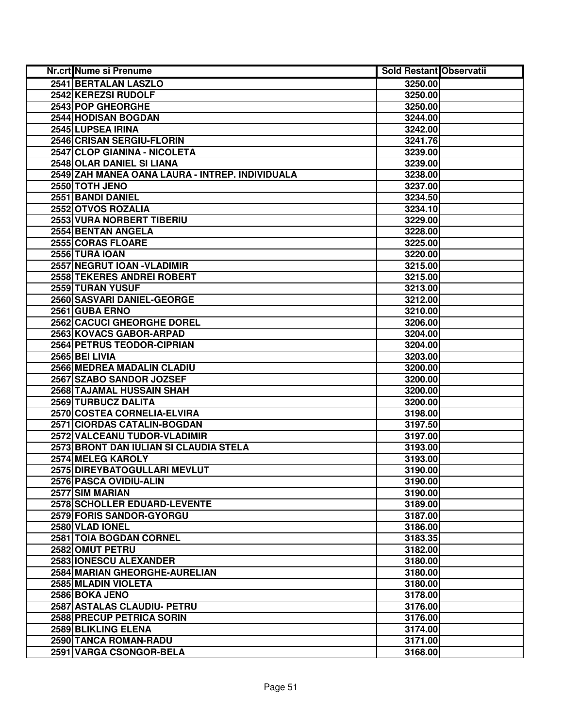| Nr.crt Nume si Prenume                          | <b>Sold Restant Observatii</b> |  |
|-------------------------------------------------|--------------------------------|--|
| 2541 BERTALAN LASZLO                            | 3250.00                        |  |
| 2542 KEREZSI RUDOLF                             | 3250.00                        |  |
| 2543 POP GHEORGHE                               | 3250.00                        |  |
| 2544 HODISAN BOGDAN                             | 3244.00                        |  |
| 2545 LUPSEA IRINA                               | 3242.00                        |  |
| 2546 CRISAN SERGIU-FLORIN                       | 3241.76                        |  |
| 2547 CLOP GIANINA - NICOLETA                    | 3239.00                        |  |
| 2548 OLAR DANIEL SI LIANA                       | 3239.00                        |  |
| 2549 ZAH MANEA OANA LAURA - INTREP. INDIVIDUALA | 3238.00                        |  |
| 2550 TOTH JENO                                  | 3237.00                        |  |
| 2551 BANDI DANIEL                               | 3234.50                        |  |
| 2552 OTVOS ROZALIA                              | 3234.10                        |  |
| 2553 VURA NORBERT TIBERIU                       | 3229.00                        |  |
| 2554 BENTAN ANGELA                              | 3228.00                        |  |
| 2555 CORAS FLOARE                               | 3225.00                        |  |
| 2556 TURA IOAN                                  | 3220.00                        |  |
| 2557 NEGRUT IOAN - VLADIMIR                     | 3215.00                        |  |
| 2558 TEKERES ANDREI ROBERT                      | 3215.00                        |  |
| 2559 TURAN YUSUF                                | 3213.00                        |  |
| 2560 SASVARI DANIEL-GEORGE                      | 3212.00                        |  |
| 2561 GUBA ERNO                                  | 3210.00                        |  |
| 2562 CACUCI GHEORGHE DOREL                      | 3206.00                        |  |
| 2563 KOVACS GABOR-ARPAD                         | 3204.00                        |  |
| 2564 PETRUS TEODOR-CIPRIAN                      | 3204.00                        |  |
| 2565 BEI LIVIA                                  | 3203.00                        |  |
| 2566 MEDREA MADALIN CLADIU                      | 3200.00                        |  |
| 2567 SZABO SANDOR JOZSEF                        | 3200.00                        |  |
| 2568 TAJAMAL HUSSAIN SHAH                       | 3200.00                        |  |
| 2569 TURBUCZ DALITA                             | 3200.00                        |  |
| 2570 COSTEA CORNELIA-ELVIRA                     | 3198.00                        |  |
| 2571 CIORDAS CATALIN-BOGDAN                     | 3197.50                        |  |
| 2572 VALCEANU TUDOR-VLADIMIR                    | 3197.00                        |  |
| 2573 BRONT DAN IULIAN SI CLAUDIA STELA          | 3193.00                        |  |
| 2574 MELEG KAROLY                               | 3193.00                        |  |
| 2575 DIREYBATOGULLARI MEVLUT                    | 3190.00                        |  |
| 2576 PASCA OVIDIU-ALIN                          | 3190.00                        |  |
| 2577 SIM MARIAN                                 | 3190.00                        |  |
| 2578 SCHOLLER EDUARD-LEVENTE                    | 3189.00                        |  |
| 2579 FORIS SANDOR-GYORGU                        | 3187.00                        |  |
| 2580 VLAD IONEL                                 | 3186.00                        |  |
| 2581 TOIA BOGDAN CORNEL                         | 3183.35                        |  |
| 2582 OMUT PETRU                                 | 3182.00                        |  |
| 2583 IONESCU ALEXANDER                          | 3180.00                        |  |
| 2584 MARIAN GHEORGHE-AURELIAN                   | 3180.00                        |  |
| 2585 MLADIN VIOLETA                             | 3180.00                        |  |
| 2586 BOKA JENO                                  | 3178.00                        |  |
| 2587 ASTALAS CLAUDIU- PETRU                     | 3176.00                        |  |
| 2588 PRECUP PETRICA SORIN                       | 3176.00                        |  |
| 2589 BLIKLING ELENA                             | 3174.00                        |  |
| 2590 TANCA ROMAN-RADU                           | 3171.00                        |  |
| 2591 VARGA CSONGOR-BELA                         | 3168.00                        |  |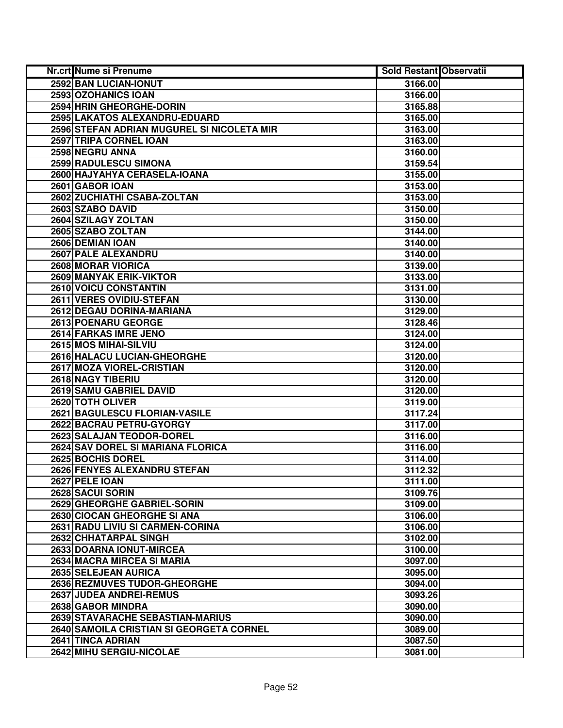| Nr.crt Nume si Prenume                     | <b>Sold Restant Observatii</b> |  |
|--------------------------------------------|--------------------------------|--|
| 2592 BAN LUCIAN-IONUT                      | 3166.00                        |  |
| 2593 OZOHANICS IOAN                        | 3166.00                        |  |
| 2594 HRIN GHEORGHE-DORIN                   | 3165.88                        |  |
| 2595 LAKATOS ALEXANDRU-EDUARD              | 3165.00                        |  |
| 2596 STEFAN ADRIAN MUGUREL SI NICOLETA MIR | 3163.00                        |  |
| 2597 TRIPA CORNEL IOAN                     | 3163.00                        |  |
| 2598 NEGRU ANNA                            | 3160.00                        |  |
| 2599 RADULESCU SIMONA                      | 3159.54                        |  |
| 2600 HAJYAHYA CERASELA-IOANA               | 3155.00                        |  |
| 2601 GABOR IOAN                            | 3153.00                        |  |
| 2602 ZUCHIATHI CSABA-ZOLTAN                | 3153.00                        |  |
| 2603 SZABO DAVID                           | 3150.00                        |  |
| 2604 SZILAGY ZOLTAN                        | 3150.00                        |  |
| 2605 SZABO ZOLTAN                          | 3144.00                        |  |
| 2606 DEMIAN IOAN                           | 3140.00                        |  |
| 2607 PALE ALEXANDRU                        | 3140.00                        |  |
| 2608 MORAR VIORICA                         | 3139.00                        |  |
| 2609 MANYAK ERIK-VIKTOR                    | 3133.00                        |  |
| 2610 VOICU CONSTANTIN                      | 3131.00                        |  |
| 2611 VERES OVIDIU-STEFAN                   | 3130.00                        |  |
| 2612 DEGAU DORINA-MARIANA                  | 3129.00                        |  |
| 2613 POENARU GEORGE                        | 3128.46                        |  |
| 2614 FARKAS IMRE JENO                      | 3124.00                        |  |
| 2615 MOS MIHAI-SILVIU                      | 3124.00                        |  |
| 2616 HALACU LUCIAN-GHEORGHE                | 3120.00                        |  |
| 2617 MOZA VIOREL-CRISTIAN                  | 3120.00                        |  |
| 2618 NAGY TIBERIU                          | 3120.00                        |  |
| 2619 SAMU GABRIEL DAVID                    | 3120.00                        |  |
| 2620 TOTH OLIVER                           | 3119.00                        |  |
| 2621 BAGULESCU FLORIAN-VASILE              | 3117.24                        |  |
| 2622 BACRAU PETRU-GYORGY                   | 3117.00                        |  |
| 2623 SALAJAN TEODOR-DOREL                  | 3116.00                        |  |
| 2624 SAV DOREL SI MARIANA FLORICA          | 3116.00                        |  |
| 2625 BOCHIS DOREL                          | 3114.00                        |  |
| 2626 FENYES ALEXANDRU STEFAN               | 3112.32                        |  |
| 2627 PELE IOAN                             | 3111.00                        |  |
| 2628 SACUI SORIN                           | 3109.76                        |  |
| 2629 GHEORGHE GABRIEL-SORIN                | 3109.00                        |  |
| 2630 CIOCAN GHEORGHE SI ANA                | 3106.00                        |  |
| 2631 RADU LIVIU SI CARMEN-CORINA           | 3106.00                        |  |
| 2632 CHHATARPAL SINGH                      | 3102.00                        |  |
| 2633 DOARNA IONUT-MIRCEA                   | 3100.00                        |  |
| 2634 MACRA MIRCEA SI MARIA                 | 3097.00                        |  |
| 2635 SELEJEAN AURICA                       | 3095.00                        |  |
| 2636 REZMUVES TUDOR-GHEORGHE               | 3094.00                        |  |
| <b>2637 JUDEA ANDREI-REMUS</b>             | 3093.26                        |  |
| 2638 GABOR MINDRA                          | 3090.00                        |  |
| 2639 STAVARACHE SEBASTIAN-MARIUS           | 3090.00                        |  |
| 2640 SAMOILA CRISTIAN SI GEORGETA CORNEL   | 3089.00                        |  |
| 2641 TINCA ADRIAN                          | 3087.50                        |  |
| 2642 MIHU SERGIU-NICOLAE                   | 3081.00                        |  |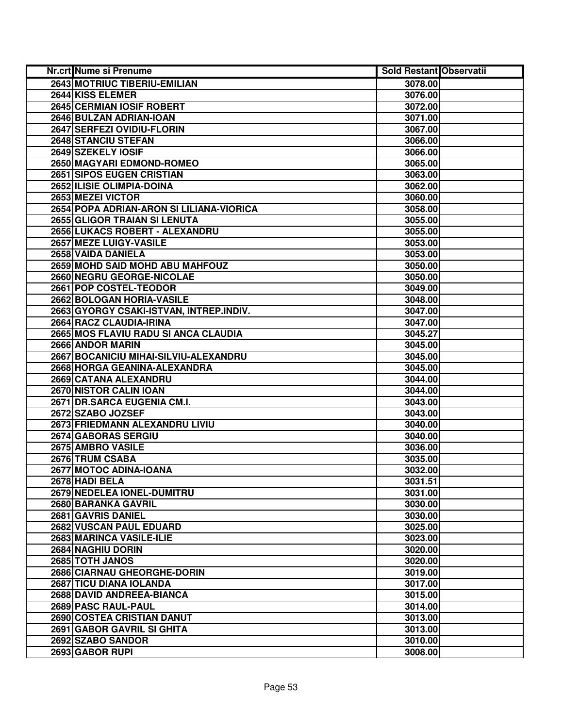| Nr.crt Nume si Prenume                   | <b>Sold Restant Observatii</b> |  |
|------------------------------------------|--------------------------------|--|
| 2643 MOTRIUC TIBERIU-EMILIAN             | 3078.00                        |  |
| 2644 KISS ELEMER                         | 3076.00                        |  |
| 2645 CERMIAN IOSIF ROBERT                | 3072.00                        |  |
| 2646 BULZAN ADRIAN-IOAN                  | 3071.00                        |  |
| 2647 SERFEZI OVIDIU-FLORIN               | 3067.00                        |  |
| 2648 STANCIU STEFAN                      | 3066.00                        |  |
| 2649 SZEKELY IOSIF                       | 3066.00                        |  |
| 2650 MAGYARI EDMOND-ROMEO                | 3065.00                        |  |
| 2651 SIPOS EUGEN CRISTIAN                | 3063.00                        |  |
| 2652 ILISIE OLIMPIA-DOINA                | 3062.00                        |  |
| 2653 MEZEI VICTOR                        | 3060.00                        |  |
| 2654 POPA ADRIAN-ARON SI LILIANA-VIORICA | 3058.00                        |  |
| 2655 GLIGOR TRAIAN SI LENUTA             | 3055.00                        |  |
| 2656 LUKACS ROBERT - ALEXANDRU           | 3055.00                        |  |
| 2657 MEZE LUIGY-VASILE                   | 3053.00                        |  |
| 2658 VAIDA DANIELA                       | 3053.00                        |  |
| 2659 MOHD SAID MOHD ABU MAHFOUZ          | 3050.00                        |  |
| 2660 NEGRU GEORGE-NICOLAE                | 3050.00                        |  |
| 2661 POP COSTEL-TEODOR                   | 3049.00                        |  |
| 2662 BOLOGAN HORIA-VASILE                | 3048.00                        |  |
| 2663 GYORGY CSAKI-ISTVAN, INTREP.INDIV.  | 3047.00                        |  |
| 2664 RACZ CLAUDIA-IRINA                  | 3047.00                        |  |
| 2665 MOS FLAVIU RADU SI ANCA CLAUDIA     | 3045.27                        |  |
| 2666 ANDOR MARIN                         | 3045.00                        |  |
| 2667 BOCANICIU MIHAI-SILVIU-ALEXANDRU    | 3045.00                        |  |
| 2668 HORGA GEANINA-ALEXANDRA             | 3045.00                        |  |
| 2669 CATANA ALEXANDRU                    | 3044.00                        |  |
| 2670 NISTOR CALIN IOAN                   | 3044.00                        |  |
| 2671 DR.SARCA EUGENIA CM.I.              | 3043.00                        |  |
| 2672 SZABO JOZSEF                        | 3043.00                        |  |
| 2673 FRIEDMANN ALEXANDRU LIVIU           | 3040.00                        |  |
| 2674 GABORAS SERGIU                      | 3040.00                        |  |
| 2675 AMBRO VASILE                        | 3036.00                        |  |
| 2676 TRUM CSABA                          | 3035.00                        |  |
| 2677 MOTOC ADINA-IOANA                   | 3032.00                        |  |
| 2678 HADI BELA                           | 3031.51                        |  |
| 2679 NEDELEA IONEL-DUMITRU               | 3031.00                        |  |
| 2680 BARANKA GAVRIL                      | 3030.00                        |  |
| 2681 GAVRIS DANIEL                       | 3030.00                        |  |
| 2682 VUSCAN PAUL EDUARD                  | 3025.00                        |  |
| 2683 MARINCA VASILE-ILIE                 | 3023.00                        |  |
| <b>2684 NAGHIU DORIN</b>                 | 3020.00                        |  |
| 2685 TOTH JANOS                          | 3020.00                        |  |
| 2686 CIARNAU GHEORGHE-DORIN              | 3019.00                        |  |
| 2687 TICU DIANA IOLANDA                  | 3017.00                        |  |
| 2688 DAVID ANDREEA-BIANCA                | 3015.00                        |  |
| 2689 PASC RAUL-PAUL                      | 3014.00                        |  |
| 2690 COSTEA CRISTIAN DANUT               | 3013.00                        |  |
| 2691 GABOR GAVRIL SI GHITA               | 3013.00                        |  |
| 2692 SZABO SANDOR                        | 3010.00                        |  |
| 2693 GABOR RUPI                          | 3008.00                        |  |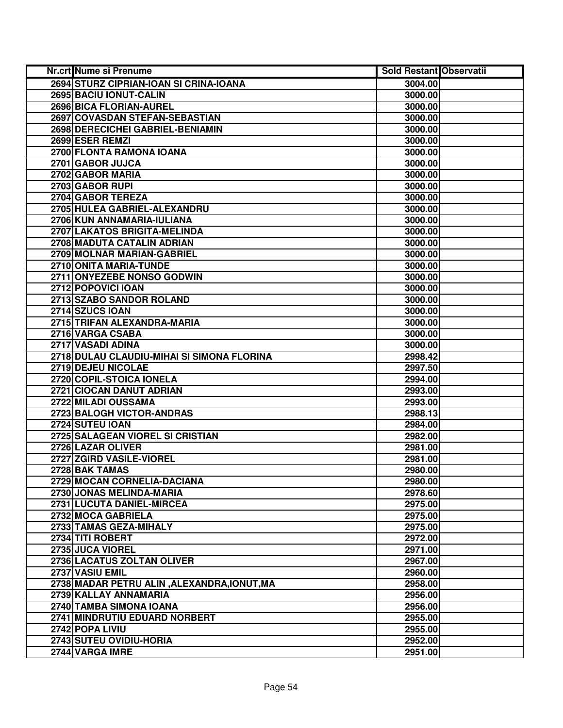| Nr.crt Nume si Prenume                      | <b>Sold Restant Observatii</b> |  |
|---------------------------------------------|--------------------------------|--|
| 2694 STURZ CIPRIAN-IOAN SI CRINA-IOANA      | 3004.00                        |  |
| 2695 BACIU IONUT-CALIN                      | 3000.00                        |  |
| 2696 BICA FLORIAN-AUREL                     | 3000.00                        |  |
| 2697 COVASDAN STEFAN-SEBASTIAN              | 3000.00                        |  |
| 2698 DERECICHEI GABRIEL-BENIAMIN            | 3000.00                        |  |
| 2699 ESER REMZI                             | 3000.00                        |  |
| 2700 FLONTA RAMONA IOANA                    | 3000.00                        |  |
| 2701 GABOR JUJCA                            | 3000.00                        |  |
| 2702 GABOR MARIA                            | 3000.00                        |  |
| 2703 GABOR RUPI                             | 3000.00                        |  |
| 2704 GABOR TEREZA                           | 3000.00                        |  |
| 2705 HULEA GABRIEL-ALEXANDRU                | 3000.00                        |  |
| 2706 KUN ANNAMARIA-IULIANA                  | 3000.00                        |  |
| 2707 LAKATOS BRIGITA-MELINDA                | 3000.00                        |  |
| 2708 MADUTA CATALIN ADRIAN                  | 3000.00                        |  |
| 2709 MOLNAR MARIAN-GABRIEL                  | 3000.00                        |  |
| 2710 ONITA MARIA-TUNDE                      | 3000.00                        |  |
| 2711 ONYEZEBE NONSO GODWIN                  | 3000.00                        |  |
| 2712 POPOVICI IOAN                          | 3000.00                        |  |
| 2713 SZABO SANDOR ROLAND                    | 3000.00                        |  |
| 2714 SZUCS IOAN                             | 3000.00                        |  |
| 2715 TRIFAN ALEXANDRA-MARIA                 | 3000.00                        |  |
| 2716 VARGA CSABA                            | 3000.00                        |  |
| 2717 VASADI ADINA                           | 3000.00                        |  |
| 2718 DULAU CLAUDIU-MIHAI SI SIMONA FLORINA  | 2998.42                        |  |
| 2719 DEJEU NICOLAE                          | 2997.50                        |  |
| 2720 COPIL-STOICA IONELA                    | 2994.00                        |  |
| 2721 CIOCAN DANUT ADRIAN                    | 2993.00                        |  |
| 2722 MILADI OUSSAMA                         | 2993.00                        |  |
| 2723 BALOGH VICTOR-ANDRAS                   | 2988.13                        |  |
| 2724 SUTEU IOAN                             | 2984.00                        |  |
| 2725 SALAGEAN VIOREL SI CRISTIAN            | 2982.00                        |  |
| 2726 LAZAR OLIVER                           | 2981.00                        |  |
| 2727 ZGIRD VASILE-VIOREL                    | 2981.00                        |  |
| 2728 BAK TAMAS                              | 2980.00                        |  |
| 2729 MOCAN CORNELIA-DACIANA                 | 2980.00                        |  |
| 2730 JONAS MELINDA-MARIA                    | 2978.60                        |  |
| 2731 LUCUTA DANIEL-MIRCEA                   | 2975.00                        |  |
| 2732 MOCA GABRIELA                          | 2975.00                        |  |
| 2733 TAMAS GEZA-MIHALY                      | 2975.00                        |  |
| 2734 TITI ROBERT                            | 2972.00                        |  |
| 2735 JUCA VIOREL                            | 2971.00                        |  |
| 2736 LACATUS ZOLTAN OLIVER                  | 2967.00                        |  |
| 2737 VASIU EMIL                             | 2960.00                        |  |
| 2738 MADAR PETRU ALIN, ALEXANDRA, IONUT, MA | 2958.00                        |  |
| 2739 KALLAY ANNAMARIA                       | 2956.00                        |  |
| 2740 TAMBA SIMONA IOANA                     | 2956.00                        |  |
| 2741 MINDRUTIU EDUARD NORBERT               | 2955.00                        |  |
| 2742 POPA LIVIU                             | 2955.00                        |  |
| 2743 SUTEU OVIDIU-HORIA                     | 2952.00                        |  |
| 2744 VARGA IMRE                             | 2951.00                        |  |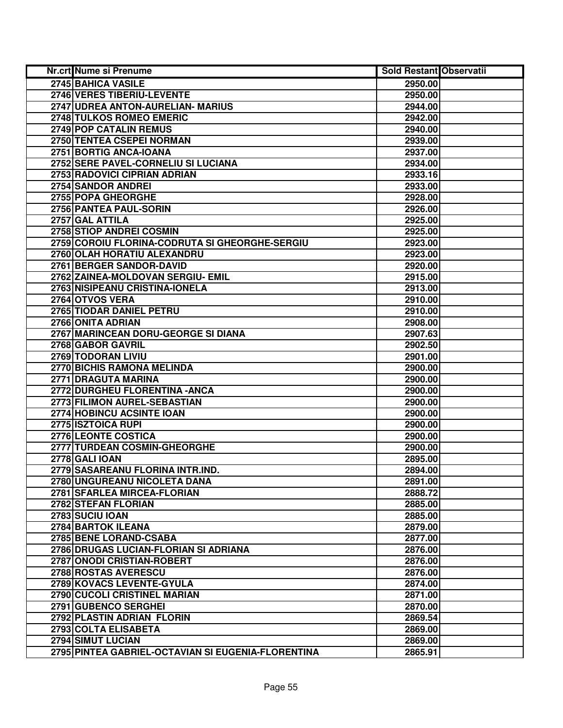| <b>Nr.crt Nume si Prenume</b>                      | <b>Sold Restant Observatii</b> |  |
|----------------------------------------------------|--------------------------------|--|
| 2745 BAHICA VASILE                                 | 2950.00                        |  |
| 2746 VERES TIBERIU-LEVENTE                         | 2950.00                        |  |
| 2747 UDREA ANTON-AURELIAN- MARIUS                  | 2944.00                        |  |
| 2748 TULKOS ROMEO EMERIC                           | 2942.00                        |  |
| 2749 POP CATALIN REMUS                             | 2940.00                        |  |
| 2750 TENTEA CSEPEI NORMAN                          | 2939.00                        |  |
| 2751 BORTIG ANCA-IOANA                             | 2937.00                        |  |
| 2752 SERE PAVEL-CORNELIU SI LUCIANA                | 2934.00                        |  |
| 2753 RADOVICI CIPRIAN ADRIAN                       | 2933.16                        |  |
| 2754 SANDOR ANDREI                                 | 2933.00                        |  |
| 2755 POPA GHEORGHE                                 | 2928.00                        |  |
| 2756 PANTEA PAUL-SORIN                             | 2926.00                        |  |
| 2757 GAL ATTILA                                    | 2925.00                        |  |
| 2758 STIOP ANDREI COSMIN                           | 2925.00                        |  |
| 2759 COROIU FLORINA-CODRUTA SI GHEORGHE-SERGIU     | 2923.00                        |  |
| 2760 OLAH HORATIU ALEXANDRU                        | 2923.00                        |  |
| 2761 BERGER SANDOR-DAVID                           | 2920.00                        |  |
| 2762 ZAINEA-MOLDOVAN SERGIU- EMIL                  | 2915.00                        |  |
| 2763 NISIPEANU CRISTINA-IONELA                     | 2913.00                        |  |
| 2764 OTVOS VERA                                    | 2910.00                        |  |
| 2765 TIODAR DANIEL PETRU                           | 2910.00                        |  |
| 2766 ONITA ADRIAN                                  | 2908.00                        |  |
| 2767 MARINCEAN DORU-GEORGE SI DIANA                | 2907.63                        |  |
| 2768 GABOR GAVRIL                                  | 2902.50                        |  |
| 2769 TODORAN LIVIU                                 | 2901.00                        |  |
| 2770 BICHIS RAMONA MELINDA                         | 2900.00                        |  |
| 2771 DRAGUTA MARINA                                | 2900.00                        |  |
| 2772 DURGHEU FLORENTINA - ANCA                     | 2900.00                        |  |
| 2773 FILIMON AUREL-SEBASTIAN                       | 2900.00                        |  |
| 2774 HOBINCU ACSINTE IOAN                          | 2900.00                        |  |
| 2775 ISZTOICA RUPI                                 | 2900.00                        |  |
| 2776 LEONTE COSTICA                                | 2900.00                        |  |
| 2777 TURDEAN COSMIN-GHEORGHE                       | 2900.00                        |  |
| 2778 GALI IOAN                                     | 2895.00                        |  |
| 2779 SASAREANU FLORINA INTR.IND.                   | 2894.00                        |  |
| 2780 UNGUREANU NICOLETA DANA                       | 2891.00                        |  |
| 2781 SFARLEA MIRCEA-FLORIAN                        | 2888.72                        |  |
| 2782 STEFAN FLORIAN                                | 2885.00                        |  |
| 2783 SUCIU IOAN                                    | 2885.00                        |  |
| 2784 BARTOK ILEANA                                 | 2879.00                        |  |
| 2785 BENE LORAND-CSABA                             | 2877.00                        |  |
| 2786 DRUGAS LUCIAN-FLORIAN SI ADRIANA              | 2876.00                        |  |
| 2787 ONODI CRISTIAN-ROBERT                         | 2876.00                        |  |
| 2788 ROSTAS AVERESCU                               | 2876.00                        |  |
| 2789 KOVACS LEVENTE-GYULA                          | 2874.00                        |  |
| 2790 CUCOLI CRISTINEL MARIAN                       | 2871.00                        |  |
| 2791 GUBENCO SERGHEI                               | 2870.00                        |  |
| 2792 PLASTIN ADRIAN FLORIN                         | 2869.54                        |  |
| 2793 COLTA ELISABETA                               | 2869.00                        |  |
| 2794 SIMUT LUCIAN                                  | 2869.00                        |  |
| 2795 PINTEA GABRIEL-OCTAVIAN SI EUGENIA-FLORENTINA | 2865.91                        |  |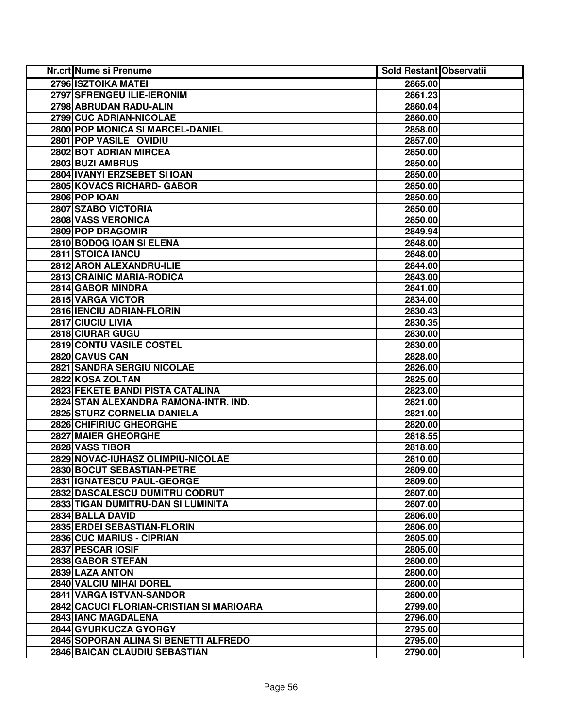| <b>Nr.crt Nume si Prenume</b>            | <b>Sold Restant Observatii</b> |  |
|------------------------------------------|--------------------------------|--|
| 2796 ISZTOIKA MATEI                      | 2865.00                        |  |
| 2797 SFRENGEU ILIE-IERONIM               | 2861.23                        |  |
| 2798 ABRUDAN RADU-ALIN                   | 2860.04                        |  |
| 2799 CUC ADRIAN-NICOLAE                  | 2860.00                        |  |
| 2800 POP MONICA SI MARCEL-DANIEL         | 2858.00                        |  |
| 2801 POP VASILE OVIDIU                   | 2857.00                        |  |
| 2802 BOT ADRIAN MIRCEA                   | 2850.00                        |  |
| 2803 BUZI AMBRUS                         | 2850.00                        |  |
| 2804 IVANYI ERZSEBET SI IOAN             | 2850.00                        |  |
| 2805 KOVACS RICHARD- GABOR               | 2850.00                        |  |
| <b>2806 POP IOAN</b>                     | 2850.00                        |  |
| 2807 SZABO VICTORIA                      | 2850.00                        |  |
| 2808 VASS VERONICA                       | 2850.00                        |  |
| 2809 POP DRAGOMIR                        | 2849.94                        |  |
| 2810 BODOG IOAN SI ELENA                 | 2848.00                        |  |
| 2811 STOICA IANCU                        | 2848.00                        |  |
| 2812 ARON ALEXANDRU-ILIE                 | 2844.00                        |  |
| 2813 CRAINIC MARIA-RODICA                | 2843.00                        |  |
| 2814 GABOR MINDRA                        | 2841.00                        |  |
| 2815 VARGA VICTOR                        | 2834.00                        |  |
| 2816 IENCIU ADRIAN-FLORIN                | 2830.43                        |  |
| 2817 CIUCIU LIVIA                        | 2830.35                        |  |
| 2818 CIURAR GUGU                         | 2830.00                        |  |
| 2819 CONTU VASILE COSTEL                 | 2830.00                        |  |
| 2820 CAVUS CAN                           | 2828.00                        |  |
| 2821 SANDRA SERGIU NICOLAE               | 2826.00                        |  |
| 2822 KOSA ZOLTAN                         | 2825.00                        |  |
| 2823 FEKETE BANDI PISTA CATALINA         | 2823.00                        |  |
| 2824 STAN ALEXANDRA RAMONA-INTR. IND.    | 2821.00                        |  |
| 2825 STURZ CORNELIA DANIELA              | 2821.00                        |  |
| 2826 CHIFIRIUC GHEORGHE                  | 2820.00                        |  |
| 2827 MAIER GHEORGHE                      | 2818.55                        |  |
| 2828 VASS TIBOR                          | 2818.00                        |  |
| 2829 NOVAC-IUHASZ OLIMPIU-NICOLAE        | 2810.00                        |  |
| 2830 BOCUT SEBASTIAN-PETRE               | 2809.00                        |  |
| 2831 IGNATESCU PAUL-GEORGE               | 2809.00                        |  |
| 2832 DASCALESCU DUMITRU CODRUT           | 2807.00                        |  |
| 2833 TIGAN DUMITRU-DAN SI LUMINITA       | 2807.00                        |  |
| 2834 BALLA DAVID                         | 2806.00                        |  |
| 2835 ERDEI SEBASTIAN-FLORIN              | 2806.00                        |  |
| 2836 CUC MARIUS - CIPRIAN                | 2805.00                        |  |
| 2837 PESCAR IOSIF                        | 2805.00                        |  |
| 2838 GABOR STEFAN                        | 2800.00                        |  |
| 2839 LAZA ANTON                          | 2800.00                        |  |
| 2840 VALCIU MIHAI DOREL                  | 2800.00                        |  |
| 2841 VARGA ISTVAN-SANDOR                 | 2800.00                        |  |
| 2842 CACUCI FLORIAN-CRISTIAN SI MARIOARA | 2799.00                        |  |
| 2843 IANC MAGDALENA                      | 2796.00                        |  |
| 2844 GYURKUCZA GYORGY                    | 2795.00                        |  |
| 2845 SOPORAN ALINA SI BENETTI ALFREDO    | 2795.00                        |  |
| 2846 BAICAN CLAUDIU SEBASTIAN            | 2790.00                        |  |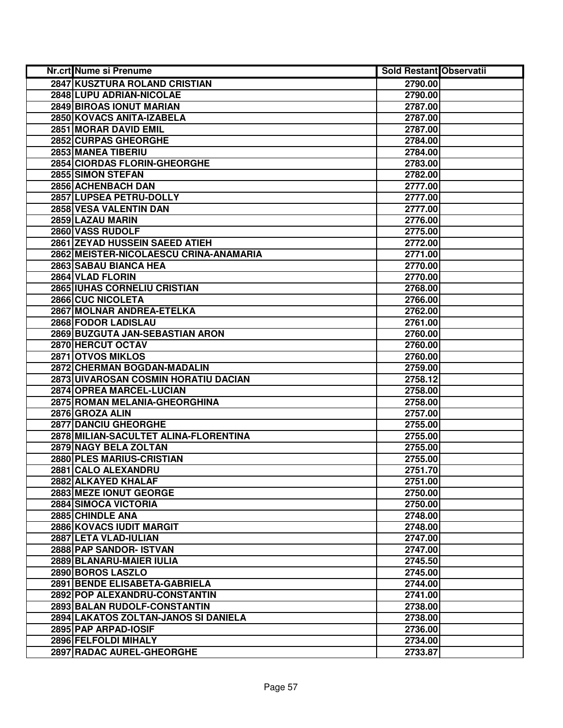| Nr.crt Nume si Prenume                 | <b>Sold Restant Observatii</b> |  |
|----------------------------------------|--------------------------------|--|
| 2847 KUSZTURA ROLAND CRISTIAN          | 2790.00                        |  |
| 2848 LUPU ADRIAN-NICOLAE               | 2790.00                        |  |
| 2849 BIROAS IONUT MARIAN               | 2787.00                        |  |
| 2850 KOVACS ANITA-IZABELA              | 2787.00                        |  |
| 2851 MORAR DAVID EMIL                  | 2787.00                        |  |
| 2852 CURPAS GHEORGHE                   | 2784.00                        |  |
| 2853 MANEA TIBERIU                     | 2784.00                        |  |
| 2854 CIORDAS FLORIN-GHEORGHE           | 2783.00                        |  |
| 2855 SIMON STEFAN                      | 2782.00                        |  |
| 2856 ACHENBACH DAN                     | 2777.00                        |  |
| 2857 LUPSEA PETRU-DOLLY                | 2777.00                        |  |
| 2858 VESA VALENTIN DAN                 | 2777.00                        |  |
| 2859 LAZAU MARIN                       | 2776.00                        |  |
| 2860 VASS RUDOLF                       | 2775.00                        |  |
| 2861 ZEYAD HUSSEIN SAEED ATIEH         | 2772.00                        |  |
| 2862 MEISTER-NICOLAESCU CRINA-ANAMARIA | 2771.00                        |  |
| 2863 SABAU BIANCA HEA                  | 2770.00                        |  |
| 2864 VLAD FLORIN                       | 2770.00                        |  |
| 2865 IUHAS CORNELIU CRISTIAN           | 2768.00                        |  |
| 2866 CUC NICOLETA                      | 2766.00                        |  |
| 2867 MOLNAR ANDREA-ETELKA              | 2762.00                        |  |
| 2868 FODOR LADISLAU                    | 2761.00                        |  |
| 2869 BUZGUTA JAN-SEBASTIAN ARON        | 2760.00                        |  |
| 2870 HERCUT OCTAV                      | 2760.00                        |  |
| 2871 OTVOS MIKLOS                      | 2760.00                        |  |
| 2872 CHERMAN BOGDAN-MADALIN            | 2759.00                        |  |
| 2873 UIVAROSAN COSMIN HORATIU DACIAN   | 2758.12                        |  |
| 2874 OPREA MARCEL-LUCIAN               | 2758.00                        |  |
| 2875 ROMAN MELANIA-GHEORGHINA          | 2758.00                        |  |
| 2876 GROZA ALIN                        | 2757.00                        |  |
| 2877 DANCIU GHEORGHE                   | 2755.00                        |  |
| 2878 MILIAN-SACULTET ALINA-FLORENTINA  | 2755.00                        |  |
| 2879 NAGY BELA ZOLTAN                  | 2755.00                        |  |
| 2880 PLES MARIUS-CRISTIAN              | 2755.00                        |  |
| 2881 CALO ALEXANDRU                    | 2751.70                        |  |
| 2882 ALKAYED KHALAF                    | 2751.00                        |  |
| 2883 MEZE IONUT GEORGE                 | 2750.00                        |  |
| 2884 SIMOCA VICTORIA                   | 2750.00                        |  |
| 2885 CHINDLE ANA                       | 2748.00                        |  |
| <b>2886 KOVACS IUDIT MARGIT</b>        | 2748.00                        |  |
| 2887 LETA VLAD-IULIAN                  | 2747.00                        |  |
| 2888 PAP SANDOR- ISTVAN                | 2747.00                        |  |
| 2889 BLANARU-MAIER IULIA               | 2745.50                        |  |
| 2890 BOROS LASZLO                      | 2745.00                        |  |
| 2891 BENDE ELISABETA-GABRIELA          | 2744.00                        |  |
| 2892 POP ALEXANDRU-CONSTANTIN          | 2741.00                        |  |
| 2893 BALAN RUDOLF-CONSTANTIN           | 2738.00                        |  |
| 2894 LAKATOS ZOLTAN-JANOS SI DANIELA   | 2738.00                        |  |
| 2895 PAP ARPAD-IOSIF                   | 2736.00                        |  |
| 2896 FELFOLDI MIHALY                   | 2734.00                        |  |
| 2897 RADAC AUREL-GHEORGHE              | 2733.87                        |  |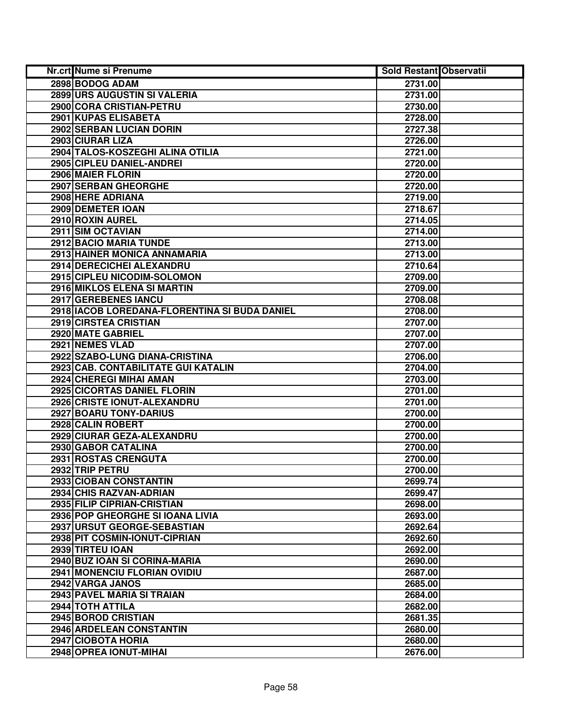| Nr.crt Nume si Prenume                        | <b>Sold Restant Observatii</b> |
|-----------------------------------------------|--------------------------------|
| 2898 BODOG ADAM                               | 2731.00                        |
| 2899 URS AUGUSTIN SI VALERIA                  | 2731.00                        |
| 2900 CORA CRISTIAN-PETRU                      | 2730.00                        |
| 2901 KUPAS ELISABETA                          | 2728.00                        |
| 2902 SERBAN LUCIAN DORIN                      | 2727.38                        |
| 2903 CIURAR LIZA                              | 2726.00                        |
| 2904 TALOS-KOSZEGHI ALINA OTILIA              | 2721.00                        |
| 2905 CIPLEU DANIEL-ANDREI                     | 2720.00                        |
| 2906 MAIER FLORIN                             | 2720.00                        |
| 2907 SERBAN GHEORGHE                          | 2720.00                        |
| 2908 HERE ADRIANA                             | 2719.00                        |
| 2909 DEMETER IOAN                             | 2718.67                        |
| 2910 ROXIN AUREL                              | 2714.05                        |
| 2911 SIM OCTAVIAN                             | 2714.00                        |
| 2912 BACIO MARIA TUNDE                        | 2713.00                        |
| 2913 HAINER MONICA ANNAMARIA                  | 2713.00                        |
| 2914 DERECICHEI ALEXANDRU                     | 2710.64                        |
| 2915 CIPLEU NICODIM-SOLOMON                   | 2709.00                        |
| 2916 MIKLOS ELENA SI MARTIN                   | 2709.00                        |
| 2917 GEREBENES IANCU                          | 2708.08                        |
| 2918 IACOB LOREDANA-FLORENTINA SI BUDA DANIEL | 2708.00                        |
| 2919 CIRSTEA CRISTIAN                         | 2707.00                        |
| 2920 MATE GABRIEL                             | 2707.00                        |
| 2921 NEMES VLAD                               | 2707.00                        |
| 2922 SZABO-LUNG DIANA-CRISTINA                | 2706.00                        |
| 2923 CAB. CONTABILITATE GUI KATALIN           | 2704.00                        |
| 2924 CHEREGI MIHAI AMAN                       | 2703.00                        |
| 2925 CICORTAS DANIEL FLORIN                   | 2701.00                        |
| 2926 CRISTE IONUT-ALEXANDRU                   | 2701.00                        |
| 2927 BOARU TONY-DARIUS                        | 2700.00                        |
| 2928 CALIN ROBERT                             | 2700.00                        |
| 2929 CIURAR GEZA-ALEXANDRU                    | 2700.00                        |
| 2930 GABOR CATALINA                           | 2700.00                        |
| 2931 ROSTAS CRENGUTA                          | 2700.00                        |
| 2932 TRIP PETRU                               | 2700.00                        |
| 2933 CIOBAN CONSTANTIN                        | 2699.74                        |
| 2934 CHIS RAZVAN-ADRIAN                       | 2699.47                        |
| 2935 FILIP CIPRIAN-CRISTIAN                   | 2698.00                        |
| 2936 POP GHEORGHE SI IOANA LIVIA              | 2693.00                        |
| 2937 URSUT GEORGE-SEBASTIAN                   | 2692.64                        |
| 2938 PIT COSMIN-IONUT-CIPRIAN                 | 2692.60                        |
| 2939 TIRTEU IOAN                              | 2692.00                        |
| 2940 BUZ IOAN SI CORINA-MARIA                 | 2690.00                        |
| 2941 MONENCIU FLORIAN OVIDIU                  | 2687.00                        |
| 2942 VARGA JANOS                              | 2685.00                        |
| 2943 PAVEL MARIA SI TRAIAN                    | 2684.00                        |
| 2944 TOTH ATTILA                              | 2682.00                        |
| 2945 BOROD CRISTIAN                           | 2681.35                        |
| 2946 ARDELEAN CONSTANTIN                      | 2680.00                        |
| 2947 CIOBOTA HORIA                            | 2680.00                        |
| 2948 OPREA IONUT-MIHAI                        | 2676.00                        |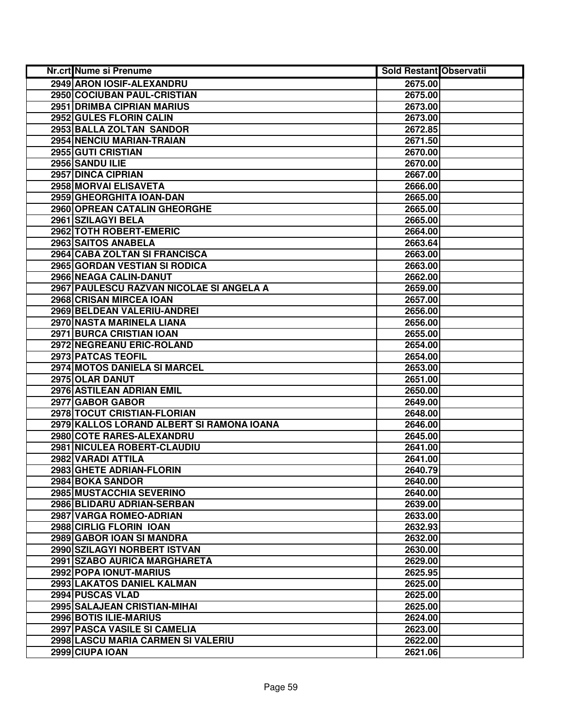| <b>Nr.crt Nume si Prenume</b>             | <b>Sold Restant Observatii</b> |  |
|-------------------------------------------|--------------------------------|--|
| 2949 ARON IOSIF-ALEXANDRU                 | 2675.00                        |  |
| 2950 COCIUBAN PAUL-CRISTIAN               | 2675.00                        |  |
| 2951 DRIMBA CIPRIAN MARIUS                | 2673.00                        |  |
| 2952 GULES FLORIN CALIN                   | 2673.00                        |  |
| 2953 BALLA ZOLTAN SANDOR                  | 2672.85                        |  |
| 2954 NENCIU MARIAN-TRAIAN                 | 2671.50                        |  |
| 2955 GUTI CRISTIAN                        | 2670.00                        |  |
| 2956 SANDU ILIE                           | 2670.00                        |  |
| 2957 DINCA CIPRIAN                        | 2667.00                        |  |
| 2958 MORVAI ELISAVETA                     | 2666.00                        |  |
| 2959 GHEORGHITA IOAN-DAN                  | 2665.00                        |  |
| 2960 OPREAN CATALIN GHEORGHE              | 2665.00                        |  |
| 2961 SZILAGYI BELA                        | 2665.00                        |  |
| 2962 TOTH ROBERT-EMERIC                   | 2664.00                        |  |
| 2963 SAITOS ANABELA                       | 2663.64                        |  |
| 2964 CABA ZOLTAN SI FRANCISCA             | 2663.00                        |  |
| 2965 GORDAN VESTIAN SI RODICA             | 2663.00                        |  |
| 2966 NEAGA CALIN-DANUT                    | 2662.00                        |  |
| 2967 PAULESCU RAZVAN NICOLAE SI ANGELA A  | 2659.00                        |  |
| 2968 CRISAN MIRCEA IOAN                   | 2657.00                        |  |
| 2969 BELDEAN VALERIU-ANDREI               | 2656.00                        |  |
| 2970 NASTA MARINELA LIANA                 | 2656.00                        |  |
| 2971 BURCA CRISTIAN IOAN                  | 2655.00                        |  |
| 2972 NEGREANU ERIC-ROLAND                 | 2654.00                        |  |
| 2973 PATCAS TEOFIL                        | 2654.00                        |  |
| 2974 MOTOS DANIELA SI MARCEL              | 2653.00                        |  |
| 2975 OLAR DANUT                           | 2651.00                        |  |
| 2976 ASTILEAN ADRIAN EMIL                 | 2650.00                        |  |
| 2977 GABOR GABOR                          | 2649.00                        |  |
| 2978 TOCUT CRISTIAN-FLORIAN               | 2648.00                        |  |
| 2979 KALLOS LORAND ALBERT SI RAMONA IOANA | 2646.00                        |  |
| 2980 COTE RARES-ALEXANDRU                 | 2645.00                        |  |
| 2981 NICULEA ROBERT-CLAUDIU               | 2641.00                        |  |
| 2982 VARADI ATTILA                        | 2641.00                        |  |
| 2983 GHETE ADRIAN-FLORIN                  | 2640.79                        |  |
| 2984 BOKA SANDOR                          | 2640.00                        |  |
| 2985 MUSTACCHIA SEVERINO                  | 2640.00                        |  |
| 2986 BLIDARU ADRIAN-SERBAN                | 2639.00                        |  |
| 2987 VARGA ROMEO-ADRIAN                   | 2633.00                        |  |
| 2988 CIRLIG FLORIN IOAN                   | 2632.93                        |  |
| 2989 GABOR IOAN SI MANDRA                 | 2632.00                        |  |
| 2990 SZILAGYI NORBERT ISTVAN              | 2630.00                        |  |
| 2991 SZABO AURICA MARGHARETA              | 2629.00                        |  |
| 2992 POPA IONUT-MARIUS                    | 2625.95                        |  |
| 2993 LAKATOS DANIEL KALMAN                | 2625.00                        |  |
| 2994 PUSCAS VLAD                          | 2625.00                        |  |
| 2995 SALAJEAN CRISTIAN-MIHAI              | 2625.00                        |  |
| 2996 BOTIS ILIE-MARIUS                    | 2624.00                        |  |
| 2997 PASCA VASILE SI CAMELIA              | 2623.00                        |  |
| 2998 LASCU MARIA CARMEN SI VALERIU        | 2622.00                        |  |
| 2999 CIUPA IOAN                           | 2621.06                        |  |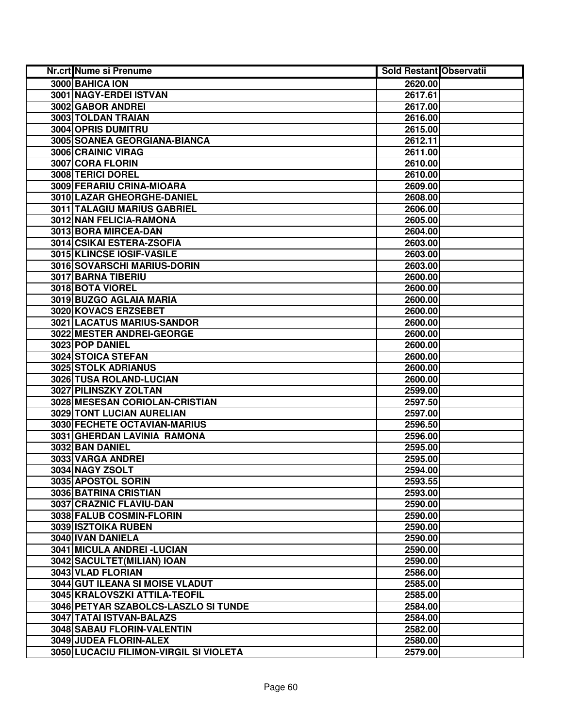| Nr.crt Nume si Prenume                 | <b>Sold Restant Observatii</b> |  |
|----------------------------------------|--------------------------------|--|
| 3000 BAHICA ION                        | 2620.00                        |  |
| 3001 NAGY-ERDEI ISTVAN                 | 2617.61                        |  |
| 3002 GABOR ANDREI                      | 2617.00                        |  |
| 3003 TOLDAN TRAIAN                     | 2616.00                        |  |
| 3004 OPRIS DUMITRU                     | 2615.00                        |  |
| 3005 SOANEA GEORGIANA-BIANCA           | 2612.11                        |  |
| 3006 CRAINIC VIRAG                     | 2611.00                        |  |
| 3007 CORA FLORIN                       | 2610.00                        |  |
| <b>3008 TERICI DOREL</b>               | 2610.00                        |  |
| 3009 FERARIU CRINA-MIOARA              | 2609.00                        |  |
| 3010 LAZAR GHEORGHE-DANIEL             | 2608.00                        |  |
| 3011 TALAGIU MARIUS GABRIEL            | 2606.00                        |  |
| 3012 NAN FELICIA-RAMONA                | 2605.00                        |  |
| 3013 BORA MIRCEA-DAN                   | 2604.00                        |  |
| 3014 CSIKAI ESTERA-ZSOFIA              | 2603.00                        |  |
| 3015 KLINCSE IOSIF-VASILE              | 2603.00                        |  |
| 3016 SOVARSCHI MARIUS-DORIN            | 2603.00                        |  |
| 3017 BARNA TIBERIU                     | 2600.00                        |  |
| 3018 BOTA VIOREL                       | 2600.00                        |  |
| 3019 BUZGO AGLAIA MARIA                | 2600.00                        |  |
| 3020 KOVACS ERZSEBET                   | 2600.00                        |  |
| 3021 LACATUS MARIUS-SANDOR             | 2600.00                        |  |
| 3022 MESTER ANDREI-GEORGE              | 2600.00                        |  |
| 3023 POP DANIEL                        | 2600.00                        |  |
| 3024 STOICA STEFAN                     | 2600.00                        |  |
| <b>3025 STOLK ADRIANUS</b>             | 2600.00                        |  |
| 3026 TUSA ROLAND-LUCIAN                | 2600.00                        |  |
| 3027 PILINSZKY ZOLTAN                  | 2599.00                        |  |
| 3028 MESESAN CORIOLAN-CRISTIAN         | 2597.50                        |  |
| 3029 TONT LUCIAN AURELIAN              | 2597.00                        |  |
| 3030 FECHETE OCTAVIAN-MARIUS           | 2596.50                        |  |
| 3031 GHERDAN LAVINIA RAMONA            | 2596.00                        |  |
| 3032 BAN DANIEL                        | 2595.00                        |  |
| 3033 VARGA ANDREI                      | 2595.00                        |  |
| 3034 NAGY ZSOLT                        | 2594.00                        |  |
| 3035 APOSTOL SORIN                     | 2593.55                        |  |
| 3036 BATRINA CRISTIAN                  | 2593.00                        |  |
| 3037 CRAZNIC FLAVIU-DAN                | 2590.00                        |  |
| 3038 FALUB COSMIN-FLORIN               | 2590.00                        |  |
| 3039 ISZTOIKA RUBEN                    | 2590.00                        |  |
| 3040 IVAN DANIELA                      | 2590.00                        |  |
| <b>3041 MICULA ANDREI - LUCIAN</b>     | 2590.00                        |  |
| 3042 SACULTET (MILIAN) IOAN            | 2590.00                        |  |
| 3043 VLAD FLORIAN                      | 2586.00                        |  |
| 3044 GUT ILEANA SI MOISE VLADUT        | 2585.00                        |  |
| 3045 KRALOVSZKI ATTILA-TEOFIL          | 2585.00                        |  |
| 3046 PETYAR SZABOLCS-LASZLO SI TUNDE   | 2584.00                        |  |
| 3047 TATAI ISTVAN-BALAZS               | 2584.00                        |  |
| 3048 SABAU FLORIN-VALENTIN             | 2582.00                        |  |
| 3049 JUDEA FLORIN-ALEX                 | 2580.00                        |  |
| 3050 LUCACIU FILIMON-VIRGIL SI VIOLETA | 2579.00                        |  |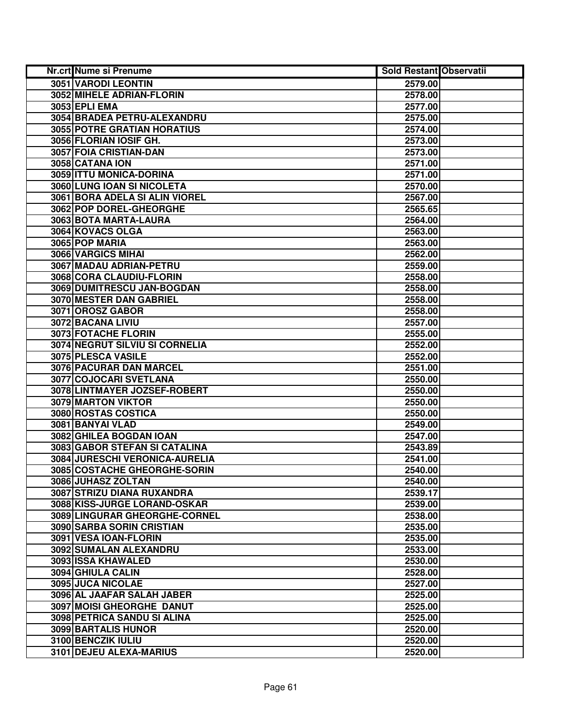| Nr.crt Nume si Prenume            | <b>Sold Restant Observatii</b> |  |
|-----------------------------------|--------------------------------|--|
| 3051 VARODI LEONTIN               | 2579.00                        |  |
| 3052 MIHELE ADRIAN-FLORIN         | 2578.00                        |  |
| 3053 EPLI EMA                     | 2577.00                        |  |
| 3054 BRADEA PETRU-ALEXANDRU       | 2575.00                        |  |
| 3055 POTRE GRATIAN HORATIUS       | 2574.00                        |  |
| 3056 FLORIAN IOSIF GH.            | 2573.00                        |  |
| 3057 FOIA CRISTIAN-DAN            | 2573.00                        |  |
| 3058 CATANA ION                   | 2571.00                        |  |
| 3059 ITTU MONICA-DORINA           | 2571.00                        |  |
| 3060 LUNG IOAN SI NICOLETA        | 2570.00                        |  |
| 3061 BORA ADELA SI ALIN VIOREL    | 2567.00                        |  |
| 3062 POP DOREL-GHEORGHE           | 2565.65                        |  |
| 3063 BOTA MARTA-LAURA             | 2564.00                        |  |
| 3064 KOVACS OLGA                  | 2563.00                        |  |
| 3065 POP MARIA                    | 2563.00                        |  |
| 3066 VARGICS MIHAI                | 2562.00                        |  |
| 3067 MADAU ADRIAN-PETRU           | 2559.00                        |  |
| 3068 CORA CLAUDIU-FLORIN          | 2558.00                        |  |
| 3069 DUMITRESCU JAN-BOGDAN        | 2558.00                        |  |
| 3070 MESTER DAN GABRIEL           | 2558.00                        |  |
| 3071 OROSZ GABOR                  | 2558.00                        |  |
| 3072 BACANA LIVIU                 | 2557.00                        |  |
| 3073 FOTACHE FLORIN               | 2555.00                        |  |
| 3074 NEGRUT SILVIU SI CORNELIA    | 2552.00                        |  |
| 3075 PLESCA VASILE                | 2552.00                        |  |
| 3076 PACURAR DAN MARCEL           | 2551.00                        |  |
| 3077 COJOCARI SVETLANA            | 2550.00                        |  |
| 3078 LINTMAYER JOZSEF-ROBERT      | 2550.00                        |  |
| 3079 MARTON VIKTOR                | 2550.00                        |  |
| 3080 ROSTAS COSTICA               | 2550.00                        |  |
| 3081 BANYAI VLAD                  | 2549.00                        |  |
| 3082 GHILEA BOGDAN IOAN           | 2547.00                        |  |
| 3083 GABOR STEFAN SI CATALINA     | 2543.89                        |  |
| 3084 JURESCHI VERONICA-AURELIA    | 2541.00                        |  |
| 3085 COSTACHE GHEORGHE-SORIN      | 2540.00                        |  |
| 3086 JUHASZ ZOLTAN                | 2540.00                        |  |
| <b>3087 STRIZU DIANA RUXANDRA</b> | 2539.17                        |  |
| 3088 KISS-JURGE LORAND-OSKAR      | 2539.00                        |  |
| 3089 LINGURAR GHEORGHE-CORNEL     | 2538.00                        |  |
| 3090 SARBA SORIN CRISTIAN         | 2535.00                        |  |
| 3091 VESA IOAN-FLORIN             | 2535.00                        |  |
| 3092 SUMALAN ALEXANDRU            | 2533.00                        |  |
| 3093 ISSA KHAWALED                | 2530.00                        |  |
| 3094 GHIULA CALIN                 | 2528.00                        |  |
| 3095 JUCA NICOLAE                 | 2527.00                        |  |
| 3096 AL JAAFAR SALAH JABER        | 2525.00                        |  |
| 3097 MOISI GHEORGHE DANUT         | 2525.00                        |  |
| 3098 PETRICA SANDU SI ALINA       | 2525.00                        |  |
| 3099 BARTALIS HUNOR               | 2520.00                        |  |
| 3100 BENCZIK IULIU                | 2520.00                        |  |
| 3101 DEJEU ALEXA-MARIUS           | 2520.00                        |  |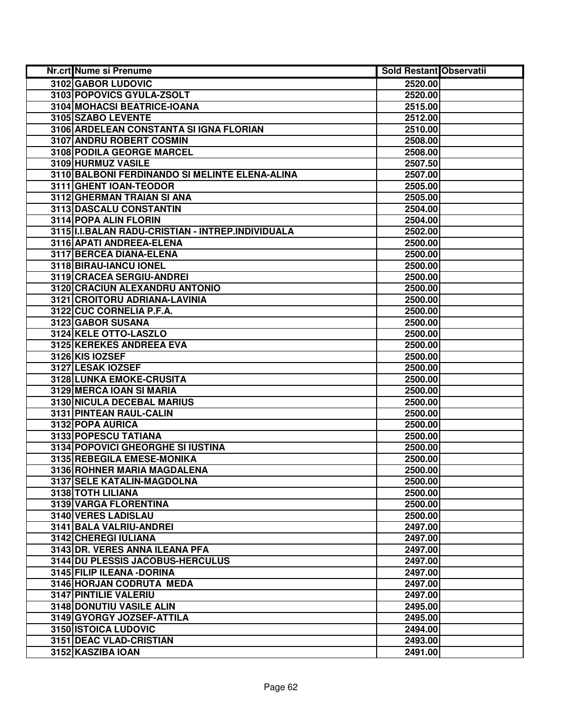| <b>Nr.crt Nume si Prenume</b>                         | <b>Sold Restant Observatii</b> |  |
|-------------------------------------------------------|--------------------------------|--|
| 3102 GABOR LUDOVIC                                    | 2520.00                        |  |
| 3103 POPOVICS GYULA-ZSOLT                             | 2520.00                        |  |
| 3104 MOHACSI BEATRICE-IOANA                           | 2515.00                        |  |
| 3105 SZABO LEVENTE                                    | 2512.00                        |  |
| 3106 ARDELEAN CONSTANTA SI IGNA FLORIAN               | 2510.00                        |  |
| 3107 ANDRU ROBERT COSMIN                              | 2508.00                        |  |
| 3108 PODILA GEORGE MARCEL                             | 2508.00                        |  |
| 3109 HURMUZ VASILE                                    | 2507.50                        |  |
| 3110 BALBONI FERDINANDO SI MELINTE ELENA-ALINA        | 2507.00                        |  |
| 3111 GHENT IOAN-TEODOR                                | 2505.00                        |  |
| 3112 GHERMAN TRAIAN SI ANA                            | 2505.00                        |  |
| 3113 DASCALU CONSTANTIN                               | 2504.00                        |  |
| 3114 POPA ALIN FLORIN                                 | 2504.00                        |  |
| 3115   I.I. BALAN RADU-CRISTIAN - INTREP. INDIVIDUALA | 2502.00                        |  |
| 3116 APATI ANDREEA-ELENA                              | 2500.00                        |  |
| 3117 BERCEA DIANA-ELENA                               | 2500.00                        |  |
| 3118 BIRAU-IANCU IONEL                                | 2500.00                        |  |
| 3119 CRACEA SERGIU-ANDREI                             | 2500.00                        |  |
| 3120 CRACIUN ALEXANDRU ANTONIO                        | 2500.00                        |  |
| 3121 CROITORU ADRIANA-LAVINIA                         | 2500.00                        |  |
| 3122 CUC CORNELIA P.F.A.                              | 2500.00                        |  |
| 3123 GABOR SUSANA                                     | 2500.00                        |  |
| 3124 KELE OTTO-LASZLO                                 | 2500.00                        |  |
| 3125 KEREKES ANDREEA EVA                              | 2500.00                        |  |
| 3126 KIS IOZSEF                                       | 2500.00                        |  |
| 3127 LESAK IOZSEF                                     | 2500.00                        |  |
| 3128 LUNKA EMOKE-CRUSITA                              | 2500.00                        |  |
| 3129 MERCA IOAN SI MARIA                              | 2500.00                        |  |
| 3130 NICULA DECEBAL MARIUS                            | 2500.00                        |  |
| 3131 PINTEAN RAUL-CALIN                               | 2500.00                        |  |
| 3132 POPA AURICA                                      | 2500.00                        |  |
| 3133 POPESCU TATIANA                                  | 2500.00                        |  |
| 3134 POPOVICI GHEORGHE SI IUSTINA                     | 2500.00                        |  |
| 3135 REBEGILA EMESE-MONIKA                            | 2500.00                        |  |
| 3136 ROHNER MARIA MAGDALENA                           | 2500.00                        |  |
| 3137 SELE KATALIN-MAGDOLNA                            | 2500.00                        |  |
| 3138 TOTH LILIANA                                     | 2500.00                        |  |
| 3139 VARGA FLORENTINA                                 | 2500.00                        |  |
| 3140 VERES LADISLAU                                   | 2500.00                        |  |
| 3141 BALA VALRIU-ANDREI                               | 2497.00                        |  |
| 3142 CHEREGI IULIANA                                  | 2497.00                        |  |
| 3143 DR. VERES ANNA ILEANA PFA                        | 2497.00                        |  |
| 3144 DU PLESSIS JACOBUS-HERCULUS                      | 2497.00                        |  |
| 3145 FILIP ILEANA - DORINA                            | 2497.00                        |  |
| 3146 HORJAN CODRUTA MEDA                              | 2497.00                        |  |
| 3147 PINTILIE VALERIU                                 | 2497.00                        |  |
| 3148 DONUTIU VASILE ALIN                              | 2495.00                        |  |
| 3149 GYORGY JOZSEF-ATTILA                             | 2495.00                        |  |
| 3150 ISTOICA LUDOVIC                                  | 2494.00                        |  |
| 3151 DEAC VLAD-CRISTIAN                               | 2493.00                        |  |
| 3152 KASZIBA IOAN                                     | 2491.00                        |  |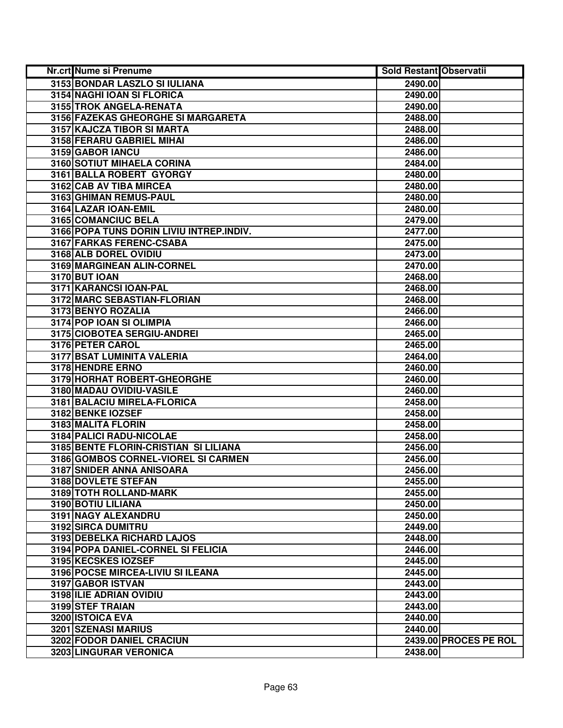| Nr.crt Nume si Prenume                   | <b>Sold Restant Observatii</b> |                       |
|------------------------------------------|--------------------------------|-----------------------|
| 3153 BONDAR LASZLO SI IULIANA            | 2490.00                        |                       |
| 3154 NAGHI IOAN SI FLORICA               | 2490.00                        |                       |
| 3155 TROK ANGELA-RENATA                  | 2490.00                        |                       |
| 3156 FAZEKAS GHEORGHE SI MARGARETA       | 2488.00                        |                       |
| 3157 KAJCZA TIBOR SI MARTA               | 2488.00                        |                       |
| 3158 FERARU GABRIEL MIHAI                | 2486.00                        |                       |
| 3159 GABOR IANCU                         | 2486.00                        |                       |
| 3160 SOTIUT MIHAELA CORINA               | 2484.00                        |                       |
| 3161 BALLA ROBERT GYORGY                 | 2480.00                        |                       |
| 3162 CAB AV TIBA MIRCEA                  | 2480.00                        |                       |
| 3163 GHIMAN REMUS-PAUL                   | 2480.00                        |                       |
| 3164 LAZAR IOAN-EMIL                     | 2480.00                        |                       |
| 3165 COMANCIUC BELA                      | 2479.00                        |                       |
| 3166 POPA TUNS DORIN LIVIU INTREP.INDIV. | 2477.00                        |                       |
| 3167 FARKAS FERENC-CSABA                 | 2475.00                        |                       |
| 3168 ALB DOREL OVIDIU                    | 2473.00                        |                       |
| 3169 MARGINEAN ALIN-CORNEL               | 2470.00                        |                       |
| <b>3170 BUT IOAN</b>                     | 2468.00                        |                       |
| 3171 KARANCSI IOAN-PAL                   | 2468.00                        |                       |
| 3172 MARC SEBASTIAN-FLORIAN              | 2468.00                        |                       |
| 3173 BENYO ROZALIA                       | 2466.00                        |                       |
| 3174 POP IOAN SI OLIMPIA                 | 2466.00                        |                       |
| 3175 CIOBOTEA SERGIU-ANDREI              | 2465.00                        |                       |
| 3176 PETER CAROL                         | 2465.00                        |                       |
| 3177 BSAT LUMINITA VALERIA               | 2464.00                        |                       |
| 3178 HENDRE ERNO                         | 2460.00                        |                       |
| 3179 HORHAT ROBERT-GHEORGHE              | 2460.00                        |                       |
| 3180 MADAU OVIDIU-VASILE                 | 2460.00                        |                       |
| 3181 BALACIU MIRELA-FLORICA              | 2458.00                        |                       |
| 3182 BENKE IOZSEF                        | 2458.00                        |                       |
| 3183 MALITA FLORIN                       | 2458.00                        |                       |
| 3184 PALICI RADU-NICOLAE                 | 2458.00                        |                       |
| 3185 BENTE FLORIN-CRISTIAN SI LILIANA    | 2456.00                        |                       |
| 3186 GOMBOS CORNEL-VIOREL SI CARMEN      | 2456.00                        |                       |
| 3187 SNIDER ANNA ANISOARA                | 2456.00                        |                       |
| 3188 DOVLETE STEFAN                      | 2455.00                        |                       |
| 3189 TOTH ROLLAND-MARK                   | 2455.00                        |                       |
| 3190 BOTIU LILIANA                       | 2450.00                        |                       |
| 3191 NAGY ALEXANDRU                      | 2450.00                        |                       |
| 3192 SIRCA DUMITRU                       | 2449.00                        |                       |
| <b>3193 DEBELKA RICHARD LAJOS</b>        | 2448.00                        |                       |
| 3194 POPA DANIEL-CORNEL SI FELICIA       | 2446.00                        |                       |
| 3195 KECSKES IOZSEF                      | 2445.00                        |                       |
| 3196 POCSE MIRCEA-LIVIU SI ILEANA        | 2445.00                        |                       |
| 3197 GABOR ISTVAN                        | 2443.00                        |                       |
| 3198 ILIE ADRIAN OVIDIU                  | 2443.00                        |                       |
| 3199 STEF TRAIAN                         | 2443.00                        |                       |
| 3200 ISTOICA EVA                         | 2440.00                        |                       |
| 3201 SZENASI MARIUS                      | 2440.00                        |                       |
| 3202 FODOR DANIEL CRACIUN                |                                | 2439.00 PROCES PE ROL |
| 3203 LINGURAR VERONICA                   | 2438.00                        |                       |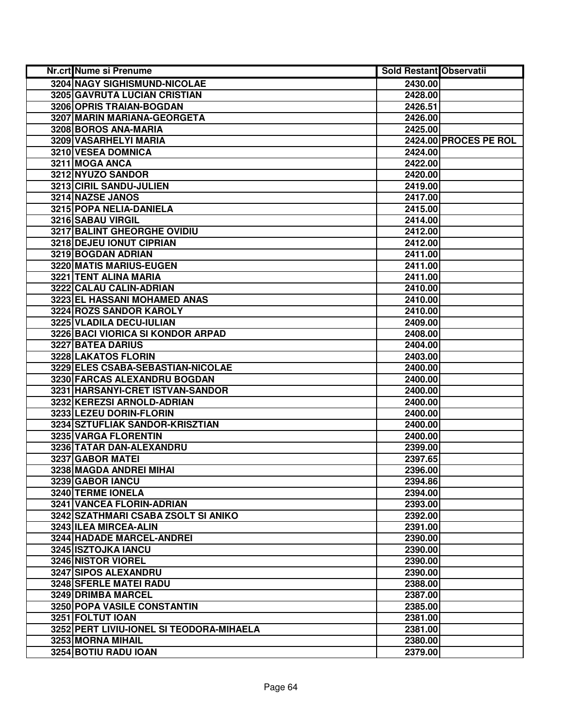| Nr.crt Nume si Prenume                   | <b>Sold Restant Observatii</b> |                       |
|------------------------------------------|--------------------------------|-----------------------|
| 3204 NAGY SIGHISMUND-NICOLAE             | 2430.00                        |                       |
| 3205 GAVRUTA LUCIAN CRISTIAN             | 2428.00                        |                       |
| 3206 OPRIS TRAIAN-BOGDAN                 | 2426.51                        |                       |
| 3207 MARIN MARIANA-GEORGETA              | 2426.00                        |                       |
| 3208 BOROS ANA-MARIA                     | 2425.00                        |                       |
| 3209 VASARHELYI MARIA                    |                                | 2424.00 PROCES PE ROL |
| 3210 VESEA DOMNICA                       | 2424.00                        |                       |
| 3211 MOGA ANCA                           | 2422.00                        |                       |
| 3212 NYUZO SANDOR                        | 2420.00                        |                       |
| 3213 CIRIL SANDU-JULIEN                  | 2419.00                        |                       |
| 3214 NAZSE JANOS                         | 2417.00                        |                       |
| 3215 POPA NELIA-DANIELA                  | 2415.00                        |                       |
| 3216 SABAU VIRGIL                        | 2414.00                        |                       |
| 3217 BALINT GHEORGHE OVIDIU              | 2412.00                        |                       |
| 3218 DEJEU IONUT CIPRIAN                 | 2412.00                        |                       |
| 3219 BOGDAN ADRIAN                       | 2411.00                        |                       |
| 3220 MATIS MARIUS-EUGEN                  | 2411.00                        |                       |
| 3221 TENT ALINA MARIA                    | 2411.00                        |                       |
| 3222 CALAU CALIN-ADRIAN                  | 2410.00                        |                       |
| 3223 EL HASSANI MOHAMED ANAS             | 2410.00                        |                       |
| 3224 ROZS SANDOR KAROLY                  | 2410.00                        |                       |
| 3225 VLADILA DECU-IULIAN                 | 2409.00                        |                       |
| 3226 BACI VIORICA SI KONDOR ARPAD        | 2408.00                        |                       |
| <b>3227 BATEA DARIUS</b>                 | 2404.00                        |                       |
| 3228 LAKATOS FLORIN                      | 2403.00                        |                       |
| 3229 ELES CSABA-SEBASTIAN-NICOLAE        | 2400.00                        |                       |
| 3230 FARCAS ALEXANDRU BOGDAN             | 2400.00                        |                       |
| 3231 HARSANYI-CRET ISTVAN-SANDOR         | 2400.00                        |                       |
| 3232 KEREZSI ARNOLD-ADRIAN               | 2400.00                        |                       |
| 3233 LEZEU DORIN-FLORIN                  | 2400.00                        |                       |
| 3234 SZTUFLIAK SANDOR-KRISZTIAN          | 2400.00                        |                       |
| 3235 VARGA FLORENTIN                     | 2400.00                        |                       |
| 3236 TATAR DAN-ALEXANDRU                 | 2399.00                        |                       |
| 3237 GABOR MATEI                         | 2397.65                        |                       |
| 3238 MAGDA ANDREI MIHAI                  | 2396.00                        |                       |
| 3239 GABOR IANCU                         | 2394.86                        |                       |
| <b>3240 TERME IONELA</b>                 | 2394.00                        |                       |
| 3241 VANCEA FLORIN-ADRIAN                | 2393.00                        |                       |
| 3242 SZATHMARI CSABA ZSOLT SI ANIKO      | 2392.00                        |                       |
| 3243 ILEA MIRCEA-ALIN                    | 2391.00                        |                       |
| <b>3244 HADADE MARCEL-ANDREI</b>         | 2390.00                        |                       |
| 3245 ISZTOJKA IANCU                      | 2390.00                        |                       |
| 3246 NISTOR VIOREL                       | 2390.00                        |                       |
| 3247 SIPOS ALEXANDRU                     | 2390.00                        |                       |
| 3248 SFERLE MATEI RADU                   | 2388.00                        |                       |
| 3249 DRIMBA MARCEL                       | 2387.00                        |                       |
| 3250 POPA VASILE CONSTANTIN              | 2385.00                        |                       |
| 3251 FOLTUT IOAN                         | 2381.00                        |                       |
| 3252 PERT LIVIU-IONEL SI TEODORA-MIHAELA | 2381.00                        |                       |
| 3253 MORNA MIHAIL                        | 2380.00                        |                       |
| 3254 BOTIU RADU IOAN                     | 2379.00                        |                       |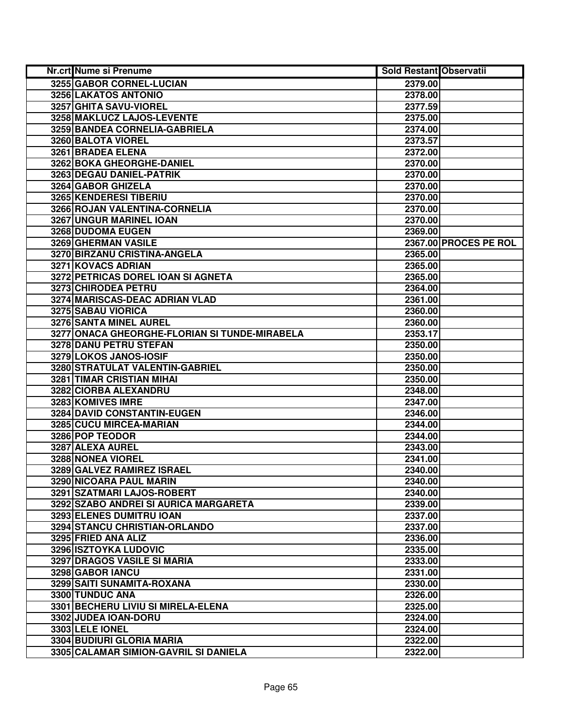| Nr.crt Nume si Prenume                        | <b>Sold Restant Observatii</b> |                       |
|-----------------------------------------------|--------------------------------|-----------------------|
| 3255 GABOR CORNEL-LUCIAN                      | 2379.00                        |                       |
| 3256 LAKATOS ANTONIO                          | 2378.00                        |                       |
| 3257 GHITA SAVU-VIOREL                        | 2377.59                        |                       |
| 3258 MAKLUCZ LAJOS-LEVENTE                    | 2375.00                        |                       |
| 3259 BANDEA CORNELIA-GABRIELA                 | 2374.00                        |                       |
| 3260 BALOTA VIOREL                            | 2373.57                        |                       |
| 3261 BRADEA ELENA                             | 2372.00                        |                       |
| 3262 BOKA GHEORGHE-DANIEL                     | 2370.00                        |                       |
| 3263 DEGAU DANIEL-PATRIK                      | 2370.00                        |                       |
| 3264 GABOR GHIZELA                            | 2370.00                        |                       |
| 3265 KENDERESI TIBERIU                        | 2370.00                        |                       |
| 3266 ROJAN VALENTINA-CORNELIA                 | 2370.00                        |                       |
| 3267 UNGUR MARINEL IOAN                       | 2370.00                        |                       |
| 3268 DUDOMA EUGEN                             | 2369.00                        |                       |
| 3269 GHERMAN VASILE                           |                                | 2367.00 PROCES PE ROL |
| 3270 BIRZANU CRISTINA-ANGELA                  | 2365.00                        |                       |
| 3271 KOVACS ADRIAN                            | 2365.00                        |                       |
| 3272 PETRICAS DOREL IOAN SI AGNETA            | 2365.00                        |                       |
| 3273 CHIRODEA PETRU                           | 2364.00                        |                       |
| 3274 MARISCAS-DEAC ADRIAN VLAD                | 2361.00                        |                       |
| 3275 SABAU VIORICA                            | 2360.00                        |                       |
| 3276 SANTA MINEL AUREL                        | 2360.00                        |                       |
| 3277 ONACA GHEORGHE-FLORIAN SI TUNDE-MIRABELA | 2353.17                        |                       |
| 3278 DANU PETRU STEFAN                        | 2350.00                        |                       |
| 3279 LOKOS JANOS-IOSIF                        | 2350.00                        |                       |
| 3280 STRATULAT VALENTIN-GABRIEL               | 2350.00                        |                       |
| 3281 TIMAR CRISTIAN MIHAI                     | 2350.00                        |                       |
| 3282 CIORBA ALEXANDRU                         | 2348.00                        |                       |
| 3283 KOMIVES IMRE                             | 2347.00                        |                       |
| 3284 DAVID CONSTANTIN-EUGEN                   | 2346.00                        |                       |
| 3285 CUCU MIRCEA-MARIAN                       | 2344.00                        |                       |
| 3286 POP TEODOR                               | 2344.00                        |                       |
| 3287 ALEXA AUREL                              | 2343.00                        |                       |
| <b>3288 NONEA VIOREL</b>                      | 2341.00                        |                       |
| 3289 GALVEZ RAMIREZ ISRAEL                    | 2340.00                        |                       |
| 3290 NICOARA PAUL MARIN                       | 2340.00                        |                       |
| 3291 SZATMARI LAJOS-ROBERT                    | 2340.00                        |                       |
| 3292 SZABO ANDREI SI AURICA MARGARETA         | 2339.00                        |                       |
| 3293 ELENES DUMITRU IOAN                      | 2337.00                        |                       |
| 3294 STANCU CHRISTIAN-ORLANDO                 | 2337.00                        |                       |
| 3295 FRIED ANA ALIZ                           | 2336.00                        |                       |
| 3296 ISZTOYKA LUDOVIC                         | 2335.00                        |                       |
| 3297 DRAGOS VASILE SI MARIA                   | 2333.00                        |                       |
| 3298 GABOR IANCU                              | 2331.00                        |                       |
| 3299 SAITI SUNAMITA-ROXANA                    | 2330.00                        |                       |
| 3300 TUNDUC ANA                               | 2326.00                        |                       |
| 3301 BECHERU LIVIU SI MIRELA-ELENA            | 2325.00                        |                       |
| 3302 JUDEA IOAN-DORU                          | 2324.00                        |                       |
| 3303 LELE IONEL                               | 2324.00                        |                       |
| 3304 BUDIURI GLORIA MARIA                     | 2322.00                        |                       |
| 3305 CALAMAR SIMION-GAVRIL SI DANIELA         | 2322.00                        |                       |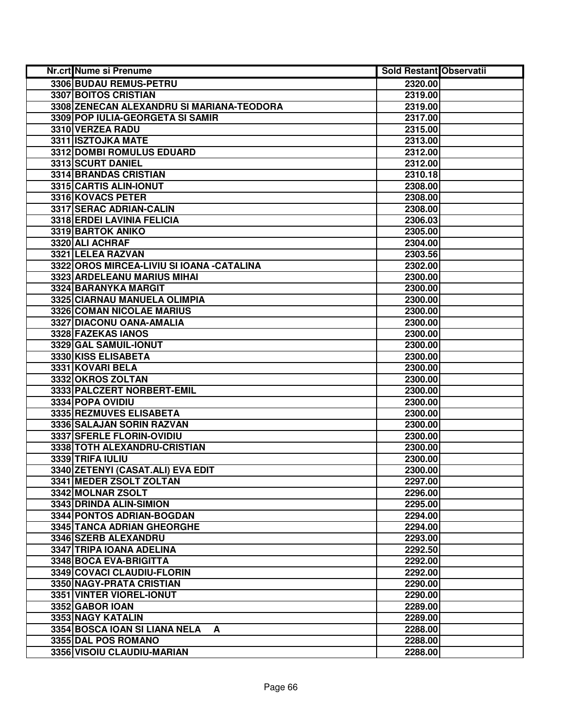| Nr.crt Nume si Prenume                     | <b>Sold Restant Observatii</b> |  |
|--------------------------------------------|--------------------------------|--|
| 3306 BUDAU REMUS-PETRU                     | 2320.00                        |  |
| 3307 BOITOS CRISTIAN                       | 2319.00                        |  |
| 3308 ZENECAN ALEXANDRU SI MARIANA-TEODORA  | 2319.00                        |  |
| 3309 POP IULIA-GEORGETA SI SAMIR           | 2317.00                        |  |
| 3310 VERZEA RADU                           | 2315.00                        |  |
| 3311 ISZTOJKA MATE                         | 2313.00                        |  |
| 3312 DOMBI ROMULUS EDUARD                  | 2312.00                        |  |
| 3313 SCURT DANIEL                          | 2312.00                        |  |
| 3314 BRANDAS CRISTIAN                      | 2310.18                        |  |
| 3315 CARTIS ALIN-IONUT                     | 2308.00                        |  |
| 3316 KOVACS PETER                          | 2308.00                        |  |
| 3317 SERAC ADRIAN-CALIN                    | 2308.00                        |  |
| 3318 ERDEI LAVINIA FELICIA                 | 2306.03                        |  |
| 3319 BARTOK ANIKO                          | 2305.00                        |  |
| 3320 ALI ACHRAF                            | 2304.00                        |  |
| 3321 LELEA RAZVAN                          | 2303.56                        |  |
| 3322 OROS MIRCEA-LIVIU SI IOANA - CATALINA | 2302.00                        |  |
| 3323 ARDELEANU MARIUS MIHAI                | 2300.00                        |  |
| 3324 BARANYKA MARGIT                       | 2300.00                        |  |
| 3325 CIARNAU MANUELA OLIMPIA               | 2300.00                        |  |
| 3326 COMAN NICOLAE MARIUS                  | 2300.00                        |  |
| 3327 DIACONU OANA-AMALIA                   | 2300.00                        |  |
| 3328 FAZEKAS IANOS                         | 2300.00                        |  |
| 3329 GAL SAMUIL-IONUT                      | 2300.00                        |  |
| 3330 KISS ELISABETA                        | 2300.00                        |  |
| 3331 KOVARI BELA                           | 2300.00                        |  |
| 3332 OKROS ZOLTAN                          | 2300.00                        |  |
| 3333 PALCZERT NORBERT-EMIL                 | 2300.00                        |  |
| 3334 POPA OVIDIU                           | 2300.00                        |  |
| 3335 REZMUVES ELISABETA                    | 2300.00                        |  |
| 3336 SALAJAN SORIN RAZVAN                  | 2300.00                        |  |
| 3337 SFERLE FLORIN-OVIDIU                  | 2300.00                        |  |
| 3338 TOTH ALEXANDRU-CRISTIAN               | 2300.00                        |  |
| 3339 TRIFA IULIU                           | 2300.00                        |  |
| 3340 ZETENYI (CASAT.ALI) EVA EDIT          | 2300.00                        |  |
| 3341 MEDER ZSOLT ZOLTAN                    | 2297.00                        |  |
| 3342 MOLNAR ZSOLT                          | 2296.00                        |  |
| 3343 DRINDA ALIN-SIMION                    | 2295.00                        |  |
| 3344 PONTOS ADRIAN-BOGDAN                  | 2294.00                        |  |
| 3345 TANCA ADRIAN GHEORGHE                 | 2294.00                        |  |
| 3346 SZERB ALEXANDRU                       | 2293.00                        |  |
| 3347 TRIPA IOANA ADELINA                   | 2292.50                        |  |
| 3348 BOCA EVA-BRIGITTA                     | 2292.00                        |  |
| 3349 COVACI CLAUDIU-FLORIN                 | 2292.00                        |  |
| 3350 NAGY-PRATA CRISTIAN                   | 2290.00                        |  |
| 3351 VINTER VIOREL-IONUT                   | 2290.00                        |  |
| 3352 GABOR IOAN                            | 2289.00                        |  |
| 3353 NAGY KATALIN                          | 2289.00                        |  |
| 3354 BOSCA IOAN SI LIANA NELA<br>A         | 2288.00                        |  |
| 3355 DAL POS ROMANO                        | 2288.00                        |  |
| 3356 VISOIU CLAUDIU-MARIAN                 | 2288.00                        |  |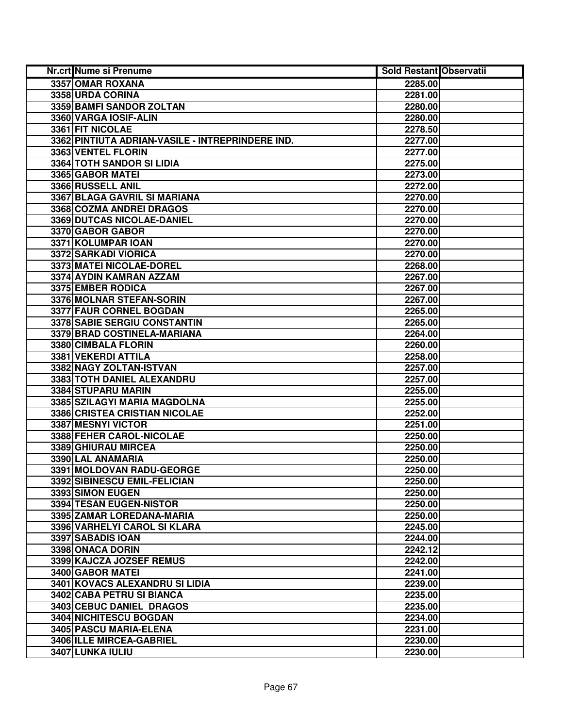| Nr.crt Nume si Prenume                           | <b>Sold Restant Observatii</b> |  |
|--------------------------------------------------|--------------------------------|--|
| 3357 OMAR ROXANA                                 | 2285.00                        |  |
| 3358 URDA CORINA                                 | 2281.00                        |  |
| 3359 BAMFI SANDOR ZOLTAN                         | 2280.00                        |  |
| 3360 VARGA IOSIF-ALIN                            | 2280.00                        |  |
| 3361 FIT NICOLAE                                 | 2278.50                        |  |
| 3362 PINTIUTA ADRIAN-VASILE - INTREPRINDERE IND. | 2277.00                        |  |
| 3363 VENTEL FLORIN                               | 2277.00                        |  |
| 3364 TOTH SANDOR SI LIDIA                        | 2275.00                        |  |
| 3365 GABOR MATEI                                 | 2273.00                        |  |
| 3366 RUSSELL ANIL                                | 2272.00                        |  |
| <b>3367 BLAGA GAVRIL SI MARIANA</b>              | 2270.00                        |  |
| 3368 COZMA ANDREI DRAGOS                         | 2270.00                        |  |
| 3369 DUTCAS NICOLAE-DANIEL                       | 2270.00                        |  |
| 3370 GABOR GABOR                                 | 2270.00                        |  |
| 3371 KOLUMPAR IOAN                               | 2270.00                        |  |
| 3372 SARKADI VIORICA                             | 2270.00                        |  |
| 3373 MATEI NICOLAE-DOREL                         | 2268.00                        |  |
| 3374 AYDIN KAMRAN AZZAM                          | 2267.00                        |  |
| 3375 EMBER RODICA                                | 2267.00                        |  |
| 3376 MOLNAR STEFAN-SORIN                         | 2267.00                        |  |
| 3377 FAUR CORNEL BOGDAN                          | 2265.00                        |  |
| 3378 SABIE SERGIU CONSTANTIN                     | 2265.00                        |  |
| 3379 BRAD COSTINELA-MARIANA                      | 2264.00                        |  |
| 3380 CIMBALA FLORIN                              | 2260.00                        |  |
| 3381 VEKERDI ATTILA                              | 2258.00                        |  |
| 3382 NAGY ZOLTAN-ISTVAN                          | 2257.00                        |  |
| 3383 TOTH DANIEL ALEXANDRU                       | 2257.00                        |  |
| 3384 STUPARU MARIN                               | 2255.00                        |  |
| 3385 SZILAGYI MARIA MAGDOLNA                     | 2255.00                        |  |
| 3386 CRISTEA CRISTIAN NICOLAE                    | 2252.00                        |  |
| 3387 MESNYI VICTOR                               | 2251.00                        |  |
| 3388 FEHER CAROL-NICOLAE                         | 2250.00                        |  |
| 3389 GHIURAU MIRCEA                              | 2250.00                        |  |
| 3390 LAL ANAMARIA                                | 2250.00                        |  |
| 3391 MOLDOVAN RADU-GEORGE                        | 2250.00                        |  |
| 3392 SIBINESCU EMIL-FELICIAN                     | 2250.00                        |  |
| 3393 SIMON EUGEN                                 | 2250.00                        |  |
| <b>3394 TESAN EUGEN-NISTOR</b>                   | 2250.00                        |  |
| 3395 ZAMAR LOREDANA-MARIA                        | 2250.00                        |  |
| 3396 VARHELYI CAROL SI KLARA                     | 2245.00                        |  |
| 3397 SABADIS IOAN                                | 2244.00                        |  |
| 3398 ONACA DORIN                                 | 2242.12                        |  |
| 3399 KAJCZA JOZSEF REMUS                         | 2242.00                        |  |
| 3400 GABOR MATEI                                 | 2241.00                        |  |
| 3401 KOVACS ALEXANDRU SI LIDIA                   | 2239.00                        |  |
| 3402 CABA PETRU SI BIANCA                        | 2235.00                        |  |
| 3403 CEBUC DANIEL DRAGOS                         | 2235.00                        |  |
| 3404 NICHITESCU BOGDAN                           | 2234.00                        |  |
| 3405 PASCU MARIA-ELENA                           | 2231.00                        |  |
| 3406 ILLE MIRCEA-GABRIEL                         | 2230.00                        |  |
| 3407 LUNKA IULIU                                 | 2230.00                        |  |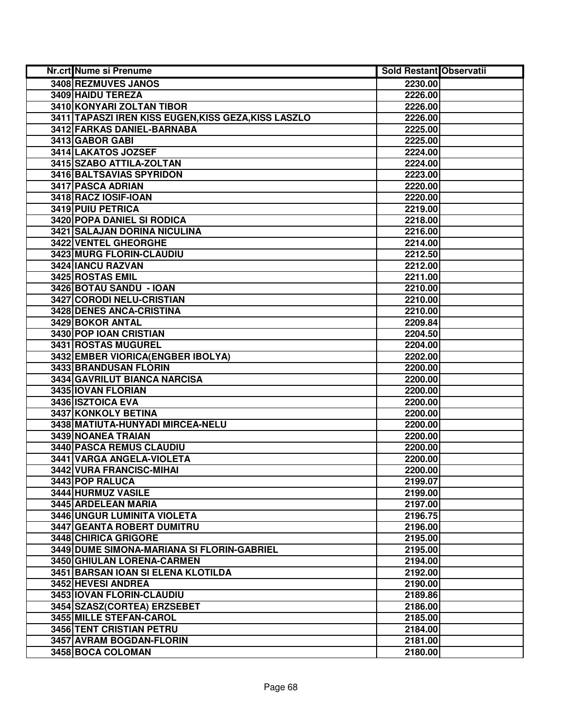| Nr.crt Nume si Prenume                               | <b>Sold Restant Observatii</b> |  |
|------------------------------------------------------|--------------------------------|--|
| 3408 REZMUVES JANOS                                  | 2230.00                        |  |
| 3409 HAIDU TEREZA                                    | 2226.00                        |  |
| 3410 KONYARI ZOLTAN TIBOR                            | 2226.00                        |  |
| 3411 TAPASZI IREN KISS EUGEN, KISS GEZA, KISS LASZLO | 2226.00                        |  |
| 3412 FARKAS DANIEL-BARNABA                           | 2225.00                        |  |
| 3413 GABOR GABI                                      | 2225.00                        |  |
| 3414 LAKATOS JOZSEF                                  | 2224.00                        |  |
| 3415 SZABO ATTILA-ZOLTAN                             | 2224.00                        |  |
| 3416 BALTSAVIAS SPYRIDON                             | 2223.00                        |  |
| <b>3417 PASCA ADRIAN</b>                             | 2220.00                        |  |
| 3418 RACZ IOSIF-IOAN                                 | 2220.00                        |  |
| 3419 PUIU PETRICA                                    | 2219.00                        |  |
| 3420 POPA DANIEL SI RODICA                           | 2218.00                        |  |
| 3421 SALAJAN DORINA NICULINA                         | 2216.00                        |  |
| 3422 VENTEL GHEORGHE                                 | 2214.00                        |  |
| 3423 MURG FLORIN-CLAUDIU                             | 2212.50                        |  |
| 3424 IANCU RAZVAN                                    | 2212.00                        |  |
| 3425 ROSTAS EMIL                                     | 2211.00                        |  |
| 3426 BOTAU SANDU - IOAN                              | 2210.00                        |  |
| 3427 CORODI NELU-CRISTIAN                            | 2210.00                        |  |
| 3428 DENES ANCA-CRISTINA                             | 2210.00                        |  |
| 3429 BOKOR ANTAL                                     | 2209.84                        |  |
| 3430 POP IOAN CRISTIAN                               | 2204.50                        |  |
| 3431 ROSTAS MUGUREL                                  | 2204.00                        |  |
| 3432 EMBER VIORICA (ENGBER IBOLYA)                   | 2202.00                        |  |
| 3433 BRANDUSAN FLORIN                                | 2200.00                        |  |
| 3434 GAVRILUT BIANCA NARCISA                         | 2200.00                        |  |
| 3435 IOVAN FLORIAN                                   | 2200.00                        |  |
| 3436 ISZTOICA EVA                                    | 2200.00                        |  |
| 3437 KONKOLY BETINA                                  | 2200.00                        |  |
| 3438 MATIUTA-HUNYADI MIRCEA-NELU                     | 2200.00                        |  |
| 3439 NOANEA TRAIAN                                   | 2200.00                        |  |
| 3440 PASCA REMUS CLAUDIU                             | 2200.00                        |  |
| 3441 VARGA ANGELA-VIOLETA                            | 2200.00                        |  |
| 3442 VURA FRANCISC-MIHAI                             | 2200.00                        |  |
| 3443 POP RALUCA                                      | 2199.07                        |  |
| 3444 HURMUZ VASILE                                   | 2199.00                        |  |
| 3445 ARDELEAN MARIA                                  | 2197.00                        |  |
| 3446 UNGUR LUMINITA VIOLETA                          | 2196.75                        |  |
| 3447 GEANTA ROBERT DUMITRU                           | 2196.00                        |  |
| 3448 CHIRICA GRIGORE                                 | 2195.00                        |  |
| 3449 DUME SIMONA-MARIANA SI FLORIN-GABRIEL           | 2195.00                        |  |
| 3450 GHIULAN LORENA-CARMEN                           | 2194.00                        |  |
| 3451 BARSAN JOAN SI ELENA KLOTILDA                   | 2192.00                        |  |
| 3452 HEVESI ANDREA                                   | 2190.00                        |  |
| 3453 IOVAN FLORIN-CLAUDIU                            | 2189.86                        |  |
| 3454 SZASZ(CORTEA) ERZSEBET                          | 2186.00                        |  |
| 3455 MILLE STEFAN-CAROL                              | 2185.00                        |  |
| 3456 TENT CRISTIAN PETRU                             | 2184.00                        |  |
| 3457 AVRAM BOGDAN-FLORIN                             | 2181.00                        |  |
| 3458 BOCA COLOMAN                                    | 2180.00                        |  |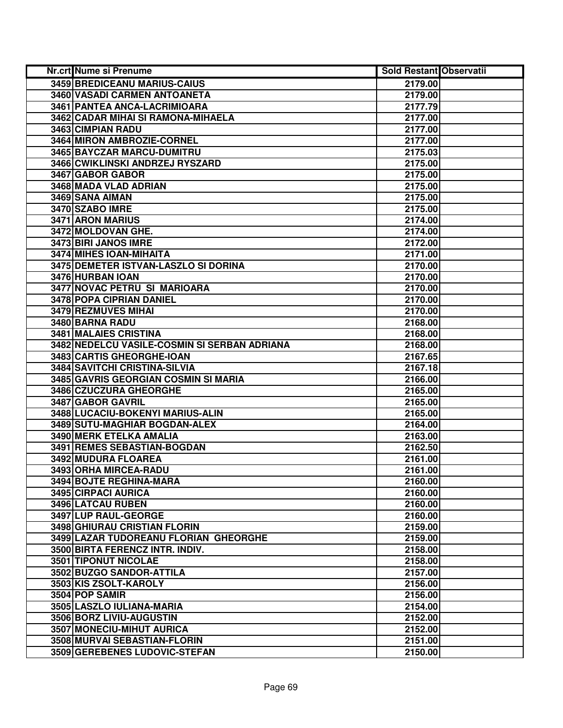| Nr.crt Nume si Prenume                       | <b>Sold Restant Observatii</b> |  |
|----------------------------------------------|--------------------------------|--|
| 3459 BREDICEANU MARIUS-CAIUS                 | 2179.00                        |  |
| 3460 VASADI CARMEN ANTOANETA                 | 2179.00                        |  |
| 3461 PANTEA ANCA-LACRIMIOARA                 | 2177.79                        |  |
| 3462 CADAR MIHAI SI RAMONA-MIHAELA           | 2177.00                        |  |
| 3463 CIMPIAN RADU                            | 2177.00                        |  |
| 3464 MIRON AMBROZIE-CORNEL                   | 2177.00                        |  |
| 3465 BAYCZAR MARCU-DUMITRU                   | 2175.03                        |  |
| 3466 CWIKLINSKI ANDRZEJ RYSZARD              | 2175.00                        |  |
| 3467 GABOR GABOR                             | 2175.00                        |  |
| 3468 MADA VLAD ADRIAN                        | 2175.00                        |  |
| 3469 SANA AIMAN                              | 2175.00                        |  |
| 3470 SZABO IMRE                              | 2175.00                        |  |
| 3471 ARON MARIUS                             | 2174.00                        |  |
| 3472 MOLDOVAN GHE.                           | 2174.00                        |  |
| 3473 BIRI JANOS IMRE                         | 2172.00                        |  |
| 3474 MIHES IOAN-MIHAITA                      | 2171.00                        |  |
| 3475 DEMETER ISTVAN-LASZLO SI DORINA         | 2170.00                        |  |
| 3476 HURBAN IOAN                             | 2170.00                        |  |
| 3477 NOVAC PETRU SI MARIOARA                 | 2170.00                        |  |
| 3478 POPA CIPRIAN DANIEL                     | 2170.00                        |  |
| 3479 REZMUVES MIHAI                          | 2170.00                        |  |
| 3480 BARNA RADU                              | 2168.00                        |  |
| <b>3481 MALAIES CRISTINA</b>                 | 2168.00                        |  |
| 3482 NEDELCU VASILE-COSMIN SI SERBAN ADRIANA | 2168.00                        |  |
| 3483 CARTIS GHEORGHE-IOAN                    | 2167.65                        |  |
| 3484 SAVITCHI CRISTINA-SILVIA                | 2167.18                        |  |
| 3485 GAVRIS GEORGIAN COSMIN SI MARIA         | 2166.00                        |  |
| 3486 CZUCZURA GHEORGHE                       | 2165.00                        |  |
| 3487 GABOR GAVRIL                            | 2165.00                        |  |
| 3488 LUCACIU-BOKENYI MARIUS-ALIN             | 2165.00                        |  |
| 3489 SUTU-MAGHIAR BOGDAN-ALEX                | 2164.00                        |  |
| 3490 MERK ETELKA AMALIA                      | 2163.00                        |  |
| 3491 REMES SEBASTIAN-BOGDAN                  | 2162.50                        |  |
| 3492 MUDURA FLOAREA                          | 2161.00                        |  |
| 3493 ORHA MIRCEA-RADU                        | 2161.00                        |  |
| 3494 BOJTE REGHINA-MARA                      | 2160.00                        |  |
| 3495 CIRPACI AURICA                          | 2160.00                        |  |
| 3496 LATCAU RUBEN                            | 2160.00                        |  |
| 3497 LUP RAUL-GEORGE                         | 2160.00                        |  |
| 3498 GHIURAU CRISTIAN FLORIN                 | 2159.00                        |  |
| 3499 LAZAR TUDOREANU FLORIAN GHEORGHE        | 2159.00                        |  |
| 3500 BIRTA FERENCZ INTR. INDIV.              | 2158.00                        |  |
| <b>3501 TIPONUT NICOLAE</b>                  | 2158.00                        |  |
| 3502 BUZGO SANDOR-ATTILA                     | 2157.00                        |  |
| 3503 KIS ZSOLT-KAROLY                        | 2156.00                        |  |
| 3504 POP SAMIR                               | 2156.00                        |  |
| 3505 LASZLO IULIANA-MARIA                    | 2154.00                        |  |
| 3506 BORZ LIVIU-AUGUSTIN                     | 2152.00                        |  |
| 3507 MONECIU-MIHUT AURICA                    | 2152.00                        |  |
| 3508 MURVAI SEBASTIAN-FLORIN                 | 2151.00                        |  |
| 3509 GEREBENES LUDOVIC-STEFAN                | 2150.00                        |  |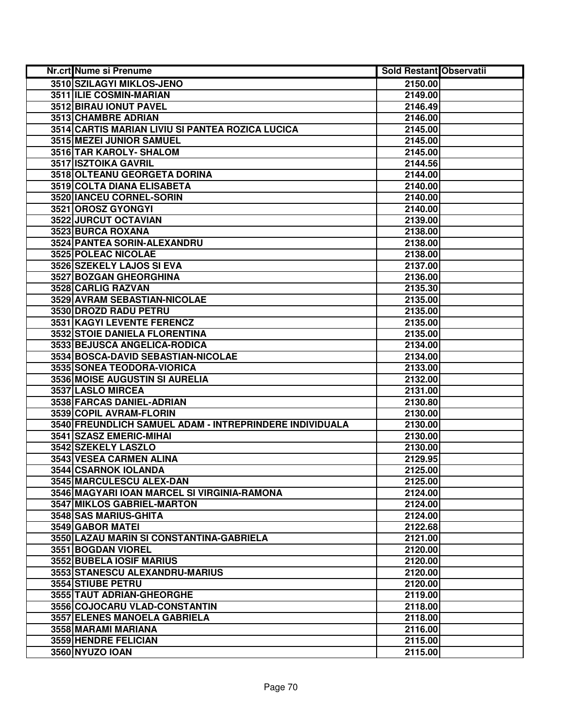| Nr.crt Nume si Prenume                                  | <b>Sold Restant Observatii</b> |  |
|---------------------------------------------------------|--------------------------------|--|
| 3510 SZILAGYI MIKLOS-JENO                               | 2150.00                        |  |
| 3511 ILIE COSMIN-MARIAN                                 | 2149.00                        |  |
| 3512 BIRAU IONUT PAVEL                                  | 2146.49                        |  |
| 3513 CHAMBRE ADRIAN                                     | 2146.00                        |  |
| 3514 CARTIS MARIAN LIVIU SI PANTEA ROZICA LUCICA        | 2145.00                        |  |
| 3515 MEZEI JUNIOR SAMUEL                                | 2145.00                        |  |
| 3516 TAR KAROLY- SHALOM                                 | 2145.00                        |  |
| 3517 ISZTOIKA GAVRIL                                    | 2144.56                        |  |
| 3518 OLTEANU GEORGETA DORINA                            | 2144.00                        |  |
| 3519 COLTA DIANA ELISABETA                              | 2140.00                        |  |
| 3520 IANCEU CORNEL-SORIN                                | 2140.00                        |  |
| 3521 OROSZ GYONGYI                                      | 2140.00                        |  |
| 3522 JURCUT OCTAVIAN                                    | 2139.00                        |  |
| 3523 BURCA ROXANA                                       | 2138.00                        |  |
| 3524 PANTEA SORIN-ALEXANDRU                             | 2138.00                        |  |
| 3525 POLEAC NICOLAE                                     | 2138.00                        |  |
| 3526 SZEKELY LAJOS SI EVA                               | 2137.00                        |  |
| 3527 BOZGAN GHEORGHINA                                  | 2136.00                        |  |
| 3528 CARLIG RAZVAN                                      | 2135.30                        |  |
| 3529 AVRAM SEBASTIAN-NICOLAE                            | 2135.00                        |  |
| 3530 DROZD RADU PETRU                                   | 2135.00                        |  |
| 3531 KAGYI LEVENTE FERENCZ                              | 2135.00                        |  |
| 3532 STOIE DANIELA FLORENTINA                           | 2135.00                        |  |
| 3533 BEJUSCA ANGELICA-RODICA                            | 2134.00                        |  |
| 3534 BOSCA-DAVID SEBASTIAN-NICOLAE                      | 2134.00                        |  |
| 3535 SONEA TEODORA-VIORICA                              | 2133.00                        |  |
| 3536 MOISE AUGUSTIN SI AURELIA                          | 2132.00                        |  |
| 3537 LASLO MIRCEA                                       | 2131.00                        |  |
| 3538 FARCAS DANIEL-ADRIAN                               | 2130.80                        |  |
| 3539 COPIL AVRAM-FLORIN                                 | 2130.00                        |  |
| 3540 FREUNDLICH SAMUEL ADAM - INTREPRINDERE INDIVIDUALA | 2130.00                        |  |
| 3541 SZASZ EMERIC-MIHAI                                 | 2130.00                        |  |
| 3542 SZEKELY LASZLO                                     | 2130.00                        |  |
| 3543 VESEA CARMEN ALINA                                 | 2129.95                        |  |
| <b>3544 CSARNOK IOLANDA</b>                             | 2125.00                        |  |
| 3545 MARCULESCU ALEX-DAN                                | 2125.00                        |  |
| 3546 MAGYARI IOAN MARCEL SI VIRGINIA-RAMONA             | 2124.00                        |  |
| <b>3547 MIKLOS GABRIEL-MARTON</b>                       | 2124.00                        |  |
| 3548 SAS MARIUS-GHITA                                   | 2124.00                        |  |
| 3549 GABOR MATEI                                        | 2122.68                        |  |
| 3550 LAZAU MARIN SI CONSTANTINA-GABRIELA                | 2121.00                        |  |
| 3551 BOGDAN VIOREL                                      | 2120.00                        |  |
| <b>3552 BUBELA IOSIF MARIUS</b>                         | 2120.00                        |  |
| 3553 STANESCU ALEXANDRU-MARIUS                          | 2120.00                        |  |
| 3554 STIUBE PETRU                                       | 2120.00                        |  |
| 3555 TAUT ADRIAN-GHEORGHE                               | 2119.00                        |  |
| 3556 COJOCARU VLAD-CONSTANTIN                           | 2118.00                        |  |
| 3557 ELENES MANOELA GABRIELA                            | 2118.00                        |  |
| 3558 MARAMI MARIANA                                     | 2116.00                        |  |
| 3559 HENDRE FELICIAN                                    | 2115.00                        |  |
| 3560 NYUZO IOAN                                         | 2115.00                        |  |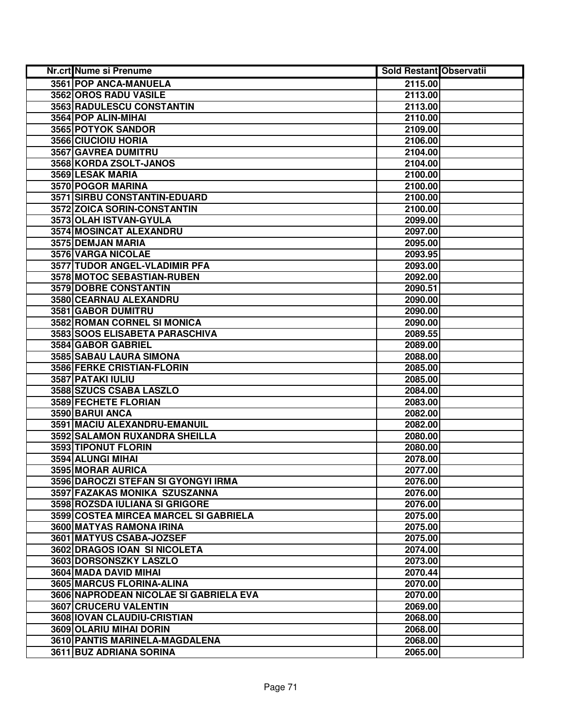| Nr.crt Nume si Prenume                 | <b>Sold Restant Observatii</b> |
|----------------------------------------|--------------------------------|
| 3561 POP ANCA-MANUELA                  | 2115.00                        |
| 3562 OROS RADU VASILE                  | 2113.00                        |
| 3563 RADULESCU CONSTANTIN              | 2113.00                        |
| 3564 POP ALIN-MIHAI                    | 2110.00                        |
| 3565 POTYOK SANDOR                     | 2109.00                        |
| 3566 CIUCIOIU HORIA                    | 2106.00                        |
| 3567 GAVREA DUMITRU                    | 2104.00                        |
| 3568 KORDA ZSOLT-JANOS                 | 2104.00                        |
| 3569 LESAK MARIA                       | 2100.00                        |
| 3570 POGOR MARINA                      | 2100.00                        |
| 3571 SIRBU CONSTANTIN-EDUARD           | 2100.00                        |
| 3572 ZOICA SORIN-CONSTANTIN            | 2100.00                        |
| 3573 OLAH ISTVAN-GYULA                 | 2099.00                        |
| 3574 MOSINCAT ALEXANDRU                | 2097.00                        |
| 3575 DEMJAN MARIA                      | 2095.00                        |
| 3576 VARGA NICOLAE                     | 2093.95                        |
| 3577 TUDOR ANGEL-VLADIMIR PFA          | 2093.00                        |
| 3578 MOTOC SEBASTIAN-RUBEN             | 2092.00                        |
| 3579 DOBRE CONSTANTIN                  | 2090.51                        |
| 3580 CEARNAU ALEXANDRU                 | 2090.00                        |
| 3581 GABOR DUMITRU                     | 2090.00                        |
| 3582 ROMAN CORNEL SI MONICA            | 2090.00                        |
| 3583 SOOS ELISABETA PARASCHIVA         | 2089.55                        |
| 3584 GABOR GABRIEL                     | 2089.00                        |
| 3585 SABAU LAURA SIMONA                | 2088.00                        |
| 3586 FERKE CRISTIAN-FLORIN             | 2085.00                        |
| 3587 PATAKI IULIU                      | 2085.00                        |
| 3588 SZUCS CSABA LASZLO                | 2084.00                        |
| 3589 FECHETE FLORIAN                   | 2083.00                        |
| 3590 BARUI ANCA                        | 2082.00                        |
| 3591 MACIU ALEXANDRU-EMANUIL           | 2082.00                        |
| 3592 SALAMON RUXANDRA SHEILLA          | 2080.00                        |
| 3593 TIPONUT FLORIN                    | 2080.00                        |
| 3594 ALUNGI MIHAI                      | 2078.00                        |
| 3595 MORAR AURICA                      | 2077.00                        |
| 3596 DAROCZI STEFAN SI GYONGYI IRMA    | 2076.00                        |
| 3597 FAZAKAS MONIKA SZUSZANNA          | 2076.00                        |
| 3598 ROZSDA IULIANA SI GRIGORE         | 2076.00                        |
| 3599 COSTEA MIRCEA MARCEL SI GABRIELA  | 2075.00                        |
| 3600 MATYAS RAMONA IRINA               | 2075.00                        |
| 3601 MATYUS CSABA-JOZSEF               | 2075.00                        |
| 3602 DRAGOS IOAN SI NICOLETA           | 2074.00                        |
| 3603 DORSONSZKY LASZLO                 | 2073.00                        |
| 3604 MADA DAVID MIHAI                  | 2070.44                        |
| 3605 MARCUS FLORINA-ALINA              | 2070.00                        |
| 3606 NAPRODEAN NICOLAE SI GABRIELA EVA | 2070.00                        |
| 3607 CRUCERU VALENTIN                  | 2069.00                        |
| 3608 IOVAN CLAUDIU-CRISTIAN            | 2068.00                        |
| 3609 OLARIU MIHAI DORIN                | 2068.00                        |
| 3610 PANTIS MARINELA-MAGDALENA         | 2068.00                        |
| 3611 BUZ ADRIANA SORINA                | 2065.00                        |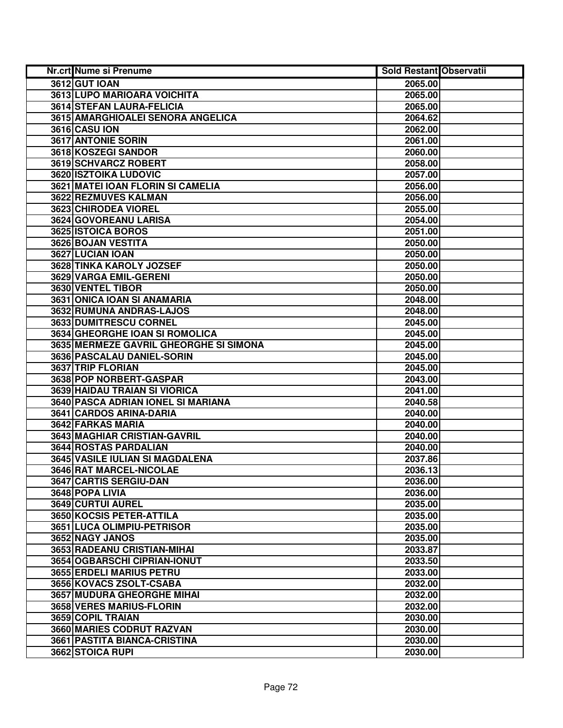| Nr.crt Nume si Prenume                 | <b>Sold Restant Observatii</b> |  |
|----------------------------------------|--------------------------------|--|
| <b>3612 GUT IOAN</b>                   | 2065.00                        |  |
| 3613 LUPO MARIOARA VOICHITA            | 2065.00                        |  |
| 3614 STEFAN LAURA-FELICIA              | 2065.00                        |  |
| 3615 AMARGHIOALEI SENORA ANGELICA      | 2064.62                        |  |
| <b>3616 CASU ION</b>                   | 2062.00                        |  |
| 3617 ANTONIE SORIN                     | 2061.00                        |  |
| 3618 KOSZEGI SANDOR                    | 2060.00                        |  |
| 3619 SCHVARCZ ROBERT                   | 2058.00                        |  |
| <b>3620 ISZTOIKA LUDOVIC</b>           | 2057.00                        |  |
| 3621 MATEI IOAN FLORIN SI CAMELIA      | 2056.00                        |  |
| 3622 REZMUVES KALMAN                   | 2056.00                        |  |
| 3623 CHIRODEA VIOREL                   | 2055.00                        |  |
| 3624 GOVOREANU LARISA                  | 2054.00                        |  |
| 3625 ISTOICA BOROS                     | 2051.00                        |  |
| 3626 BOJAN VESTITA                     | 2050.00                        |  |
| 3627 LUCIAN IOAN                       | 2050.00                        |  |
| 3628 TINKA KAROLY JOZSEF               | 2050.00                        |  |
| 3629 VARGA EMIL-GERENI                 | 2050.00                        |  |
| 3630 VENTEL TIBOR                      | 2050.00                        |  |
| 3631 ONICA IOAN SI ANAMARIA            | 2048.00                        |  |
| 3632 RUMUNA ANDRAS-LAJOS               | 2048.00                        |  |
| 3633 DUMITRESCU CORNEL                 | 2045.00                        |  |
| 3634 GHEORGHE IOAN SI ROMOLICA         | 2045.00                        |  |
| 3635 MERMEZE GAVRIL GHEORGHE SI SIMONA | 2045.00                        |  |
| 3636 PASCALAU DANIEL-SORIN             | 2045.00                        |  |
| 3637 TRIP FLORIAN                      | 2045.00                        |  |
| 3638 POP NORBERT-GASPAR                | 2043.00                        |  |
| 3639 HAIDAU TRAIAN SI VIORICA          | 2041.00                        |  |
| 3640 PASCA ADRIAN IONEL SI MARIANA     | 2040.58                        |  |
| 3641 CARDOS ARINA-DARIA                | 2040.00                        |  |
| 3642 FARKAS MARIA                      | 2040.00                        |  |
| 3643 MAGHIAR CRISTIAN-GAVRIL           | 2040.00                        |  |
| 3644 ROSTAS PARDALIAN                  | 2040.00                        |  |
| <b>3645 VASILE IULIAN SI MAGDALENA</b> | 2037.86                        |  |
| 3646 RAT MARCEL-NICOLAE                | 2036.13                        |  |
| 3647 CARTIS SERGIU-DAN                 | 2036.00                        |  |
| 3648 POPA LIVIA                        | 2036.00                        |  |
| 3649 CURTUI AUREL                      | 2035.00                        |  |
| <b>3650 KOCSIS PETER-ATTILA</b>        | 2035.00                        |  |
| 3651 LUCA OLIMPIU-PETRISOR             | 2035.00                        |  |
| 3652 NAGY JANOS                        | 2035.00                        |  |
| 3653 RADEANU CRISTIAN-MIHAI            | 2033.87                        |  |
| 3654 OGBARSCHI CIPRIAN-IONUT           | 2033.50                        |  |
| 3655 ERDELI MARIUS PETRU               | 2033.00                        |  |
| 3656 KOVACS ZSOLT-CSABA                | 2032.00                        |  |
| <b>3657 MUDURA GHEORGHE MIHAI</b>      | 2032.00                        |  |
| 3658 VERES MARIUS-FLORIN               | 2032.00                        |  |
| 3659 COPIL TRAIAN                      | 2030.00                        |  |
| 3660 MARIES CODRUT RAZVAN              | 2030.00                        |  |
| 3661 PASTITA BIANCA-CRISTINA           | 2030.00                        |  |
| 3662 STOICA RUPI                       | 2030.00                        |  |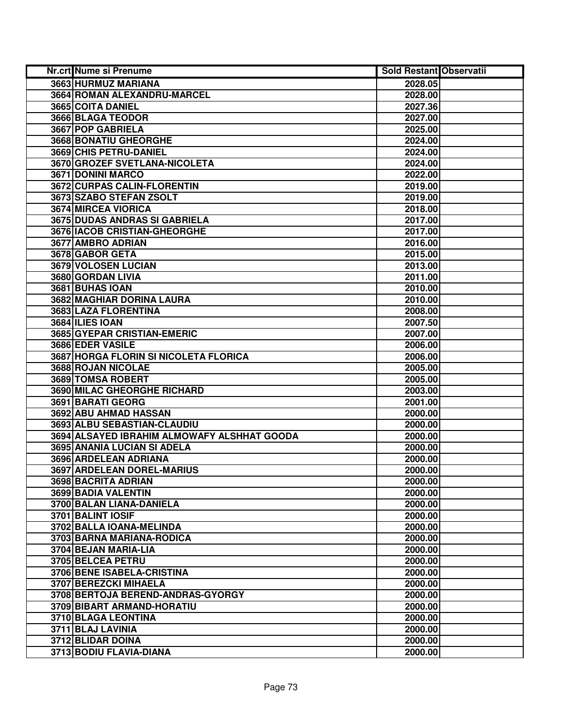| Nr.crt Nume si Prenume                      | <b>Sold Restant Observatii</b> |  |
|---------------------------------------------|--------------------------------|--|
| 3663 HURMUZ MARIANA                         | 2028.05                        |  |
| 3664 ROMAN ALEXANDRU-MARCEL                 | 2028.00                        |  |
| 3665 COITA DANIEL                           | 2027.36                        |  |
| 3666 BLAGA TEODOR                           | 2027.00                        |  |
| 3667 POP GABRIELA                           | 2025.00                        |  |
| <b>3668 BONATIU GHEORGHE</b>                | 2024.00                        |  |
| 3669 CHIS PETRU-DANIEL                      | 2024.00                        |  |
| 3670 GROZEF SVETLANA-NICOLETA               | 2024.00                        |  |
| 3671 DONINI MARCO                           | 2022.00                        |  |
| 3672 CURPAS CALIN-FLORENTIN                 | 2019.00                        |  |
| 3673 SZABO STEFAN ZSOLT                     | 2019.00                        |  |
| 3674 MIRCEA VIORICA                         | 2018.00                        |  |
| 3675 DUDAS ANDRAS SI GABRIELA               | 2017.00                        |  |
| 3676 IACOB CRISTIAN-GHEORGHE                | 2017.00                        |  |
| 3677 AMBRO ADRIAN                           | 2016.00                        |  |
| 3678 GABOR GETA                             | 2015.00                        |  |
| 3679 VOLOSEN LUCIAN                         | 2013.00                        |  |
| 3680 GORDAN LIVIA                           | 2011.00                        |  |
| 3681 BUHAS IOAN                             | 2010.00                        |  |
| 3682 MAGHIAR DORINA LAURA                   | 2010.00                        |  |
| 3683 LAZA FLORENTINA                        | 2008.00                        |  |
| 3684 ILIES IOAN                             | 2007.50                        |  |
| 3685 GYEPAR CRISTIAN-EMERIC                 | 2007.00                        |  |
| 3686 EDER VASILE                            | 2006.00                        |  |
| 3687 HORGA FLORIN SI NICOLETA FLORICA       | 2006.00                        |  |
| 3688 ROJAN NICOLAE                          | 2005.00                        |  |
| 3689 TOMSA ROBERT                           | 2005.00                        |  |
| 3690 MILAC GHEORGHE RICHARD                 | 2003.00                        |  |
| 3691 BARATI GEORG                           | 2001.00                        |  |
| 3692 ABU AHMAD HASSAN                       | 2000.00                        |  |
| 3693 ALBU SEBASTIAN-CLAUDIU                 | 2000.00                        |  |
| 3694 ALSAYED IBRAHIM ALMOWAFY ALSHHAT GOODA | 2000.00                        |  |
| 3695 ANANIA LUCIAN SI ADELA                 | 2000.00                        |  |
| 3696 ARDELEAN ADRIANA                       | 2000.00                        |  |
| 3697 ARDELEAN DOREL-MARIUS                  | 2000.00                        |  |
| 3698 BACRITA ADRIAN                         | 2000.00                        |  |
| <b>3699 BADIA VALENTIN</b>                  | 2000.00                        |  |
| 3700 BALAN LIANA-DANIELA                    | 2000.00                        |  |
| 3701 BALINT IOSIF                           | 2000.00                        |  |
| 3702 BALLA IOANA-MELINDA                    | 2000.00                        |  |
| 3703 BARNA MARIANA-RODICA                   | 2000.00                        |  |
| 3704 BEJAN MARIA-LIA                        | 2000.00                        |  |
| 3705 BELCEA PETRU                           | 2000.00                        |  |
| 3706 BENE ISABELA-CRISTINA                  | 2000.00                        |  |
| 3707 BEREZCKI MIHAELA                       | 2000.00                        |  |
| 3708 BERTOJA BEREND-ANDRAS-GYORGY           | 2000.00                        |  |
| 3709 BIBART ARMAND-HORATIU                  | 2000.00                        |  |
| 3710 BLAGA LEONTINA                         | 2000.00                        |  |
| 3711 BLAJ LAVINIA                           | 2000.00                        |  |
| 3712 BLIDAR DOINA                           | 2000.00                        |  |
| 3713 BODIU FLAVIA-DIANA                     | 2000.00                        |  |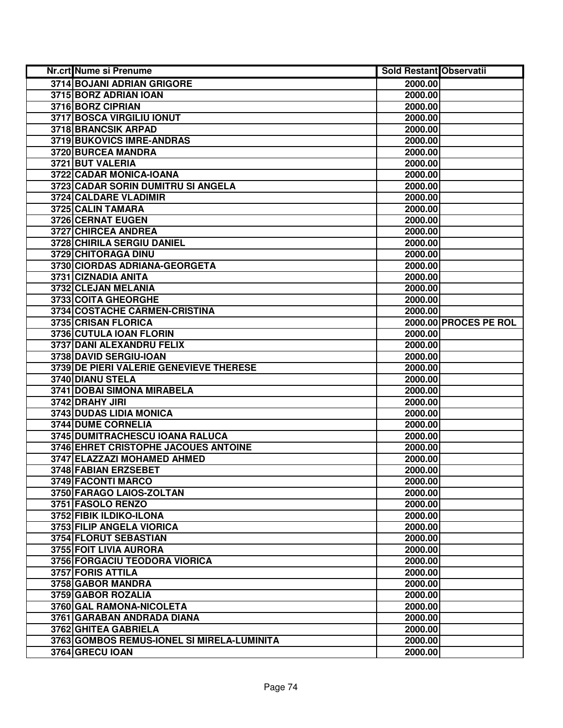| <b>Nr.crt Nume si Prenume</b>              | <b>Sold Restant Observatii</b> |                       |
|--------------------------------------------|--------------------------------|-----------------------|
| 3714 BOJANI ADRIAN GRIGORE                 | 2000.00                        |                       |
| 3715 BORZ ADRIAN IOAN                      | 2000.00                        |                       |
| 3716 BORZ CIPRIAN                          | 2000.00                        |                       |
| 3717 BOSCA VIRGILIU IONUT                  | 2000.00                        |                       |
| 3718 BRANCSIK ARPAD                        | 2000.00                        |                       |
| 3719 BUKOVICS IMRE-ANDRAS                  | 2000.00                        |                       |
| 3720 BURCEA MANDRA                         | 2000.00                        |                       |
| 3721 BUT VALERIA                           | 2000.00                        |                       |
| 3722 CADAR MONICA-IOANA                    | 2000.00                        |                       |
| 3723 CADAR SORIN DUMITRU SI ANGELA         | 2000.00                        |                       |
| 3724 CALDARE VLADIMIR                      | 2000.00                        |                       |
| 3725 CALIN TAMARA                          | 2000.00                        |                       |
| 3726 CERNAT EUGEN                          | 2000.00                        |                       |
| 3727 CHIRCEA ANDREA                        | 2000.00                        |                       |
| 3728 CHIRILA SERGIU DANIEL                 | 2000.00                        |                       |
| 3729 CHITORAGA DINU                        | 2000.00                        |                       |
| 3730 CIORDAS ADRIANA-GEORGETA              | 2000.00                        |                       |
| 3731 CIZNADIA ANITA                        | 2000.00                        |                       |
| 3732 CLEJAN MELANIA                        | 2000.00                        |                       |
| 3733 COITA GHEORGHE                        | 2000.00                        |                       |
| 3734 COSTACHE CARMEN-CRISTINA              | 2000.00                        |                       |
| 3735 CRISAN FLORICA                        |                                | 2000.00 PROCES PE ROL |
| 3736 CUTULA IOAN FLORIN                    | 2000.00                        |                       |
| 3737 DANI ALEXANDRU FELIX                  | 2000.00                        |                       |
| 3738 DAVID SERGIU-IOAN                     | 2000.00                        |                       |
| 3739 DE PIERI VALERIE GENEVIEVE THERESE    | 2000.00                        |                       |
| 3740 DIANU STELA                           | 2000.00                        |                       |
| 3741 DOBAI SIMONA MIRABELA                 | 2000.00                        |                       |
| 3742 DRAHY JIRI                            | 2000.00                        |                       |
| 3743 DUDAS LIDIA MONICA                    | 2000.00                        |                       |
| 3744 DUME CORNELIA                         | 2000.00                        |                       |
| 3745 DUMITRACHESCU IOANA RALUCA            | 2000.00                        |                       |
| 3746 EHRET CRISTOPHE JACOUES ANTOINE       | 2000.00                        |                       |
| 3747 ELAZZAZI MOHAMED AHMED                | 2000.00                        |                       |
| 3748 FABIAN ERZSEBET                       | 2000.00                        |                       |
| 3749 FACONTI MARCO                         | 2000.00                        |                       |
| 3750 FARAGO LAIOS-ZOLTAN                   | 2000.00                        |                       |
| 3751 FASOLO RENZO                          | 2000.00                        |                       |
| 3752 FIBIK ILDIKO-ILONA                    | 2000.00                        |                       |
| 3753 FILIP ANGELA VIORICA                  | 2000.00                        |                       |
| 3754 FLORUT SEBASTIAN                      | 2000.00                        |                       |
| 3755 FOIT LIVIA AURORA                     | 2000.00                        |                       |
| 3756 FORGACIU TEODORA VIORICA              | 2000.00                        |                       |
| 3757 FORIS ATTILA                          | 2000.00                        |                       |
| 3758 GABOR MANDRA                          | 2000.00                        |                       |
| 3759 GABOR ROZALIA                         | 2000.00                        |                       |
| 3760 GAL RAMONA-NICOLETA                   | 2000.00                        |                       |
| 3761 GARABAN ANDRADA DIANA                 | 2000.00                        |                       |
| 3762 GHITEA GABRIELA                       | 2000.00                        |                       |
| 3763 GOMBOS REMUS-IONEL SI MIRELA-LUMINITA | 2000.00                        |                       |
| 3764 GRECU IOAN                            | 2000.00                        |                       |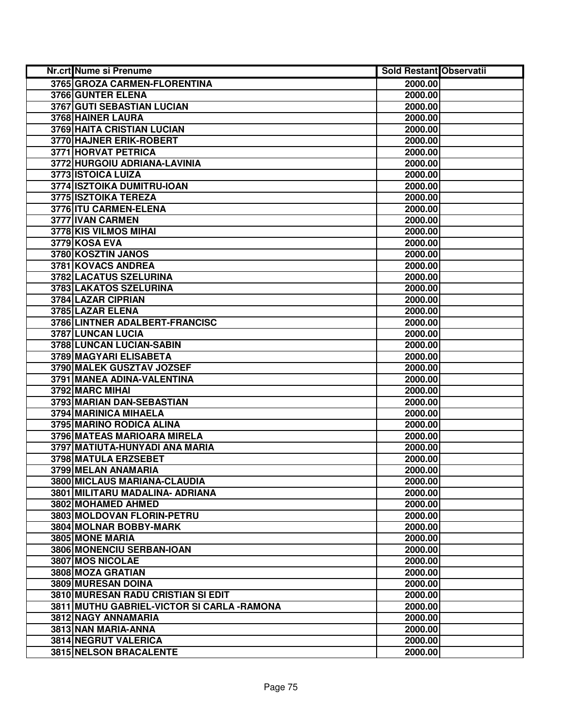| Nr.crt Nume si Prenume                      | <b>Sold Restant Observatii</b> |  |
|---------------------------------------------|--------------------------------|--|
| 3765 GROZA CARMEN-FLORENTINA                | 2000.00                        |  |
| 3766 GUNTER ELENA                           | 2000.00                        |  |
| 3767 GUTI SEBASTIAN LUCIAN                  | 2000.00                        |  |
| 3768 HAINER LAURA                           | 2000.00                        |  |
| 3769 HAITA CRISTIAN LUCIAN                  | 2000.00                        |  |
| 3770 HAJNER ERIK-ROBERT                     | 2000.00                        |  |
| 3771 HORVAT PETRICA                         | 2000.00                        |  |
| 3772 HURGOIU ADRIANA-LAVINIA                | 2000.00                        |  |
| 3773 ISTOICA LUIZA                          | 2000.00                        |  |
| 3774 ISZTOIKA DUMITRU-IOAN                  | 2000.00                        |  |
| 3775 ISZTOIKA TEREZA                        | 2000.00                        |  |
| 3776 ITU CARMEN-ELENA                       | 2000.00                        |  |
| 3777 IVAN CARMEN                            | 2000.00                        |  |
| 3778 KIS VILMOS MIHAI                       | 2000.00                        |  |
| 3779 KOSA EVA                               | 2000.00                        |  |
| 3780 KOSZTIN JANOS                          | 2000.00                        |  |
| 3781 KOVACS ANDREA                          | 2000.00                        |  |
| 3782 LACATUS SZELURINA                      | 2000.00                        |  |
| 3783 LAKATOS SZELURINA                      | 2000.00                        |  |
| 3784 LAZAR CIPRIAN                          | 2000.00                        |  |
| 3785 LAZAR ELENA                            | 2000.00                        |  |
| 3786 LINTNER ADALBERT-FRANCISC              | 2000.00                        |  |
| 3787 LUNCAN LUCIA                           | 2000.00                        |  |
| 3788 LUNCAN LUCIAN-SABIN                    | 2000.00                        |  |
| 3789 MAGYARI ELISABETA                      | 2000.00                        |  |
| 3790 MALEK GUSZTAV JOZSEF                   | 2000.00                        |  |
| 3791 MANEA ADINA-VALENTINA                  | 2000.00                        |  |
| 3792 MARC MIHAI                             | 2000.00                        |  |
| 3793 MARIAN DAN-SEBASTIAN                   | 2000.00                        |  |
| 3794 MARINICA MIHAELA                       | 2000.00                        |  |
| 3795 MARINO RODICA ALINA                    | 2000.00                        |  |
| 3796 MATEAS MARIOARA MIRELA                 | 2000.00                        |  |
| 3797 MATIUTA-HUNYADI ANA MARIA              | 2000.00                        |  |
| 3798 MATULA ERZSEBET                        | 2000.00                        |  |
| 3799 MELAN ANAMARIA                         | 2000.00                        |  |
| 3800 MICLAUS MARIANA-CLAUDIA                | 2000.00                        |  |
| 3801 MILITARU MADALINA- ADRIANA             | 2000.00                        |  |
| 3802 MOHAMED AHMED                          | 2000.00                        |  |
| 3803 MOLDOVAN FLORIN-PETRU                  | 2000.00                        |  |
| 3804 MOLNAR BOBBY-MARK                      | 2000.00                        |  |
| 3805 MONE MARIA                             | 2000.00                        |  |
| 3806 MONENCIU SERBAN-IOAN                   | 2000.00                        |  |
| 3807 MOS NICOLAE                            | 2000.00                        |  |
| 3808 MOZA GRATIAN                           | 2000.00                        |  |
| 3809 MURESAN DOINA                          | 2000.00                        |  |
| 3810 MURESAN RADU CRISTIAN SI EDIT          | 2000.00                        |  |
| 3811 MUTHU GABRIEL-VICTOR SI CARLA - RAMONA | 2000.00                        |  |
| 3812 NAGY ANNAMARIA                         | 2000.00                        |  |
| 3813 NAN MARIA-ANNA                         | 2000.00                        |  |
| 3814 NEGRUT VALERICA                        | 2000.00                        |  |
| 3815 NELSON BRACALENTE                      | 2000.00                        |  |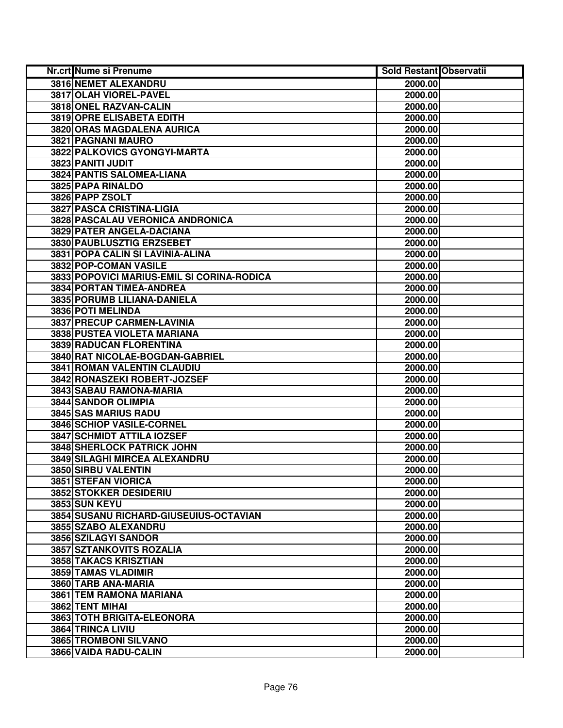| <b>Nr.crt Nume si Prenume</b>              | <b>Sold Restant Observatii</b> |  |
|--------------------------------------------|--------------------------------|--|
| 3816 NEMET ALEXANDRU                       | 2000.00                        |  |
| 3817 OLAH VIOREL-PAVEL                     | 2000.00                        |  |
| 3818 ONEL RAZVAN-CALIN                     | 2000.00                        |  |
| 3819 OPRE ELISABETA EDITH                  | 2000.00                        |  |
| 3820 ORAS MAGDALENA AURICA                 | 2000.00                        |  |
| 3821 PAGNANI MAURO                         | 2000.00                        |  |
| 3822 PALKOVICS GYONGYI-MARTA               | 2000.00                        |  |
| 3823 PANITI JUDIT                          | 2000.00                        |  |
| <b>3824 PANTIS SALOMEA-LIANA</b>           | 2000.00                        |  |
| 3825 PAPA RINALDO                          | 2000.00                        |  |
| 3826 PAPP ZSOLT                            | 2000.00                        |  |
| 3827 PASCA CRISTINA-LIGIA                  | 2000.00                        |  |
| 3828 PASCALAU VERONICA ANDRONICA           | 2000.00                        |  |
| 3829 PATER ANGELA-DACIANA                  | 2000.00                        |  |
| 3830 PAUBLUSZTIG ERZSEBET                  | 2000.00                        |  |
| 3831 POPA CALIN SI LAVINIA-ALINA           | 2000.00                        |  |
| 3832 POP-COMAN VASILE                      | 2000.00                        |  |
| 3833 POPOVICI MARIUS-EMIL SI CORINA-RODICA | 2000.00                        |  |
| 3834 PORTAN TIMEA-ANDREA                   | 2000.00                        |  |
| 3835 PORUMB LILIANA-DANIELA                | 2000.00                        |  |
| 3836 POTI MELINDA                          | 2000.00                        |  |
| 3837 PRECUP CARMEN-LAVINIA                 | 2000.00                        |  |
| 3838 PUSTEA VIOLETA MARIANA                | 2000.00                        |  |
| 3839 RADUCAN FLORENTINA                    | 2000.00                        |  |
| 3840 RAT NICOLAE-BOGDAN-GABRIEL            | 2000.00                        |  |
| 3841 ROMAN VALENTIN CLAUDIU                | 2000.00                        |  |
| 3842 RONASZEKI ROBERT-JOZSEF               | 2000.00                        |  |
| 3843 SABAU RAMONA-MARIA                    | 2000.00                        |  |
| 3844 SANDOR OLIMPIA                        | 2000.00                        |  |
| 3845 SAS MARIUS RADU                       | 2000.00                        |  |
| 3846 SCHIOP VASILE-CORNEL                  | 2000.00                        |  |
| 3847 SCHMIDT ATTILA IOZSEF                 | 2000.00                        |  |
| 3848 SHERLOCK PATRICK JOHN                 | 2000.00                        |  |
| 3849 SILAGHI MIRCEA ALEXANDRU              | 2000.00                        |  |
| 3850 SIRBU VALENTIN                        | 2000.00                        |  |
| 3851 STEFAN VIORICA                        | 2000.00                        |  |
| 3852 STOKKER DESIDERIU                     | 2000.00                        |  |
| 3853 SUN KEYU                              | 2000.00                        |  |
| 3854 SUSANU RICHARD-GIUSEUIUS-OCTAVIAN     | 2000.00                        |  |
| 3855 SZABO ALEXANDRU                       | 2000.00                        |  |
| 3856 SZILAGYI SANDOR                       | 2000.00                        |  |
| 3857 SZTANKOVITS ROZALIA                   | 2000.00                        |  |
| 3858 TAKACS KRISZTIAN                      | 2000.00                        |  |
| 3859 TAMAS VLADIMIR                        | 2000.00                        |  |
| 3860 TARB ANA-MARIA                        | 2000.00                        |  |
| 3861 TEM RAMONA MARIANA                    | 2000.00                        |  |
| 3862 TENT MIHAI                            | 2000.00                        |  |
| 3863 TOTH BRIGITA-ELEONORA                 | 2000.00                        |  |
| 3864 TRINCA LIVIU                          | 2000.00                        |  |
| 3865 TROMBONI SILVANO                      | 2000.00                        |  |
| 3866 VAIDA RADU-CALIN                      | 2000.00                        |  |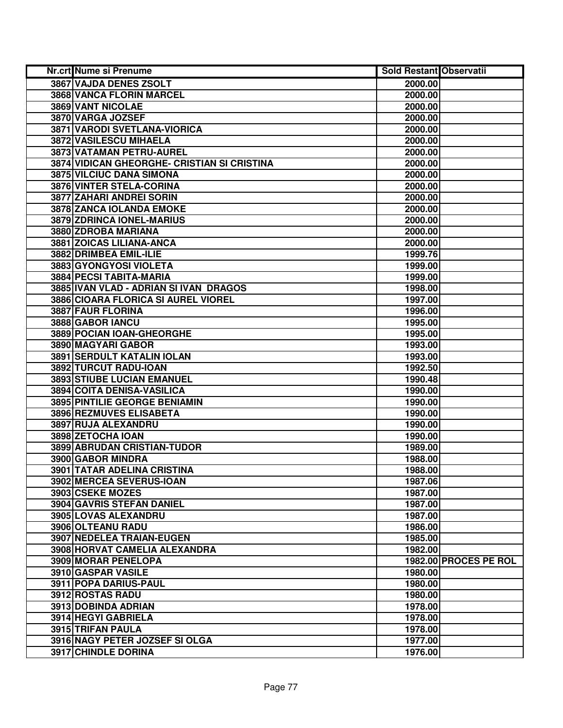| Nr.crt Nume si Prenume                      | <b>Sold Restant Observatii</b> |                       |
|---------------------------------------------|--------------------------------|-----------------------|
| 3867 VAJDA DENES ZSOLT                      | 2000.00                        |                       |
| 3868 VANCA FLORIN MARCEL                    | 2000.00                        |                       |
| 3869 VANT NICOLAE                           | 2000.00                        |                       |
| 3870 VARGA JOZSEF                           | 2000.00                        |                       |
| 3871 VARODI SVETLANA-VIORICA                | 2000.00                        |                       |
| 3872 VASILESCU MIHAELA                      | 2000.00                        |                       |
| 3873 VATAMAN PETRU-AUREL                    | 2000.00                        |                       |
| 3874 VIDICAN GHEORGHE- CRISTIAN SI CRISTINA | 2000.00                        |                       |
| <b>3875 VILCIUC DANA SIMONA</b>             | 2000.00                        |                       |
| 3876 VINTER STELA-CORINA                    | 2000.00                        |                       |
| 3877 ZAHARI ANDREI SORIN                    | 2000.00                        |                       |
| 3878 ZANCA IOLANDA EMOKE                    | 2000.00                        |                       |
| 3879 ZDRINCA IONEL-MARIUS                   | 2000.00                        |                       |
| 3880 ZDROBA MARIANA                         | 2000.00                        |                       |
| 3881 ZOICAS LILIANA-ANCA                    | 2000.00                        |                       |
| 3882 DRIMBEA EMIL-ILIE                      | 1999.76                        |                       |
| 3883 GYONGYOSI VIOLETA                      | 1999.00                        |                       |
| 3884 PECSI TABITA-MARIA                     | 1999.00                        |                       |
| 3885 IVAN VLAD - ADRIAN SI IVAN DRAGOS      | 1998.00                        |                       |
| 3886 CIOARA FLORICA SI AUREL VIOREL         | 1997.00                        |                       |
| 3887 FAUR FLORINA                           | 1996.00                        |                       |
| 3888 GABOR IANCU                            | 1995.00                        |                       |
| 3889 POCIAN IOAN-GHEORGHE                   | 1995.00                        |                       |
| 3890 MAGYARI GABOR                          | 1993.00                        |                       |
| 3891 SERDULT KATALIN IOLAN                  | 1993.00                        |                       |
| 3892 TURCUT RADU-IOAN                       | 1992.50                        |                       |
| 3893 STIUBE LUCIAN EMANUEL                  | 1990.48                        |                       |
| 3894 COITA DENISA-VASILICA                  | 1990.00                        |                       |
| 3895 PINTILIE GEORGE BENIAMIN               | 1990.00                        |                       |
| 3896 REZMUVES ELISABETA                     | 1990.00                        |                       |
| 3897 RUJA ALEXANDRU                         | 1990.00                        |                       |
| 3898 ZETOCHA IOAN                           | 1990.00                        |                       |
| 3899 ABRUDAN CRISTIAN-TUDOR                 | 1989.00                        |                       |
| 3900 GABOR MINDRA                           | 1988.00                        |                       |
| <b>3901 TATAR ADELINA CRISTINA</b>          | 1988.00                        |                       |
| 3902 MERCEA SEVERUS-IOAN                    | 1987.06                        |                       |
| 3903 CSEKE MOZES                            | 1987.00                        |                       |
| 3904 GAVRIS STEFAN DANIEL                   | 1987.00                        |                       |
| 3905 LOVAS ALEXANDRU                        | 1987.00                        |                       |
| 3906 OLTEANU RADU                           | 1986.00                        |                       |
| 3907 NEDELEA TRAIAN-EUGEN                   | 1985.00                        |                       |
| 3908 HORVAT CAMELIA ALEXANDRA               | 1982.00                        |                       |
| <b>3909 MORAR PENELOPA</b>                  |                                | 1982.00 PROCES PE ROL |
| 3910 GASPAR VASILE                          | 1980.00                        |                       |
| 3911 POPA DARIUS-PAUL                       | 1980.00                        |                       |
| 3912 ROSTAS RADU                            | 1980.00                        |                       |
| 3913 DOBINDA ADRIAN                         | 1978.00                        |                       |
| 3914 HEGYI GABRIELA                         | 1978.00                        |                       |
| 3915 TRIFAN PAULA                           | 1978.00                        |                       |
| 3916 NAGY PETER JOZSEF SI OLGA              | 1977.00                        |                       |
| <b>3917 CHINDLE DORINA</b>                  | 1976.00                        |                       |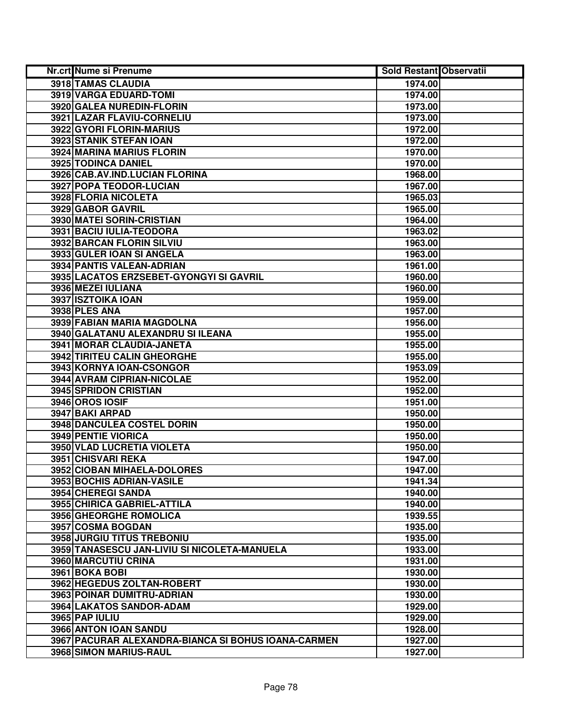| <b>Nr.crt Nume si Prenume</b>                       | <b>Sold Restant Observatii</b> |  |
|-----------------------------------------------------|--------------------------------|--|
| 3918 TAMAS CLAUDIA                                  | 1974.00                        |  |
| 3919 VARGA EDUARD-TOMI                              | 1974.00                        |  |
| 3920 GALEA NUREDIN-FLORIN                           | 1973.00                        |  |
| 3921 LAZAR FLAVIU-CORNELIU                          | 1973.00                        |  |
| 3922 GYORI FLORIN-MARIUS                            | 1972.00                        |  |
| 3923 STANIK STEFAN IOAN                             | 1972.00                        |  |
| 3924 MARINA MARIUS FLORIN                           | 1970.00                        |  |
| 3925 TODINCA DANIEL                                 | 1970.00                        |  |
| 3926 CAB.AV.IND.LUCIAN FLORINA                      | 1968.00                        |  |
| 3927 POPA TEODOR-LUCIAN                             | 1967.00                        |  |
| 3928 FLORIA NICOLETA                                | 1965.03                        |  |
| 3929 GABOR GAVRIL                                   | 1965.00                        |  |
| 3930 MATEI SORIN-CRISTIAN                           | 1964.00                        |  |
| 3931 BACIU IULIA-TEODORA                            | 1963.02                        |  |
| 3932 BARCAN FLORIN SILVIU                           | 1963.00                        |  |
| 3933 GULER IOAN SI ANGELA                           | 1963.00                        |  |
| 3934 PANTIS VALEAN-ADRIAN                           | 1961.00                        |  |
| 3935 LACATOS ERZSEBET-GYONGYI SI GAVRIL             | 1960.00                        |  |
| 3936 MEZEI IULIANA                                  | 1960.00                        |  |
| 3937 ISZTOIKA IOAN                                  | 1959.00                        |  |
| <b>3938 PLES ANA</b>                                | 1957.00                        |  |
| 3939 FABIAN MARIA MAGDOLNA                          | 1956.00                        |  |
| 3940 GALATANU ALEXANDRU SI ILEANA                   | 1955.00                        |  |
| 3941 MORAR CLAUDIA-JANETA                           | 1955.00                        |  |
| 3942 TIRITEU CALIN GHEORGHE                         | 1955.00                        |  |
| 3943 KORNYA IOAN-CSONGOR                            | 1953.09                        |  |
| 3944 AVRAM CIPRIAN-NICOLAE                          | 1952.00                        |  |
| 3945 SPRIDON CRISTIAN                               | 1952.00                        |  |
| 3946 OROS IOSIF                                     | 1951.00                        |  |
| 3947 BAKI ARPAD                                     | 1950.00                        |  |
| 3948 DANCULEA COSTEL DORIN                          | 1950.00                        |  |
| 3949 PENTIE VIORICA                                 | 1950.00                        |  |
| 3950 VLAD LUCRETIA VIOLETA                          | 1950.00                        |  |
| 3951 CHISVARI REKA                                  | 1947.00                        |  |
| 3952 CIOBAN MIHAELA-DOLORES                         | 1947.00                        |  |
| 3953 BOCHIS ADRIAN-VASILE                           | 1941.34                        |  |
| 3954 CHEREGI SANDA                                  | 1940.00                        |  |
| 3955 CHIRICA GABRIEL-ATTILA                         | 1940.00                        |  |
| <b>3956 GHEORGHE ROMOLICA</b>                       | 1939.55                        |  |
| 3957 COSMA BOGDAN                                   | 1935.00                        |  |
| 3958 JURGIU TITUS TREBONIU                          | 1935.00                        |  |
| 3959 TANASESCU JAN-LIVIU SI NICOLETA-MANUELA        | 1933.00                        |  |
| 3960 MARCUTIU CRINA                                 | 1931.00                        |  |
| 3961 BOKA BOBI                                      | 1930.00                        |  |
| 3962 HEGEDUS ZOLTAN-ROBERT                          | 1930.00                        |  |
| 3963 POINAR DUMITRU-ADRIAN                          | 1930.00                        |  |
| 3964 LAKATOS SANDOR-ADAM                            | 1929.00                        |  |
| 3965 PAP IULIU                                      | 1929.00                        |  |
| 3966 ANTON IOAN SANDU                               | 1928.00                        |  |
| 3967 PACURAR ALEXANDRA-BIANCA SI BOHUS IOANA-CARMEN | 1927.00                        |  |
| 3968 SIMON MARIUS-RAUL                              | 1927.00                        |  |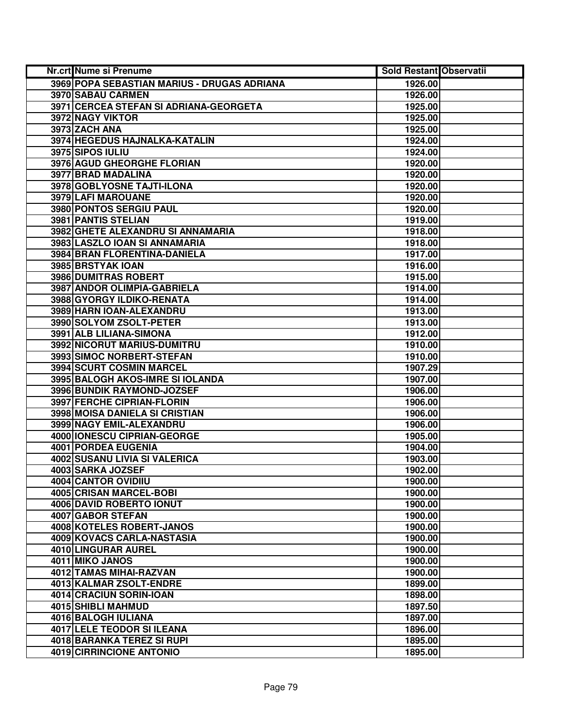| Nr.crt Nume si Prenume                      | <b>Sold Restant Observatii</b> |  |
|---------------------------------------------|--------------------------------|--|
| 3969 POPA SEBASTIAN MARIUS - DRUGAS ADRIANA | 1926.00                        |  |
| 3970 SABAU CARMEN                           | 1926.00                        |  |
| 3971 CERCEA STEFAN SI ADRIANA-GEORGETA      | 1925.00                        |  |
| 3972 NAGY VIKTOR                            | 1925.00                        |  |
| 3973 ZACH ANA                               | 1925.00                        |  |
| 3974 HEGEDUS HAJNALKA-KATALIN               | 1924.00                        |  |
| 3975 SIPOS IULIU                            | 1924.00                        |  |
| 3976 AGUD GHEORGHE FLORIAN                  | 1920.00                        |  |
| 3977 BRAD MADALINA                          | 1920.00                        |  |
| 3978 GOBLYOSNE TAJTI-ILONA                  | 1920.00                        |  |
| 3979 LAFI MAROUANE                          | 1920.00                        |  |
| 3980 PONTOS SERGIU PAUL                     | 1920.00                        |  |
| 3981 PANTIS STELIAN                         | 1919.00                        |  |
| 3982 GHETE ALEXANDRU SI ANNAMARIA           | 1918.00                        |  |
| 3983 LASZLO IOAN SI ANNAMARIA               | 1918.00                        |  |
| 3984 BRAN FLORENTINA-DANIELA                | 1917.00                        |  |
| 3985 BRSTYAK JOAN                           | 1916.00                        |  |
| 3986 DUMITRAS ROBERT                        | 1915.00                        |  |
| 3987 ANDOR OLIMPIA-GABRIELA                 | 1914.00                        |  |
| 3988 GYORGY ILDIKO-RENATA                   | 1914.00                        |  |
| 3989 HARN IOAN-ALEXANDRU                    | 1913.00                        |  |
| 3990 SOLYOM ZSOLT-PETER                     | 1913.00                        |  |
| 3991 ALB LILIANA-SIMONA                     | 1912.00                        |  |
| 3992 NICORUT MARIUS-DUMITRU                 | 1910.00                        |  |
| 3993 SIMOC NORBERT-STEFAN                   | 1910.00                        |  |
| 3994 SCURT COSMIN MARCEL                    | 1907.29                        |  |
| 3995 BALOGH AKOS-IMRE SI IOLANDA            | 1907.00                        |  |
| 3996 BUNDIK RAYMOND-JOZSEF                  | 1906.00                        |  |
| 3997 FERCHE CIPRIAN-FLORIN                  | 1906.00                        |  |
| 3998 MOISA DANIELA SI CRISTIAN              | 1906.00                        |  |
| 3999 NAGY EMIL-ALEXANDRU                    | 1906.00                        |  |
| 4000 IONESCU CIPRIAN-GEORGE                 | 1905.00                        |  |
| 4001 PORDEA EUGENIA                         | 1904.00                        |  |
| 4002 SUSANU LIVIA SI VALERICA               | 1903.00                        |  |
| 4003 SARKA JOZSEF                           | 1902.00                        |  |
| 4004 CANTOR OVIDIIU                         | 1900.00                        |  |
| <b>4005 CRISAN MARCEL-BOBI</b>              | 1900.00                        |  |
| 4006 DAVID ROBERTO IONUT                    | 1900.00                        |  |
| <b>4007 GABOR STEFAN</b>                    | 1900.00                        |  |
| 4008 KOTELES ROBERT-JANOS                   | 1900.00                        |  |
| 4009 KOVACS CARLA-NASTASIA                  | 1900.00                        |  |
| 4010 LINGURAR AUREL                         | 1900.00                        |  |
| 4011 MIKO JANOS                             | 1900.00                        |  |
| 4012 TAMAS MIHAI-RAZVAN                     | 1900.00                        |  |
| 4013 KALMAR ZSOLT-ENDRE                     | 1899.00                        |  |
| 4014 CRACIUN SORIN-IOAN                     | 1898.00                        |  |
| 4015 SHIBLI MAHMUD                          | 1897.50                        |  |
| 4016 BALOGH IULIANA                         | 1897.00                        |  |
| 4017 LELE TEODOR SI ILEANA                  | 1896.00                        |  |
| 4018 BARANKA TEREZ SI RUPI                  | 1895.00                        |  |
| 4019 CIRRINCIONE ANTONIO                    | 1895.00                        |  |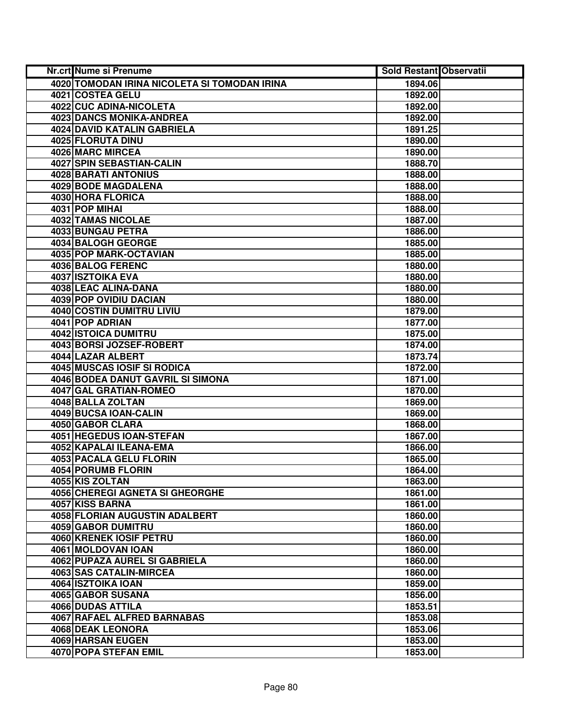| Nr.crt Nume si Prenume                       | <b>Sold Restant Observatii</b> |
|----------------------------------------------|--------------------------------|
| 4020 TOMODAN IRINA NICOLETA SI TOMODAN IRINA | 1894.06                        |
| 4021 COSTEA GELU                             | 1892.00                        |
| 4022 CUC ADINA-NICOLETA                      | 1892.00                        |
| <b>4023 DANCS MONIKA-ANDREA</b>              | 1892.00                        |
| 4024 DAVID KATALIN GABRIELA                  | 1891.25                        |
| 4025 FLORUTA DINU                            | 1890.00                        |
| 4026 MARC MIRCEA                             | 1890.00                        |
| 4027 SPIN SEBASTIAN-CALIN                    | 1888.70                        |
| <b>4028 BARATI ANTONIUS</b>                  | 1888.00                        |
| <b>4029 BODE MAGDALENA</b>                   | 1888.00                        |
| 4030 HORA FLORICA                            | 1888.00                        |
| 4031 POP MIHAI                               | 1888.00                        |
| <b>4032 TAMAS NICOLAE</b>                    | 1887.00                        |
| 4033 BUNGAU PETRA                            | 1886.00                        |
| 4034 BALOGH GEORGE                           | 1885.00                        |
| 4035 POP MARK-OCTAVIAN                       | 1885.00                        |
| 4036 BALOG FERENC                            | 1880.00                        |
| 4037 ISZTOIKA EVA                            | 1880.00                        |
| 4038 LEAC ALINA-DANA                         | 1880.00                        |
| 4039 POP OVIDIU DACIAN                       | 1880.00                        |
| <b>4040 COSTIN DUMITRU LIVIU</b>             | 1879.00                        |
| 4041 POP ADRIAN                              | 1877.00                        |
| 4042 ISTOICA DUMITRU                         | 1875.00                        |
| 4043 BORSI JOZSEF-ROBERT                     | 1874.00                        |
| 4044 LAZAR ALBERT                            | 1873.74                        |
| 4045 MUSCAS IOSIF SI RODICA                  | 1872.00                        |
| 4046 BODEA DANUT GAVRIL SI SIMONA            | 1871.00                        |
| 4047 GAL GRATIAN-ROMEO                       | 1870.00                        |
| 4048 BALLA ZOLTAN                            | 1869.00                        |
| 4049 BUCSA IOAN-CALIN                        | 1869.00                        |
| 4050 GABOR CLARA                             | 1868.00                        |
| 4051 HEGEDUS IOAN-STEFAN                     | 1867.00                        |
| 4052 KAPALAI ILEANA-EMA                      | 1866.00                        |
| 4053 PACALA GELU FLORIN                      | 1865.00                        |
| 4054 PORUMB FLORIN                           | 1864.00                        |
| 4055 KIS ZOLTAN                              | 1863.00                        |
| <b>4056 CHEREGI AGNETA SI GHEORGHE</b>       | 1861.00                        |
| 4057 KISS BARNA                              | 1861.00                        |
| 4058 FLORIAN AUGUSTIN ADALBERT               | 1860.00                        |
| 4059 GABOR DUMITRU                           | 1860.00                        |
| 4060 KRENEK IOSIF PETRU                      | 1860.00                        |
| 4061 MOLDOVAN IOAN                           | 1860.00                        |
| 4062 PUPAZA AUREL SI GABRIELA                | 1860.00                        |
| 4063 SAS CATALIN-MIRCEA                      | 1860.00                        |
| 4064 ISZTOIKA IOAN                           | 1859.00                        |
| 4065 GABOR SUSANA                            | 1856.00                        |
| 4066 DUDAS ATTILA                            | 1853.51                        |
| 4067 RAFAEL ALFRED BARNABAS                  | 1853.08                        |
| 4068 DEAK LEONORA                            | 1853.06                        |
| 4069 HARSAN EUGEN                            | 1853.00                        |
| 4070 POPA STEFAN EMIL                        | 1853.00                        |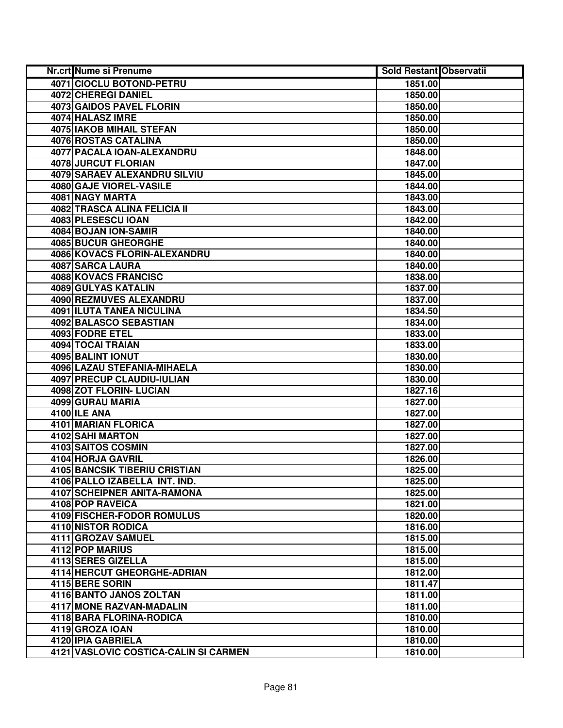| Nr.crt Nume si Prenume                | <b>Sold Restant Observatii</b> |  |
|---------------------------------------|--------------------------------|--|
| 4071 CIOCLU BOTOND-PETRU              | 1851.00                        |  |
| 4072 CHEREGI DANIEL                   | 1850.00                        |  |
| 4073 GAIDOS PAVEL FLORIN              | 1850.00                        |  |
| 4074 HALASZ IMRE                      | 1850.00                        |  |
| <b>4075 IAKOB MIHAIL STEFAN</b>       | 1850.00                        |  |
| 4076 ROSTAS CATALINA                  | 1850.00                        |  |
| 4077 PACALA IOAN-ALEXANDRU            | 1848.00                        |  |
| 4078 JURCUT FLORIAN                   | 1847.00                        |  |
| <b>4079 SARAEV ALEXANDRU SILVIU</b>   | 1845.00                        |  |
| 4080 GAJE VIOREL-VASILE               | 1844.00                        |  |
| 4081 NAGY MARTA                       | 1843.00                        |  |
| <b>4082 TRASCA ALINA FELICIA II</b>   | 1843.00                        |  |
| 4083 PLESESCU IOAN                    | 1842.00                        |  |
| 4084 BOJAN ION-SAMIR                  | 1840.00                        |  |
| 4085 BUCUR GHEORGHE                   | 1840.00                        |  |
| 4086 KOVACS FLORIN-ALEXANDRU          | 1840.00                        |  |
| 4087 SARCA LAURA                      | 1840.00                        |  |
| 4088 KOVACS FRANCISC                  | 1838.00                        |  |
| 4089 GULYAS KATALIN                   | 1837.00                        |  |
| 4090 REZMUVES ALEXANDRU               | 1837.00                        |  |
| 4091 ILUTA TANEA NICULINA             | 1834.50                        |  |
| 4092 BALASCO SEBASTIAN                | 1834.00                        |  |
| 4093 FODRE ETEL                       | 1833.00                        |  |
| 4094 TOCAI TRAIAN                     | 1833.00                        |  |
| 4095 BALINT IONUT                     | 1830.00                        |  |
| 4096 LAZAU STEFANIA-MIHAELA           | 1830.00                        |  |
| 4097 PRECUP CLAUDIU-IULIAN            | 1830.00                        |  |
| 4098 ZOT FLORIN- LUCIAN               | 1827.16                        |  |
| 4099 GURAU MARIA                      | 1827.00                        |  |
| 4100 ILE ANA                          | 1827.00                        |  |
| 4101 MARIAN FLORICA                   | 1827.00                        |  |
| 4102 SAHI MARTON                      | 1827.00                        |  |
| 4103 SAITOS COSMIN                    | 1827.00                        |  |
| 4104 HORJA GAVRIL                     | 1826.00                        |  |
| <b>4105 BANCSIK TIBERIU CRISTIAN</b>  | 1825.00                        |  |
| 4106 PALLO IZABELLA INT. IND.         | 1825.00                        |  |
| <b>4107 SCHEIPNER ANITA-RAMONA</b>    | 1825.00                        |  |
| <b>4108 POP RAVEICA</b>               | 1821.00                        |  |
| <b>4109 FISCHER-FODOR ROMULUS</b>     | 1820.00                        |  |
| 4110 NISTOR RODICA                    | 1816.00                        |  |
| 4111 GROZAV SAMUEL                    | 1815.00                        |  |
| 4112 POP MARIUS                       | 1815.00                        |  |
| 4113 SERES GIZELLA                    | 1815.00                        |  |
| 4114 HERCUT GHEORGHE-ADRIAN           | 1812.00                        |  |
| 4115 BERE SORIN                       | 1811.47                        |  |
| 4116 BANTO JANOS ZOLTAN               | 1811.00                        |  |
| 4117 MONE RAZVAN-MADALIN              | 1811.00                        |  |
| 4118 BARA FLORINA-RODICA              | 1810.00                        |  |
| 4119 GROZA IOAN                       | 1810.00                        |  |
| 4120 IPIA GABRIELA                    | 1810.00                        |  |
| 4121 VASLOVIC COSTICA-CALIN SI CARMEN | 1810.00                        |  |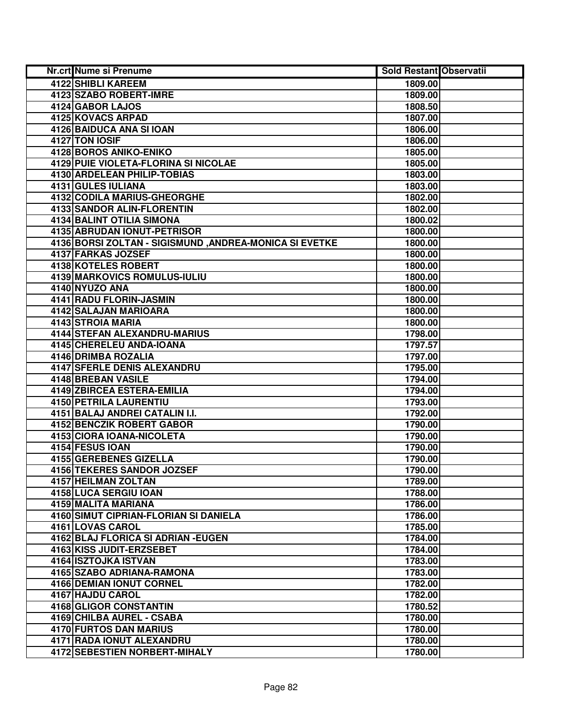| <b>Nr.crt Nume si Prenume</b>                          | <b>Sold Restant Observatii</b> |  |
|--------------------------------------------------------|--------------------------------|--|
| 4122 SHIBLI KAREEM                                     | 1809.00                        |  |
| 4123 SZABO ROBERT-IMRE                                 | 1809.00                        |  |
| 4124 GABOR LAJOS                                       | 1808.50                        |  |
| 4125 KOVACS ARPAD                                      | 1807.00                        |  |
| 4126 BAIDUCA ANA SI IOAN                               | 1806.00                        |  |
| 4127 TON IOSIF                                         | 1806.00                        |  |
| 4128 BOROS ANIKO-ENIKO                                 | 1805.00                        |  |
| 4129 PUIE VIOLETA-FLORINA SI NICOLAE                   | 1805.00                        |  |
| <b>4130 ARDELEAN PHILIP-TOBIAS</b>                     | 1803.00                        |  |
| 4131 GULES IULIANA                                     | 1803.00                        |  |
| 4132 CODILA MARIUS-GHEORGHE                            | 1802.00                        |  |
| 4133 SANDOR ALIN-FLORENTIN                             | 1802.00                        |  |
| <b>4134 BALINT OTILIA SIMONA</b>                       | 1800.02                        |  |
| 4135 ABRUDAN IONUT-PETRISOR                            | 1800.00                        |  |
| 4136 BORSI ZOLTAN - SIGISMUND, ANDREA-MONICA SI EVETKE | 1800.00                        |  |
| 4137 FARKAS JOZSEF                                     | 1800.00                        |  |
| <b>4138 KOTELES ROBERT</b>                             | 1800.00                        |  |
| 4139 MARKOVICS ROMULUS-IULIU                           | 1800.00                        |  |
| 4140 NYUZO ANA                                         | 1800.00                        |  |
| 4141 RADU FLORIN-JASMIN                                | 1800.00                        |  |
| 4142 SALAJAN MARIOARA                                  | 1800.00                        |  |
| 4143 STROIA MARIA                                      | 1800.00                        |  |
| 4144 STEFAN ALEXANDRU-MARIUS                           | 1798.00                        |  |
| 4145 CHERELEU ANDA-IOANA                               | 1797.57                        |  |
| 4146 DRIMBA ROZALIA                                    | 1797.00                        |  |
| 4147 SFERLE DENIS ALEXANDRU                            | 1795.00                        |  |
| 4148 BREBAN VASILE                                     | 1794.00                        |  |
| 4149 ZBIRCEA ESTERA-EMILIA                             | 1794.00                        |  |
| 4150 PETRILA LAURENTIU                                 | 1793.00                        |  |
| 4151 BALAJ ANDREI CATALIN I.I.                         | 1792.00                        |  |
| 4152 BENCZIK ROBERT GABOR                              | 1790.00                        |  |
| 4153 CIORA IOANA-NICOLETA                              | 1790.00                        |  |
| 4154 FESUS IOAN                                        | 1790.00                        |  |
| 4155 GEREBENES GIZELLA                                 | 1790.00                        |  |
| 4156 TEKERES SANDOR JOZSEF                             | 1790.00                        |  |
| <b>4157 HEILMAN ZOLTAN</b>                             | 1789.00                        |  |
| 4158 LUCA SERGIU IOAN                                  | 1788.00                        |  |
| 4159 MALITA MARIANA                                    | 1786.00                        |  |
| 4160 SIMUT CIPRIAN-FLORIAN SI DANIELA                  | 1786.00                        |  |
| 4161 LOVAS CAROL                                       | 1785.00                        |  |
| 4162 BLAJ FLORICA SI ADRIAN - EUGEN                    | 1784.00                        |  |
| 4163 KISS JUDIT-ERZSEBET                               | 1784.00                        |  |
| 4164 ISZTOJKA ISTVAN                                   | 1783.00                        |  |
| 4165 SZABO ADRIANA-RAMONA                              | 1783.00                        |  |
| <b>4166 DEMIAN IONUT CORNEL</b>                        | 1782.00                        |  |
| 4167 HAJDU CAROL                                       | 1782.00                        |  |
| 4168 GLIGOR CONSTANTIN                                 | 1780.52                        |  |
| 4169 CHILBA AUREL - CSABA                              | 1780.00                        |  |
| 4170 FURTOS DAN MARIUS                                 | 1780.00                        |  |
| 4171 RADA IONUT ALEXANDRU                              | 1780.00                        |  |
| 4172 SEBESTIEN NORBERT-MIHALY                          | 1780.00                        |  |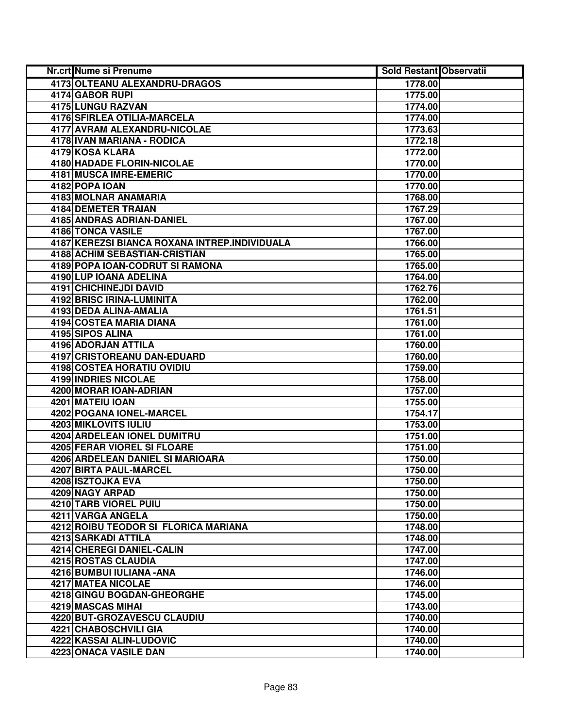| Nr.crt Nume si Prenume                        | <b>Sold Restant Observatii</b> |  |
|-----------------------------------------------|--------------------------------|--|
| 4173 OLTEANU ALEXANDRU-DRAGOS                 | 1778.00                        |  |
| 4174 GABOR RUPI                               | 1775.00                        |  |
| 4175 LUNGU RAZVAN                             | 1774.00                        |  |
| 4176 SFIRLEA OTILIA-MARCELA                   | 1774.00                        |  |
| 4177 AVRAM ALEXANDRU-NICOLAE                  | 1773.63                        |  |
| 4178 IVAN MARIANA - RODICA                    | 1772.18                        |  |
| 4179 KOSA KLARA                               | 1772.00                        |  |
| <b>4180 HADADE FLORIN-NICOLAE</b>             | 1770.00                        |  |
| 4181 MUSCA IMRE-EMERIC                        | 1770.00                        |  |
| 4182 POPA IOAN                                | 1770.00                        |  |
| 4183 MOLNAR ANAMARIA                          | 1768.00                        |  |
| <b>4184 DEMETER TRAIAN</b>                    | 1767.29                        |  |
| 4185 ANDRAS ADRIAN-DANIEL                     | 1767.00                        |  |
| <b>4186 TONCA VASILE</b>                      | 1767.00                        |  |
| 4187 KEREZSI BIANCA ROXANA INTREP.INDIVIDUALA | 1766.00                        |  |
| 4188 ACHIM SEBASTIAN-CRISTIAN                 | 1765.00                        |  |
| 4189 POPA IOAN-CODRUT SI RAMONA               | 1765.00                        |  |
| 4190 LUP IOANA ADELINA                        | 1764.00                        |  |
| 4191 CHICHINEJDI DAVID                        | 1762.76                        |  |
| 4192 BRISC IRINA-LUMINITA                     | 1762.00                        |  |
| 4193 DEDA ALINA-AMALIA                        | 1761.51                        |  |
| 4194 COSTEA MARIA DIANA                       | 1761.00                        |  |
| 4195 SIPOS ALINA                              | 1761.00                        |  |
| 4196 ADORJAN ATTILA                           | 1760.00                        |  |
| 4197 CRISTOREANU DAN-EDUARD                   | 1760.00                        |  |
| 4198 COSTEA HORATIU OVIDIU                    | 1759.00                        |  |
| <b>4199 INDRIES NICOLAE</b>                   | 1758.00                        |  |
| 4200 MORAR IOAN-ADRIAN                        | 1757.00                        |  |
| 4201 MATEIU IOAN                              | 1755.00                        |  |
| 4202 POGANA IONEL-MARCEL                      | 1754.17                        |  |
| 4203 MIKLOVITS IULIU                          | 1753.00                        |  |
| 4204 ARDELEAN IONEL DUMITRU                   | 1751.00                        |  |
| 4205 FERAR VIOREL SI FLOARE                   | 1751.00                        |  |
| 4206 ARDELEAN DANIEL SI MARIOARA              | 1750.00                        |  |
| 4207 BIRTA PAUL-MARCEL                        | 1750.00                        |  |
| 4208 ISZTOJKA EVA                             | 1750.00                        |  |
| 4209 NAGY ARPAD                               | 1750.00                        |  |
| 4210 TARB VIOREL PUIU                         | 1750.00                        |  |
| 4211 VARGA ANGELA                             | 1750.00                        |  |
| 4212 ROIBU TEODOR SI FLORICA MARIANA          | 1748.00                        |  |
| 4213 SARKADI ATTILA                           | 1748.00                        |  |
| 4214 CHEREGI DANIEL-CALIN                     | 1747.00                        |  |
| 4215 ROSTAS CLAUDIA                           | 1747.00                        |  |
| 4216 BUMBUI IULIANA - ANA                     | 1746.00                        |  |
| 4217 MATEA NICOLAE                            | 1746.00                        |  |
| 4218 GINGU BOGDAN-GHEORGHE                    | 1745.00                        |  |
| 4219 MASCAS MIHAI                             | 1743.00                        |  |
| 4220 BUT-GROZAVESCU CLAUDIU                   | 1740.00                        |  |
| 4221 CHABOSCHVILI GIA                         | 1740.00                        |  |
| 4222 KASSAI ALIN-LUDOVIC                      | 1740.00                        |  |
| 4223 ONACA VASILE DAN                         | 1740.00                        |  |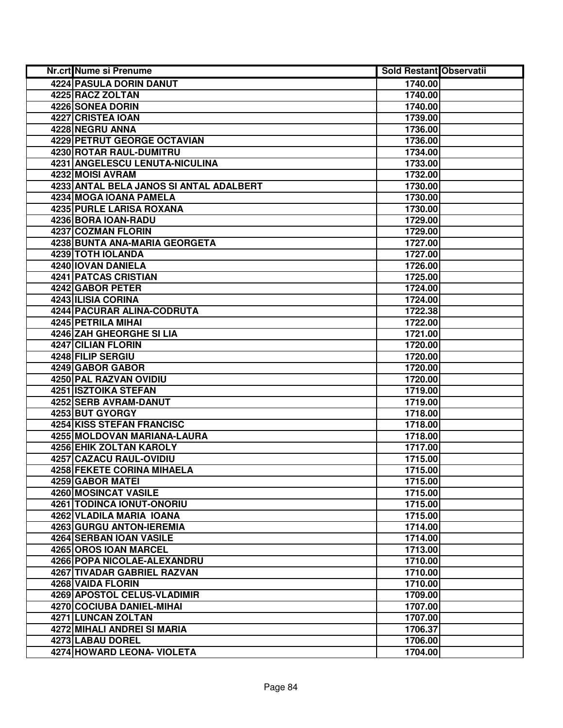| Nr.crt Nume si Prenume                  | <b>Sold Restant Observatii</b> |  |
|-----------------------------------------|--------------------------------|--|
| <b>4224 PASULA DORIN DANUT</b>          | 1740.00                        |  |
| 4225 RACZ ZOLTAN                        | 1740.00                        |  |
| 4226 SONEA DORIN                        | 1740.00                        |  |
| 4227 CRISTEA IOAN                       | 1739.00                        |  |
| 4228 NEGRU ANNA                         | 1736.00                        |  |
| <b>4229 PETRUT GEORGE OCTAVIAN</b>      | 1736.00                        |  |
| 4230 ROTAR RAUL-DUMITRU                 | 1734.00                        |  |
| 4231 ANGELESCU LENUTA-NICULINA          | 1733.00                        |  |
| 4232 MOISI AVRAM                        | 1732.00                        |  |
| 4233 ANTAL BELA JANOS SI ANTAL ADALBERT | 1730.00                        |  |
| 4234 MOGA IOANA PAMELA                  | 1730.00                        |  |
| 4235 PURLE LARISA ROXANA                | 1730.00                        |  |
| 4236 BORA IOAN-RADU                     | 1729.00                        |  |
| 4237 COZMAN FLORIN                      | 1729.00                        |  |
| 4238 BUNTA ANA-MARIA GEORGETA           | 1727.00                        |  |
| 4239 TOTH IOLANDA                       | 1727.00                        |  |
| 4240 IOVAN DANIELA                      | 1726.00                        |  |
| 4241 PATCAS CRISTIAN                    | 1725.00                        |  |
| 4242 GABOR PETER                        | 1724.00                        |  |
| 4243 ILISIA CORINA                      | 1724.00                        |  |
| 4244 PACURAR ALINA-CODRUTA              | 1722.38                        |  |
| <b>4245 PETRILA MIHAI</b>               | 1722.00                        |  |
| 4246 ZAH GHEORGHE SI LIA                | 1721.00                        |  |
| 4247 CILIAN FLORIN                      | 1720.00                        |  |
| 4248 FILIP SERGIU                       | 1720.00                        |  |
| 4249 GABOR GABOR                        | 1720.00                        |  |
| 4250 PAL RAZVAN OVIDIU                  | 1720.00                        |  |
| 4251 ISZTOIKA STEFAN                    | 1719.00                        |  |
| 4252 SERB AVRAM-DANUT                   | 1719.00                        |  |
| 4253 BUT GYORGY                         | 1718.00                        |  |
| <b>4254 KISS STEFAN FRANCISC</b>        | 1718.00                        |  |
| 4255 MOLDOVAN MARIANA-LAURA             | 1718.00                        |  |
| <b>4256 EHIK ZOLTAN KAROLY</b>          | 1717.00                        |  |
| 4257 CAZACU RAUL-OVIDIU                 | 1715.00                        |  |
| <b>4258 FEKETE CORINA MIHAELA</b>       | 1715.00                        |  |
| 4259 GABOR MATEI                        | 1715.00                        |  |
| 4260 MOSINCAT VASILE                    | 1715.00                        |  |
| 4261 TODINCA IONUT-ONORIU               | 1715.00                        |  |
| 4262 VLADILA MARIA IOANA                | 1715.00                        |  |
| 4263 GURGU ANTON-IEREMIA                | 1714.00                        |  |
| <b>4264 SERBAN JOAN VASILE</b>          | 1714.00                        |  |
| 4265 OROS IOAN MARCEL                   | 1713.00                        |  |
| 4266 POPA NICOLAE-ALEXANDRU             | 1710.00                        |  |
| 4267 TIVADAR GABRIEL RAZVAN             | 1710.00                        |  |
| 4268 VAIDA FLORIN                       | 1710.00                        |  |
| 4269 APOSTOL CELUS-VLADIMIR             | 1709.00                        |  |
| 4270 COCIUBA DANIEL-MIHAI               | 1707.00                        |  |
| 4271 LUNCAN ZOLTAN                      | 1707.00                        |  |
| 4272 MIHALI ANDREI SI MARIA             | 1706.37                        |  |
| 4273 LABAU DOREL                        | 1706.00                        |  |
| 4274 HOWARD LEONA- VIOLETA              | 1704.00                        |  |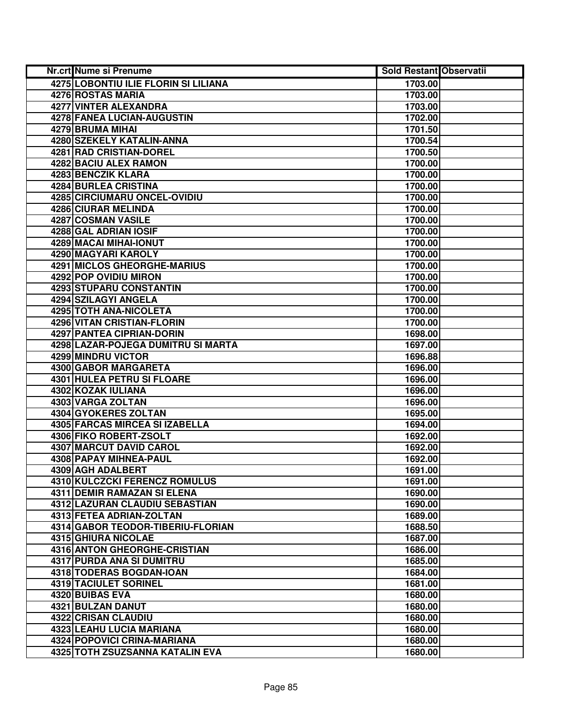| Nr.crt Nume si Prenume                      | <b>Sold Restant Observatii</b> |  |
|---------------------------------------------|--------------------------------|--|
| <b>4275 LOBONTIU ILIE FLORIN SI LILIANA</b> | 1703.00                        |  |
| <b>4276 ROSTAS MARIA</b>                    | 1703.00                        |  |
| 4277 VINTER ALEXANDRA                       | 1703.00                        |  |
| <b>4278 FANEA LUCIAN-AUGUSTIN</b>           | 1702.00                        |  |
| 4279 BRUMA MIHAI                            | 1701.50                        |  |
| 4280 SZEKELY KATALIN-ANNA                   | 1700.54                        |  |
| 4281 RAD CRISTIAN-DOREL                     | 1700.50                        |  |
| 4282 BACIU ALEX RAMON                       | 1700.00                        |  |
| <b>4283 BENCZIK KLARA</b>                   | 1700.00                        |  |
| <b>4284 BURLEA CRISTINA</b>                 | 1700.00                        |  |
| 4285 CIRCIUMARU ONCEL-OVIDIU                | 1700.00                        |  |
| <b>4286 CIURAR MELINDA</b>                  | 1700.00                        |  |
| 4287 COSMAN VASILE                          | 1700.00                        |  |
| 4288 GAL ADRIAN IOSIF                       | 1700.00                        |  |
| 4289 MACAI MIHAI-IONUT                      | 1700.00                        |  |
| 4290 MAGYARI KAROLY                         | 1700.00                        |  |
| 4291 MICLOS GHEORGHE-MARIUS                 | 1700.00                        |  |
| 4292 POP OVIDIU MIRON                       | 1700.00                        |  |
| 4293 STUPARU CONSTANTIN                     | 1700.00                        |  |
| 4294 SZILAGYI ANGELA                        | 1700.00                        |  |
| 4295 TOTH ANA-NICOLETA                      | 1700.00                        |  |
| <b>4296 VITAN CRISTIAN-FLORIN</b>           | 1700.00                        |  |
| <b>4297 PANTEA CIPRIAN-DORIN</b>            | 1698.00                        |  |
| 4298 LAZAR-POJEGA DUMITRU SI MARTA          | 1697.00                        |  |
| 4299 MINDRU VICTOR                          | 1696.88                        |  |
| 4300 GABOR MARGARETA                        | 1696.00                        |  |
| 4301 HULEA PETRU SI FLOARE                  | 1696.00                        |  |
| 4302 KOZAK IULIANA                          | 1696.00                        |  |
| 4303 VARGA ZOLTAN                           | 1696.00                        |  |
| 4304 GYOKERES ZOLTAN                        | 1695.00                        |  |
| 4305 FARCAS MIRCEA SI IZABELLA              | 1694.00                        |  |
| 4306 FIKO ROBERT-ZSOLT                      | 1692.00                        |  |
| 4307 MARCUT DAVID CAROL                     | 1692.00                        |  |
| <b>4308 PAPAY MIHNEA-PAUL</b>               | 1692.00                        |  |
| 4309 AGH ADALBERT                           | 1691.00                        |  |
| 4310 KULCZCKI FERENCZ ROMULUS               | 1691.00                        |  |
| 4311 DEMIR RAMAZAN SI ELENA                 | 1690.00                        |  |
| 4312 LAZURAN CLAUDIU SEBASTIAN              | 1690.00                        |  |
| 4313 FETEA ADRIAN-ZOLTAN                    | 1689.00                        |  |
| 4314 GABOR TEODOR-TIBERIU-FLORIAN           | 1688.50                        |  |
| 4315 GHIURA NICOLAE                         | 1687.00                        |  |
| 4316 ANTON GHEORGHE-CRISTIAN                | 1686.00                        |  |
| 4317 PURDA ANA SI DUMITRU                   | 1685.00                        |  |
| 4318 TODERAS BOGDAN-IOAN                    | 1684.00                        |  |
| 4319 TACIULET SORINEL                       | 1681.00                        |  |
| 4320 BUIBAS EVA<br>4321 BULZAN DANUT        | 1680.00                        |  |
| 4322 CRISAN CLAUDIU                         | 1680.00<br>1680.00             |  |
| 4323 LEAHU LUCIA MARIANA                    | 1680.00                        |  |
| 4324 POPOVICI CRINA-MARIANA                 | 1680.00                        |  |
| 4325 TOTH ZSUZSANNA KATALIN EVA             | 1680.00                        |  |
|                                             |                                |  |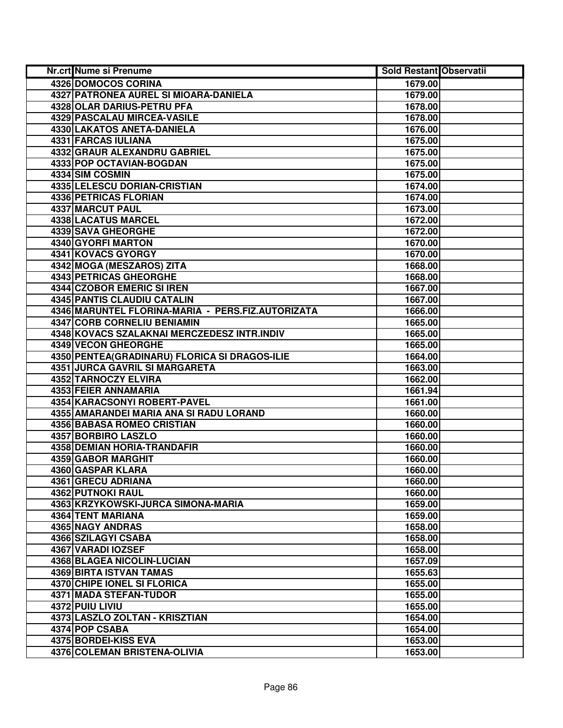| <b>Nr.crt Nume si Prenume</b>                     | <b>Sold Restant Observatii</b> |  |
|---------------------------------------------------|--------------------------------|--|
| 4326 DOMOCOS CORINA                               | 1679.00                        |  |
| 4327 PATRONEA AUREL SI MIOARA-DANIELA             | 1679.00                        |  |
| 4328 OLAR DARIUS-PETRU PFA                        | 1678.00                        |  |
| 4329 PASCALAU MIRCEA-VASILE                       | 1678.00                        |  |
| 4330 LAKATOS ANETA-DANIELA                        | 1676.00                        |  |
| 4331 FARCAS IULIANA                               | 1675.00                        |  |
| 4332 GRAUR ALEXANDRU GABRIEL                      | 1675.00                        |  |
| 4333 POP OCTAVIAN-BOGDAN                          | 1675.00                        |  |
| 4334 SIM COSMIN                                   | 1675.00                        |  |
| 4335 LELESCU DORIAN-CRISTIAN                      | 1674.00                        |  |
| <b>4336 PETRICAS FLORIAN</b>                      | 1674.00                        |  |
| <b>4337 MARCUT PAUL</b>                           | 1673.00                        |  |
| <b>4338 LACATUS MARCEL</b>                        | 1672.00                        |  |
| 4339 SAVA GHEORGHE                                | 1672.00                        |  |
| 4340 GYORFI MARTON                                | 1670.00                        |  |
| 4341 KOVACS GYORGY                                | 1670.00                        |  |
| 4342 MOGA (MESZAROS) ZITA                         | 1668.00                        |  |
| 4343 PETRICAS GHEORGHE                            | 1668.00                        |  |
| <b>4344 CZOBOR EMERIC SI IREN</b>                 | 1667.00                        |  |
| <b>4345 PANTIS CLAUDIU CATALIN</b>                | 1667.00                        |  |
| 4346 MARUNTEL FLORINA-MARIA - PERS.FIZ.AUTORIZATA | 1666.00                        |  |
| 4347 CORB CORNELIU BENIAMIN                       | 1665.00                        |  |
| 4348 KOVACS SZALAKNAI MERCZEDESZ INTR.INDIV       | 1665.00                        |  |
| <b>4349 VECON GHEORGHE</b>                        | 1665.00                        |  |
| 4350 PENTEA (GRADINARU) FLORICA SI DRAGOS-ILIE    | 1664.00                        |  |
| <b>4351 JURCA GAVRIL SI MARGARETA</b>             | 1663.00                        |  |
| 4352 TARNOCZY ELVIRA                              | 1662.00                        |  |
| 4353 FEIER ANNAMARIA                              | 1661.94                        |  |
| 4354 KARACSONYI ROBERT-PAVEL                      | 1661.00                        |  |
| 4355 AMARANDEI MARIA ANA SI RADU LORAND           | 1660.00                        |  |
| 4356 BABASA ROMEO CRISTIAN                        | 1660.00                        |  |
| 4357 BORBIRO LASZLO                               | 1660.00                        |  |
| 4358 DEMIAN HORIA-TRANDAFIR                       | 1660.00                        |  |
| <b>4359 GABOR MARGHIT</b>                         | 1660.00                        |  |
| 4360 GASPAR KLARA                                 | 1660.00                        |  |
| 4361 GRECU ADRIANA                                | 1660.00                        |  |
| 4362 PUTNOKI RAUL                                 | 1660.00                        |  |
| 4363 KRZYKOWSKI-JURCA SIMONA-MARIA                | 1659.00                        |  |
| <b>4364 TENT MARIANA</b>                          | 1659.00                        |  |
| 4365 NAGY ANDRAS                                  | 1658.00                        |  |
| 4366 SZILAGYI CSABA                               | 1658.00                        |  |
| 4367 VARADI IOZSEF                                | 1658.00                        |  |
| 4368 BLAGEA NICOLIN-LUCIAN                        | 1657.09                        |  |
| 4369 BIRTA ISTVAN TAMAS                           | 1655.63                        |  |
| 4370 CHIPE IONEL SI FLORICA                       | 1655.00                        |  |
| 4371 MADA STEFAN-TUDOR                            | 1655.00                        |  |
| 4372 PUIU LIVIU                                   | 1655.00                        |  |
| 4373 LASZLO ZOLTAN - KRISZTIAN                    | 1654.00                        |  |
| 4374 POP CSABA                                    | 1654.00                        |  |
| 4375 BORDEI-KISS EVA                              | 1653.00                        |  |
| 4376 COLEMAN BRISTENA-OLIVIA                      | 1653.00                        |  |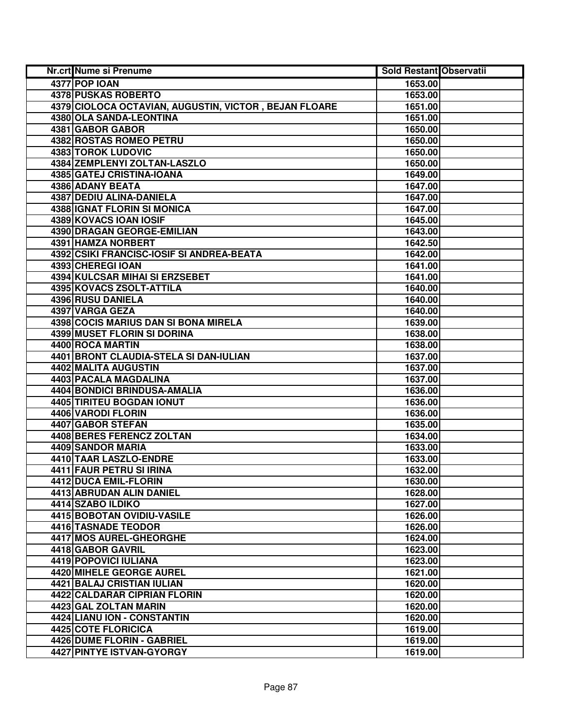| Nr.crt Nume si Prenume                                | <b>Sold Restant Observatii</b> |  |
|-------------------------------------------------------|--------------------------------|--|
| 4377 POP IOAN                                         | 1653.00                        |  |
| <b>4378 PUSKAS ROBERTO</b>                            | 1653.00                        |  |
| 4379 CIOLOCA OCTAVIAN, AUGUSTIN, VICTOR, BEJAN FLOARE | 1651.00                        |  |
| 4380 OLA SANDA-LEONTINA                               | 1651.00                        |  |
| 4381 GABOR GABOR                                      | 1650.00                        |  |
| 4382 ROSTAS ROMEO PETRU                               | 1650.00                        |  |
| 4383 TOROK LUDOVIC                                    | 1650.00                        |  |
| 4384 ZEMPLENYI ZOLTAN-LASZLO                          | 1650.00                        |  |
| 4385 GATEJ CRISTINA-IOANA                             | 1649.00                        |  |
| 4386 ADANY BEATA                                      | 1647.00                        |  |
| 4387 DEDIU ALINA-DANIELA                              | 1647.00                        |  |
| 4388 IGNAT FLORIN SI MONICA                           | 1647.00                        |  |
| 4389 KOVACS IOAN IOSIF                                | 1645.00                        |  |
| 4390 DRAGAN GEORGE-EMILIAN                            | 1643.00                        |  |
| 4391 HAMZA NORBERT                                    | 1642.50                        |  |
| 4392 CSIKI FRANCISC-IOSIF SI ANDREA-BEATA             | 1642.00                        |  |
| 4393 CHEREGI IOAN                                     | 1641.00                        |  |
| 4394 KULCSAR MIHAI SI ERZSEBET                        | 1641.00                        |  |
| 4395 KOVACS ZSOLT-ATTILA                              | 1640.00                        |  |
| 4396 RUSU DANIELA                                     | 1640.00                        |  |
| 4397 VARGA GEZA                                       | 1640.00                        |  |
| 4398 COCIS MARIUS DAN SI BONA MIRELA                  | 1639.00                        |  |
| <b>4399 MUSET FLORIN SI DORINA</b>                    | 1638.00                        |  |
| 4400 ROCA MARTIN                                      | 1638.00                        |  |
| 4401 BRONT CLAUDIA-STELA SI DAN-IULIAN                | 1637.00                        |  |
| 4402 MALITA AUGUSTIN                                  | 1637.00                        |  |
| 4403 PACALA MAGDALINA                                 | 1637.00                        |  |
| 4404 BONDICI BRINDUSA-AMALIA                          | 1636.00                        |  |
| 4405 TIRITEU BOGDAN IONUT                             | 1636.00                        |  |
| 4406 VARODI FLORIN                                    | 1636.00                        |  |
| 4407 GABOR STEFAN                                     | 1635.00                        |  |
| 4408 BERES FERENCZ ZOLTAN                             | 1634.00                        |  |
| 4409 SANDOR MARIA                                     | 1633.00                        |  |
| 4410 TAAR LASZLO-ENDRE                                | 1633.00                        |  |
| 4411 FAUR PETRU SI IRINA                              | 1632.00                        |  |
| 4412 DUCA EMIL-FLORIN                                 | 1630.00                        |  |
| 4413 ABRUDAN ALIN DANIEL                              | 1628.00                        |  |
| 4414 SZABO ILDIKO                                     | 1627.00                        |  |
| <b>4415 BOBOTAN OVIDIU-VASILE</b>                     | 1626.00                        |  |
| 4416 TASNADE TEODOR                                   | 1626.00                        |  |
| 4417 MOS AUREL-GHEORGHE                               | 1624.00                        |  |
| 4418 GABOR GAVRIL                                     | 1623.00                        |  |
| 4419 POPOVICI IULIANA                                 | 1623.00                        |  |
| 4420 MIHELE GEORGE AUREL                              | 1621.00                        |  |
| 4421 BALAJ CRISTIAN IULIAN                            | 1620.00                        |  |
| 4422 CALDARAR CIPRIAN FLORIN                          | 1620.00                        |  |
| 4423 GAL ZOLTAN MARIN                                 | 1620.00                        |  |
| 4424 LIANU ION - CONSTANTIN                           | 1620.00                        |  |
| 4425 COTE FLORICICA                                   | 1619.00                        |  |
| 4426 DUME FLORIN - GABRIEL                            | 1619.00                        |  |
| 4427 PINTYE ISTVAN-GYORGY                             | 1619.00                        |  |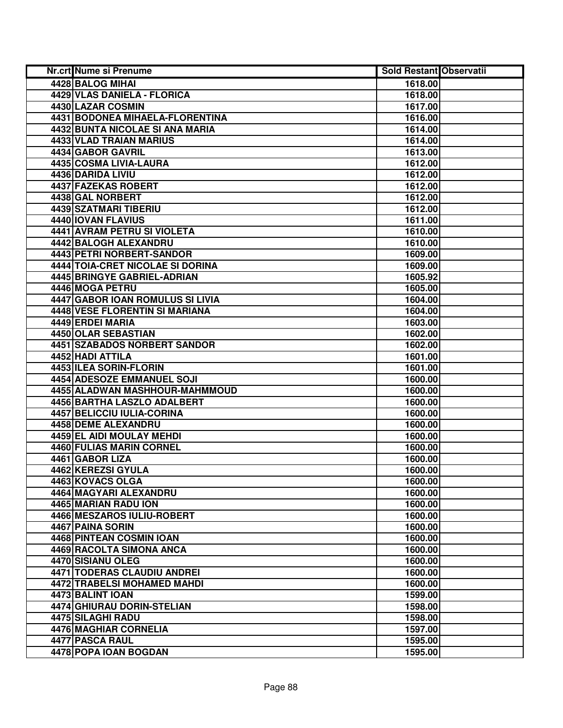| Nr.crt Nume si Prenume           | <b>Sold Restant Observatii</b> |  |
|----------------------------------|--------------------------------|--|
| <b>4428 BALOG MIHAI</b>          | 1618.00                        |  |
| 4429 VLAS DANIELA - FLORICA      | 1618.00                        |  |
| 4430 LAZAR COSMIN                | 1617.00                        |  |
| 4431 BODONEA MIHAELA-FLORENTINA  | 1616.00                        |  |
| 4432 BUNTA NICOLAE SI ANA MARIA  | 1614.00                        |  |
| 4433 VLAD TRAIAN MARIUS          | 1614.00                        |  |
| 4434 GABOR GAVRIL                | 1613.00                        |  |
| 4435 COSMA LIVIA-LAURA           | 1612.00                        |  |
| 4436 DARIDA LIVIU                | 1612.00                        |  |
| 4437 FAZEKAS ROBERT              | 1612.00                        |  |
| <b>4438 GAL NORBERT</b>          | 1612.00                        |  |
| 4439 SZATMARI TIBERIU            | 1612.00                        |  |
| 4440 IOVAN FLAVIUS               | 1611.00                        |  |
| 4441 AVRAM PETRU SI VIOLETA      | 1610.00                        |  |
| 4442 BALOGH ALEXANDRU            | 1610.00                        |  |
| 4443 PETRI NORBERT-SANDOR        | 1609.00                        |  |
| 4444 TOIA-CRET NICOLAE SI DORINA | 1609.00                        |  |
| 4445 BRINGYE GABRIEL-ADRIAN      | 1605.92                        |  |
| 4446 MOGA PETRU                  | 1605.00                        |  |
| 4447 GABOR IOAN ROMULUS SI LIVIA | 1604.00                        |  |
| 4448 VESE FLORENTIN SI MARIANA   | 1604.00                        |  |
| 4449 ERDEI MARIA                 | 1603.00                        |  |
| 4450 OLAR SEBASTIAN              | 1602.00                        |  |
| 4451 SZABADOS NORBERT SANDOR     | 1602.00                        |  |
| 4452 HADI ATTILA                 | 1601.00                        |  |
| 4453 ILEA SORIN-FLORIN           | 1601.00                        |  |
| 4454 ADESOZE EMMANUEL SOJI       | 1600.00                        |  |
| 4455 ALADWAN MASHHOUR-MAHMMOUD   | 1600.00                        |  |
| 4456 BARTHA LASZLO ADALBERT      | 1600.00                        |  |
| 4457 BELICCIU IULIA-CORINA       | 1600.00                        |  |
| 4458 DEME ALEXANDRU              | 1600.00                        |  |
| 4459 EL AIDI MOULAY MEHDI        | 1600.00                        |  |
| 4460 FULIAS MARIN CORNEL         | 1600.00                        |  |
| 4461 GABOR LIZA                  | 1600.00                        |  |
| 4462 KEREZSI GYULA               | 1600.00                        |  |
| 4463 KOVACS OLGA                 | 1600.00                        |  |
| 4464 MAGYARI ALEXANDRU           | 1600.00                        |  |
| 4465 MARIAN RADU ION             | 1600.00                        |  |
| 4466 MESZAROS IULIU-ROBERT       | 1600.00                        |  |
| 4467 PAINA SORIN                 | 1600.00                        |  |
| 4468 PINTEAN COSMIN IOAN         | 1600.00                        |  |
| 4469 RACOLTA SIMONA ANCA         | 1600.00                        |  |
| 4470 SISIANU OLEG                | 1600.00                        |  |
| 4471 TODERAS CLAUDIU ANDREI      | 1600.00                        |  |
| 4472 TRABELSI MOHAMED MAHDI      | 1600.00                        |  |
| 4473 BALINT IOAN                 | 1599.00                        |  |
| 4474 GHIURAU DORIN-STELIAN       | 1598.00                        |  |
| 4475 SILAGHI RADU                | 1598.00                        |  |
| 4476 MAGHIAR CORNELIA            | 1597.00                        |  |
| 4477 PASCA RAUL                  | 1595.00                        |  |
| 4478 POPA IOAN BOGDAN            | 1595.00                        |  |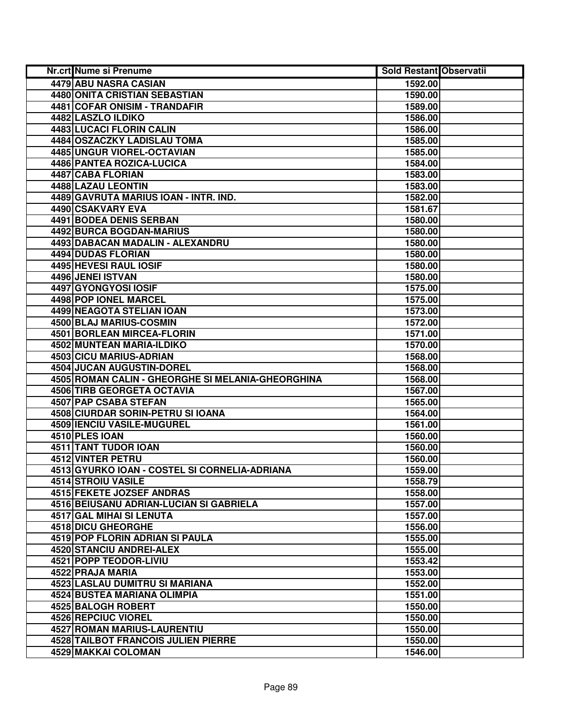| <b>Nr.crt Nume si Prenume</b>                     | <b>Sold Restant Observatii</b> |  |
|---------------------------------------------------|--------------------------------|--|
| 4479 ABU NASRA CASIAN                             | 1592.00                        |  |
| <b>4480 ONITA CRISTIAN SEBASTIAN</b>              | 1590.00                        |  |
| 4481 COFAR ONISIM - TRANDAFIR                     | 1589.00                        |  |
| 4482 LASZLO ILDIKO                                | 1586.00                        |  |
| 4483 LUCACI FLORIN CALIN                          | 1586.00                        |  |
| 4484 OSZACZKY LADISLAU TOMA                       | 1585.00                        |  |
| 4485 UNGUR VIOREL-OCTAVIAN                        | 1585.00                        |  |
| <b>4486 PANTEA ROZICA-LUCICA</b>                  | 1584.00                        |  |
| <b>4487 CABA FLORIAN</b>                          | 1583.00                        |  |
| 4488 LAZAU LEONTIN                                | 1583.00                        |  |
| 4489 GAVRUTA MARIUS IOAN - INTR. IND.             | 1582.00                        |  |
| 4490 CSAKVARY EVA                                 | 1581.67                        |  |
| 4491 BODEA DENIS SERBAN                           | 1580.00                        |  |
| 4492 BURCA BOGDAN-MARIUS                          | 1580.00                        |  |
| 4493 DABACAN MADALIN - ALEXANDRU                  | 1580.00                        |  |
| 4494 DUDAS FLORIAN                                | 1580.00                        |  |
| 4495 HEVESI RAUL IOSIF                            | 1580.00                        |  |
| 4496 JENEI ISTVAN                                 | 1580.00                        |  |
| 4497 GYONGYOSI IOSIF                              | 1575.00                        |  |
| 4498 POP IONEL MARCEL                             | 1575.00                        |  |
| 4499 NEAGOTA STELIAN IOAN                         | 1573.00                        |  |
| 4500 BLAJ MARIUS-COSMIN                           | 1572.00                        |  |
| 4501 BORLEAN MIRCEA-FLORIN                        | 1571.00                        |  |
| 4502 MUNTEAN MARIA-ILDIKO                         | 1570.00                        |  |
| 4503 CICU MARIUS-ADRIAN                           | 1568.00                        |  |
| 4504 JUCAN AUGUSTIN-DOREL                         | 1568.00                        |  |
| 4505 ROMAN CALIN - GHEORGHE SI MELANIA-GHEORGHINA | 1568.00                        |  |
| 4506 TIRB GEORGETA OCTAVIA                        | 1567.00                        |  |
| 4507 PAP CSABA STEFAN                             | 1565.00                        |  |
| 4508 CIURDAR SORIN-PETRU SI IOANA                 | 1564.00                        |  |
| 4509 IENCIU VASILE-MUGUREL                        | 1561.00                        |  |
| 4510 PLES IOAN                                    | 1560.00                        |  |
| 4511 TANT TUDOR IOAN                              | 1560.00                        |  |
| <b>4512 VINTER PETRU</b>                          | 1560.00                        |  |
| 4513 GYURKO IOAN - COSTEL SI CORNELIA-ADRIANA     | 1559.00                        |  |
| <b>4514 STROIU VASILE</b>                         | 1558.79                        |  |
| 4515 FEKETE JOZSEF ANDRAS                         | 1558.00                        |  |
| <b>4516 BEIUSANU ADRIAN-LUCIAN SI GABRIELA</b>    | 1557.00                        |  |
| <b>4517 GAL MIHAI SI LENUTA</b>                   | 1557.00                        |  |
| 4518 DICU GHEORGHE                                | 1556.00                        |  |
| <b>4519 POP FLORIN ADRIAN SI PAULA</b>            | 1555.00                        |  |
| 4520 STANCIU ANDREI-ALEX                          | 1555.00                        |  |
| 4521 POPP TEODOR-LIVIU                            | 1553.42                        |  |
| 4522 PRAJA MARIA                                  | 1553.00                        |  |
| 4523 LASLAU DUMITRU SI MARIANA                    | 1552.00                        |  |
| 4524 BUSTEA MARIANA OLIMPIA                       | 1551.00                        |  |
| 4525 BALOGH ROBERT                                | 1550.00                        |  |
| 4526 REPCIUC VIOREL                               | 1550.00                        |  |
| 4527 ROMAN MARIUS-LAURENTIU                       | 1550.00                        |  |
| 4528 TAILBOT FRANCOIS JULIEN PIERRE               | 1550.00                        |  |
| 4529 MAKKAI COLOMAN                               | 1546.00                        |  |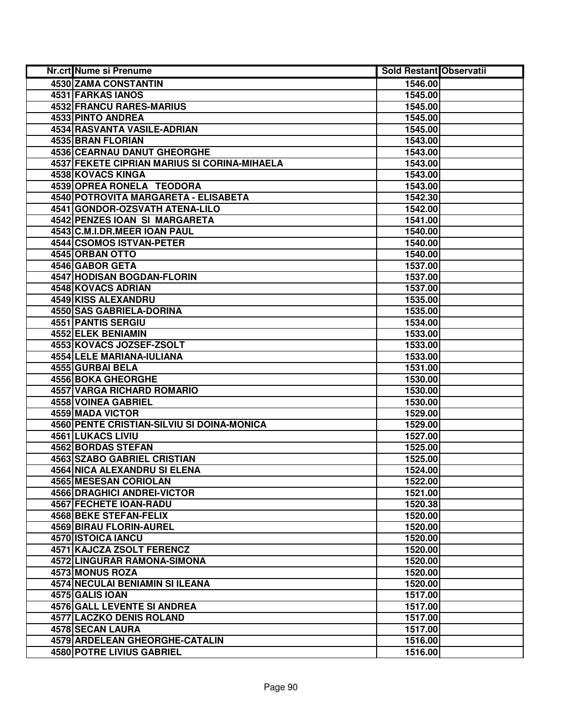| Nr.crt Nume si Prenume                       | <b>Sold Restant Observatii</b> |  |
|----------------------------------------------|--------------------------------|--|
| 4530 ZAMA CONSTANTIN                         | 1546.00                        |  |
| <b>4531 FARKAS IANOS</b>                     | 1545.00                        |  |
| <b>4532 FRANCU RARES-MARIUS</b>              | 1545.00                        |  |
| 4533 PINTO ANDREA                            | 1545.00                        |  |
| 4534 RASVANTA VASILE-ADRIAN                  | 1545.00                        |  |
| 4535 BRAN FLORIAN                            | 1543.00                        |  |
| 4536 CEARNAU DANUT GHEORGHE                  | 1543.00                        |  |
| 4537 FEKETE CIPRIAN MARIUS SI CORINA-MIHAELA | 1543.00                        |  |
| 4538 KOVACS KINGA                            | 1543.00                        |  |
| 4539 OPREA RONELA TEODORA                    | 1543.00                        |  |
| 4540 POTROVITA MARGARETA - ELISABETA         | 1542.30                        |  |
| 4541 GONDOR-OZSVATH ATENA-LILO               | 1542.00                        |  |
| 4542 PENZES IOAN SI MARGARETA                | 1541.00                        |  |
| 4543 C.M.I.DR.MEER IOAN PAUL                 | 1540.00                        |  |
| 4544 CSOMOS ISTVAN-PETER                     | 1540.00                        |  |
| 4545 ORBAN OTTO                              | 1540.00                        |  |
| 4546 GABOR GETA                              | 1537.00                        |  |
| 4547 HODISAN BOGDAN-FLORIN                   | 1537.00                        |  |
| 4548 KOVACS ADRIAN                           | 1537.00                        |  |
| 4549 KISS ALEXANDRU                          | 1535.00                        |  |
| 4550 SAS GABRIELA-DORINA                     | 1535.00                        |  |
| 4551 PANTIS SERGIU                           | 1534.00                        |  |
| 4552 ELEK BENIAMIN                           | 1533.00                        |  |
| 4553 KOVACS JOZSEF-ZSOLT                     | 1533.00                        |  |
| 4554 LELE MARIANA-IULIANA                    | 1533.00                        |  |
| 4555 GURBAI BELA                             | 1531.00                        |  |
| 4556 BOKA GHEORGHE                           | 1530.00                        |  |
| 4557 VARGA RICHARD ROMARIO                   | 1530.00                        |  |
| 4558 VOINEA GABRIEL                          | 1530.00                        |  |
| 4559 MADA VICTOR                             | 1529.00                        |  |
| 4560 PENTE CRISTIAN-SILVIU SI DOINA-MONICA   | 1529.00                        |  |
| 4561 LUKACS LIVIU                            | 1527.00                        |  |
| 4562 BORDAS STEFAN                           | 1525.00                        |  |
| <b>4563 SZABO GABRIEL CRISTIAN</b>           | 1525.00                        |  |
| <b>4564 NICA ALEXANDRU SI ELENA</b>          | 1524.00                        |  |
| 4565 MESESAN CORIOLAN                        | 1522.00                        |  |
| 4566 DRAGHICI ANDREI-VICTOR                  | 1521.00                        |  |
| 4567 FECHETE IOAN-RADU                       | 1520.38                        |  |
| 4568 BEKE STEFAN-FELIX                       | 1520.00                        |  |
| 4569 BIRAU FLORIN-AUREL                      | 1520.00                        |  |
| 4570 ISTOICA IANCU                           | 1520.00                        |  |
| 4571 KAJCZA ZSOLT FERENCZ                    | 1520.00                        |  |
| 4572 LINGURAR RAMONA-SIMONA                  | 1520.00                        |  |
| <b>4573 MONUS ROZA</b>                       | 1520.00                        |  |
| 4574 NECULAI BENIAMIN SI ILEANA              | 1520.00                        |  |
| 4575 GALIS IOAN                              | 1517.00                        |  |
| 4576 GALL LEVENTE SI ANDREA                  | 1517.00                        |  |
| 4577 LACZKO DENIS ROLAND                     | 1517.00                        |  |
| 4578 SECAN LAURA                             | 1517.00                        |  |
| 4579 ARDELEAN GHEORGHE-CATALIN               | 1516.00                        |  |
| 4580 POTRE LIVIUS GABRIEL                    | 1516.00                        |  |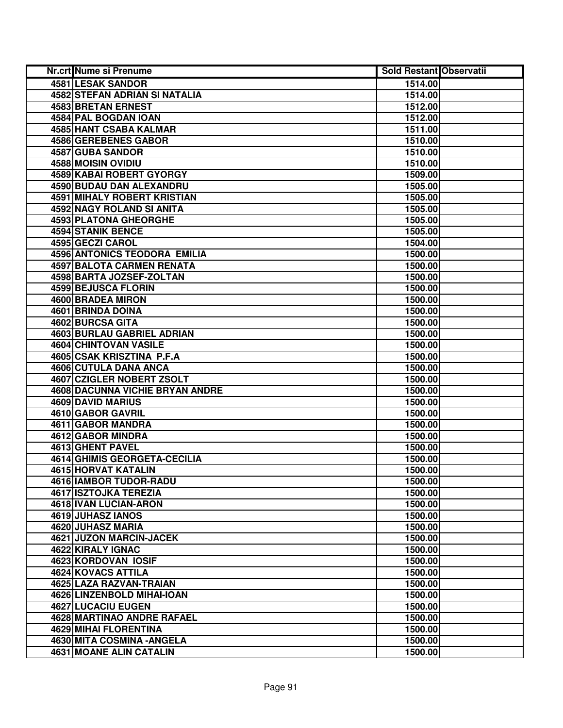| Nr.crt Nume si Prenume             | <b>Sold Restant Observatii</b> |  |
|------------------------------------|--------------------------------|--|
| <b>4581 LESAK SANDOR</b>           | 1514.00                        |  |
| 4582 STEFAN ADRIAN SI NATALIA      | 1514.00                        |  |
| 4583 BRETAN ERNEST                 | 1512.00                        |  |
| 4584 PAL BOGDAN IOAN               | 1512.00                        |  |
| 4585 HANT CSABA KALMAR             | 1511.00                        |  |
| 4586 GEREBENES GABOR               | 1510.00                        |  |
| 4587 GUBA SANDOR                   | 1510.00                        |  |
| <b>4588 MOISIN OVIDIU</b>          | 1510.00                        |  |
| <b>4589 KABAI ROBERT GYORGY</b>    | 1509.00                        |  |
| <b>4590 BUDAU DAN ALEXANDRU</b>    | 1505.00                        |  |
| <b>4591 MIHALY ROBERT KRISTIAN</b> | 1505.00                        |  |
| 4592 NAGY ROLAND SI ANITA          | 1505.00                        |  |
| 4593 PLATONA GHEORGHE              | 1505.00                        |  |
| <b>4594 STANIK BENCE</b>           | 1505.00                        |  |
| 4595 GECZI CAROL                   | 1504.00                        |  |
| 4596 ANTONICS TEODORA EMILIA       | 1500.00                        |  |
| <b>4597 BALOTA CARMEN RENATA</b>   | 1500.00                        |  |
| 4598 BARTA JOZSEF-ZOLTAN           | 1500.00                        |  |
| 4599 BEJUSCA FLORIN                | 1500.00                        |  |
| 4600 BRADEA MIRON                  | 1500.00                        |  |
| 4601 BRINDA DOINA                  | 1500.00                        |  |
| 4602 BURCSA GITA                   | 1500.00                        |  |
| 4603 BURLAU GABRIEL ADRIAN         | 1500.00                        |  |
| 4604 CHINTOVAN VASILE              | 1500.00                        |  |
| 4605 CSAK KRISZTINA P.F.A          | 1500.00                        |  |
| 4606 CUTULA DANA ANCA              | 1500.00                        |  |
| 4607 CZIGLER NOBERT ZSOLT          | 1500.00                        |  |
| 4608 DACUNNA VICHIE BRYAN ANDRE    | 1500.00                        |  |
| 4609 DAVID MARIUS                  | 1500.00                        |  |
| 4610 GABOR GAVRIL                  | 1500.00                        |  |
| 4611 GABOR MANDRA                  | 1500.00                        |  |
| 4612 GABOR MINDRA                  | 1500.00                        |  |
| 4613 GHENT PAVEL                   | 1500.00                        |  |
| 4614 GHIMIS GEORGETA-CECILIA       | 1500.00                        |  |
| <b>4615 HORVAT KATALIN</b>         | 1500.00                        |  |
| 4616 IAMBOR TUDOR-RADU             | 1500.00                        |  |
| <b>4617 ISZTOJKA TEREZIA</b>       | 1500.00                        |  |
| <b>4618 IVAN LUCIAN-ARON</b>       | 1500.00                        |  |
| 4619 JUHASZ IANOS                  | 1500.00                        |  |
| 4620 JUHASZ MARIA                  | 1500.00                        |  |
| 4621 JUZON MARCIN-JACEK            | 1500.00                        |  |
| 4622 KIRALY IGNAC                  | 1500.00                        |  |
| 4623 KORDOVAN IOSIF                | 1500.00                        |  |
| 4624 KOVACS ATTILA                 | 1500.00                        |  |
| 4625 LAZA RAZVAN-TRAIAN            | 1500.00                        |  |
| 4626 LINZENBOLD MIHAI-IOAN         | 1500.00                        |  |
| 4627 LUCACIU EUGEN                 | 1500.00                        |  |
| 4628 MARTINAO ANDRE RAFAEL         | 1500.00                        |  |
| <b>4629 MIHAI FLORENTINA</b>       | 1500.00                        |  |
| 4630 MITA COSMINA - ANGELA         | 1500.00                        |  |
| 4631 MOANE ALIN CATALIN            | 1500.00                        |  |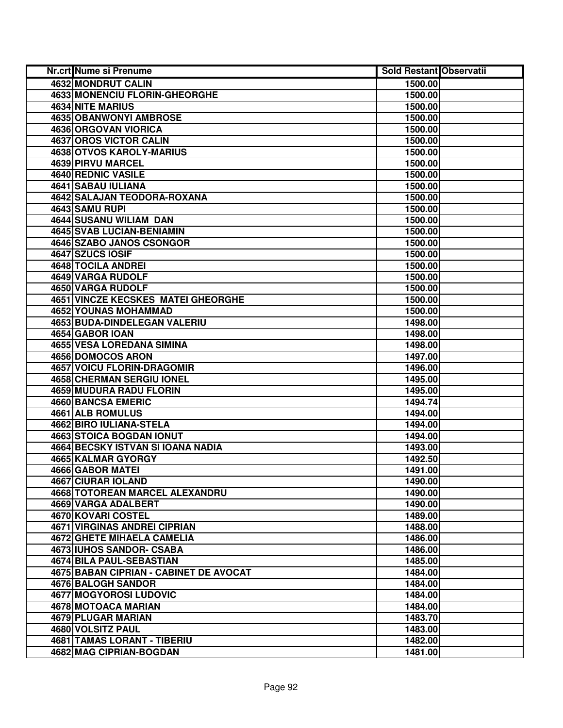| <b>Nr.crt Nume si Prenume</b>          | <b>Sold Restant Observatii</b> |  |
|----------------------------------------|--------------------------------|--|
| 4632 MONDRUT CALIN                     | 1500.00                        |  |
| 4633 MONENCIU FLORIN-GHEORGHE          | 1500.00                        |  |
| 4634 NITE MARIUS                       | 1500.00                        |  |
| 4635 OBANWONYI AMBROSE                 | 1500.00                        |  |
| 4636 ORGOVAN VIORICA                   | 1500.00                        |  |
| 4637 OROS VICTOR CALIN                 | 1500.00                        |  |
| 4638 OTVOS KAROLY-MARIUS               | 1500.00                        |  |
| <b>4639 PIRVU MARCEL</b>               | 1500.00                        |  |
| 4640 REDNIC VASILE                     | 1500.00                        |  |
| 4641 SABAU IULIANA                     | 1500.00                        |  |
| <b>4642 SALAJAN TEODORA-ROXANA</b>     | 1500.00                        |  |
| 4643 SAMU RUPI                         | 1500.00                        |  |
| 4644 SUSANU WILIAM DAN                 | 1500.00                        |  |
| <b>4645 SVAB LUCIAN-BENIAMIN</b>       | 1500.00                        |  |
| 4646 SZABO JANOS CSONGOR               | 1500.00                        |  |
| 4647 SZUCS IOSIF                       | 1500.00                        |  |
| 4648 TOCILA ANDREI                     | 1500.00                        |  |
| 4649 VARGA RUDOLF                      | 1500.00                        |  |
| 4650 VARGA RUDOLF                      | 1500.00                        |  |
| 4651 VINCZE KECSKES MATEI GHEORGHE     | 1500.00                        |  |
| 4652 YOUNAS MOHAMMAD                   | 1500.00                        |  |
| 4653 BUDA-DINDELEGAN VALERIU           | 1498.00                        |  |
| 4654 GABOR IOAN                        | 1498.00                        |  |
| <b>4655 VESA LOREDANA SIMINA</b>       | 1498.00                        |  |
| 4656 DOMOCOS ARON                      | 1497.00                        |  |
| <b>4657 VOICU FLORIN-DRAGOMIR</b>      | 1496.00                        |  |
| <b>4658 CHERMAN SERGIU IONEL</b>       | 1495.00                        |  |
| 4659 MUDURA RADU FLORIN                | 1495.00                        |  |
| 4660 BANCSA EMERIC                     | 1494.74                        |  |
| 4661 ALB ROMULUS                       | 1494.00                        |  |
| 4662 BIRO IULIANA-STELA                | 1494.00                        |  |
| 4663 STOICA BOGDAN IONUT               | 1494.00                        |  |
| 4664 BECSKY ISTVAN SI IOANA NADIA      | 1493.00                        |  |
| 4665 KALMAR GYORGY                     | 1492.50                        |  |
| <b>4666 GABOR MATEI</b>                | 1491.00                        |  |
| 4667 CIURAR IOLAND                     | 1490.00                        |  |
| <b>4668 TOTOREAN MARCEL ALEXANDRU</b>  | 1490.00                        |  |
| 4669 VARGA ADALBERT                    | 1490.00                        |  |
| 4670 KOVARI COSTEL                     | 1489.00                        |  |
| 4671 VIRGINAS ANDREI CIPRIAN           | 1488.00                        |  |
| <b>4672 GHETE MIHAELA CAMELIA</b>      | 1486.00                        |  |
| 4673 IUHOS SANDOR- CSABA               | 1486.00                        |  |
| 4674 BILA PAUL-SEBASTIAN               | 1485.00                        |  |
| 4675 BABAN CIPRIAN - CABINET DE AVOCAT | 1484.00                        |  |
| 4676 BALOGH SANDOR                     | 1484.00                        |  |
| 4677 MOGYOROSI LUDOVIC                 | 1484.00                        |  |
| 4678 MOTOACA MARIAN                    | 1484.00                        |  |
| 4679 PLUGAR MARIAN                     | 1483.70                        |  |
| 4680 VOLSITZ PAUL                      | 1483.00                        |  |
| <b>4681 TAMAS LORANT - TIBERIU</b>     | 1482.00                        |  |
| 4682 MAG CIPRIAN-BOGDAN                | 1481.00                        |  |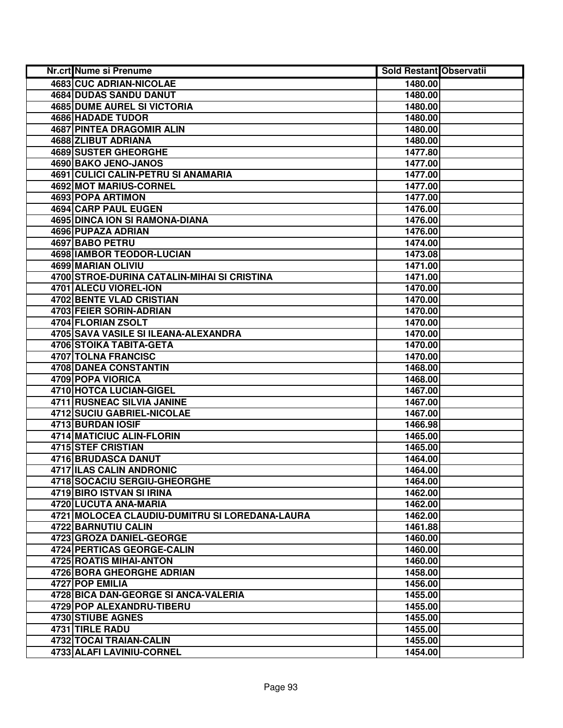| Nr.crt Nume si Prenume                         | <b>Sold Restant Observatii</b> |  |
|------------------------------------------------|--------------------------------|--|
| <b>4683 CUC ADRIAN-NICOLAE</b>                 | 1480.00                        |  |
| <b>4684 DUDAS SANDU DANUT</b>                  | 1480.00                        |  |
| <b>4685 DUME AUREL SI VICTORIA</b>             | 1480.00                        |  |
| <b>4686 HADADE TUDOR</b>                       | 1480.00                        |  |
| <b>4687 PINTEA DRAGOMIR ALIN</b>               | 1480.00                        |  |
| 4688 ZLIBUT ADRIANA                            | 1480.00                        |  |
| 4689 SUSTER GHEORGHE                           | 1477.80                        |  |
| 4690 BAKO JENO-JANOS                           | 1477.00                        |  |
| <b>4691 CULICI CALIN-PETRU SI ANAMARIA</b>     | 1477.00                        |  |
| 4692 MOT MARIUS-CORNEL                         | 1477.00                        |  |
| 4693 POPA ARTIMON                              | 1477.00                        |  |
| 4694 CARP PAUL EUGEN                           | 1476.00                        |  |
| 4695 DINCA ION SI RAMONA-DIANA                 | 1476.00                        |  |
| 4696 PUPAZA ADRIAN                             | 1476.00                        |  |
| 4697 BABO PETRU                                | 1474.00                        |  |
| 4698 IAMBOR TEODOR-LUCIAN                      | 1473.08                        |  |
| 4699 MARIAN OLIVIU                             | 1471.00                        |  |
| 4700 STROE-DURINA CATALIN-MIHAI SI CRISTINA    | 1471.00                        |  |
| 4701 ALECU VIOREL-ION                          | 1470.00                        |  |
| 4702 BENTE VLAD CRISTIAN                       | 1470.00                        |  |
| 4703 FEIER SORIN-ADRIAN                        | 1470.00                        |  |
| 4704 FLORIAN ZSOLT                             | 1470.00                        |  |
| 4705 SAVA VASILE SI ILEANA-ALEXANDRA           | 1470.00                        |  |
| 4706 STOIKA TABITA-GETA                        | 1470.00                        |  |
| 4707 TOLNA FRANCISC                            | 1470.00                        |  |
| 4708 DANEA CONSTANTIN                          | 1468.00                        |  |
| 4709 POPA VIORICA                              | 1468.00                        |  |
| 4710 HOTCA LUCIAN-GIGEL                        | 1467.00                        |  |
| 4711 RUSNEAC SILVIA JANINE                     | 1467.00                        |  |
| 4712 SUCIU GABRIEL-NICOLAE                     | 1467.00                        |  |
| 4713 BURDAN IOSIF                              | 1466.98                        |  |
| 4714 MATICIUC ALIN-FLORIN                      | 1465.00                        |  |
| 4715 STEF CRISTIAN                             | 1465.00                        |  |
| 4716 BRUDASCA DANUT                            | 1464.00                        |  |
| <b>4717 ILAS CALIN ANDRONIC</b>                | 1464.00                        |  |
| 4718 SOCACIU SERGIU-GHEORGHE                   | 1464.00                        |  |
| 4719 BIRO ISTVAN SI IRINA                      | 1462.00                        |  |
| 4720 LUCUTA ANA-MARIA                          | 1462.00                        |  |
| 4721 MOLOCEA CLAUDIU-DUMITRU SI LOREDANA-LAURA | 1462.00                        |  |
| 4722 BARNUTIU CALIN                            | 1461.88                        |  |
| 4723 GROZA DANIEL-GEORGE                       | 1460.00                        |  |
| 4724 PERTICAS GEORGE-CALIN                     | 1460.00                        |  |
| 4725 ROATIS MIHAI-ANTON                        | 1460.00                        |  |
| 4726 BORA GHEORGHE ADRIAN                      | 1458.00                        |  |
| 4727 POP EMILIA                                | 1456.00                        |  |
| 4728 BICA DAN-GEORGE SI ANCA-VALERIA           | 1455.00                        |  |
| 4729 POP ALEXANDRU-TIBERU                      | 1455.00                        |  |
| 4730 STIUBE AGNES                              | 1455.00                        |  |
| 4731 TIRLE RADU                                | 1455.00                        |  |
| 4732 TOCAI TRAIAN-CALIN                        | 1455.00                        |  |
| 4733 ALAFI LAVINIU-CORNEL                      | 1454.00                        |  |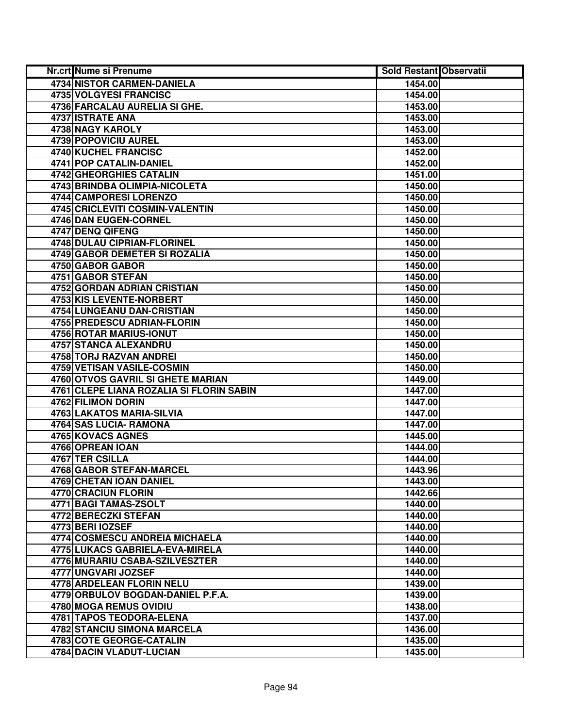| Nr.crt Nume si Prenume                   | <b>Sold Restant Observatii</b> |  |
|------------------------------------------|--------------------------------|--|
| 4734 NISTOR CARMEN-DANIELA               | 1454.00                        |  |
| 4735 VOLGYESI FRANCISC                   | 1454.00                        |  |
| 4736 FARCALAU AURELIA SI GHE.            | 1453.00                        |  |
| 4737 ISTRATE ANA                         | 1453.00                        |  |
| 4738 NAGY KAROLY                         | 1453.00                        |  |
| 4739 POPOVICIU AUREL                     | 1453.00                        |  |
| 4740 KUCHEL FRANCISC                     | 1452.00                        |  |
| 4741 POP CATALIN-DANIEL                  | 1452.00                        |  |
| <b>4742 GHEORGHIES CATALIN</b>           | 1451.00                        |  |
| 4743 BRINDBA OLIMPIA-NICOLETA            | 1450.00                        |  |
| 4744 CAMPORESI LORENZO                   | 1450.00                        |  |
| 4745 CRICLEVITI COSMIN-VALENTIN          | 1450.00                        |  |
| 4746 DAN EUGEN-CORNEL                    | 1450.00                        |  |
| 4747 DENQ QIFENG                         | 1450.00                        |  |
| 4748 DULAU CIPRIAN-FLORINEL              | 1450.00                        |  |
| 4749 GABOR DEMETER SI ROZALIA            | 1450.00                        |  |
| 4750 GABOR GABOR                         | 1450.00                        |  |
| <b>4751 GABOR STEFAN</b>                 | 1450.00                        |  |
| 4752 GORDAN ADRIAN CRISTIAN              | 1450.00                        |  |
| 4753 KIS LEVENTE-NORBERT                 | 1450.00                        |  |
| 4754 LUNGEANU DAN-CRISTIAN               | 1450.00                        |  |
| 4755 PREDESCU ADRIAN-FLORIN              | 1450.00                        |  |
| 4756 ROTAR MARIUS-IONUT                  | 1450.00                        |  |
| 4757 STANCA ALEXANDRU                    | 1450.00                        |  |
| 4758 TORJ RAZVAN ANDREI                  | 1450.00                        |  |
| 4759 VETISAN VASILE-COSMIN               | 1450.00                        |  |
| 4760 OTVOS GAVRIL SI GHETE MARIAN        | 1449.00                        |  |
| 4761 CLEPE LIANA ROZALIA SI FLORIN SABIN | 1447.00                        |  |
| 4762 FILIMON DORIN                       | 1447.00                        |  |
| 4763 LAKATOS MARIA-SILVIA                | 1447.00                        |  |
| 4764 SAS LUCIA- RAMONA                   | 1447.00                        |  |
| 4765 KOVACS AGNES                        | 1445.00                        |  |
| 4766 OPREAN IOAN                         | 1444.00                        |  |
| 4767 TER CSILLA                          | 1444.00                        |  |
| <b>4768 GABOR STEFAN-MARCEL</b>          | 1443.96                        |  |
| 4769 CHETAN IOAN DANIEL                  | 1443.00                        |  |
| <b>4770 CRACIUN FLORIN</b>               | 1442.66                        |  |
| 4771 BAGI TAMAS-ZSOLT                    | 1440.00                        |  |
| <b>4772 BERECZKI STEFAN</b>              | 1440.00                        |  |
| 4773 BERI IOZSEF                         | 1440.00                        |  |
| 4774 COSMESCU ANDREIA MICHAELA           | 1440.00                        |  |
| 4775 LUKACS GABRIELA-EVA-MIRELA          | 1440.00                        |  |
| 4776 MURARIU CSABA-SZILVESZTER           | 1440.00                        |  |
| 4777 UNGVARI JOZSEF                      | 1440.00                        |  |
| 4778 ARDELEAN FLORIN NELU                | 1439.00                        |  |
| 4779 ORBULOV BOGDAN-DANIEL P.F.A.        | 1439.00                        |  |
| 4780 MOGA REMUS OVIDIU                   | 1438.00                        |  |
| 4781 TAPOS TEODORA-ELENA                 | 1437.00                        |  |
| 4782 STANCIU SIMONA MARCELA              | 1436.00                        |  |
| 4783 COTE GEORGE-CATALIN                 | 1435.00                        |  |
| 4784 DACIN VLADUT-LUCIAN                 | 1435.00                        |  |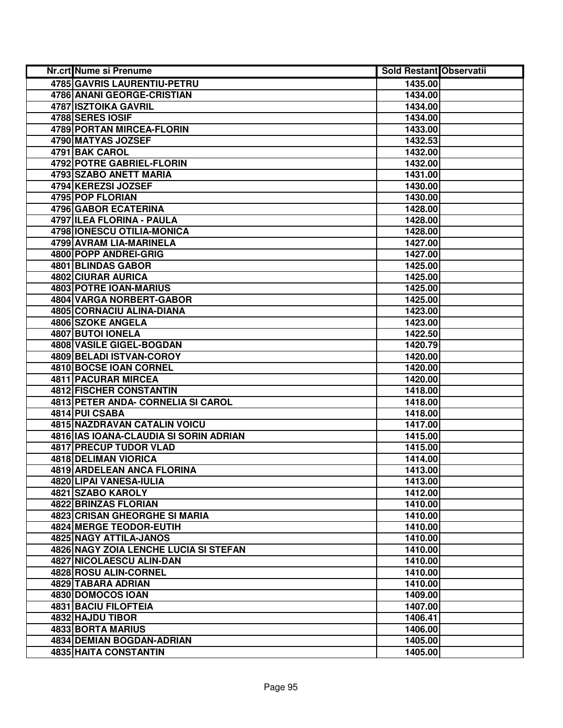| Nr.crt Nume si Prenume                 | <b>Sold Restant Observatii</b> |  |
|----------------------------------------|--------------------------------|--|
| <b>4785 GAVRIS LAURENTIU-PETRU</b>     | 1435.00                        |  |
| <b>4786 ANANI GEORGE-CRISTIAN</b>      | 1434.00                        |  |
| 4787 ISZTOIKA GAVRIL                   | 1434.00                        |  |
| 4788 SERES IOSIF                       | 1434.00                        |  |
| 4789 PORTAN MIRCEA-FLORIN              | 1433.00                        |  |
| 4790 MATYAS JOZSEF                     | 1432.53                        |  |
| 4791 BAK CAROL                         | 1432.00                        |  |
| 4792 POTRE GABRIEL-FLORIN              | 1432.00                        |  |
| 4793 SZABO ANETT MARIA                 | 1431.00                        |  |
| 4794 KEREZSI JOZSEF                    | 1430.00                        |  |
| <b>4795 POP FLORIAN</b>                | 1430.00                        |  |
| <b>4796 GABOR ECATERINA</b>            | 1428.00                        |  |
| 4797 ILEA FLORINA - PAULA              | 1428.00                        |  |
| 4798 IONESCU OTILIA-MONICA             | 1428.00                        |  |
| 4799 AVRAM LIA-MARINELA                | 1427.00                        |  |
| 4800 POPP ANDREI-GRIG                  | 1427.00                        |  |
| 4801 BLINDAS GABOR                     | 1425.00                        |  |
| <b>4802 CIURAR AURICA</b>              | 1425.00                        |  |
| 4803 POTRE IOAN-MARIUS                 | 1425.00                        |  |
| 4804 VARGA NORBERT-GABOR               | 1425.00                        |  |
| 4805 CORNACIU ALINA-DIANA              | 1423.00                        |  |
| 4806 SZOKE ANGELA                      | 1423.00                        |  |
| <b>4807 BUTOI IONELA</b>               | 1422.50                        |  |
| 4808 VASILE GIGEL-BOGDAN               | 1420.79                        |  |
| 4809 BELADI ISTVAN-COROY               | 1420.00                        |  |
| 4810 BOCSE IOAN CORNEL                 | 1420.00                        |  |
| 4811 PACURAR MIRCEA                    | 1420.00                        |  |
| 4812 FISCHER CONSTANTIN                | 1418.00                        |  |
| 4813 PETER ANDA- CORNELIA SI CAROL     | 1418.00                        |  |
| 4814 PUI CSABA                         | 1418.00                        |  |
| <b>4815 NAZDRAVAN CATALIN VOICU</b>    | 1417.00                        |  |
| 4816 IAS IOANA-CLAUDIA SI SORIN ADRIAN | 1415.00                        |  |
| 4817 PRECUP TUDOR VLAD                 | 1415.00                        |  |
| <b>4818 DELIMAN VIORICA</b>            | 1414.00                        |  |
| <b>4819 ARDELEAN ANCA FLORINA</b>      | 1413.00                        |  |
| 4820 LIPAI VANESA-IULIA                | 1413.00                        |  |
| 4821 SZABO KAROLY                      | 1412.00                        |  |
| 4822 BRINZAS FLORIAN                   | 1410.00                        |  |
| 4823 CRISAN GHEORGHE SI MARIA          | 1410.00                        |  |
| 4824 MERGE TEODOR-EUTIH                | 1410.00                        |  |
| 4825 NAGY ATTILA-JANOS                 | 1410.00                        |  |
| 4826 NAGY ZOIA LENCHE LUCIA SI STEFAN  | 1410.00                        |  |
| 4827 NICOLAESCU ALIN-DAN               | 1410.00                        |  |
| 4828 ROSU ALIN-CORNEL                  | 1410.00                        |  |
| 4829 TABARA ADRIAN                     | 1410.00                        |  |
| 4830 DOMOCOS IOAN                      | 1409.00                        |  |
| 4831 BACIU FILOFTEIA                   | 1407.00                        |  |
| 4832 HAJDU TIBOR                       | 1406.41                        |  |
| 4833 BORTA MARIUS                      | 1406.00                        |  |
| 4834 DEMIAN BOGDAN-ADRIAN              | 1405.00                        |  |
| 4835 HAITA CONSTANTIN                  | 1405.00                        |  |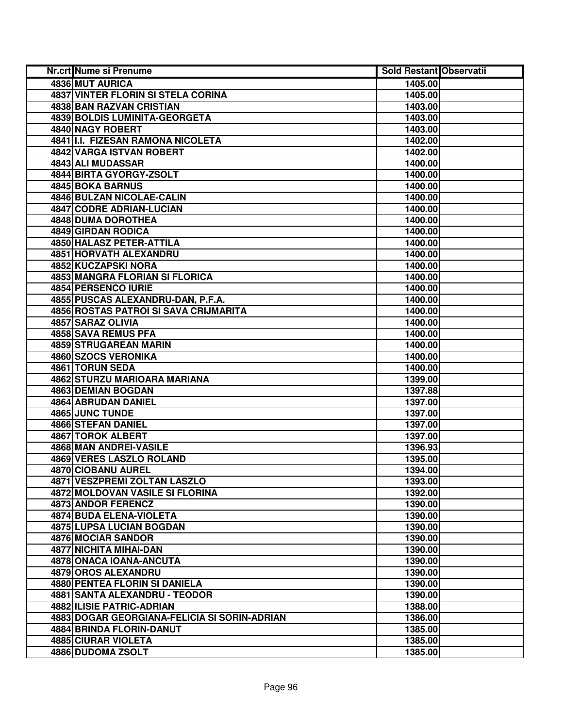| Nr.crt Nume si Prenume                       | <b>Sold Restant Observatii</b> |  |
|----------------------------------------------|--------------------------------|--|
| 4836 MUT AURICA                              | 1405.00                        |  |
| <b>4837 VINTER FLORIN SI STELA CORINA</b>    | 1405.00                        |  |
| <b>4838 BAN RAZVAN CRISTIAN</b>              | 1403.00                        |  |
| 4839 BOLDIS LUMINITA-GEORGETA                | 1403.00                        |  |
| 4840 NAGY ROBERT                             | 1403.00                        |  |
| 4841 I.I. FIZESAN RAMONA NICOLETA            | 1402.00                        |  |
| 4842 VARGA ISTVAN ROBERT                     | 1402.00                        |  |
| 4843 ALI MUDASSAR                            | 1400.00                        |  |
| 4844 BIRTA GYORGY-ZSOLT                      | 1400.00                        |  |
| <b>4845 BOKA BARNUS</b>                      | 1400.00                        |  |
| <b>4846 BULZAN NICOLAE-CALIN</b>             | 1400.00                        |  |
| 4847 CODRE ADRIAN-LUCIAN                     | 1400.00                        |  |
| <b>4848 DUMA DOROTHEA</b>                    | 1400.00                        |  |
| <b>4849 GIRDAN RODICA</b>                    | 1400.00                        |  |
| 4850 HALASZ PETER-ATTILA                     | 1400.00                        |  |
| 4851 HORVATH ALEXANDRU                       | 1400.00                        |  |
| 4852 KUCZAPSKI NORA                          | 1400.00                        |  |
| 4853 MANGRA FLORIAN SI FLORICA               | 1400.00                        |  |
| 4854 PERSENCO IURIE                          | 1400.00                        |  |
| 4855 PUSCAS ALEXANDRU-DAN, P.F.A.            | 1400.00                        |  |
| 4856 ROSTAS PATROI SI SAVA CRIJMARITA        | 1400.00                        |  |
| 4857 SARAZ OLIVIA                            | 1400.00                        |  |
| 4858 SAVA REMUS PFA                          | 1400.00                        |  |
| 4859 STRUGAREAN MARIN                        | 1400.00                        |  |
| 4860 SZOCS VERONIKA                          | 1400.00                        |  |
| 4861 TORUN SEDA                              | 1400.00                        |  |
| 4862 STURZU MARIOARA MARIANA                 | 1399.00                        |  |
| 4863 DEMIAN BOGDAN                           | 1397.88                        |  |
| 4864 ABRUDAN DANIEL                          | 1397.00                        |  |
| 4865 JUNC TUNDE                              | 1397.00                        |  |
| 4866 STEFAN DANIEL                           | 1397.00                        |  |
| 4867 TOROK ALBERT                            | 1397.00                        |  |
| 4868 MAN ANDREI-VASILE                       | 1396.93                        |  |
| <b>4869 VERES LASZLO ROLAND</b>              | 1395.00                        |  |
| 4870 CIOBANU AUREL                           | 1394.00                        |  |
| 4871 VESZPREMI ZOLTAN LASZLO                 | 1393.00                        |  |
| 4872 MOLDOVAN VASILE SI FLORINA              | 1392.00                        |  |
| 4873 ANDOR FERENCZ                           | 1390.00                        |  |
| 4874 BUDA ELENA-VIOLETA                      | 1390.00                        |  |
| 4875 LUPSA LUCIAN BOGDAN                     | 1390.00                        |  |
| 4876 MOCIAR SANDOR                           | 1390.00                        |  |
| 4877 NICHITA MIHAI-DAN                       | 1390.00                        |  |
| 4878 ONACA IOANA-ANCUTA                      | 1390.00                        |  |
| 4879 OROS ALEXANDRU                          | 1390.00                        |  |
| 4880 PENTEA FLORIN SI DANIELA                | 1390.00                        |  |
| 4881 SANTA ALEXANDRU - TEODOR                | 1390.00                        |  |
| 4882 ILISIE PATRIC-ADRIAN                    | 1388.00                        |  |
| 4883 DOGAR GEORGIANA-FELICIA SI SORIN-ADRIAN | 1386.00                        |  |
| 4884 BRINDA FLORIN-DANUT                     | 1385.00                        |  |
| 4885 CIURAR VIOLETA                          | 1385.00                        |  |
| 4886 DUDOMA ZSOLT                            | 1385.00                        |  |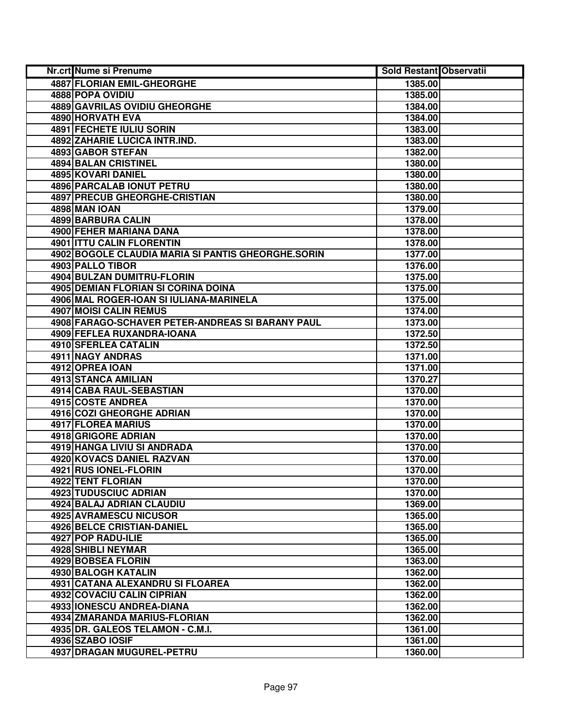| Nr.crt Nume si Prenume                             | <b>Sold Restant Observatii</b> |  |
|----------------------------------------------------|--------------------------------|--|
| <b>4887 FLORIAN EMIL-GHEORGHE</b>                  | 1385.00                        |  |
| 4888 POPA OVIDIU                                   | 1385.00                        |  |
| 4889 GAVRILAS OVIDIU GHEORGHE                      | 1384.00                        |  |
| 4890 HORVATH EVA                                   | 1384.00                        |  |
| <b>4891 FECHETE IULIU SORIN</b>                    | 1383.00                        |  |
| <b>4892 ZAHARIE LUCICA INTR.IND.</b>               | 1383.00                        |  |
| 4893 GABOR STEFAN                                  | 1382.00                        |  |
| <b>4894 BALAN CRISTINEL</b>                        | 1380.00                        |  |
| 4895 KOVARI DANIEL                                 | 1380.00                        |  |
| <b>4896 PARCALAB IONUT PETRU</b>                   | 1380.00                        |  |
| <b>4897 PRECUB GHEORGHE-CRISTIAN</b>               | 1380.00                        |  |
| <b>4898 MAN IOAN</b>                               | 1379.00                        |  |
| 4899 BARBURA CALIN                                 | 1378.00                        |  |
| 4900 FEHER MARIANA DANA                            | 1378.00                        |  |
| 4901 ITTU CALIN FLORENTIN                          | 1378.00                        |  |
| 4902 BOGOLE CLAUDIA MARIA SI PANTIS GHEORGHE.SORIN | 1377.00                        |  |
| 4903 PALLO TIBOR                                   | 1376.00                        |  |
| 4904 BULZAN DUMITRU-FLORIN                         | 1375.00                        |  |
| <b>4905 DEMIAN FLORIAN SI CORINA DOINA</b>         | 1375.00                        |  |
| 4906 MAL ROGER-IOAN SI IULIANA-MARINELA            | 1375.00                        |  |
| 4907 MOISI CALIN REMUS                             | 1374.00                        |  |
| 4908 FARAGO-SCHAVER PETER-ANDREAS SI BARANY PAUL   | 1373.00                        |  |
| 4909 FEFLEA RUXANDRA-IOANA                         | 1372.50                        |  |
| 4910 SFERLEA CATALIN                               | 1372.50                        |  |
| 4911 NAGY ANDRAS                                   | 1371.00                        |  |
| 4912 OPREA IOAN                                    | 1371.00                        |  |
| 4913 STANCA AMILIAN                                | 1370.27                        |  |
| 4914 CABA RAUL-SEBASTIAN                           | 1370.00                        |  |
| 4915 COSTE ANDREA                                  | 1370.00                        |  |
| 4916 COZI GHEORGHE ADRIAN                          | 1370.00                        |  |
| 4917 FLOREA MARIUS                                 | 1370.00                        |  |
| 4918 GRIGORE ADRIAN                                | 1370.00                        |  |
| 4919 HANGA LIVIU SI ANDRADA                        | 1370.00                        |  |
| <b>4920 KOVACS DANIEL RAZVAN</b>                   | 1370.00                        |  |
| 4921 RUS IONEL-FLORIN                              | 1370.00                        |  |
| 4922 TENT FLORIAN                                  | 1370.00                        |  |
| <b>4923 TUDUSCIUC ADRIAN</b>                       | 1370.00                        |  |
| 4924 BALAJ ADRIAN CLAUDIU                          | 1369.00                        |  |
| <b>4925 AVRAMESCU NICUSOR</b>                      | 1365.00                        |  |
| <b>4926 BELCE CRISTIAN-DANIEL</b>                  | 1365.00                        |  |
| 4927 POP RADU-ILIE                                 | 1365.00                        |  |
| <b>4928 SHIBLI NEYMAR</b>                          | 1365.00                        |  |
| 4929 BOBSEA FLORIN                                 | 1363.00                        |  |
| 4930 BALOGH KATALIN                                | 1362.00                        |  |
| 4931 CATANA ALEXANDRU SI FLOAREA                   | 1362.00                        |  |
| 4932 COVACIU CALIN CIPRIAN                         | 1362.00                        |  |
| 4933 IONESCU ANDREA-DIANA                          | 1362.00                        |  |
| 4934 ZMARANDA MARIUS-FLORIAN                       | 1362.00                        |  |
| 4935 DR. GALEOS TELAMON - C.M.I.                   | 1361.00                        |  |
| 4936 SZABO IOSIF                                   | 1361.00                        |  |
| 4937 DRAGAN MUGUREL-PETRU                          | 1360.00                        |  |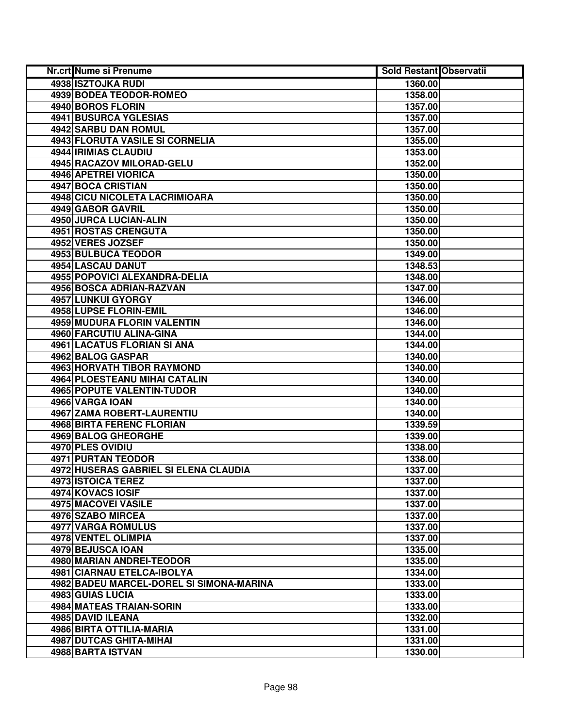| Nr.crt Nume si Prenume                          | <b>Sold Restant Observatii</b> |  |
|-------------------------------------------------|--------------------------------|--|
| <b>4938 ISZTOJKA RUDI</b>                       | 1360.00                        |  |
| 4939 BODEA TEODOR-ROMEO                         | 1358.00                        |  |
| 4940 BOROS FLORIN                               | 1357.00                        |  |
| 4941 BUSURCA YGLESIAS                           | 1357.00                        |  |
| 4942 SARBU DAN ROMUL                            | 1357.00                        |  |
| 4943 FLORUTA VASILE SI CORNELIA                 | 1355.00                        |  |
| 4944 IRIMIAS CLAUDIU                            | 1353.00                        |  |
| 4945 RACAZOV MILORAD-GELU                       | 1352.00                        |  |
| 4946 APETREI VIORICA                            | 1350.00                        |  |
| 4947 BOCA CRISTIAN                              | 1350.00                        |  |
| 4948 CICU NICOLETA LACRIMIOARA                  | 1350.00                        |  |
| 4949 GABOR GAVRIL                               | 1350.00                        |  |
| 4950 JURCA LUCIAN-ALIN                          | 1350.00                        |  |
| 4951 ROSTAS CRENGUTA                            | 1350.00                        |  |
| 4952 VERES JOZSEF                               | 1350.00                        |  |
| 4953 BULBUCA TEODOR                             | 1349.00                        |  |
| 4954 LASCAU DANUT                               | 1348.53                        |  |
| 4955 POPOVICI ALEXANDRA-DELIA                   | 1348.00                        |  |
| 4956 BOSCA ADRIAN-RAZVAN                        | 1347.00                        |  |
| 4957 LUNKUI GYORGY                              | 1346.00                        |  |
| 4958 LUPSE FLORIN-EMIL                          | 1346.00                        |  |
| 4959 MUDURA FLORIN VALENTIN                     | 1346.00                        |  |
| 4960 FARCUTIU ALINA-GINA                        | 1344.00                        |  |
| 4961 LACATUS FLORIAN SI ANA                     | 1344.00                        |  |
| 4962 BALOG GASPAR                               | 1340.00                        |  |
| 4963 HORVATH TIBOR RAYMOND                      | 1340.00                        |  |
| 4964 PLOESTEANU MIHAI CATALIN                   | 1340.00                        |  |
| 4965 POPUTE VALENTIN-TUDOR                      | 1340.00                        |  |
| 4966 VARGA IOAN                                 | 1340.00                        |  |
| 4967 ZAMA ROBERT-LAURENTIU                      | 1340.00                        |  |
| 4968 BIRTA FERENC FLORIAN                       | 1339.59                        |  |
| 4969 BALOG GHEORGHE                             | 1339.00                        |  |
| 4970 PLES OVIDIU                                | 1338.00                        |  |
| <b>4971 PURTAN TEODOR</b>                       | 1338.00                        |  |
| 4972 HUSERAS GABRIEL SI ELENA CLAUDIA           | 1337.00                        |  |
| <b>4973 ISTOICA TEREZ</b><br>4974 KOVACS IOSIF  | 1337.00                        |  |
|                                                 | 1337.00                        |  |
| <b>4975 MACOVEI VASILE</b><br>4976 SZABO MIRCEA | 1337.00                        |  |
|                                                 | 1337.00                        |  |
| 4977 VARGA ROMULUS<br>4978 VENTEL OLIMPIA       | 1337.00<br>1337.00             |  |
| 4979 BEJUSCA IOAN                               | 1335.00                        |  |
| 4980 MARIAN ANDREI-TEODOR                       | 1335.00                        |  |
| <b>4981 CIARNAU ETELCA-IBOLYA</b>               | 1334.00                        |  |
| 4982 BADEU MARCEL-DOREL SI SIMONA-MARINA        | 1333.00                        |  |
| 4983 GUIAS LUCIA                                | 1333.00                        |  |
| 4984 MATEAS TRAIAN-SORIN                        | 1333.00                        |  |
| 4985 DAVID ILEANA                               | 1332.00                        |  |
| 4986 BIRTA OTTILIA-MARIA                        | 1331.00                        |  |
| 4987 DUTCAS GHITA-MIHAI                         | 1331.00                        |  |
| 4988 BARTA ISTVAN                               | 1330.00                        |  |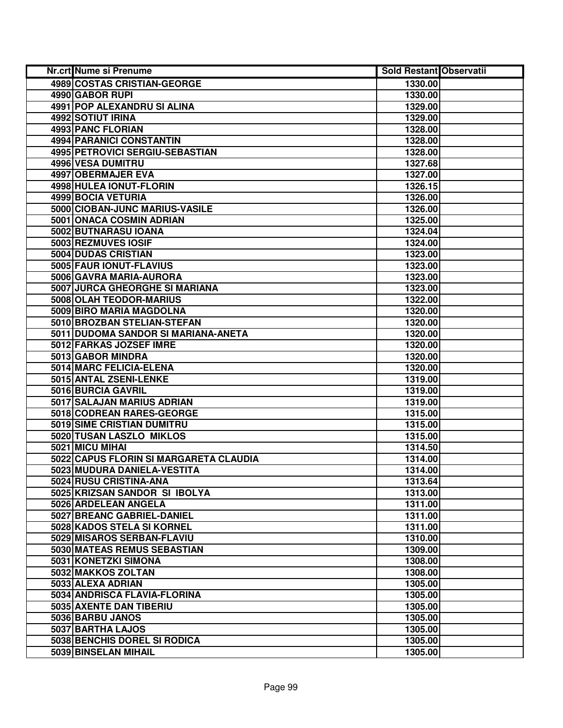| Nr.crt Nume si Prenume                 | <b>Sold Restant Observatii</b> |  |
|----------------------------------------|--------------------------------|--|
| 4989 COSTAS CRISTIAN-GEORGE            | 1330.00                        |  |
| 4990 GABOR RUPI                        | 1330.00                        |  |
| 4991 POP ALEXANDRU SI ALINA            | 1329.00                        |  |
| 4992 SOTIUT IRINA                      | 1329.00                        |  |
| <b>4993 PANC FLORIAN</b>               | 1328.00                        |  |
| 4994 PARANICI CONSTANTIN               | 1328.00                        |  |
| 4995 PETROVICI SERGIU-SEBASTIAN        | 1328.00                        |  |
| 4996 VESA DUMITRU                      | 1327.68                        |  |
| 4997 OBERMAJER EVA                     | 1327.00                        |  |
| 4998 HULEA IONUT-FLORIN                | 1326.15                        |  |
| 4999 BOCIA VETURIA                     | 1326.00                        |  |
| 5000 CIOBAN-JUNC MARIUS-VASILE         | 1326.00                        |  |
| 5001 ONACA COSMIN ADRIAN               | 1325.00                        |  |
| 5002 BUTNARASU IOANA                   | 1324.04                        |  |
| 5003 REZMUVES IOSIF                    | 1324.00                        |  |
| 5004 DUDAS CRISTIAN                    | 1323.00                        |  |
| 5005 FAUR IONUT-FLAVIUS                | 1323.00                        |  |
| 5006 GAVRA MARIA-AURORA                | 1323.00                        |  |
| 5007 JURCA GHEORGHE SI MARIANA         | 1323.00                        |  |
| 5008 OLAH TEODOR-MARIUS                | 1322.00                        |  |
| 5009 BIRO MARIA MAGDOLNA               | 1320.00                        |  |
| 5010 BROZBAN STELIAN-STEFAN            | 1320.00                        |  |
| 5011 DUDOMA SANDOR SI MARIANA-ANETA    | 1320.00                        |  |
| 5012 FARKAS JOZSEF IMRE                | 1320.00                        |  |
| 5013 GABOR MINDRA                      | 1320.00                        |  |
| 5014 MARC FELICIA-ELENA                | 1320.00                        |  |
| 5015 ANTAL ZSENI-LENKE                 | 1319.00                        |  |
| 5016 BURCIA GAVRIL                     | 1319.00                        |  |
| 5017 SALAJAN MARIUS ADRIAN             | 1319.00                        |  |
| 5018 CODREAN RARES-GEORGE              | 1315.00                        |  |
| 5019 SIME CRISTIAN DUMITRU             | 1315.00                        |  |
| 5020 TUSAN LASZLO MIKLOS               | 1315.00                        |  |
| 5021 MICU MIHAI                        | 1314.50                        |  |
| 5022 CAPUS FLORIN SI MARGARETA CLAUDIA | 1314.00                        |  |
| 5023 MUDURA DANIELA-VESTITA            | 1314.00                        |  |
| 5024 RUSU CRISTINA-ANA                 | 1313.64                        |  |
| 5025 KRIZSAN SANDOR SI IBOLYA          | 1313.00                        |  |
| 5026 ARDELEAN ANGELA                   | 1311.00                        |  |
| 5027 BREANC GABRIEL-DANIEL             | 1311.00                        |  |
| 5028 KADOS STELA SI KORNEL             | 1311.00                        |  |
| 5029 MISAROS SERBAN-FLAVIU             | 1310.00                        |  |
| 5030 MATEAS REMUS SEBASTIAN            | 1309.00                        |  |
| 5031 KONETZKI SIMONA                   | 1308.00                        |  |
| 5032 MAKKOS ZOLTAN                     | 1308.00                        |  |
| 5033 ALEXA ADRIAN                      | 1305.00                        |  |
| 5034 ANDRISCA FLAVIA-FLORINA           | 1305.00                        |  |
| 5035 AXENTE DAN TIBERIU                | 1305.00                        |  |
| 5036 BARBU JANOS                       | 1305.00                        |  |
| 5037 BARTHA LAJOS                      | 1305.00                        |  |
| 5038 BENCHIS DOREL SI RODICA           | 1305.00                        |  |
| 5039 BINSELAN MIHAIL                   | 1305.00                        |  |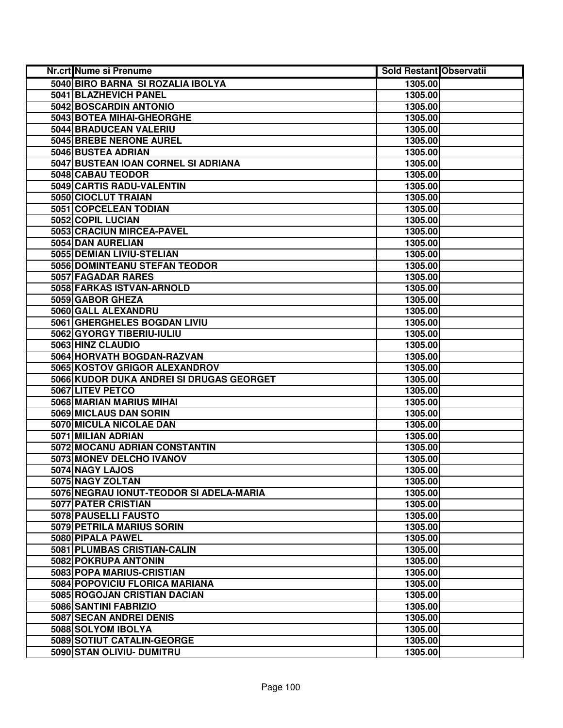| Nr.crt Nume si Prenume                   | <b>Sold Restant Observatii</b> |  |
|------------------------------------------|--------------------------------|--|
| 5040 BIRO BARNA SI ROZALIA IBOLYA        | 1305.00                        |  |
| 5041 BLAZHEVICH PANEL                    | 1305.00                        |  |
| 5042 BOSCARDIN ANTONIO                   | 1305.00                        |  |
| 5043 BOTEA MIHAI-GHEORGHE                | 1305.00                        |  |
| 5044 BRADUCEAN VALERIU                   | 1305.00                        |  |
| 5045 BREBE NERONE AUREL                  | 1305.00                        |  |
| 5046 BUSTEA ADRIAN                       | 1305.00                        |  |
| 5047 BUSTEAN IOAN CORNEL SI ADRIANA      | 1305.00                        |  |
| 5048 CABAU TEODOR                        | 1305.00                        |  |
| 5049 CARTIS RADU-VALENTIN                | 1305.00                        |  |
| 5050 CIOCLUT TRAIAN                      | 1305.00                        |  |
| 5051 COPCELEAN TODIAN                    | 1305.00                        |  |
| 5052 COPIL LUCIAN                        | 1305.00                        |  |
| 5053 CRACIUN MIRCEA-PAVEL                | 1305.00                        |  |
| 5054 DAN AURELIAN                        | 1305.00                        |  |
| 5055 DEMIAN LIVIU-STELIAN                | 1305.00                        |  |
| 5056 DOMINTEANU STEFAN TEODOR            | 1305.00                        |  |
| 5057 FAGADAR RARES                       | 1305.00                        |  |
| 5058 FARKAS ISTVAN-ARNOLD                | 1305.00                        |  |
| 5059 GABOR GHEZA                         | 1305.00                        |  |
| 5060 GALL ALEXANDRU                      | 1305.00                        |  |
| 5061 GHERGHELES BOGDAN LIVIU             | 1305.00                        |  |
| 5062 GYORGY TIBERIU-IULIU                | 1305.00                        |  |
| 5063 HINZ CLAUDIO                        | 1305.00                        |  |
| 5064 HORVATH BOGDAN-RAZVAN               | 1305.00                        |  |
| 5065 KOSTOV GRIGOR ALEXANDROV            | 1305.00                        |  |
| 5066 KUDOR DUKA ANDREI SI DRUGAS GEORGET | 1305.00                        |  |
| 5067 LITEV PETCO                         | 1305.00                        |  |
| 5068 MARIAN MARIUS MIHAI                 | 1305.00                        |  |
| 5069 MICLAUS DAN SORIN                   | 1305.00                        |  |
| 5070 MICULA NICOLAE DAN                  | 1305.00                        |  |
| 5071 MILIAN ADRIAN                       | 1305.00                        |  |
| 5072 MOCANU ADRIAN CONSTANTIN            | 1305.00                        |  |
| 5073 MONEV DELCHO IVANOV                 | 1305.00                        |  |
| 5074 NAGY LAJOS                          | 1305.00                        |  |
| 5075 NAGY ZOLTAN                         | 1305.00                        |  |
| 5076 NEGRAU IONUT-TEODOR SI ADELA-MARIA  | 1305.00                        |  |
| 5077 PATER CRISTIAN                      | 1305.00                        |  |
| 5078 PAUSELLI FAUSTO                     | 1305.00                        |  |
| 5079 PETRILA MARIUS SORIN                | 1305.00                        |  |
| 5080 PIPALA PAWEL                        | 1305.00                        |  |
| 5081 PLUMBAS CRISTIAN-CALIN              | 1305.00                        |  |
| 5082 POKRUPA ANTONIN                     | 1305.00                        |  |
| 5083 POPA MARIUS-CRISTIAN                | 1305.00                        |  |
| 5084 POPOVICIU FLORICA MARIANA           | 1305.00                        |  |
| 5085 ROGOJAN CRISTIAN DACIAN             | 1305.00                        |  |
| 5086 SANTINI FABRIZIO                    | 1305.00                        |  |
| 5087 SECAN ANDREI DENIS                  | 1305.00                        |  |
| 5088 SOLYOM IBOLYA                       | 1305.00                        |  |
| 5089 SOTIUT CATALIN-GEORGE               | 1305.00                        |  |
| 5090 STAN OLIVIU- DUMITRU                | 1305.00                        |  |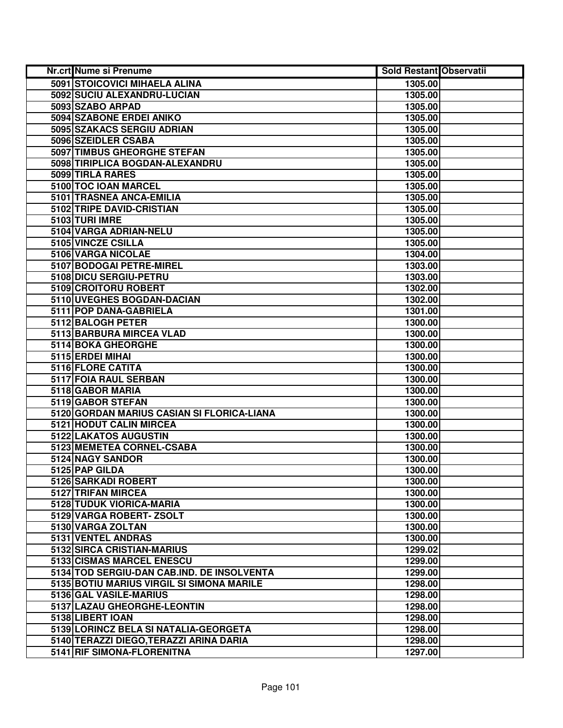| Nr.crt Nume si Prenume                     | <b>Sold Restant Observatii</b> |  |
|--------------------------------------------|--------------------------------|--|
| 5091 STOICOVICI MIHAELA ALINA              | 1305.00                        |  |
| 5092 SUCIU ALEXANDRU-LUCIAN                | 1305.00                        |  |
| 5093 SZABO ARPAD                           | 1305.00                        |  |
| 5094 SZABONE ERDEI ANIKO                   | 1305.00                        |  |
| 5095 SZAKACS SERGIU ADRIAN                 | 1305.00                        |  |
| 5096 SZEIDLER CSABA                        | 1305.00                        |  |
| 5097 TIMBUS GHEORGHE STEFAN                | 1305.00                        |  |
| 5098 TIRIPLICA BOGDAN-ALEXANDRU            | 1305.00                        |  |
| 5099 TIRLA RARES                           | 1305.00                        |  |
| 5100 TOC IOAN MARCEL                       | 1305.00                        |  |
| 5101 TRASNEA ANCA-EMILIA                   | 1305.00                        |  |
| 5102 TRIPE DAVID-CRISTIAN                  | 1305.00                        |  |
| 5103 TURI IMRE                             | 1305.00                        |  |
| 5104 VARGA ADRIAN-NELU                     | 1305.00                        |  |
| 5105 VINCZE CSILLA                         | 1305.00                        |  |
| 5106 VARGA NICOLAE                         | 1304.00                        |  |
| 5107 BODOGAI PETRE-MIREL                   | 1303.00                        |  |
| 5108 DICU SERGIU-PETRU                     | 1303.00                        |  |
| 5109 CROITORU ROBERT                       | 1302.00                        |  |
| 5110 UVEGHES BOGDAN-DACIAN                 | 1302.00                        |  |
| 5111 POP DANA-GABRIELA                     | 1301.00                        |  |
| 5112 BALOGH PETER                          | 1300.00                        |  |
| 5113 BARBURA MIRCEA VLAD                   | 1300.00                        |  |
| 5114 BOKA GHEORGHE                         | 1300.00                        |  |
| 5115 ERDEI MIHAI                           | 1300.00                        |  |
| 5116 FLORE CATITA                          | 1300.00                        |  |
| 5117 FOIA RAUL SERBAN                      | 1300.00                        |  |
| 5118 GABOR MARIA                           | 1300.00                        |  |
| 5119 GABOR STEFAN                          | 1300.00                        |  |
| 5120 GORDAN MARIUS CASIAN SI FLORICA-LIANA | 1300.00                        |  |
| 5121 HODUT CALIN MIRCEA                    | 1300.00                        |  |
| 5122 LAKATOS AUGUSTIN                      | 1300.00                        |  |
| 5123 MEMETEA CORNEL-CSABA                  | 1300.00                        |  |
| 5124 NAGY SANDOR                           | 1300.00                        |  |
| 5125 PAP GILDA                             | 1300.00                        |  |
| 5126 SARKADI ROBERT                        | 1300.00                        |  |
| 5127 TRIFAN MIRCEA                         | 1300.00                        |  |
| 5128 TUDUK VIORICA-MARIA                   | 1300.00                        |  |
| 5129 VARGA ROBERT-ZSOLT                    | 1300.00                        |  |
| 5130 VARGA ZOLTAN                          | 1300.00                        |  |
| 5131 VENTEL ANDRAS                         | 1300.00                        |  |
| 5132 SIRCA CRISTIAN-MARIUS                 | 1299.02                        |  |
| 5133 CISMAS MARCEL ENESCU                  | 1299.00                        |  |
| 5134 TOD SERGIU-DAN CAB.IND. DE INSOLVENTA | 1299.00                        |  |
| 5135 BOTIU MARIUS VIRGIL SI SIMONA MARILE  | 1298.00                        |  |
| 5136 GAL VASILE-MARIUS                     | 1298.00                        |  |
| 5137 LAZAU GHEORGHE-LEONTIN                | 1298.00                        |  |
| 5138 LIBERT IOAN                           | 1298.00                        |  |
| 5139 LORINCZ BELA SI NATALIA-GEORGETA      | 1298.00                        |  |
| 5140 TERAZZI DIEGO, TERAZZI ARINA DARIA    | 1298.00                        |  |
| 5141 RIF SIMONA-FLORENITNA                 | 1297.00                        |  |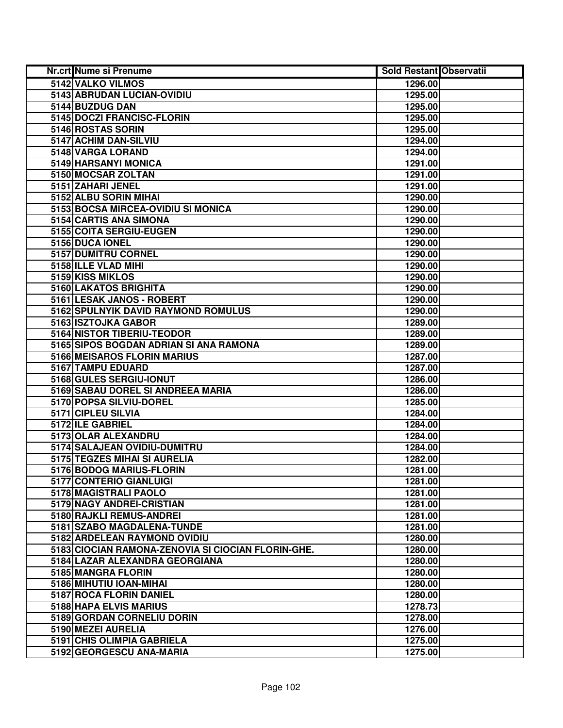| Nr.crt Nume si Prenume                             | <b>Sold Restant Observatii</b> |  |
|----------------------------------------------------|--------------------------------|--|
| 5142 VALKO VILMOS                                  | 1296.00                        |  |
| 5143 ABRUDAN LUCIAN-OVIDIU                         | 1295.00                        |  |
| 5144 BUZDUG DAN                                    | 1295.00                        |  |
| 5145 DOCZI FRANCISC-FLORIN                         | 1295.00                        |  |
| 5146 ROSTAS SORIN                                  | 1295.00                        |  |
| 5147 ACHIM DAN-SILVIU                              | 1294.00                        |  |
| 5148 VARGA LORAND                                  | 1294.00                        |  |
| 5149 HARSANYI MONICA                               | 1291.00                        |  |
| 5150 MOCSAR ZOLTAN                                 | 1291.00                        |  |
| 5151 ZAHARI JENEL                                  | 1291.00                        |  |
| 5152 ALBU SORIN MIHAI                              | 1290.00                        |  |
| 5153 BOCSA MIRCEA-OVIDIU SI MONICA                 | 1290.00                        |  |
| 5154 CARTIS ANA SIMONA                             | 1290.00                        |  |
| 5155 COITA SERGIU-EUGEN                            | 1290.00                        |  |
| 5156 DUCA IONEL                                    | 1290.00                        |  |
| 5157 DUMITRU CORNEL                                | 1290.00                        |  |
| 5158 ILLE VLAD MIHI                                | 1290.00                        |  |
| 5159 KISS MIKLOS                                   | 1290.00                        |  |
| 5160 LAKATOS BRIGHITA                              | 1290.00                        |  |
| 5161 LESAK JANOS - ROBERT                          | 1290.00                        |  |
| 5162 SPULNYIK DAVID RAYMOND ROMULUS                | 1290.00                        |  |
| 5163 ISZTOJKA GABOR                                | 1289.00                        |  |
| 5164 NISTOR TIBERIU-TEODOR                         | 1289.00                        |  |
| 5165 SIPOS BOGDAN ADRIAN SI ANA RAMONA             | 1289.00                        |  |
| 5166 MEISAROS FLORIN MARIUS                        | 1287.00                        |  |
| 5167 TAMPU EDUARD                                  | 1287.00                        |  |
| 5168 GULES SERGIU-IONUT                            | 1286.00                        |  |
| 5169 SABAU DOREL SI ANDREEA MARIA                  | 1286.00                        |  |
| 5170 POPSA SILVIU-DOREL                            | 1285.00                        |  |
| 5171 CIPLEU SILVIA                                 | 1284.00                        |  |
| 5172 ILE GABRIEL                                   | 1284.00                        |  |
| 5173 OLAR ALEXANDRU                                | 1284.00                        |  |
| 5174 SALAJEAN OVIDIU-DUMITRU                       | 1284.00                        |  |
| 5175 TEGZES MIHAI SI AURELIA                       | 1282.00                        |  |
| 5176 BODOG MARIUS-FLORIN                           | 1281.00                        |  |
| 5177 CONTERIO GIANLUIGI                            | 1281.00                        |  |
| 5178 MAGISTRALI PAOLO                              | 1281.00                        |  |
| 5179 NAGY ANDREI-CRISTIAN                          | 1281.00                        |  |
| 5180 RAJKLI REMUS-ANDREI                           | 1281.00                        |  |
| 5181 SZABO MAGDALENA-TUNDE                         | 1281.00                        |  |
| 5182 ARDELEAN RAYMOND OVIDIU                       | 1280.00                        |  |
| 5183 CIOCIAN RAMONA-ZENOVIA SI CIOCIAN FLORIN-GHE. | 1280.00                        |  |
| 5184 LAZAR ALEXANDRA GEORGIANA                     | 1280.00                        |  |
| 5185 MANGRA FLORIN                                 | 1280.00                        |  |
| 5186 MIHUTIU IOAN-MIHAI                            | 1280.00                        |  |
| 5187 ROCA FLORIN DANIEL                            | 1280.00                        |  |
| 5188 HAPA ELVIS MARIUS                             | 1278.73                        |  |
| 5189 GORDAN CORNELIU DORIN                         | 1278.00                        |  |
| 5190 MEZEI AURELIA                                 | 1276.00                        |  |
| 5191 CHIS OLIMPIA GABRIELA                         | 1275.00                        |  |
| 5192 GEORGESCU ANA-MARIA                           | 1275.00                        |  |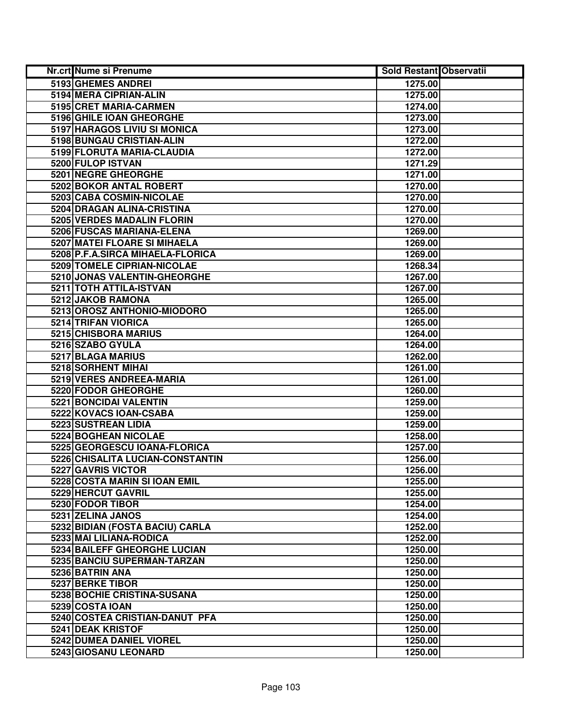| Nr.crt Nume si Prenume           | <b>Sold Restant Observatii</b> |  |
|----------------------------------|--------------------------------|--|
| 5193 GHEMES ANDREI               | 1275.00                        |  |
| 5194 MERA CIPRIAN-ALIN           | 1275.00                        |  |
| 5195 CRET MARIA-CARMEN           | 1274.00                        |  |
| 5196 GHILE IOAN GHEORGHE         | 1273.00                        |  |
| 5197 HARAGOS LIVIU SI MONICA     | 1273.00                        |  |
| 5198 BUNGAU CRISTIAN-ALIN        | 1272.00                        |  |
| 5199 FLORUTA MARIA-CLAUDIA       | 1272.00                        |  |
| 5200 FULOP ISTVAN                | 1271.29                        |  |
| 5201 NEGRE GHEORGHE              | 1271.00                        |  |
| <b>5202 BOKOR ANTAL ROBERT</b>   | 1270.00                        |  |
| 5203 CABA COSMIN-NICOLAE         | 1270.00                        |  |
| 5204 DRAGAN ALINA-CRISTINA       | 1270.00                        |  |
| 5205 VERDES MADALIN FLORIN       | 1270.00                        |  |
| 5206 FUSCAS MARIANA-ELENA        | 1269.00                        |  |
| 5207 MATEI FLOARE SI MIHAELA     | 1269.00                        |  |
| 5208 P.F.A.SIRCA MIHAELA-FLORICA | 1269.00                        |  |
| 5209 TOMELE CIPRIAN-NICOLAE      | 1268.34                        |  |
| 5210 JONAS VALENTIN-GHEORGHE     | 1267.00                        |  |
| 5211 TOTH ATTILA-ISTVAN          | 1267.00                        |  |
| 5212 JAKOB RAMONA                | 1265.00                        |  |
| 5213 OROSZ ANTHONIO-MIODORO      | 1265.00                        |  |
| 5214 TRIFAN VIORICA              | 1265.00                        |  |
| 5215 CHISBORA MARIUS             | 1264.00                        |  |
| 5216 SZABO GYULA                 | 1264.00                        |  |
| 5217 BLAGA MARIUS                | 1262.00                        |  |
| 5218 SORHENT MIHAI               | 1261.00                        |  |
| 5219 VERES ANDREEA-MARIA         | 1261.00                        |  |
| 5220 FODOR GHEORGHE              | 1260.00                        |  |
| 5221 BONCIDAI VALENTIN           | 1259.00                        |  |
| 5222 KOVACS IOAN-CSABA           | 1259.00                        |  |
| 5223 SUSTREAN LIDIA              | 1259.00                        |  |
| 5224 BOGHEAN NICOLAE             | 1258.00                        |  |
| 5225 GEORGESCU IOANA-FLORICA     | 1257.00                        |  |
| 5226 CHISALITA LUCIAN-CONSTANTIN | 1256.00                        |  |
| 5227 GAVRIS VICTOR               | 1256.00                        |  |
| 5228 COSTA MARIN SI IOAN EMIL    | 1255.00                        |  |
| 5229 HERCUT GAVRIL               | 1255.00                        |  |
| 5230 FODOR TIBOR                 | 1254.00                        |  |
| 5231 ZELINA JANOS                | 1254.00                        |  |
| 5232 BIDIAN (FOSTA BACIU) CARLA  | 1252.00                        |  |
| 5233 MAI LILIANA-RODICA          | 1252.00                        |  |
| 5234 BAILEFF GHEORGHE LUCIAN     | 1250.00                        |  |
| 5235 BANCIU SUPERMAN-TARZAN      | 1250.00                        |  |
| 5236 BATRIN ANA                  | 1250.00                        |  |
| 5237 BERKE TIBOR                 | 1250.00                        |  |
| 5238 BOCHIE CRISTINA-SUSANA      | 1250.00                        |  |
| 5239 COSTA IOAN                  | 1250.00                        |  |
| 5240 COSTEA CRISTIAN-DANUT PFA   | 1250.00                        |  |
| 5241 DEAK KRISTOF                | 1250.00                        |  |
| 5242 DUMEA DANIEL VIOREL         | 1250.00                        |  |
| 5243 GIOSANU LEONARD             | 1250.00                        |  |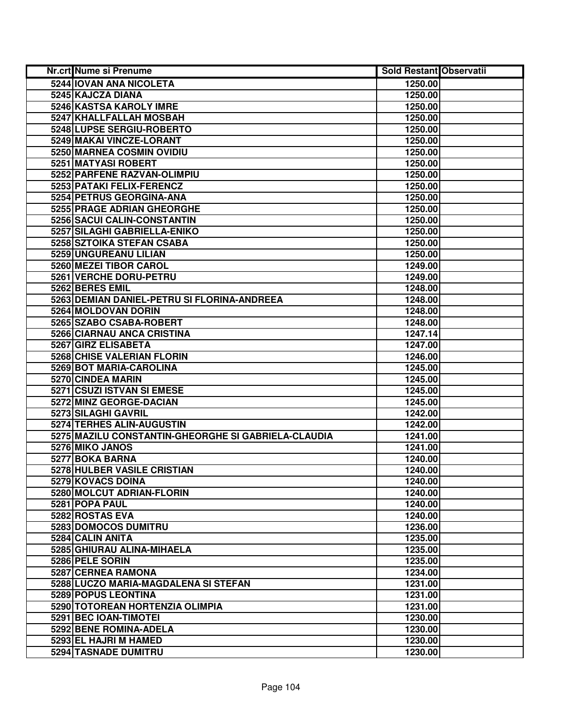| Nr.crt Nume si Prenume                              | <b>Sold Restant Observatii</b> |  |
|-----------------------------------------------------|--------------------------------|--|
| 5244 IOVAN ANA NICOLETA                             | 1250.00                        |  |
| 5245 KAJCZA DIANA                                   | 1250.00                        |  |
| 5246 KASTSA KAROLY IMRE                             | 1250.00                        |  |
| 5247 KHALLFALLAH MOSBAH                             | 1250.00                        |  |
| 5248 LUPSE SERGIU-ROBERTO                           | 1250.00                        |  |
| 5249 MAKAI VINCZE-LORANT                            | 1250.00                        |  |
| 5250 MARNEA COSMIN OVIDIU                           | 1250.00                        |  |
| 5251 MATYASI ROBERT                                 | 1250.00                        |  |
| 5252 PARFENE RAZVAN-OLIMPIU                         | 1250.00                        |  |
| 5253 PATAKI FELIX-FERENCZ                           | 1250.00                        |  |
| 5254 PETRUS GEORGINA-ANA                            | 1250.00                        |  |
| 5255 PRAGE ADRIAN GHEORGHE                          | 1250.00                        |  |
| 5256 SACUI CALIN-CONSTANTIN                         | 1250.00                        |  |
| 5257 SILAGHI GABRIELLA-ENIKO                        | 1250.00                        |  |
| 5258 SZTOIKA STEFAN CSABA                           | 1250.00                        |  |
| 5259 UNGUREANU LILIAN                               | 1250.00                        |  |
| 5260 MEZEI TIBOR CAROL                              | 1249.00                        |  |
| 5261 VERCHE DORU-PETRU                              | 1249.00                        |  |
| 5262 BERES EMIL                                     | 1248.00                        |  |
| 5263 DEMIAN DANIEL-PETRU SI FLORINA-ANDREEA         | 1248.00                        |  |
| 5264 MOLDOVAN DORIN                                 | 1248.00                        |  |
| 5265 SZABO CSABA-ROBERT                             | 1248.00                        |  |
| 5266 CIARNAU ANCA CRISTINA                          | 1247.14                        |  |
| 5267 GIRZ ELISABETA                                 | 1247.00                        |  |
| 5268 CHISE VALERIAN FLORIN                          | 1246.00                        |  |
| 5269 BOT MARIA-CAROLINA                             | 1245.00                        |  |
| 5270 CINDEA MARIN                                   | 1245.00                        |  |
| 5271 CSUZI ISTVAN SI EMESE                          | 1245.00                        |  |
| 5272 MINZ GEORGE-DACIAN                             | 1245.00                        |  |
| 5273 SILAGHI GAVRIL                                 | 1242.00                        |  |
| 5274 TERHES ALIN-AUGUSTIN                           | 1242.00                        |  |
| 5275 MAZILU CONSTANTIN-GHEORGHE SI GABRIELA-CLAUDIA | 1241.00                        |  |
| 5276 MIKO JANOS                                     | 1241.00                        |  |
| 5277 BOKA BARNA                                     | 1240.00                        |  |
| 5278 HULBER VASILE CRISTIAN                         | 1240.00                        |  |
| 5279 KOVACS DOINA                                   | 1240.00                        |  |
| 5280 MOLCUT ADRIAN-FLORIN                           | 1240.00                        |  |
| 5281 POPA PAUL                                      | 1240.00                        |  |
| 5282 ROSTAS EVA                                     | 1240.00                        |  |
| 5283 DOMOCOS DUMITRU                                | 1236.00                        |  |
| 5284 CALIN ANITA                                    | 1235.00                        |  |
| 5285 GHIURAU ALINA-MIHAELA                          | 1235.00                        |  |
| 5286 PELE SORIN                                     | 1235.00                        |  |
| 5287 CERNEA RAMONA                                  | 1234.00                        |  |
| 5288 LUCZO MARIA-MAGDALENA SI STEFAN                | 1231.00                        |  |
| 5289 POPUS LEONTINA                                 | 1231.00                        |  |
| 5290 TOTOREAN HORTENZIA OLIMPIA                     | 1231.00                        |  |
| 5291 BEC IOAN-TIMOTEI                               | 1230.00                        |  |
| 5292 BENE ROMINA-ADELA                              | 1230.00                        |  |
| 5293 EL HAJRI M HAMED                               | 1230.00                        |  |
| 5294 TASNADE DUMITRU                                | 1230.00                        |  |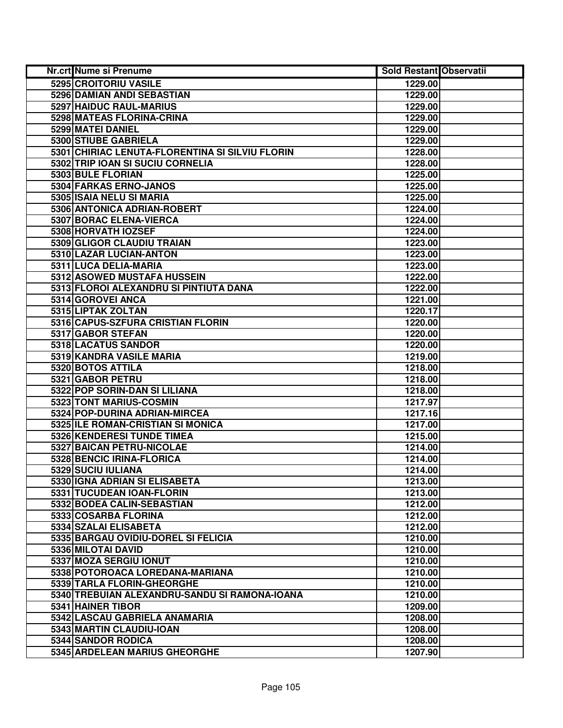| Nr.crt Nume si Prenume                          | <b>Sold Restant Observatii</b> |  |
|-------------------------------------------------|--------------------------------|--|
| 5295 CROITORIU VASILE                           | 1229.00                        |  |
| <b>5296 DAMIAN ANDI SEBASTIAN</b>               | 1229.00                        |  |
| 5297 HAIDUC RAUL-MARIUS                         | 1229.00                        |  |
| 5298 MATEAS FLORINA-CRINA                       | 1229.00                        |  |
| 5299 MATEI DANIEL                               | 1229.00                        |  |
| 5300 STIUBE GABRIELA                            | 1229.00                        |  |
| 5301 CHIRIAC LENUTA-FLORENTINA SI SILVIU FLORIN | 1228.00                        |  |
| 5302 TRIP IOAN SI SUCIU CORNELIA                | 1228.00                        |  |
| 5303 BULE FLORIAN                               | 1225.00                        |  |
| 5304 FARKAS ERNO-JANOS                          | 1225.00                        |  |
| 5305 ISAIA NELU SI MARIA                        | 1225.00                        |  |
| 5306 ANTONICA ADRIAN-ROBERT                     | 1224.00                        |  |
| 5307 BORAC ELENA-VIERCA                         | 1224.00                        |  |
| 5308 HORVATH IOZSEF                             | 1224.00                        |  |
| 5309 GLIGOR CLAUDIU TRAIAN                      | 1223.00                        |  |
| 5310 LAZAR LUCIAN-ANTON                         | 1223.00                        |  |
| 5311 LUCA DELIA-MARIA                           | 1223.00                        |  |
| 5312 ASOWED MUSTAFA HUSSEIN                     | 1222.00                        |  |
| 5313 FLOROI ALEXANDRU SI PINTIUTA DANA          | 1222.00                        |  |
| 5314 GOROVEI ANCA                               | 1221.00                        |  |
| 5315 LIPTAK ZOLTAN                              | 1220.17                        |  |
| 5316 CAPUS-SZFURA CRISTIAN FLORIN               | 1220.00                        |  |
| 5317 GABOR STEFAN                               | 1220.00                        |  |
| 5318 LACATUS SANDOR                             | 1220.00                        |  |
| 5319 KANDRA VASILE MARIA                        | 1219.00                        |  |
| 5320 BOTOS ATTILA                               | 1218.00                        |  |
| 5321 GABOR PETRU                                | 1218.00                        |  |
| 5322 POP SORIN-DAN SI LILIANA                   | 1218.00                        |  |
| 5323 TONT MARIUS-COSMIN                         | 1217.97                        |  |
| 5324 POP-DURINA ADRIAN-MIRCEA                   | 1217.16                        |  |
| 5325 ILE ROMAN-CRISTIAN SI MONICA               | 1217.00                        |  |
| 5326 KENDERESI TUNDE TIMEA                      | 1215.00                        |  |
| 5327 BAICAN PETRU-NICOLAE                       | 1214.00                        |  |
| 5328 BENCIC IRINA-FLORICA                       | 1214.00                        |  |
| 5329 SUCIU IULIANA                              | 1214.00                        |  |
| 5330 IGNA ADRIAN SI ELISABETA                   | 1213.00                        |  |
| 5331 TUCUDEAN IOAN-FLORIN                       | 1213.00                        |  |
| 5332 BODEA CALIN-SEBASTIAN                      | 1212.00                        |  |
| 5333 COSARBA FLORINA                            | 1212.00                        |  |
| 5334 SZALAI ELISABETA                           | 1212.00                        |  |
| 5335 BARGAU OVIDIU-DOREL SI FELICIA             | 1210.00                        |  |
| 5336 MILOTAI DAVID                              | 1210.00                        |  |
| 5337 MOZA SERGIU IONUT                          | 1210.00                        |  |
| 5338 POTOROACA LOREDANA-MARIANA                 | 1210.00                        |  |
| 5339 TARLA FLORIN-GHEORGHE                      | 1210.00                        |  |
| 5340 TREBUIAN ALEXANDRU-SANDU SI RAMONA-IOANA   | 1210.00                        |  |
| 5341 HAINER TIBOR                               | 1209.00                        |  |
| 5342 LASCAU GABRIELA ANAMARIA                   | 1208.00                        |  |
| 5343 MARTIN CLAUDIU-IOAN                        | 1208.00                        |  |
| 5344 SANDOR RODICA                              | 1208.00                        |  |
| 5345 ARDELEAN MARIUS GHEORGHE                   | 1207.90                        |  |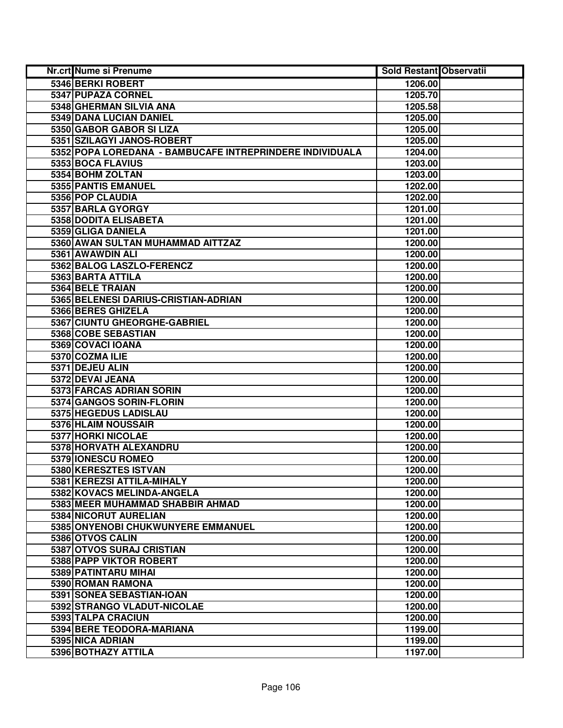| Nr.crt Nume si Prenume                                   | <b>Sold Restant Observatii</b> |  |
|----------------------------------------------------------|--------------------------------|--|
| 5346 BERKI ROBERT                                        | 1206.00                        |  |
| 5347 PUPAZA CORNEL                                       | 1205.70                        |  |
| 5348 GHERMAN SILVIA ANA                                  | 1205.58                        |  |
| 5349 DANA LUCIAN DANIEL                                  | 1205.00                        |  |
| 5350 GABOR GABOR SI LIZA                                 | 1205.00                        |  |
| 5351 SZILAGYI JANOS-ROBERT                               | 1205.00                        |  |
| 5352 POPA LOREDANA - BAMBUCAFE INTREPRINDERE INDIVIDUALA | 1204.00                        |  |
| 5353 BOCA FLAVIUS                                        | 1203.00                        |  |
| 5354 BOHM ZOLTAN                                         | 1203.00                        |  |
| 5355 PANTIS EMANUEL                                      | 1202.00                        |  |
| 5356 POP CLAUDIA                                         | 1202.00                        |  |
| 5357 BARLA GYORGY                                        | 1201.00                        |  |
| 5358 DODITA ELISABETA                                    | 1201.00                        |  |
| 5359 GLIGA DANIELA                                       | 1201.00                        |  |
| 5360 AWAN SULTAN MUHAMMAD AITTZAZ                        | 1200.00                        |  |
| 5361 AWAWDIN ALI                                         | 1200.00                        |  |
| 5362 BALOG LASZLO-FERENCZ                                | 1200.00                        |  |
| 5363 BARTA ATTILA                                        | 1200.00                        |  |
| 5364 BELE TRAIAN                                         | 1200.00                        |  |
| 5365 BELENESI DARIUS-CRISTIAN-ADRIAN                     | 1200.00                        |  |
| 5366 BERES GHIZELA                                       | 1200.00                        |  |
| 5367 CIUNTU GHEORGHE-GABRIEL                             | 1200.00                        |  |
| 5368 COBE SEBASTIAN                                      | 1200.00                        |  |
| 5369 COVACI IOANA                                        | 1200.00                        |  |
| 5370 COZMA ILIE                                          | 1200.00                        |  |
| 5371 DEJEU ALIN                                          | 1200.00                        |  |
| 5372 DEVAI JEANA                                         | 1200.00                        |  |
| 5373 FARCAS ADRIAN SORIN                                 | 1200.00                        |  |
| 5374 GANGOS SORIN-FLORIN                                 | 1200.00                        |  |
| 5375 HEGEDUS LADISLAU                                    | 1200.00                        |  |
| 5376 HLAIM NOUSSAIR                                      | 1200.00                        |  |
| 5377 HORKI NICOLAE                                       | 1200.00                        |  |
| 5378 HORVATH ALEXANDRU                                   | 1200.00                        |  |
| 5379 IONESCU ROMEO                                       | 1200.00                        |  |
| 5380 KERESZTES ISTVAN                                    | 1200.00                        |  |
| 5381 KEREZSI ATTILA-MIHALY                               | 1200.00                        |  |
| 5382 KOVACS MELINDA-ANGELA                               | 1200.00                        |  |
| 5383 MEER MUHAMMAD SHABBIR AHMAD                         | 1200.00                        |  |
| 5384 NICORUT AURELIAN                                    | 1200.00                        |  |
| 5385 ONYENOBI CHUKWUNYERE EMMANUEL                       | 1200.00                        |  |
| 5386 OTVOS CALIN                                         | 1200.00                        |  |
| 5387 OTVOS SURAJ CRISTIAN                                | 1200.00                        |  |
| 5388 PAPP VIKTOR ROBERT                                  | 1200.00                        |  |
| 5389 PATINTARU MIHAI                                     | 1200.00                        |  |
| 5390 ROMAN RAMONA                                        | 1200.00                        |  |
| 5391 SONEA SEBASTIAN-IOAN                                | 1200.00                        |  |
| 5392 STRANGO VLADUT-NICOLAE                              | 1200.00                        |  |
| 5393 TALPA CRACIUN                                       | 1200.00                        |  |
| 5394 BERE TEODORA-MARIANA                                | 1199.00                        |  |
| 5395 NICA ADRIAN                                         | 1199.00                        |  |
| 5396 BOTHAZY ATTILA                                      | 1197.00                        |  |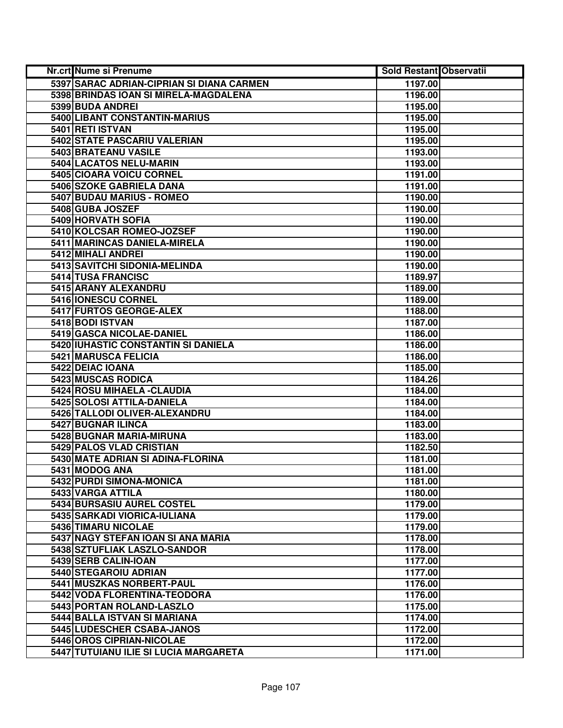| Nr.crt Nume si Prenume                    | <b>Sold Restant Observatii</b> |  |
|-------------------------------------------|--------------------------------|--|
| 5397 SARAC ADRIAN-CIPRIAN SI DIANA CARMEN | 1197.00                        |  |
| 5398 BRINDAS IOAN SI MIRELA-MAGDALENA     | 1196.00                        |  |
| 5399 BUDA ANDREI                          | 1195.00                        |  |
| 5400 LIBANT CONSTANTIN-MARIUS             | 1195.00                        |  |
| 5401 RETI ISTVAN                          | 1195.00                        |  |
| 5402 STATE PASCARIU VALERIAN              | 1195.00                        |  |
| 5403 BRATEANU VASILE                      | 1193.00                        |  |
| 5404 LACATOS NELU-MARIN                   | 1193.00                        |  |
| 5405 CIOARA VOICU CORNEL                  | 1191.00                        |  |
| <b>5406 SZOKE GABRIELA DANA</b>           | 1191.00                        |  |
| 5407 BUDAU MARIUS - ROMEO                 | 1190.00                        |  |
| 5408 GUBA JOSZEF                          | 1190.00                        |  |
| 5409 HORVATH SOFIA                        | 1190.00                        |  |
| 5410 KOLCSAR ROMEO-JOZSEF                 | 1190.00                        |  |
| 5411 MARINCAS DANIELA-MIRELA              | 1190.00                        |  |
| 5412 MIHALI ANDREI                        | 1190.00                        |  |
| 5413 SAVITCHI SIDONIA-MELINDA             | 1190.00                        |  |
| 5414 TUSA FRANCISC                        | 1189.97                        |  |
| 5415 ARANY ALEXANDRU                      | 1189.00                        |  |
| 5416 IONESCU CORNEL                       | 1189.00                        |  |
| 5417 FURTOS GEORGE-ALEX                   | 1188.00                        |  |
| 5418 BODI ISTVAN                          | 1187.00                        |  |
| 5419 GASCA NICOLAE-DANIEL                 | 1186.00                        |  |
| 5420 IUHASTIC CONSTANTIN SI DANIELA       | 1186.00                        |  |
| 5421 MARUSCA FELICIA                      | 1186.00                        |  |
| 5422 DEIAC IOANA                          | 1185.00                        |  |
| 5423 MUSCAS RODICA                        | 1184.26                        |  |
| 5424 ROSU MIHAELA - CLAUDIA               | 1184.00                        |  |
| 5425 SOLOSI ATTILA-DANIELA                | 1184.00                        |  |
| 5426 TALLODI OLIVER-ALEXANDRU             | 1184.00                        |  |
| 5427 BUGNAR ILINCA                        | 1183.00                        |  |
| 5428 BUGNAR MARIA-MIRUNA                  | 1183.00                        |  |
| 5429 PALOS VLAD CRISTIAN                  | 1182.50                        |  |
| 5430 MATE ADRIAN SI ADINA-FLORINA         | 1181.00                        |  |
| 5431 MODOG ANA                            | 1181.00                        |  |
| 5432 PURDI SIMONA-MONICA                  | 1181.00                        |  |
| 5433 VARGA ATTILA                         | 1180.00                        |  |
| 5434 BURSASIU AUREL COSTEL                | 1179.00                        |  |
| 5435 SARKADI VIORICA-IULIANA              | 1179.00                        |  |
| 5436 TIMARU NICOLAE                       | 1179.00                        |  |
| 5437 NAGY STEFAN IOAN SI ANA MARIA        | 1178.00                        |  |
| 5438 SZTUFLIAK LASZLO-SANDOR              | 1178.00                        |  |
| 5439 SERB CALIN-IOAN                      | 1177.00                        |  |
| 5440 STEGAROIU ADRIAN                     | 1177.00                        |  |
| 5441 MUSZKAS NORBERT-PAUL                 | 1176.00                        |  |
| 5442 VODA FLORENTINA-TEODORA              | 1176.00                        |  |
| 5443 PORTAN ROLAND-LASZLO                 | 1175.00                        |  |
| 5444 BALLA ISTVAN SI MARIANA              | 1174.00                        |  |
| 5445 LUDESCHER CSABA-JANOS                | 1172.00                        |  |
| 5446 OROS CIPRIAN-NICOLAE                 | 1172.00                        |  |
| 5447 TUTUIANU ILIE SI LUCIA MARGARETA     | 1171.00                        |  |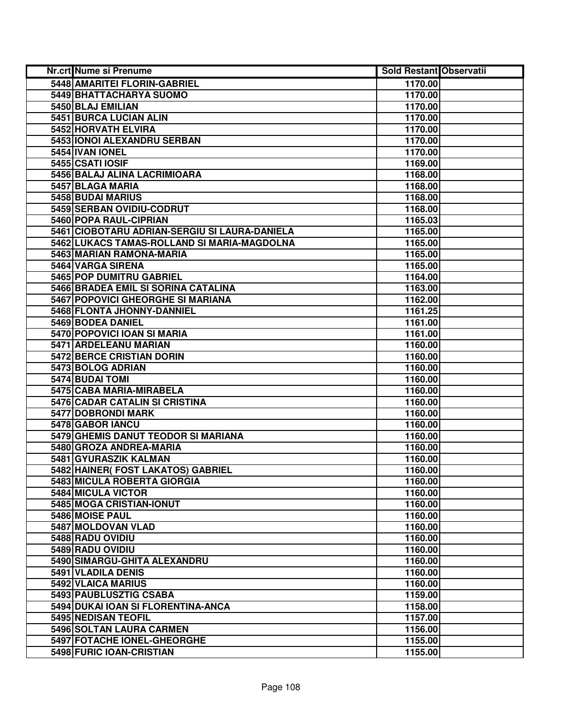| Nr.crt Nume si Prenume                        | <b>Sold Restant Observatii</b> |  |
|-----------------------------------------------|--------------------------------|--|
| 5448 AMARITEI FLORIN-GABRIEL                  | 1170.00                        |  |
| <b>5449 BHATTACHARYA SUOMO</b>                | 1170.00                        |  |
| 5450 BLAJ EMILIAN                             | 1170.00                        |  |
| 5451 BURCA LUCIAN ALIN                        | 1170.00                        |  |
| 5452 HORVATH ELVIRA                           | 1170.00                        |  |
| 5453 IONOI ALEXANDRU SERBAN                   | 1170.00                        |  |
| 5454 IVAN IONEL                               | 1170.00                        |  |
| 5455 CSATI IOSIF                              | 1169.00                        |  |
| 5456 BALAJ ALINA LACRIMIOARA                  | 1168.00                        |  |
| 5457 BLAGA MARIA                              | 1168.00                        |  |
| <b>5458 BUDAI MARIUS</b>                      | 1168.00                        |  |
| 5459 SERBAN OVIDIU-CODRUT                     | 1168.00                        |  |
| 5460 POPA RAUL-CIPRIAN                        | 1165.03                        |  |
| 5461 CIOBOTARU ADRIAN-SERGIU SI LAURA-DANIELA | 1165.00                        |  |
| 5462 LUKACS TAMAS-ROLLAND SI MARIA-MAGDOLNA   | 1165.00                        |  |
| 5463 MARIAN RAMONA-MARIA                      | 1165.00                        |  |
| 5464 VARGA SIRENA                             | 1165.00                        |  |
| 5465 POP DUMITRU GABRIEL                      | 1164.00                        |  |
| 5466 BRADEA EMIL SI SORINA CATALINA           | 1163.00                        |  |
| 5467 POPOVICI GHEORGHE SI MARIANA             | 1162.00                        |  |
| 5468 FLONTA JHONNY-DANNIEL                    | 1161.25                        |  |
| 5469 BODEA DANIEL                             | 1161.00                        |  |
| 5470 POPOVICI IOAN SI MARIA                   | 1161.00                        |  |
| 5471 ARDELEANU MARIAN                         | 1160.00                        |  |
| 5472 BERCE CRISTIAN DORIN                     | 1160.00                        |  |
| 5473 BOLOG ADRIAN                             | 1160.00                        |  |
| 5474 BUDAI TOMI                               | 1160.00                        |  |
| 5475 CABA MARIA-MIRABELA                      | 1160.00                        |  |
| 5476 CADAR CATALIN SI CRISTINA                | 1160.00                        |  |
| 5477 DOBRONDI MARK                            | 1160.00                        |  |
| 5478 GABOR IANCU                              | 1160.00                        |  |
| 5479 GHEMIS DANUT TEODOR SI MARIANA           | 1160.00                        |  |
| 5480 GROZA ANDREA-MARIA                       | 1160.00                        |  |
| 5481 GYURASZIK KALMAN                         | 1160.00                        |  |
| 5482 HAINER(FOST LAKATOS) GABRIEL             | 1160.00                        |  |
| 5483 MICULA ROBERTA GIORGIA                   | 1160.00                        |  |
| <b>5484 MICULA VICTOR</b>                     | 1160.00                        |  |
| 5485 MOGA CRISTIAN-IONUT                      | 1160.00                        |  |
| 5486 MOISE PAUL                               | 1160.00                        |  |
| 5487 MOLDOVAN VLAD                            | 1160.00                        |  |
| 5488 RADU OVIDIU                              | 1160.00                        |  |
| 5489 RADU OVIDIU                              | 1160.00                        |  |
| 5490 SIMARGU-GHITA ALEXANDRU                  | 1160.00                        |  |
| 5491 VLADILA DENIS                            | 1160.00                        |  |
| 5492 VLAICA MARIUS                            | 1160.00                        |  |
| 5493 PAUBLUSZTIG CSABA                        | 1159.00                        |  |
| 5494 DUKAI IOAN SI FLORENTINA-ANCA            | 1158.00                        |  |
| 5495 NEDISAN TEOFIL                           | 1157.00                        |  |
| 5496 SOLTAN LAURA CARMEN                      | 1156.00                        |  |
| 5497 FOTACHE IONEL-GHEORGHE                   | 1155.00                        |  |
| 5498 FURIC IOAN-CRISTIAN                      | 1155.00                        |  |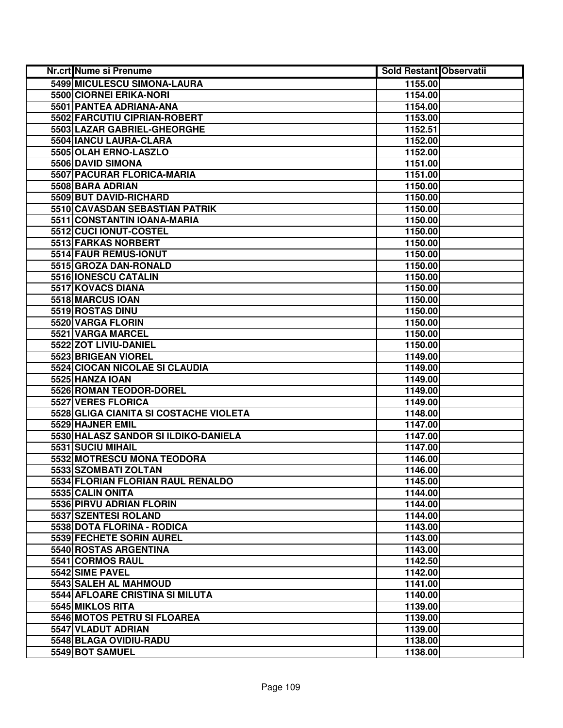| Nr.crt Nume si Prenume                 | <b>Sold Restant Observatii</b> |  |
|----------------------------------------|--------------------------------|--|
| 5499 MICULESCU SIMONA-LAURA            | 1155.00                        |  |
| 5500 CIORNEI ERIKA-NORI                | 1154.00                        |  |
| 5501 PANTEA ADRIANA-ANA                | 1154.00                        |  |
| 5502 FARCUTIU CIPRIAN-ROBERT           | 1153.00                        |  |
| 5503 LAZAR GABRIEL-GHEORGHE            | 1152.51                        |  |
| 5504 IANCU LAURA-CLARA                 | 1152.00                        |  |
| 5505 OLAH ERNO-LASZLO                  | 1152.00                        |  |
| 5506 DAVID SIMONA                      | 1151.00                        |  |
| 5507 PACURAR FLORICA-MARIA             | 1151.00                        |  |
| 5508 BARA ADRIAN                       | 1150.00                        |  |
| 5509 BUT DAVID-RICHARD                 | 1150.00                        |  |
| 5510 CAVASDAN SEBASTIAN PATRIK         | 1150.00                        |  |
| 5511 CONSTANTIN IOANA-MARIA            | 1150.00                        |  |
| 5512 CUCI IONUT-COSTEL                 | 1150.00                        |  |
| 5513 FARKAS NORBERT                    | 1150.00                        |  |
| 5514 FAUR REMUS-IONUT                  | 1150.00                        |  |
| 5515 GROZA DAN-RONALD                  | 1150.00                        |  |
| 5516 IONESCU CATALIN                   | 1150.00                        |  |
| 5517 KOVACS DIANA                      | 1150.00                        |  |
| 5518 MARCUS IOAN                       | 1150.00                        |  |
| 5519 ROSTAS DINU                       | 1150.00                        |  |
| 5520 VARGA FLORIN                      | 1150.00                        |  |
| 5521 VARGA MARCEL                      | 1150.00                        |  |
| 5522 ZOT LIVIU-DANIEL                  | 1150.00                        |  |
| 5523 BRIGEAN VIOREL                    | 1149.00                        |  |
| 5524 CIOCAN NICOLAE SI CLAUDIA         | 1149.00                        |  |
| 5525 HANZA IOAN                        | 1149.00                        |  |
| 5526 ROMAN TEODOR-DOREL                | 1149.00                        |  |
| 5527 VERES FLORICA                     | 1149.00                        |  |
| 5528 GLIGA CIANITA SI COSTACHE VIOLETA | 1148.00                        |  |
| 5529 HAJNER EMIL                       | 1147.00                        |  |
| 5530 HALASZ SANDOR SI ILDIKO-DANIELA   | 1147.00                        |  |
| 5531 SUCIU MIHAIL                      | 1147.00                        |  |
| 5532 MOTRESCU MONA TEODORA             | 1146.00                        |  |
| 5533 SZOMBATI ZOLTAN                   | 1146.00                        |  |
| 5534 FLORIAN FLORIAN RAUL RENALDO      | 1145.00                        |  |
| 5535 CALIN ONITA                       | 1144.00                        |  |
| 5536 PIRVU ADRIAN FLORIN               | 1144.00                        |  |
| 5537 SZENTESI ROLAND                   | 1144.00                        |  |
| 5538 DOTA FLORINA - RODICA             | 1143.00                        |  |
| 5539 FECHETE SORIN AUREL               | 1143.00                        |  |
| 5540 ROSTAS ARGENTINA                  | 1143.00                        |  |
| 5541 CORMOS RAUL                       | 1142.50                        |  |
| 5542 SIME PAVEL                        | 1142.00                        |  |
| 5543 SALEH AL MAHMOUD                  | 1141.00                        |  |
| 5544 AFLOARE CRISTINA SI MILUTA        | 1140.00                        |  |
| 5545 MIKLOS RITA                       | 1139.00                        |  |
| 5546 MOTOS PETRU SI FLOAREA            | 1139.00                        |  |
| 5547 VLADUT ADRIAN                     | 1139.00                        |  |
| 5548 BLAGA OVIDIU-RADU                 | 1138.00                        |  |
| 5549 BOT SAMUEL                        | 1138.00                        |  |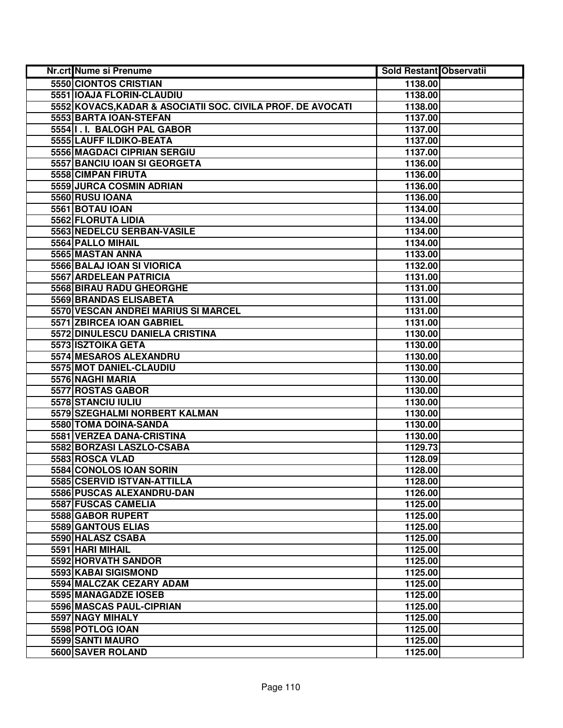| Nr.crt Nume si Prenume                                      | <b>Sold Restant Observatii</b> |  |
|-------------------------------------------------------------|--------------------------------|--|
| 5550 CIONTOS CRISTIAN                                       | 1138.00                        |  |
| 5551 IOAJA FLORIN-CLAUDIU                                   | 1138.00                        |  |
| 5552 KOVACS, KADAR & ASOCIATII SOC. CIVILA PROF. DE AVOCATI | 1138.00                        |  |
| 5553 BARTA IOAN-STEFAN                                      | 1137.00                        |  |
| 5554 I.I. BALOGH PAL GABOR                                  | 1137.00                        |  |
| 5555 LAUFF ILDIKO-BEATA                                     | 1137.00                        |  |
| 5556 MAGDACI CIPRIAN SERGIU                                 | 1137.00                        |  |
| 5557 BANCIU IOAN SI GEORGETA                                | 1136.00                        |  |
| 5558 CIMPAN FIRUTA                                          | 1136.00                        |  |
| 5559 JURCA COSMIN ADRIAN                                    | 1136.00                        |  |
| 5560 RUSU IOANA                                             | 1136.00                        |  |
| 5561 BOTAU IOAN                                             | 1134.00                        |  |
| 5562 FLORUTA LIDIA                                          | 1134.00                        |  |
| 5563 NEDELCU SERBAN-VASILE                                  | 1134.00                        |  |
| 5564 PALLO MIHAIL                                           | 1134.00                        |  |
| 5565 MASTAN ANNA                                            | 1133.00                        |  |
| 5566 BALAJ IOAN SI VIORICA                                  | 1132.00                        |  |
| 5567 ARDELEAN PATRICIA                                      | 1131.00                        |  |
| 5568 BIRAU RADU GHEORGHE                                    | 1131.00                        |  |
| 5569 BRANDAS ELISABETA                                      | 1131.00                        |  |
| 5570 VESCAN ANDREI MARIUS SI MARCEL                         | 1131.00                        |  |
| 5571 ZBIRCEA IOAN GABRIEL                                   | 1131.00                        |  |
| 5572 DINULESCU DANIELA CRISTINA                             | 1130.00                        |  |
| 5573 ISZTOIKA GETA                                          | 1130.00                        |  |
| 5574 MESAROS ALEXANDRU                                      | 1130.00                        |  |
| 5575 MOT DANIEL-CLAUDIU                                     | 1130.00                        |  |
| 5576 NAGHI MARIA                                            | 1130.00                        |  |
| 5577 ROSTAS GABOR                                           | 1130.00                        |  |
| 5578 STANCIU IULIU                                          | 1130.00                        |  |
| 5579 SZEGHALMI NORBERT KALMAN                               | 1130.00                        |  |
| 5580 TOMA DOINA-SANDA                                       | 1130.00                        |  |
| 5581 VERZEA DANA-CRISTINA                                   | 1130.00                        |  |
| 5582 BORZASI LASZLO-CSABA                                   | 1129.73                        |  |
| 5583 ROSCA VLAD                                             | 1128.09                        |  |
| 5584 CONOLOS IOAN SORIN                                     | 1128.00                        |  |
| 5585 CSERVID ISTVAN-ATTILLA                                 | 1128.00                        |  |
| 5586 PUSCAS ALEXANDRU-DAN                                   | 1126.00                        |  |
| 5587 FUSCAS CAMELIA                                         | 1125.00                        |  |
| 5588 GABOR RUPERT                                           | 1125.00                        |  |
| 5589 GANTOUS ELIAS                                          | 1125.00                        |  |
| 5590 HALASZ CSABA                                           | 1125.00                        |  |
| 5591 HARI MIHAIL                                            | 1125.00                        |  |
| 5592 HORVATH SANDOR                                         | 1125.00                        |  |
| 5593 KABAI SIGISMOND                                        | 1125.00                        |  |
| 5594 MALCZAK CEZARY ADAM                                    | 1125.00                        |  |
| 5595 MANAGADZE IOSEB                                        | 1125.00                        |  |
| 5596 MASCAS PAUL-CIPRIAN                                    | 1125.00                        |  |
| 5597 NAGY MIHALY                                            | 1125.00                        |  |
| 5598 POTLOG IOAN                                            | 1125.00                        |  |
| 5599 SANTI MAURO                                            | 1125.00                        |  |
| 5600 SAVER ROLAND                                           | 1125.00                        |  |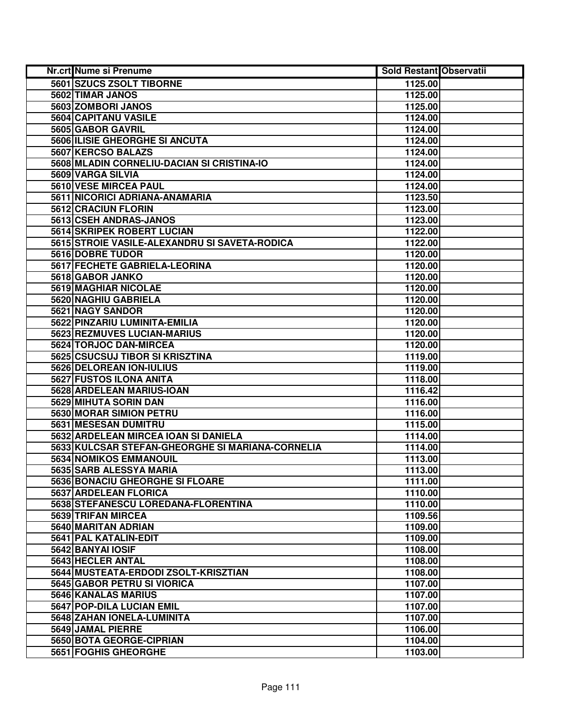| Nr.crt Nume si Prenume                           | <b>Sold Restant Observatii</b> |  |
|--------------------------------------------------|--------------------------------|--|
| 5601 SZUCS ZSOLT TIBORNE                         | 1125.00                        |  |
| 5602 TIMAR JANOS                                 | 1125.00                        |  |
| 5603 ZOMBORI JANOS                               | 1125.00                        |  |
| 5604 CAPITANU VASILE                             | 1124.00                        |  |
| 5605 GABOR GAVRIL                                | 1124.00                        |  |
| 5606 ILISIE GHEORGHE SI ANCUTA                   | 1124.00                        |  |
| 5607 KERCSO BALAZS                               | 1124.00                        |  |
| 5608 MLADIN CORNELIU-DACIAN SI CRISTINA-IO       | 1124.00                        |  |
| 5609 VARGA SILVIA                                | 1124.00                        |  |
| 5610 VESE MIRCEA PAUL                            | 1124.00                        |  |
| 5611 NICORICI ADRIANA-ANAMARIA                   | 1123.50                        |  |
| 5612 CRACIUN FLORIN                              | 1123.00                        |  |
| 5613 CSEH ANDRAS-JANOS                           | 1123.00                        |  |
| 5614 SKRIPEK ROBERT LUCIAN                       | 1122.00                        |  |
| 5615 STROIE VASILE-ALEXANDRU SI SAVETA-RODICA    | 1122.00                        |  |
| 5616 DOBRE TUDOR                                 | 1120.00                        |  |
| 5617 FECHETE GABRIELA-LEORINA                    | 1120.00                        |  |
| 5618 GABOR JANKO                                 | 1120.00                        |  |
| 5619 MAGHIAR NICOLAE                             | 1120.00                        |  |
| 5620 NAGHIU GABRIELA                             | 1120.00                        |  |
| 5621 NAGY SANDOR                                 | 1120.00                        |  |
| 5622 PINZARIU LUMINITA-EMILIA                    | 1120.00                        |  |
| 5623 REZMUVES LUCIAN-MARIUS                      | 1120.00                        |  |
| 5624 TORJOC DAN-MIRCEA                           | 1120.00                        |  |
| 5625 CSUCSUJ TIBOR SI KRISZTINA                  | 1119.00                        |  |
| 5626 DELOREAN ION-IULIUS                         | 1119.00                        |  |
| 5627 FUSTOS ILONA ANITA                          | 1118.00                        |  |
| 5628 ARDELEAN MARIUS-IOAN                        | 1116.42                        |  |
| 5629 MIHUTA SORIN DAN                            | 1116.00                        |  |
| 5630 MORAR SIMION PETRU                          | 1116.00                        |  |
| 5631 MESESAN DUMITRU                             | 1115.00                        |  |
| 5632 ARDELEAN MIRCEA IOAN SI DANIELA             | 1114.00                        |  |
| 5633 KULCSAR STEFAN-GHEORGHE SI MARIANA-CORNELIA | 1114.00                        |  |
| 5634 NOMIKOS EMMANOUIL                           | 1113.00                        |  |
| 5635 SARB ALESSYA MARIA                          | 1113.00                        |  |
| <b>5636 BONACIU GHEORGHE SI FLOARE</b>           | 1111.00                        |  |
| 5637 ARDELEAN FLORICA                            | 1110.00                        |  |
| 5638 STEFANESCU LOREDANA-FLORENTINA              | 1110.00                        |  |
| 5639 TRIFAN MIRCEA                               | 1109.56                        |  |
| 5640 MARITAN ADRIAN                              | 1109.00                        |  |
| 5641 PAL KATALIN-EDIT                            | 1109.00                        |  |
| 5642 BANYAI IOSIF                                | 1108.00                        |  |
| 5643 HECLER ANTAL                                | 1108.00                        |  |
| 5644 MUSTEATA-ERDODI ZSOLT-KRISZTIAN             | 1108.00                        |  |
| 5645 GABOR PETRU SI VIORICA                      | 1107.00                        |  |
| 5646 KANALAS MARIUS                              | 1107.00                        |  |
| 5647 POP-DILA LUCIAN EMIL                        | 1107.00                        |  |
| 5648 ZAHAN IONELA-LUMINITA                       | 1107.00                        |  |
| 5649 JAMAL PIERRE                                | 1106.00                        |  |
| 5650 BOTA GEORGE-CIPRIAN                         | 1104.00                        |  |
| 5651 FOGHIS GHEORGHE                             | 1103.00                        |  |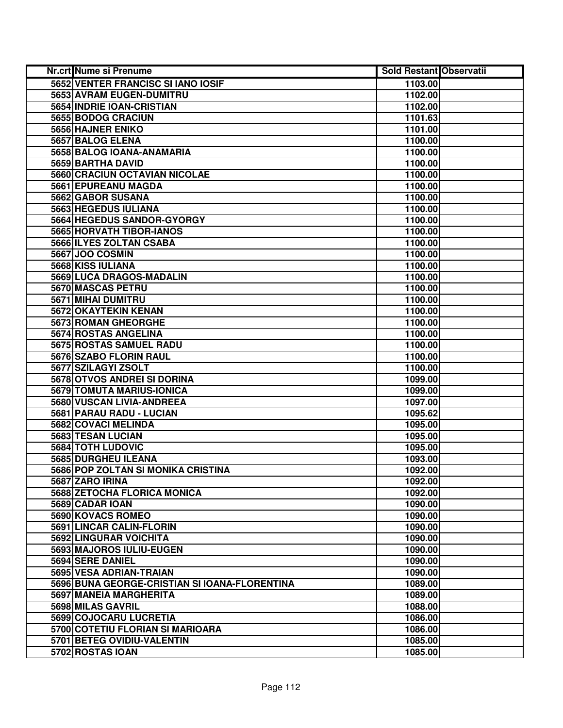| Nr.crt Nume si Prenume                        | <b>Sold Restant Observatii</b> |  |
|-----------------------------------------------|--------------------------------|--|
| 5652 VENTER FRANCISC SI IANO IOSIF            | 1103.00                        |  |
| 5653 AVRAM EUGEN-DUMITRU                      | 1102.00                        |  |
| 5654 INDRIE IOAN-CRISTIAN                     | 1102.00                        |  |
| 5655 BODOG CRACIUN                            | 1101.63                        |  |
| 5656 HAJNER ENIKO                             | 1101.00                        |  |
| 5657 BALOG ELENA                              | 1100.00                        |  |
| 5658 BALOG IOANA-ANAMARIA                     | 1100.00                        |  |
| 5659 BARTHA DAVID                             | 1100.00                        |  |
| 5660 CRACIUN OCTAVIAN NICOLAE                 | 1100.00                        |  |
| 5661 EPUREANU MAGDA                           | 1100.00                        |  |
| 5662 GABOR SUSANA                             | 1100.00                        |  |
| 5663 HEGEDUS IULIANA                          | 1100.00                        |  |
| 5664 HEGEDUS SANDOR-GYORGY                    | 1100.00                        |  |
| 5665 HORVATH TIBOR-IANOS                      | 1100.00                        |  |
| 5666 ILYES ZOLTAN CSABA                       | 1100.00                        |  |
| 5667 JOO COSMIN                               | 1100.00                        |  |
| 5668 KISS IULIANA                             | 1100.00                        |  |
| 5669 LUCA DRAGOS-MADALIN                      | 1100.00                        |  |
| 5670 MASCAS PETRU                             | 1100.00                        |  |
| 5671 MIHAI DUMITRU                            | 1100.00                        |  |
| 5672 OKAYTEKIN KENAN                          | 1100.00                        |  |
| 5673 ROMAN GHEORGHE                           | 1100.00                        |  |
| 5674 ROSTAS ANGELINA                          | 1100.00                        |  |
| 5675 ROSTAS SAMUEL RADU                       | 1100.00                        |  |
| 5676 SZABO FLORIN RAUL                        | 1100.00                        |  |
| 5677 SZILAGYI ZSOLT                           | 1100.00                        |  |
| 5678 OTVOS ANDREI SI DORINA                   | 1099.00                        |  |
| 5679 TOMUTA MARIUS-IONICA                     | 1099.00                        |  |
| 5680 VUSCAN LIVIA-ANDREEA                     | 1097.00                        |  |
| 5681 PARAU RADU - LUCIAN                      | 1095.62                        |  |
| 5682 COVACI MELINDA                           | 1095.00                        |  |
| 5683 TESAN LUCIAN                             | 1095.00                        |  |
| <b>5684 TOTH LUDOVIC</b>                      | 1095.00                        |  |
| 5685 DURGHEU ILEANA                           | 1093.00                        |  |
| 5686 POP ZOLTAN SI MONIKA CRISTINA            | 1092.00                        |  |
| 5687 ZARO IRINA                               | 1092.00                        |  |
| 5688 ZETOCHA FLORICA MONICA                   | 1092.00                        |  |
| 5689 CADAR IOAN                               | 1090.00                        |  |
| 5690 KOVACS ROMEO                             | 1090.00                        |  |
| 5691 LINCAR CALIN-FLORIN                      | 1090.00                        |  |
| <b>5692 LINGURAR VOICHITA</b>                 | 1090.00                        |  |
| 5693 MAJOROS IULIU-EUGEN                      | 1090.00                        |  |
| 5694 SERE DANIEL                              | 1090.00                        |  |
| 5695 VESA ADRIAN-TRAIAN                       | 1090.00                        |  |
| 5696 BUNA GEORGE-CRISTIAN SI IOANA-FLORENTINA | 1089.00                        |  |
| 5697 MANEIA MARGHERITA                        | 1089.00                        |  |
| 5698 MILAS GAVRIL                             | 1088.00                        |  |
| 5699 COJOCARU LUCRETIA                        | 1086.00                        |  |
| 5700 COTETIU FLORIAN SI MARIOARA              | 1086.00                        |  |
| 5701 BETEG OVIDIU-VALENTIN                    | 1085.00                        |  |
| 5702 ROSTAS IOAN                              | 1085.00                        |  |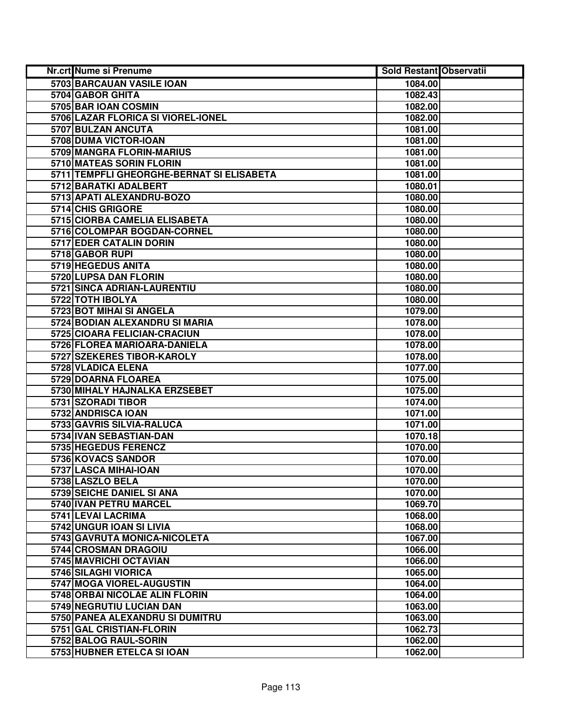| Nr.crt Nume si Prenume                    | <b>Sold Restant Observatii</b> |  |
|-------------------------------------------|--------------------------------|--|
| <b>5703 BARCAUAN VASILE IOAN</b>          | 1084.00                        |  |
| 5704 GABOR GHITA                          | 1082.43                        |  |
| 5705 BAR IOAN COSMIN                      | 1082.00                        |  |
| 5706 LAZAR FLORICA SI VIOREL-IONEL        | 1082.00                        |  |
| 5707 BULZAN ANCUTA                        | 1081.00                        |  |
| 5708 DUMA VICTOR-IOAN                     | 1081.00                        |  |
| 5709 MANGRA FLORIN-MARIUS                 | 1081.00                        |  |
| 5710 MATEAS SORIN FLORIN                  | 1081.00                        |  |
| 5711 TEMPFLI GHEORGHE-BERNAT SI ELISABETA | 1081.00                        |  |
| 5712 BARATKI ADALBERT                     | 1080.01                        |  |
| 5713 APATI ALEXANDRU-BOZO                 | 1080.00                        |  |
| 5714 CHIS GRIGORE                         | 1080.00                        |  |
| 5715 CIORBA CAMELIA ELISABETA             | 1080.00                        |  |
| 5716 COLOMPAR BOGDAN-CORNEL               | 1080.00                        |  |
| 5717 EDER CATALIN DORIN                   | 1080.00                        |  |
| 5718 GABOR RUPI                           | 1080.00                        |  |
| 5719 HEGEDUS ANITA                        | 1080.00                        |  |
| 5720 LUPSA DAN FLORIN                     | 1080.00                        |  |
| 5721 SINCA ADRIAN-LAURENTIU               | 1080.00                        |  |
| 5722 TOTH IBOLYA                          | 1080.00                        |  |
| 5723 BOT MIHAI SI ANGELA                  | 1079.00                        |  |
| 5724 BODIAN ALEXANDRU SI MARIA            | 1078.00                        |  |
| 5725 CIOARA FELICIAN-CRACIUN              | 1078.00                        |  |
| 5726 FLOREA MARIOARA-DANIELA              | 1078.00                        |  |
| 5727 SZEKERES TIBOR-KAROLY                | 1078.00                        |  |
| 5728 VLADICA ELENA                        | 1077.00                        |  |
| 5729 DOARNA FLOAREA                       | 1075.00                        |  |
| 5730 MIHALY HAJNALKA ERZSEBET             | 1075.00                        |  |
| 5731 SZORADI TIBOR                        | 1074.00                        |  |
| 5732 ANDRISCA IOAN                        | 1071.00                        |  |
| 5733 GAVRIS SILVIA-RALUCA                 | 1071.00                        |  |
| 5734 IVAN SEBASTIAN-DAN                   | 1070.18                        |  |
| 5735 HEGEDUS FERENCZ                      | 1070.00                        |  |
| 5736 KOVACS SANDOR                        | 1070.00                        |  |
| 5737 LASCA MIHAI-IOAN                     | 1070.00                        |  |
| 5738 LASZLO BELA                          | 1070.00                        |  |
| 5739 SEICHE DANIEL SI ANA                 | 1070.00                        |  |
| 5740 IVAN PETRU MARCEL                    | 1069.70                        |  |
| 5741 LEVAI LACRIMA                        | 1068.00                        |  |
| 5742 UNGUR IOAN SI LIVIA                  | 1068.00                        |  |
| 5743 GAVRUTA MONICA-NICOLETA              | 1067.00                        |  |
| 5744 CROSMAN DRAGOIU                      | 1066.00                        |  |
| 5745 MAVRICHI OCTAVIAN                    | 1066.00                        |  |
| 5746 SILAGHI VIORICA                      | 1065.00                        |  |
| 5747 MOGA VIOREL-AUGUSTIN                 | 1064.00                        |  |
| 5748 ORBAI NICOLAE ALIN FLORIN            | 1064.00                        |  |
| 5749 NEGRUTIU LUCIAN DAN                  | 1063.00                        |  |
| 5750 PANEA ALEXANDRU SI DUMITRU           | 1063.00                        |  |
| 5751 GAL CRISTIAN-FLORIN                  | 1062.73                        |  |
| 5752 BALOG RAUL-SORIN                     | 1062.00                        |  |
| 5753 HUBNER ETELCA SI IOAN                | 1062.00                        |  |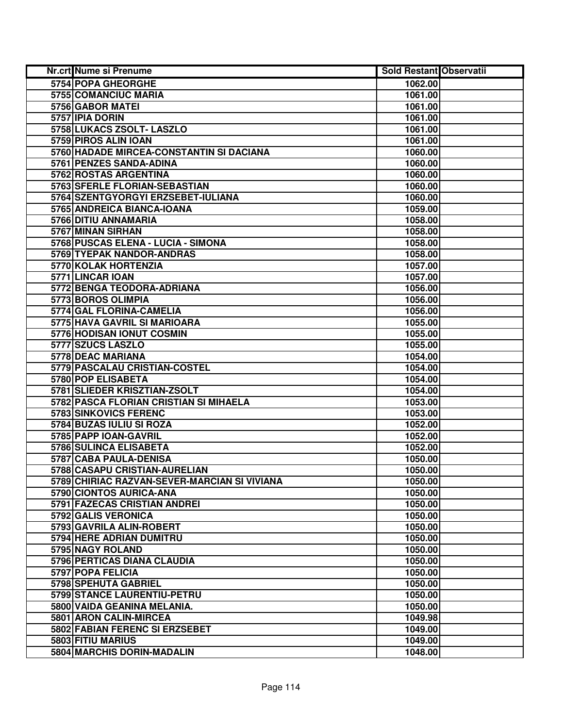| Nr.crt Nume si Prenume                       | <b>Sold Restant Observatii</b> |  |
|----------------------------------------------|--------------------------------|--|
| 5754 POPA GHEORGHE                           | 1062.00                        |  |
| 5755 COMANCIUC MARIA                         | 1061.00                        |  |
| 5756 GABOR MATEI                             | 1061.00                        |  |
| 5757 IPIA DORIN                              | 1061.00                        |  |
| 5758 LUKACS ZSOLT- LASZLO                    | 1061.00                        |  |
| 5759 PIROS ALIN IOAN                         | 1061.00                        |  |
| 5760 HADADE MIRCEA-CONSTANTIN SI DACIANA     | 1060.00                        |  |
| 5761 PENZES SANDA-ADINA                      | 1060.00                        |  |
| 5762 ROSTAS ARGENTINA                        | 1060.00                        |  |
| 5763 SFERLE FLORIAN-SEBASTIAN                | 1060.00                        |  |
| 5764 SZENTGYORGYI ERZSEBET-IULIANA           | 1060.00                        |  |
| 5765 ANDREICA BIANCA-IOANA                   | 1059.00                        |  |
| 5766 DITIU ANNAMARIA                         | 1058.00                        |  |
| 5767 MINAN SIRHAN                            | 1058.00                        |  |
| 5768 PUSCAS ELENA - LUCIA - SIMONA           | 1058.00                        |  |
| 5769 TYEPAK NANDOR-ANDRAS                    | 1058.00                        |  |
| 5770 KOLAK HORTENZIA                         | 1057.00                        |  |
| 5771 LINCAR IOAN                             | 1057.00                        |  |
| 5772 BENGA TEODORA-ADRIANA                   | 1056.00                        |  |
| 5773 BOROS OLIMPIA                           | 1056.00                        |  |
| 5774 GAL FLORINA-CAMELIA                     | 1056.00                        |  |
| 5775 HAVA GAVRIL SI MARIOARA                 | 1055.00                        |  |
| 5776 HODISAN IONUT COSMIN                    | 1055.00                        |  |
| 5777 SZUCS LASZLO                            | 1055.00                        |  |
| 5778 DEAC MARIANA                            | 1054.00                        |  |
| 5779 PASCALAU CRISTIAN-COSTEL                | 1054.00                        |  |
| 5780 POP ELISABETA                           | 1054.00                        |  |
| 5781 SLIEDER KRISZTIAN-ZSOLT                 | 1054.00                        |  |
| 5782 PASCA FLORIAN CRISTIAN SI MIHAELA       | 1053.00                        |  |
| 5783 SINKOVICS FERENC                        | 1053.00                        |  |
| 5784 BUZAS IULIU SI ROZA                     | 1052.00                        |  |
| 5785 PAPP IOAN-GAVRIL                        | 1052.00                        |  |
| 5786 SULINCA ELISABETA                       | 1052.00                        |  |
| 5787 CABA PAULA-DENISA                       | 1050.00                        |  |
| 5788 CASAPU CRISTIAN-AURELIAN                | 1050.00                        |  |
| 5789 CHIRIAC RAZVAN-SEVER-MARCIAN SI VIVIANA | 1050.00                        |  |
| 5790 CIONTOS AURICA-ANA                      | 1050.00                        |  |
| 5791 FAZECAS CRISTIAN ANDREI                 | 1050.00                        |  |
| 5792 GALIS VERONICA                          | 1050.00                        |  |
| 5793 GAVRILA ALIN-ROBERT                     | 1050.00                        |  |
| 5794 HERE ADRIAN DUMITRU                     | 1050.00                        |  |
| 5795 NAGY ROLAND                             | 1050.00                        |  |
| <b>5796 PERTICAS DIANA CLAUDIA</b>           | 1050.00                        |  |
| 5797 POPA FELICIA                            | 1050.00                        |  |
| 5798 SPEHUTA GABRIEL                         | 1050.00                        |  |
| 5799 STANCE LAURENTIU-PETRU                  | 1050.00                        |  |
| 5800 VAIDA GEANINA MELANIA.                  | 1050.00                        |  |
| 5801 ARON CALIN-MIRCEA                       | 1049.98                        |  |
| 5802 FABIAN FERENC SI ERZSEBET               | 1049.00                        |  |
| 5803 FITIU MARIUS                            | 1049.00                        |  |
| 5804 MARCHIS DORIN-MADALIN                   | 1048.00                        |  |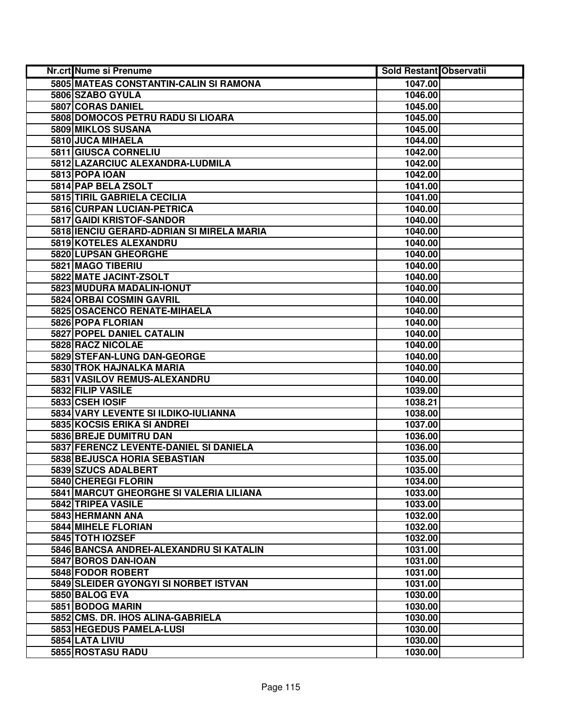| Nr.crt Nume si Prenume                    | <b>Sold Restant Observatii</b> |  |
|-------------------------------------------|--------------------------------|--|
| 5805 MATEAS CONSTANTIN-CALIN SI RAMONA    | 1047.00                        |  |
| 5806 SZABO GYULA                          | 1046.00                        |  |
| 5807 CORAS DANIEL                         | 1045.00                        |  |
| 5808 DOMOCOS PETRU RADU SI LIOARA         | 1045.00                        |  |
| 5809 MIKLOS SUSANA                        | 1045.00                        |  |
| 5810 JUCA MIHAELA                         | 1044.00                        |  |
| 5811 GIUSCA CORNELIU                      | 1042.00                        |  |
| 5812 LAZARCIUC ALEXANDRA-LUDMILA          | 1042.00                        |  |
| 5813 POPA IOAN                            | 1042.00                        |  |
| 5814 PAP BELA ZSOLT                       | 1041.00                        |  |
| 5815 TIRIL GABRIELA CECILIA               | 1041.00                        |  |
| 5816 CURPAN LUCIAN-PETRICA                | 1040.00                        |  |
| 5817 GAIDI KRISTOF-SANDOR                 | 1040.00                        |  |
| 5818 IENCIU GERARD-ADRIAN SI MIRELA MARIA | 1040.00                        |  |
| 5819 KOTELES ALEXANDRU                    | 1040.00                        |  |
| 5820 LUPSAN GHEORGHE                      | 1040.00                        |  |
| 5821 MAGO TIBERIU                         | 1040.00                        |  |
| 5822 MATE JACINT-ZSOLT                    | 1040.00                        |  |
| 5823 MUDURA MADALIN-IONUT                 | 1040.00                        |  |
| 5824 ORBAI COSMIN GAVRIL                  | 1040.00                        |  |
| 5825 OSACENCO RENATE-MIHAELA              | 1040.00                        |  |
| 5826 POPA FLORIAN                         | 1040.00                        |  |
| 5827 POPEL DANIEL CATALIN                 | 1040.00                        |  |
| 5828 RACZ NICOLAE                         | 1040.00                        |  |
| 5829 STEFAN-LUNG DAN-GEORGE               | 1040.00                        |  |
| 5830 TROK HAJNALKA MARIA                  | 1040.00                        |  |
| 5831 VASILOV REMUS-ALEXANDRU              | 1040.00                        |  |
| 5832 FILIP VASILE                         | 1039.00                        |  |
| 5833 CSEH IOSIF                           | 1038.21                        |  |
| 5834 VARY LEVENTE SI ILDIKO-IULIANNA      | 1038.00                        |  |
| 5835 KOCSIS ERIKA SI ANDREI               | 1037.00                        |  |
| 5836 BREJE DUMITRU DAN                    | 1036.00                        |  |
| 5837 FERENCZ LEVENTE-DANIEL SI DANIELA    | 1036.00                        |  |
| 5838 BEJUSCA HORIA SEBASTIAN              | 1035.00                        |  |
| 5839 SZUCS ADALBERT                       | 1035.00                        |  |
| 5840 CHEREGI FLORIN                       | 1034.00                        |  |
| 5841 MARCUT GHEORGHE SI VALERIA LILIANA   | 1033.00                        |  |
| 5842 TRIPEA VASILE                        | 1033.00                        |  |
| 5843 HERMANN ANA                          | 1032.00                        |  |
| 5844 MIHELE FLORIAN                       | 1032.00                        |  |
| 5845 TOTH IOZSEF                          | 1032.00                        |  |
| 5846 BANCSA ANDREI-ALEXANDRU SI KATALIN   | 1031.00                        |  |
| 5847 BOROS DAN-IOAN                       | 1031.00                        |  |
| 5848 FODOR ROBERT                         | 1031.00                        |  |
| 5849 SLEIDER GYONGYI SI NORBET ISTVAN     | 1031.00                        |  |
| 5850 BALOG EVA                            | 1030.00                        |  |
| 5851 BODOG MARIN                          | 1030.00                        |  |
| 5852 CMS. DR. IHOS ALINA-GABRIELA         | 1030.00                        |  |
| 5853 HEGEDUS PAMELA-LUSI                  | 1030.00                        |  |
| 5854 LATA LIVIU                           | 1030.00                        |  |
| 5855 ROSTASU RADU                         | 1030.00                        |  |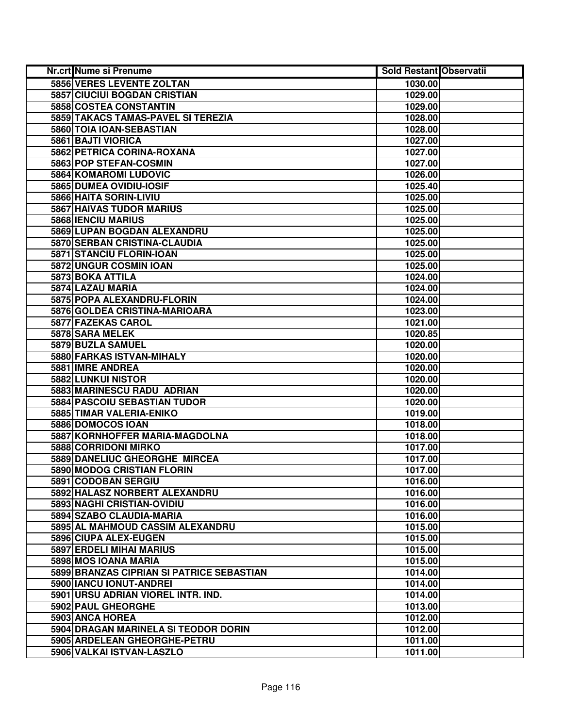| Nr.crt Nume si Prenume                    | <b>Sold Restant Observatii</b> |  |
|-------------------------------------------|--------------------------------|--|
| <b>5856 VERES LEVENTE ZOLTAN</b>          | 1030.00                        |  |
| 5857 CIUCIUI BOGDAN CRISTIAN              | 1029.00                        |  |
| 5858 COSTEA CONSTANTIN                    | 1029.00                        |  |
| 5859 TAKACS TAMAS-PAVEL SI TEREZIA        | 1028.00                        |  |
| 5860 TOIA IOAN-SEBASTIAN                  | 1028.00                        |  |
| 5861 BAJTI VIORICA                        | 1027.00                        |  |
| 5862 PETRICA CORINA-ROXANA                | 1027.00                        |  |
| 5863 POP STEFAN-COSMIN                    | 1027.00                        |  |
| <b>5864 KOMAROMI LUDOVIC</b>              | 1026.00                        |  |
| 5865 DUMEA OVIDIU-IOSIF                   | 1025.40                        |  |
| 5866 HAITA SORIN-LIVIU                    | 1025.00                        |  |
| <b>5867 HAIVAS TUDOR MARIUS</b>           | 1025.00                        |  |
| 5868 IENCIU MARIUS                        | 1025.00                        |  |
| 5869 LUPAN BOGDAN ALEXANDRU               | 1025.00                        |  |
| 5870 SERBAN CRISTINA-CLAUDIA              | 1025.00                        |  |
| 5871 STANCIU FLORIN-IOAN                  | 1025.00                        |  |
| 5872 UNGUR COSMIN IOAN                    | 1025.00                        |  |
| 5873 BOKA ATTILA                          | 1024.00                        |  |
| 5874 LAZAU MARIA                          | 1024.00                        |  |
| 5875 POPA ALEXANDRU-FLORIN                | 1024.00                        |  |
| 5876 GOLDEA CRISTINA-MARIOARA             | 1023.00                        |  |
| 5877 FAZEKAS CAROL                        | 1021.00                        |  |
| 5878 SARA MELEK                           | 1020.85                        |  |
| 5879 BUZLA SAMUEL                         | 1020.00                        |  |
| 5880 FARKAS ISTVAN-MIHALY                 | 1020.00                        |  |
| 5881 IMRE ANDREA                          | 1020.00                        |  |
| 5882 LUNKUI NISTOR                        | 1020.00                        |  |
| 5883 MARINESCU RADU ADRIAN                | 1020.00                        |  |
| 5884 PASCOIU SEBASTIAN TUDOR              | 1020.00                        |  |
| 5885 TIMAR VALERIA-ENIKO                  | 1019.00                        |  |
| 5886 DOMOCOS IOAN                         | 1018.00                        |  |
| 5887 KORNHOFFER MARIA-MAGDOLNA            | 1018.00                        |  |
| 5888 CORRIDONI MIRKO                      | 1017.00                        |  |
| 5889 DANELIUC GHEORGHE MIRCEA             | 1017.00                        |  |
| <b>5890 MODOG CRISTIAN FLORIN</b>         | 1017.00                        |  |
| 5891 CODOBAN SERGIU                       | 1016.00                        |  |
| 5892 HALASZ NORBERT ALEXANDRU             | 1016.00                        |  |
| 5893 NAGHI CRISTIAN-OVIDIU                | 1016.00                        |  |
| 5894 SZABO CLAUDIA-MARIA                  | 1016.00                        |  |
| 5895 AL MAHMOUD CASSIM ALEXANDRU          | 1015.00                        |  |
| 5896 CIUPA ALEX-EUGEN                     | 1015.00                        |  |
| 5897 ERDELI MIHAI MARIUS                  | 1015.00                        |  |
| 5898 MOS IOANA MARIA                      | 1015.00                        |  |
| 5899 BRANZAS CIPRIAN SI PATRICE SEBASTIAN | 1014.00                        |  |
| 5900 IANCU IONUT-ANDREI                   | 1014.00                        |  |
| 5901 URSU ADRIAN VIOREL INTR. IND.        | 1014.00                        |  |
| 5902 PAUL GHEORGHE                        | 1013.00                        |  |
| 5903 ANCA HOREA                           | 1012.00                        |  |
| 5904 DRAGAN MARINELA SI TEODOR DORIN      | 1012.00                        |  |
| 5905 ARDELEAN GHEORGHE-PETRU              | 1011.00                        |  |
| 5906 VALKAI ISTVAN-LASZLO                 | 1011.00                        |  |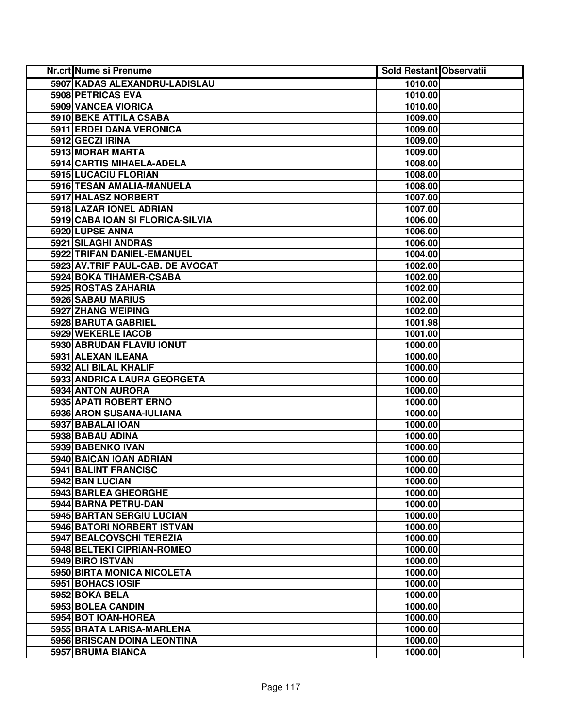| Nr.crt Nume si Prenume           | <b>Sold Restant Observatii</b> |  |
|----------------------------------|--------------------------------|--|
| 5907 KADAS ALEXANDRU-LADISLAU    | 1010.00                        |  |
| 5908 PETRICAS EVA                | 1010.00                        |  |
| 5909 VANCEA VIORICA              | 1010.00                        |  |
| 5910 BEKE ATTILA CSABA           | 1009.00                        |  |
| <b>5911 ERDEI DANA VERONICA</b>  | 1009.00                        |  |
| 5912 GECZI IRINA                 | 1009.00                        |  |
| 5913 MORAR MARTA                 | 1009.00                        |  |
| 5914 CARTIS MIHAELA-ADELA        | 1008.00                        |  |
| 5915 LUCACIU FLORIAN             | 1008.00                        |  |
| 5916 TESAN AMALIA-MANUELA        | 1008.00                        |  |
| 5917 HALASZ NORBERT              | 1007.00                        |  |
| 5918 LAZAR IONEL ADRIAN          | 1007.00                        |  |
| 5919 CABA IOAN SI FLORICA-SILVIA | 1006.00                        |  |
| 5920 LUPSE ANNA                  | 1006.00                        |  |
| 5921 SILAGHI ANDRAS              | 1006.00                        |  |
| 5922 TRIFAN DANIEL-EMANUEL       | 1004.00                        |  |
| 5923 AV.TRIF PAUL-CAB. DE AVOCAT | 1002.00                        |  |
| 5924 BOKA TIHAMER-CSABA          | 1002.00                        |  |
| 5925 ROSTAS ZAHARIA              | 1002.00                        |  |
| 5926 SABAU MARIUS                | 1002.00                        |  |
| 5927 ZHANG WEIPING               | 1002.00                        |  |
| 5928 BARUTA GABRIEL              | 1001.98                        |  |
| 5929 WEKERLE IACOB               | 1001.00                        |  |
| 5930 ABRUDAN FLAVIU IONUT        | 1000.00                        |  |
| 5931 ALEXAN ILEANA               | 1000.00                        |  |
| 5932 ALI BILAL KHALIF            | 1000.00                        |  |
| 5933 ANDRICA LAURA GEORGETA      | 1000.00                        |  |
| 5934 ANTON AURORA                | 1000.00                        |  |
| 5935 APATI ROBERT ERNO           | 1000.00                        |  |
| 5936 ARON SUSANA-IULIANA         | 1000.00                        |  |
| 5937 BABALAI IOAN                | 1000.00                        |  |
| 5938 BABAU ADINA                 | 1000.00                        |  |
| 5939 BABENKO IVAN                | 1000.00                        |  |
| 5940 BAICAN IOAN ADRIAN          | 1000.00                        |  |
| 5941 BALINT FRANCISC             | 1000.00                        |  |
| 5942 BAN LUCIAN                  | 1000.00                        |  |
| 5943 BARLEA GHEORGHE             | 1000.00                        |  |
| 5944 BARNA PETRU-DAN             | 1000.00                        |  |
| 5945 BARTAN SERGIU LUCIAN        | 1000.00                        |  |
| 5946 BATORI NORBERT ISTVAN       | 1000.00                        |  |
| 5947 BEALCOVSCHI TEREZIA         | 1000.00                        |  |
| 5948 BELTEKI CIPRIAN-ROMEO       | 1000.00                        |  |
| 5949 BIRO ISTVAN                 | 1000.00                        |  |
| 5950 BIRTA MONICA NICOLETA       | 1000.00                        |  |
| 5951 BOHACS IOSIF                | 1000.00                        |  |
| 5952 BOKA BELA                   | 1000.00                        |  |
| 5953 BOLEA CANDIN                | 1000.00                        |  |
| 5954 BOT IOAN-HOREA              | 1000.00                        |  |
| 5955 BRATA LARISA-MARLENA        | 1000.00                        |  |
| 5956 BRISCAN DOINA LEONTINA      | 1000.00                        |  |
| 5957 BRUMA BIANCA                | 1000.00                        |  |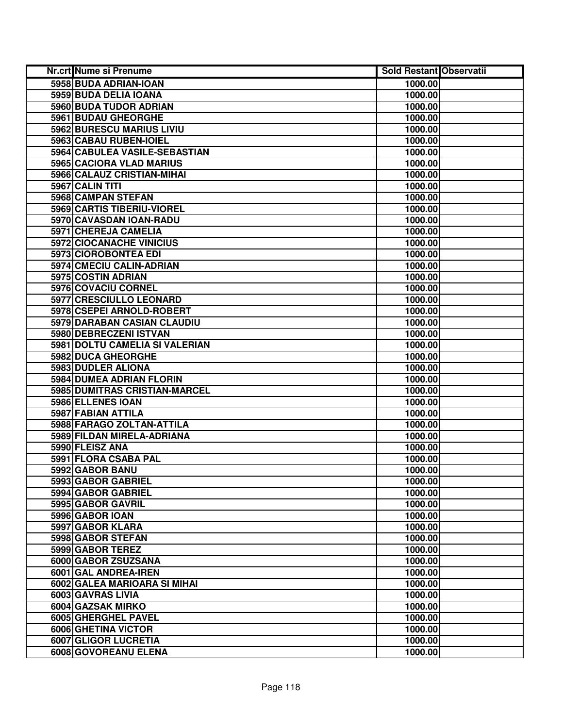| <b>Nr.crt Nume si Prenume</b>  | <b>Sold Restant Observatii</b> |  |
|--------------------------------|--------------------------------|--|
| 5958 BUDA ADRIAN-IOAN          | 1000.00                        |  |
| 5959 BUDA DELIA IOANA          | 1000.00                        |  |
| 5960 BUDA TUDOR ADRIAN         | 1000.00                        |  |
| 5961 BUDAU GHEORGHE            | 1000.00                        |  |
| 5962 BURESCU MARIUS LIVIU      | 1000.00                        |  |
| 5963 CABAU RUBEN-IOIEL         | 1000.00                        |  |
| 5964 CABULEA VASILE-SEBASTIAN  | 1000.00                        |  |
| 5965 CACIORA VLAD MARIUS       | 1000.00                        |  |
| 5966 CALAUZ CRISTIAN-MIHAI     | 1000.00                        |  |
| 5967 CALIN TITI                | 1000.00                        |  |
| 5968 CAMPAN STEFAN             | 1000.00                        |  |
| 5969 CARTIS TIBERIU-VIOREL     | 1000.00                        |  |
| 5970 CAVASDAN IOAN-RADU        | 1000.00                        |  |
| 5971 CHEREJA CAMELIA           | 1000.00                        |  |
| 5972 CIOCANACHE VINICIUS       | 1000.00                        |  |
| 5973 CIOROBONTEA EDI           | 1000.00                        |  |
| 5974 CMECIU CALIN-ADRIAN       | 1000.00                        |  |
| 5975 COSTIN ADRIAN             | 1000.00                        |  |
| 5976 COVACIU CORNEL            | 1000.00                        |  |
| 5977 CRESCIULLO LEONARD        | 1000.00                        |  |
| 5978 CSEPEI ARNOLD-ROBERT      | 1000.00                        |  |
| 5979 DARABAN CASIAN CLAUDIU    | 1000.00                        |  |
| 5980 DEBRECZENI ISTVAN         | 1000.00                        |  |
| 5981 DOLTU CAMELIA SI VALERIAN | 1000.00                        |  |
| 5982 DUCA GHEORGHE             | 1000.00                        |  |
| 5983 DUDLER ALIONA             | 1000.00                        |  |
| 5984 DUMEA ADRIAN FLORIN       | 1000.00                        |  |
| 5985 DUMITRAS CRISTIAN-MARCEL  | 1000.00                        |  |
| 5986 ELLENES IOAN              | 1000.00                        |  |
| 5987 FABIAN ATTILA             | 1000.00                        |  |
| 5988 FARAGO ZOLTAN-ATTILA      | 1000.00                        |  |
| 5989 FILDAN MIRELA-ADRIANA     | 1000.00                        |  |
| 5990 FLEISZ ANA                | 1000.00                        |  |
| 5991 FLORA CSABA PAL           | 1000.00                        |  |
| 5992 GABOR BANU                | 1000.00                        |  |
| 5993 GABOR GABRIEL             | 1000.00                        |  |
| 5994 GABOR GABRIEL             | 1000.00                        |  |
| 5995 GABOR GAVRIL              | 1000.00                        |  |
| 5996 GABOR IOAN                | 1000.00                        |  |
| 5997 GABOR KLARA               | 1000.00                        |  |
| 5998 GABOR STEFAN              | 1000.00                        |  |
| 5999 GABOR TEREZ               | 1000.00                        |  |
| 6000 GABOR ZSUZSANA            | 1000.00                        |  |
| 6001 GAL ANDREA-IREN           | 1000.00                        |  |
| 6002 GALEA MARIOARA SI MIHAI   | 1000.00                        |  |
| 6003 GAVRAS LIVIA              | 1000.00                        |  |
| 6004 GAZSAK MIRKO              | 1000.00                        |  |
| 6005 GHERGHEL PAVEL            | 1000.00                        |  |
| 6006 GHETINA VICTOR            | 1000.00                        |  |
| 6007 GLIGOR LUCRETIA           | 1000.00                        |  |
| 6008 GOVOREANU ELENA           | 1000.00                        |  |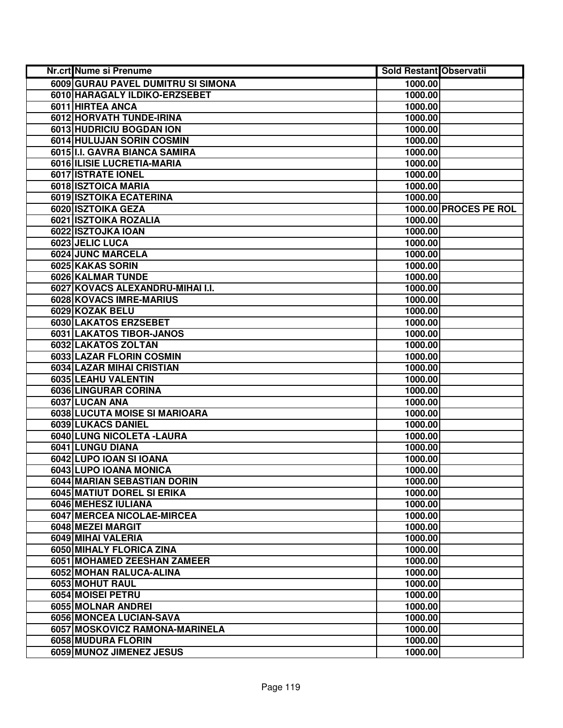| Nr.crt Nume si Prenume             | <b>Sold Restant Observatii</b> |                       |
|------------------------------------|--------------------------------|-----------------------|
| 6009 GURAU PAVEL DUMITRU SI SIMONA | 1000.00                        |                       |
| 6010 HARAGALY ILDIKO-ERZSEBET      | 1000.00                        |                       |
| 6011 HIRTEA ANCA                   | 1000.00                        |                       |
| 6012 HORVATH TUNDE-IRINA           | 1000.00                        |                       |
| 6013 HUDRICIU BOGDAN ION           | 1000.00                        |                       |
| 6014 HULUJAN SORIN COSMIN          | 1000.00                        |                       |
| 6015 I.I. GAVRA BIANCA SAMIRA      | 1000.00                        |                       |
| 6016 ILISIE LUCRETIA-MARIA         | 1000.00                        |                       |
| 6017 ISTRATE IONEL                 | 1000.00                        |                       |
| 6018 ISZTOICA MARIA                | 1000.00                        |                       |
| 6019 ISZTOIKA ECATERINA            | 1000.00                        |                       |
| 6020 ISZTOIKA GEZA                 |                                | 1000.00 PROCES PE ROL |
| 6021 ISZTOIKA ROZALIA              | 1000.00                        |                       |
| 6022 ISZTOJKA IOAN                 | 1000.00                        |                       |
| 6023 JELIC LUCA                    | 1000.00                        |                       |
| 6024 JUNC MARCELA                  | 1000.00                        |                       |
| 6025 KAKAS SORIN                   | 1000.00                        |                       |
| 6026 KALMAR TUNDE                  | 1000.00                        |                       |
| 6027 KOVACS ALEXANDRU-MIHAI I.I.   | 1000.00                        |                       |
| 6028 KOVACS IMRE-MARIUS            | 1000.00                        |                       |
| 6029 KOZAK BELU                    | 1000.00                        |                       |
| 6030 LAKATOS ERZSEBET              | 1000.00                        |                       |
| 6031 LAKATOS TIBOR-JANOS           | 1000.00                        |                       |
| 6032 LAKATOS ZOLTAN                | 1000.00                        |                       |
| <b>6033 LAZAR FLORIN COSMIN</b>    | 1000.00                        |                       |
| 6034 LAZAR MIHAI CRISTIAN          | 1000.00                        |                       |
| 6035 LEAHU VALENTIN                | 1000.00                        |                       |
| 6036 LINGURAR CORINA               | 1000.00                        |                       |
| 6037 LUCAN ANA                     | 1000.00                        |                       |
| 6038 LUCUTA MOISE SI MARIOARA      | 1000.00                        |                       |
| 6039 LUKACS DANIEL                 | 1000.00                        |                       |
| 6040 LUNG NICOLETA - LAURA         | 1000.00                        |                       |
| 6041 LUNGU DIANA                   | 1000.00                        |                       |
| 6042 LUPO IOAN SI IOANA            | 1000.00                        |                       |
| 6043 LUPO IOANA MONICA             | 1000.00                        |                       |
| 6044 MARIAN SEBASTIAN DORIN        | 1000.00                        |                       |
| <b>6045 MATIUT DOREL SI ERIKA</b>  | 1000.00                        |                       |
| 6046 MEHESZ IULIANA                | 1000.00                        |                       |
| 6047 MERCEA NICOLAE-MIRCEA         | 1000.00                        |                       |
| 6048 MEZEI MARGIT                  | 1000.00                        |                       |
| 6049 MIHAI VALERIA                 | 1000.00                        |                       |
| 6050 MIHALY FLORICA ZINA           | 1000.00                        |                       |
| 6051 MOHAMED ZEESHAN ZAMEER        | 1000.00                        |                       |
| 6052 MOHAN RALUCA-ALINA            | 1000.00                        |                       |
| 6053 MOHUT RAUL                    | 1000.00                        |                       |
| 6054 MOISEI PETRU                  | 1000.00                        |                       |
| 6055 MOLNAR ANDREI                 | 1000.00                        |                       |
| 6056 MONCEA LUCIAN-SAVA            | 1000.00                        |                       |
| 6057 MOSKOVICZ RAMONA-MARINELA     | 1000.00                        |                       |
| 6058 MUDURA FLORIN                 | 1000.00                        |                       |
| 6059 MUNOZ JIMENEZ JESUS           | 1000.00                        |                       |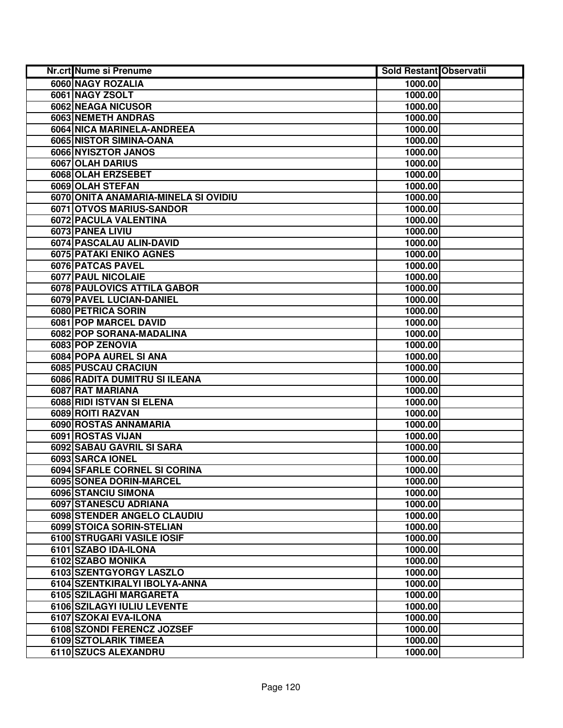| Nr.crt Nume si Prenume               | <b>Sold Restant Observatii</b> |  |
|--------------------------------------|--------------------------------|--|
| 6060 NAGY ROZALIA                    | 1000.00                        |  |
| 6061 NAGY ZSOLT                      | 1000.00                        |  |
| 6062 NEAGA NICUSOR                   | 1000.00                        |  |
| 6063 NEMETH ANDRAS                   | 1000.00                        |  |
| 6064 NICA MARINELA-ANDREEA           | 1000.00                        |  |
| 6065 NISTOR SIMINA-OANA              | 1000.00                        |  |
| 6066 NYISZTOR JANOS                  | 1000.00                        |  |
| 6067 OLAH DARIUS                     | 1000.00                        |  |
| 6068 OLAH ERZSEBET                   | 1000.00                        |  |
| 6069 OLAH STEFAN                     | 1000.00                        |  |
| 6070 ONITA ANAMARIA-MINELA SI OVIDIU | 1000.00                        |  |
| 6071 OTVOS MARIUS-SANDOR             | 1000.00                        |  |
| 6072 PACULA VALENTINA                | 1000.00                        |  |
| 6073 PANEA LIVIU                     | 1000.00                        |  |
| 6074 PASCALAU ALIN-DAVID             | 1000.00                        |  |
| 6075 PATAKI ENIKO AGNES              | 1000.00                        |  |
| 6076 PATCAS PAVEL                    | 1000.00                        |  |
| 6077 PAUL NICOLAIE                   | 1000.00                        |  |
| 6078 PAULOVICS ATTILA GABOR          | 1000.00                        |  |
| 6079 PAVEL LUCIAN-DANIEL             | 1000.00                        |  |
| 6080 PETRICA SORIN                   | 1000.00                        |  |
| 6081 POP MARCEL DAVID                | 1000.00                        |  |
| 6082 POP SORANA-MADALINA             | 1000.00                        |  |
| 6083 POP ZENOVIA                     | 1000.00                        |  |
| 6084 POPA AUREL SI ANA               | 1000.00                        |  |
| 6085 PUSCAU CRACIUN                  | 1000.00                        |  |
| 6086 RADITA DUMITRU SI ILEANA        | 1000.00                        |  |
| 6087 RAT MARIANA                     | 1000.00                        |  |
| 6088 RIDI ISTVAN SI ELENA            | 1000.00                        |  |
| 6089 ROITI RAZVAN                    | 1000.00                        |  |
| 6090 ROSTAS ANNAMARIA                | 1000.00                        |  |
| 6091 ROSTAS VIJAN                    | 1000.00                        |  |
| 6092 SABAU GAVRIL SI SARA            | 1000.00                        |  |
| 6093 SARCA IONEL                     | 1000.00                        |  |
| 6094 SFARLE CORNEL SI CORINA         | 1000.00                        |  |
| 6095 SONEA DORIN-MARCEL              | 1000.00                        |  |
| 6096 STANCIU SIMONA                  | 1000.00                        |  |
| 6097 STANESCU ADRIANA                | 1000.00                        |  |
| 6098 STENDER ANGELO CLAUDIU          | 1000.00                        |  |
| 6099 STOICA SORIN-STELIAN            | 1000.00                        |  |
| 6100 STRUGARI VASILE IOSIF           | 1000.00                        |  |
| 6101 SZABO IDA-ILONA                 | 1000.00                        |  |
| 6102 SZABO MONIKA                    | 1000.00                        |  |
| 6103 SZENTGYORGY LASZLO              | 1000.00                        |  |
| 6104 SZENTKIRALYI IBOLYA-ANNA        | 1000.00                        |  |
| 6105 SZILAGHI MARGARETA              | 1000.00                        |  |
| 6106 SZILAGYI IULIU LEVENTE          | 1000.00                        |  |
| 6107 SZOKAI EVA-ILONA                | 1000.00                        |  |
| 6108 SZONDI FERENCZ JOZSEF           | 1000.00                        |  |
| 6109 SZTOLARIK TIMEEA                | 1000.00                        |  |
| 6110 SZUCS ALEXANDRU                 | 1000.00                        |  |